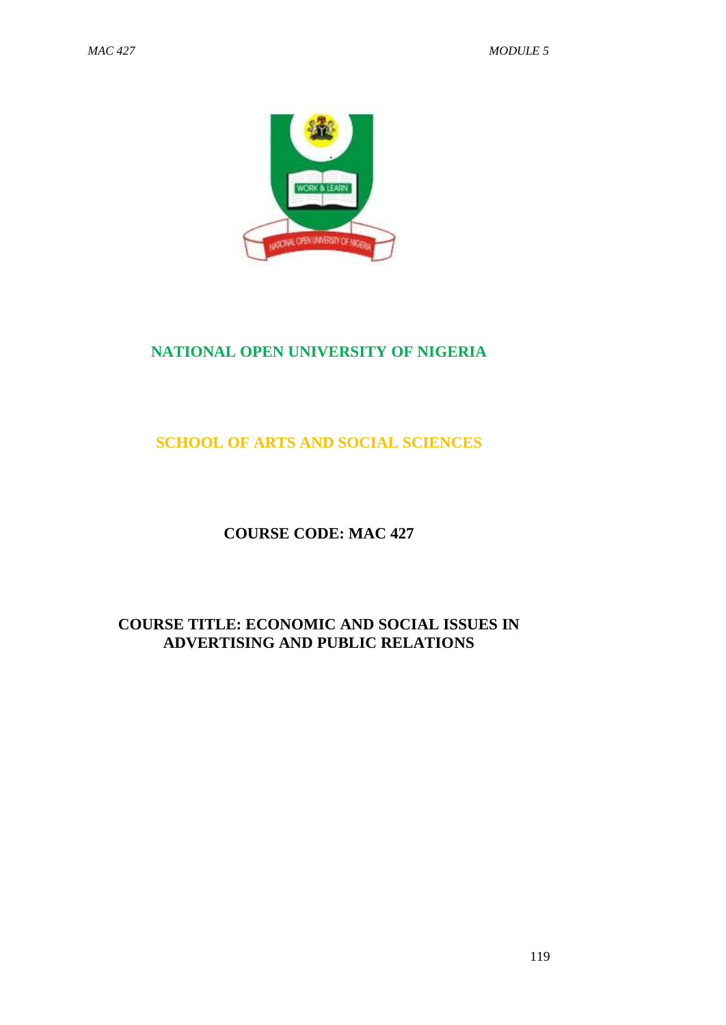

# **NATIONAL OPEN UNIVERSITY OF NIGERIA**

# **SCHOOL OF ARTS AND SOCIAL SCIENCES**

# **COURSE CODE: MAC 427**

# **COURSE TITLE: ECONOMIC AND SOCIAL ISSUES IN ADVERTISING AND PUBLIC RELATIONS**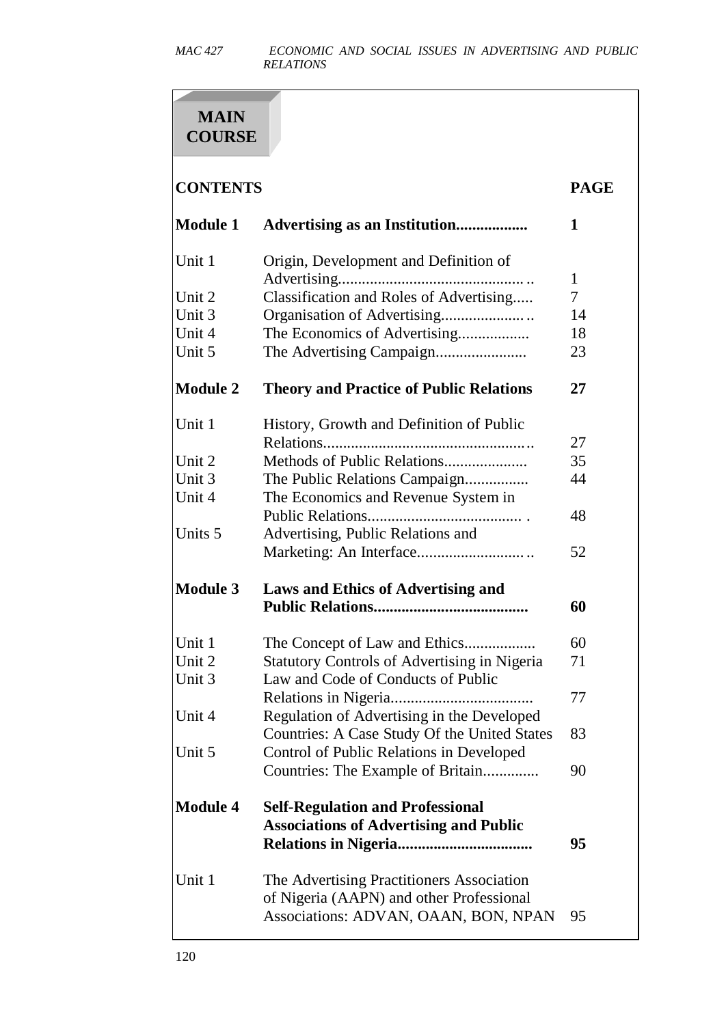# **MAIN COURSE**

# **CONTENTS PAGE**

| <b>Module 1</b> | Advertising as an Institution                                                                                                 | 1            |
|-----------------|-------------------------------------------------------------------------------------------------------------------------------|--------------|
| Unit 1          | Origin, Development and Definition of<br>Advertising                                                                          | $\mathbf{1}$ |
| Unit 2          | Classification and Roles of Advertising                                                                                       | 7            |
| Unit 3          |                                                                                                                               | 14           |
| Unit 4          | The Economics of Advertising                                                                                                  | 18           |
| Unit 5          | The Advertising Campaign                                                                                                      | 23           |
| <b>Module 2</b> | <b>Theory and Practice of Public Relations</b>                                                                                | 27           |
| Unit 1          | History, Growth and Definition of Public                                                                                      |              |
|                 |                                                                                                                               | 27           |
| Unit 2          |                                                                                                                               | 35           |
| Unit 3          | The Public Relations Campaign                                                                                                 | 44           |
| Unit 4          | The Economics and Revenue System in                                                                                           |              |
|                 |                                                                                                                               | 48           |
| Units 5         | Advertising, Public Relations and                                                                                             |              |
|                 |                                                                                                                               | 52           |
| <b>Module 3</b> | <b>Laws and Ethics of Advertising and</b>                                                                                     |              |
|                 |                                                                                                                               | 60           |
| Unit 1          |                                                                                                                               | 60           |
| Unit 2          | <b>Statutory Controls of Advertising in Nigeria</b>                                                                           | 71           |
| Unit 3          | Law and Code of Conducts of Public                                                                                            |              |
|                 |                                                                                                                               | 77           |
| Unit 4          | Regulation of Advertising in the Developed                                                                                    |              |
|                 | Countries: A Case Study Of the United States                                                                                  | 83           |
| Unit 5          | Control of Public Relations in Developed                                                                                      |              |
|                 | Countries: The Example of Britain                                                                                             | 90           |
| <b>Module 4</b> | <b>Self-Regulation and Professional</b>                                                                                       |              |
|                 | <b>Associations of Advertising and Public</b>                                                                                 | 95           |
| Unit 1          | The Advertising Practitioners Association<br>of Nigeria (AAPN) and other Professional<br>Associations: ADVAN, OAAN, BON, NPAN | 95           |
|                 |                                                                                                                               |              |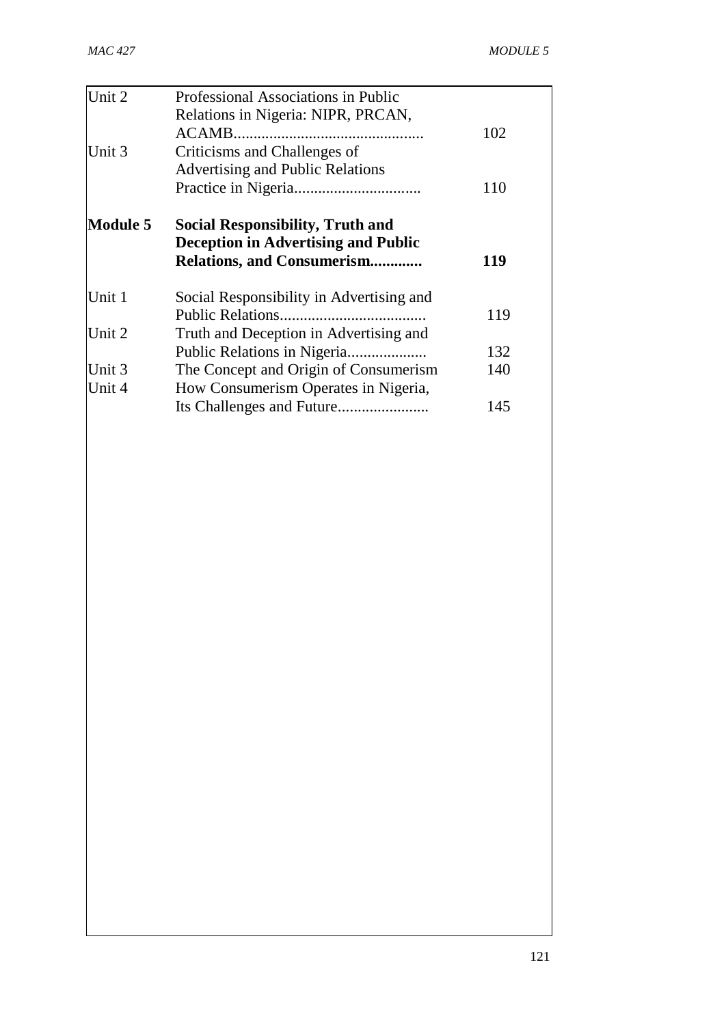| Unit 2   | Professional Associations in Public                                                   |     |
|----------|---------------------------------------------------------------------------------------|-----|
|          | Relations in Nigeria: NIPR, PRCAN,                                                    |     |
|          |                                                                                       | 102 |
| Unit 3   | Criticisms and Challenges of                                                          |     |
|          | <b>Advertising and Public Relations</b>                                               |     |
|          |                                                                                       | 110 |
| Module 5 | <b>Social Responsibility, Truth and</b><br><b>Deception in Advertising and Public</b> |     |
|          | <b>Relations, and Consumerism</b>                                                     | 119 |
| Unit 1   | Social Responsibility in Advertising and                                              |     |
|          |                                                                                       | 119 |
| Unit 2   | Truth and Deception in Advertising and                                                |     |
|          | Public Relations in Nigeria                                                           | 132 |
| Unit 3   | The Concept and Origin of Consumerism                                                 | 140 |
| Unit 4   | How Consumerism Operates in Nigeria,                                                  |     |
|          |                                                                                       | 145 |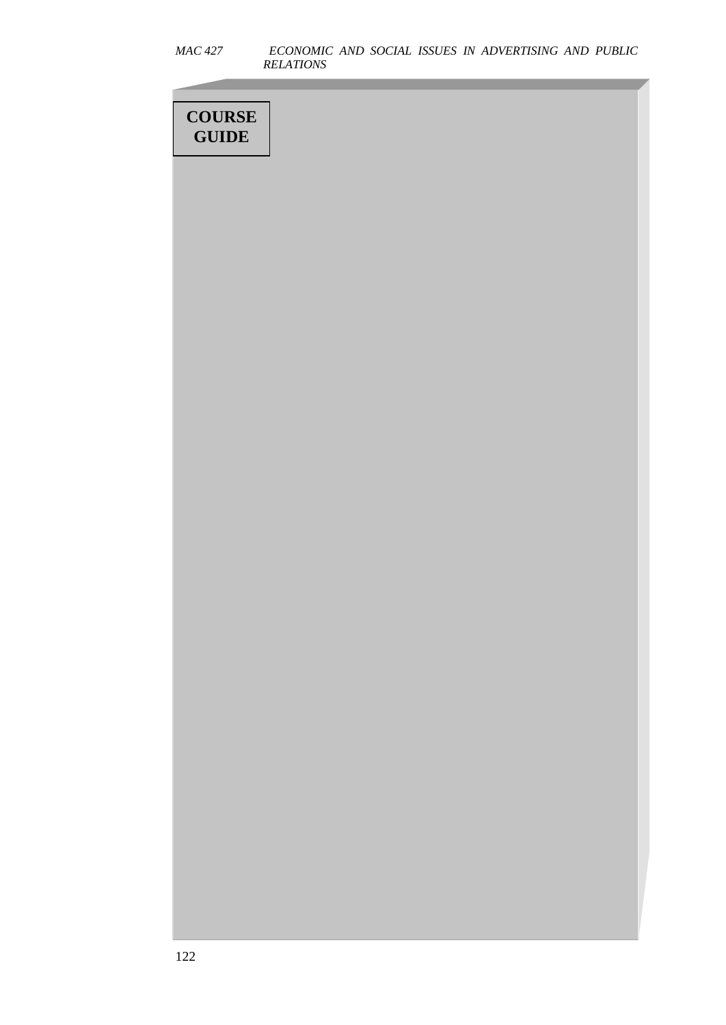| <i>MAC 427</i> |                         |  |  | ECONOMIC AND SOCIAL ISSUES IN ADVERTISING AND PUBLIC |  |
|----------------|-------------------------|--|--|------------------------------------------------------|--|
|                | <i><b>RELATIONS</b></i> |  |  |                                                      |  |

| <b>COURSE</b> |  |
|---------------|--|
| <b>GUIDE</b>  |  |
|               |  |
|               |  |
|               |  |
|               |  |
|               |  |
|               |  |
|               |  |
|               |  |
|               |  |
|               |  |
|               |  |
|               |  |
|               |  |
|               |  |
|               |  |
|               |  |
|               |  |
|               |  |
|               |  |
|               |  |
|               |  |
|               |  |
|               |  |
|               |  |
|               |  |
|               |  |
|               |  |
|               |  |
|               |  |
|               |  |
|               |  |
|               |  |
|               |  |
|               |  |
|               |  |
|               |  |
|               |  |
|               |  |
|               |  |
|               |  |
|               |  |
|               |  |
|               |  |
|               |  |
|               |  |
|               |  |
|               |  |
|               |  |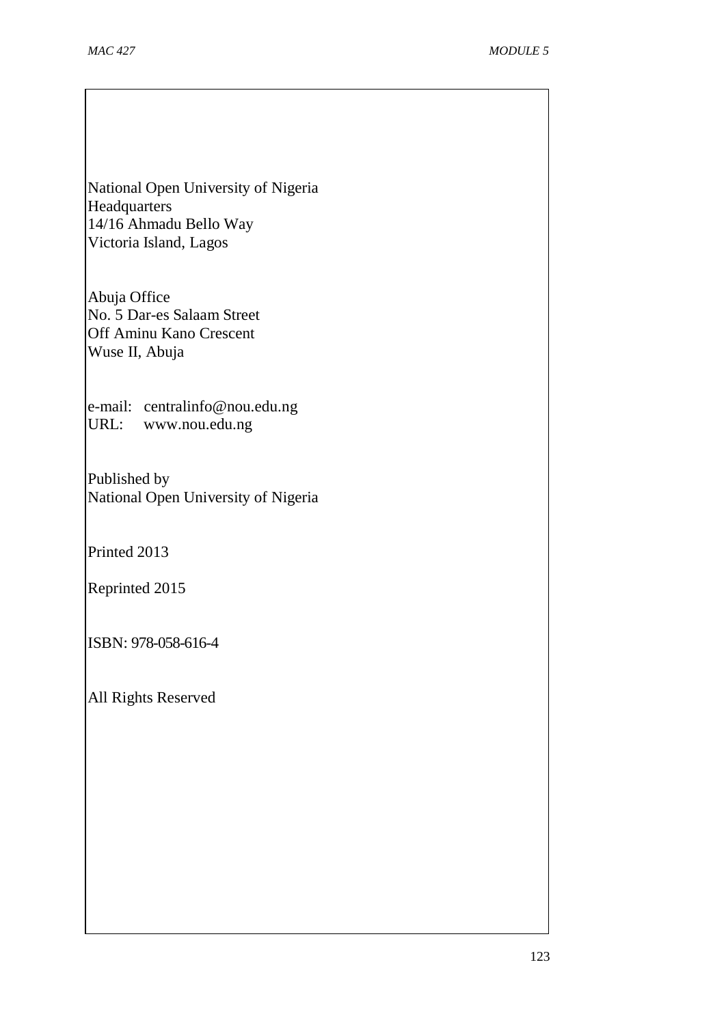National Open University of Nigeria Headquarters 14/16 Ahmadu Bello Way Victoria Island, Lagos

Abuja Office No. 5 Dar-es Salaam Street Off Aminu Kano Crescent Wuse II, Abuja

e-mail: [centralinfo@nou.edu.ng](mailto:centralinfo@nou.edu.ng) URL: [www.nou.edu.ng](http://www.nou.edu.ng/)

Published by National Open University of Nigeria

Printed 2013

Reprinted 2015

ISBN: 978-058-616-4

All Rights Reserved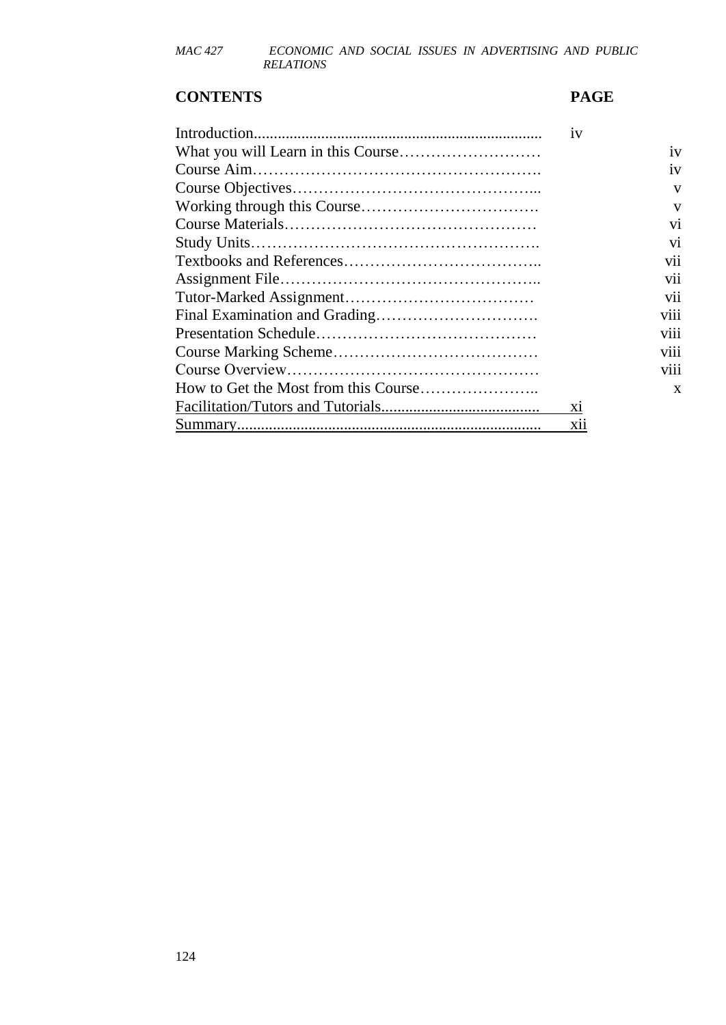## **CONTENTS PAGE**

| 1V         |
|------------|
| iv         |
| iv         |
| V          |
| V          |
| vi         |
| vi         |
| vii        |
| vii        |
| vii        |
| viii       |
| viii       |
| viii       |
| V111       |
| X          |
| X1         |
| <b>X11</b> |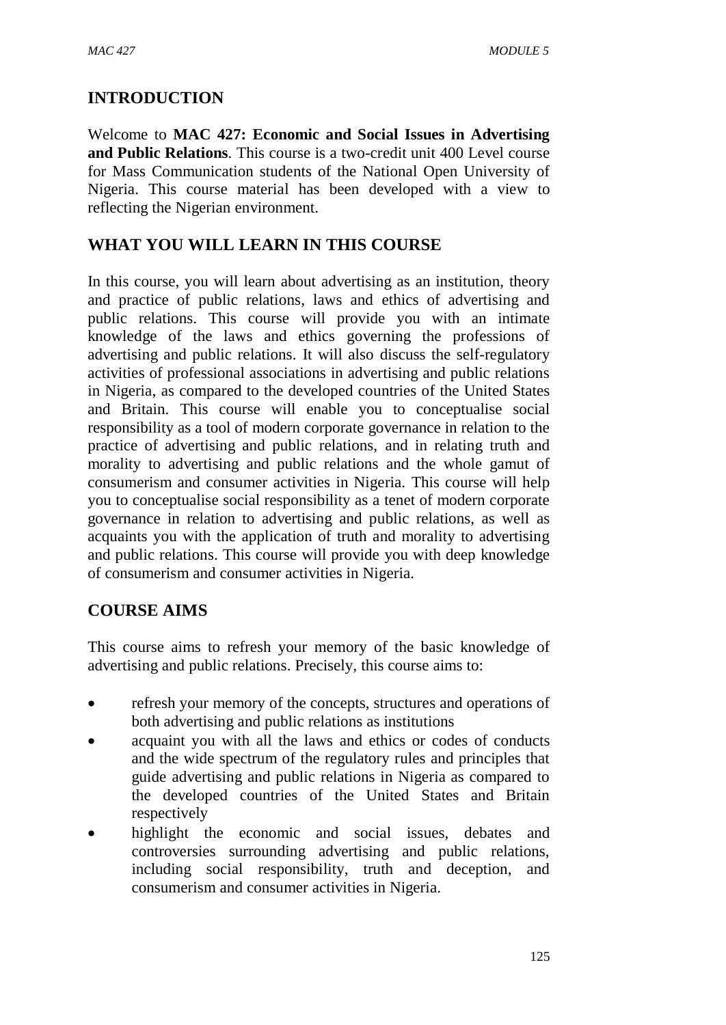# **INTRODUCTION**

Welcome to **MAC 427: Economic and Social Issues in Advertising and Public Relations**. This course is a two-credit unit 400 Level course for Mass Communication students of the National Open University of Nigeria. This course material has been developed with a view to reflecting the Nigerian environment.

# **WHAT YOU WILL LEARN IN THIS COURSE**

In this course, you will learn about advertising as an institution, theory and practice of public relations, laws and ethics of advertising and public relations. This course will provide you with an intimate knowledge of the laws and ethics governing the professions of advertising and public relations. It will also discuss the self-regulatory activities of professional associations in advertising and public relations in Nigeria, as compared to the developed countries of the United States and Britain. This course will enable you to conceptualise social responsibility as a tool of modern corporate governance in relation to the practice of advertising and public relations, and in relating truth and morality to advertising and public relations and the whole gamut of consumerism and consumer activities in Nigeria. This course will help you to conceptualise social responsibility as a tenet of modern corporate governance in relation to advertising and public relations, as well as acquaints you with the application of truth and morality to advertising and public relations. This course will provide you with deep knowledge of consumerism and consumer activities in Nigeria.

# **COURSE AIMS**

This course aims to refresh your memory of the basic knowledge of advertising and public relations. Precisely, this course aims to:

- refresh your memory of the concepts, structures and operations of both advertising and public relations as institutions
- acquaint you with all the laws and ethics or codes of conducts and the wide spectrum of the regulatory rules and principles that guide advertising and public relations in Nigeria as compared to the developed countries of the United States and Britain respectively
- highlight the economic and social issues, debates and controversies surrounding advertising and public relations, including social responsibility, truth and deception, and consumerism and consumer activities in Nigeria.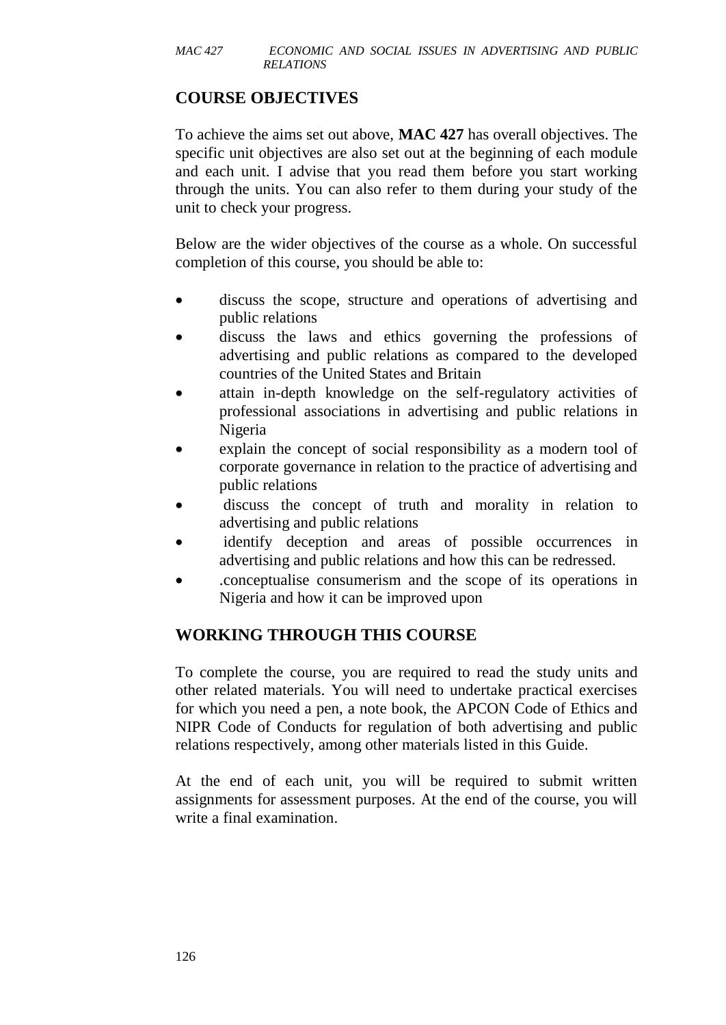# **COURSE OBJECTIVES**

To achieve the aims set out above, **MAC 427** has overall objectives. The specific unit objectives are also set out at the beginning of each module and each unit. I advise that you read them before you start working through the units. You can also refer to them during your study of the unit to check your progress.

Below are the wider objectives of the course as a whole. On successful completion of this course, you should be able to:

- discuss the scope, structure and operations of advertising and public relations
- discuss the laws and ethics governing the professions of advertising and public relations as compared to the developed countries of the United States and Britain
- attain in-depth knowledge on the self-regulatory activities of professional associations in advertising and public relations in Nigeria
- explain the concept of social responsibility as a modern tool of corporate governance in relation to the practice of advertising and public relations
- discuss the concept of truth and morality in relation to advertising and public relations
- identify deception and areas of possible occurrences in advertising and public relations and how this can be redressed.
- .conceptualise consumerism and the scope of its operations in Nigeria and how it can be improved upon

# **WORKING THROUGH THIS COURSE**

To complete the course, you are required to read the study units and other related materials. You will need to undertake practical exercises for which you need a pen, a note book, the APCON Code of Ethics and NIPR Code of Conducts for regulation of both advertising and public relations respectively, among other materials listed in this Guide.

At the end of each unit, you will be required to submit written assignments for assessment purposes. At the end of the course, you will write a final examination.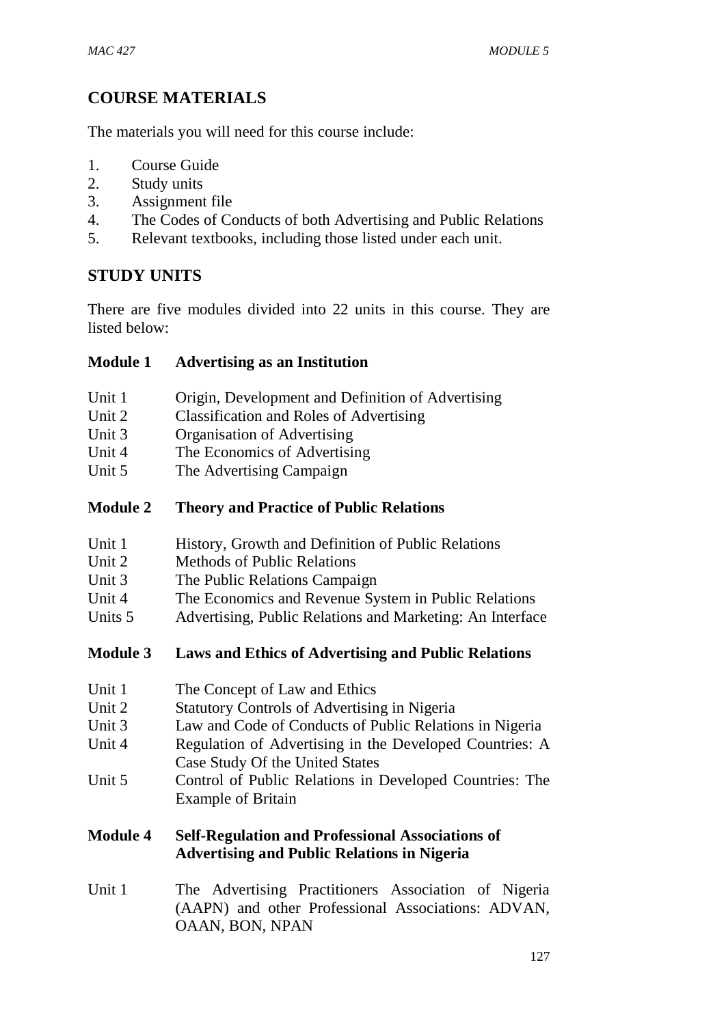# **COURSE MATERIALS**

The materials you will need for this course include:

- 1. Course Guide
- 2. Study units
- 3. Assignment file
- 4. The Codes of Conducts of both Advertising and Public Relations
- 5. Relevant textbooks, including those listed under each unit.

# **STUDY UNITS**

There are five modules divided into 22 units in this course. They are listed below:

#### **Module 1 Advertising as an Institution**

- Unit 1 Origin, Development and Definition of Advertising
- Unit 2 Classification and Roles of Advertising
- Unit 3 Organisation of Advertising
- Unit 4 The Economics of Advertising
- Unit 5 The Advertising Campaign

## **Module 2 Theory and Practice of Public Relations**

- Unit 1 History, Growth and Definition of Public Relations
- Unit 2 Methods of Public Relations
- Unit 3 The Public Relations Campaign
- Unit 4 The Economics and Revenue System in Public Relations
- Units 5 Advertising, Public Relations and Marketing: An Interface

# **Module 3 Laws and Ethics of Advertising and Public Relations**

- Unit 1 The Concept of Law and Ethics
- Unit 2 Statutory Controls of Advertising in Nigeria
- Unit 3 Law and Code of Conducts of Public Relations in Nigeria
- Unit 4 Regulation of Advertising in the Developed Countries: A Case Study Of the United States
- Unit 5 Control of Public Relations in Developed Countries: The Example of Britain

#### **Module 4 Self-Regulation and Professional Associations of Advertising and Public Relations in Nigeria**

Unit 1 The Advertising Practitioners Association of Nigeria (AAPN) and other Professional Associations: ADVAN, OAAN, BON, NPAN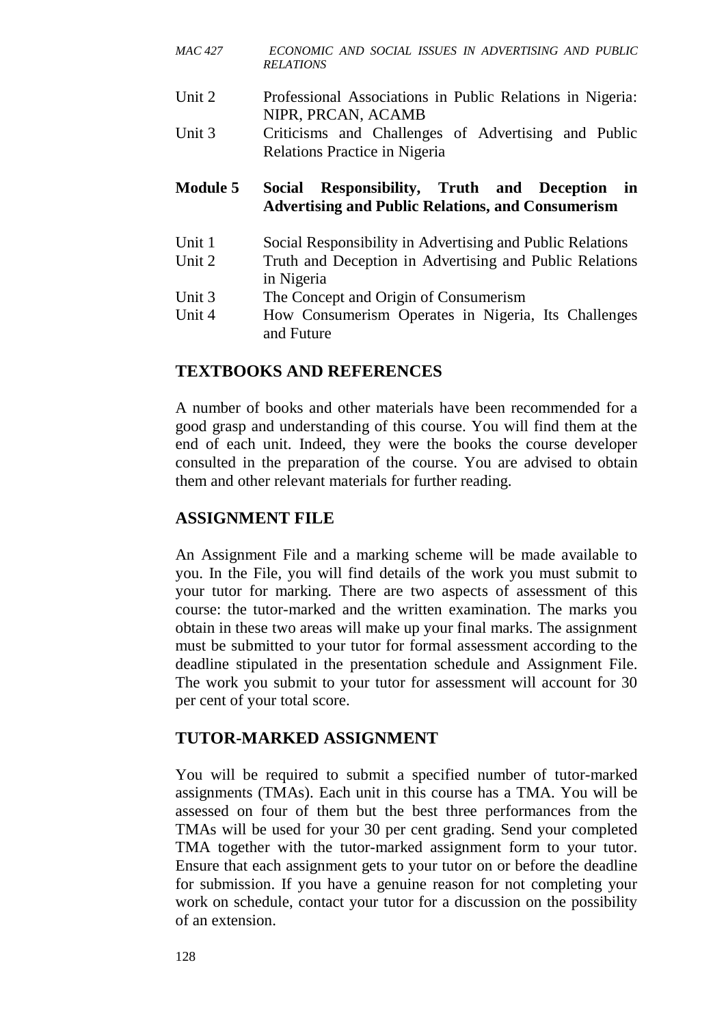- *MAC 427 ECONOMIC AND SOCIAL ISSUES IN ADVERTISING AND PUBLIC RELATIONS*
- Unit 2 Professional Associations in Public Relations in Nigeria: NIPR, PRCAN, ACAMB
- Unit 3 Criticisms and Challenges of Advertising and Public Relations Practice in Nigeria

#### **Module 5 Social Responsibility, Truth and Deception in Advertising and Public Relations, and Consumerism**

- Unit 1 Social Responsibility in Advertising and Public Relations
- Unit 2 Truth and Deception in Advertising and Public Relations in Nigeria
- Unit 3 The Concept and Origin of Consumerism
- Unit 4 How Consumerism Operates in Nigeria, Its Challenges and Future

#### **TEXTBOOKS AND REFERENCES**

A number of books and other materials have been recommended for a good grasp and understanding of this course. You will find them at the end of each unit. Indeed, they were the books the course developer consulted in the preparation of the course. You are advised to obtain them and other relevant materials for further reading.

# **ASSIGNMENT FILE**

An Assignment File and a marking scheme will be made available to you. In the File, you will find details of the work you must submit to your tutor for marking. There are two aspects of assessment of this course: the tutor-marked and the written examination. The marks you obtain in these two areas will make up your final marks. The assignment must be submitted to your tutor for formal assessment according to the deadline stipulated in the presentation schedule and Assignment File. The work you submit to your tutor for assessment will account for 30 per cent of your total score.

#### **TUTOR-MARKED ASSIGNMENT**

You will be required to submit a specified number of tutor-marked assignments (TMAs). Each unit in this course has a TMA. You will be assessed on four of them but the best three performances from the TMAs will be used for your 30 per cent grading. Send your completed TMA together with the tutor-marked assignment form to your tutor. Ensure that each assignment gets to your tutor on or before the deadline for submission. If you have a genuine reason for not completing your work on schedule, contact your tutor for a discussion on the possibility of an extension.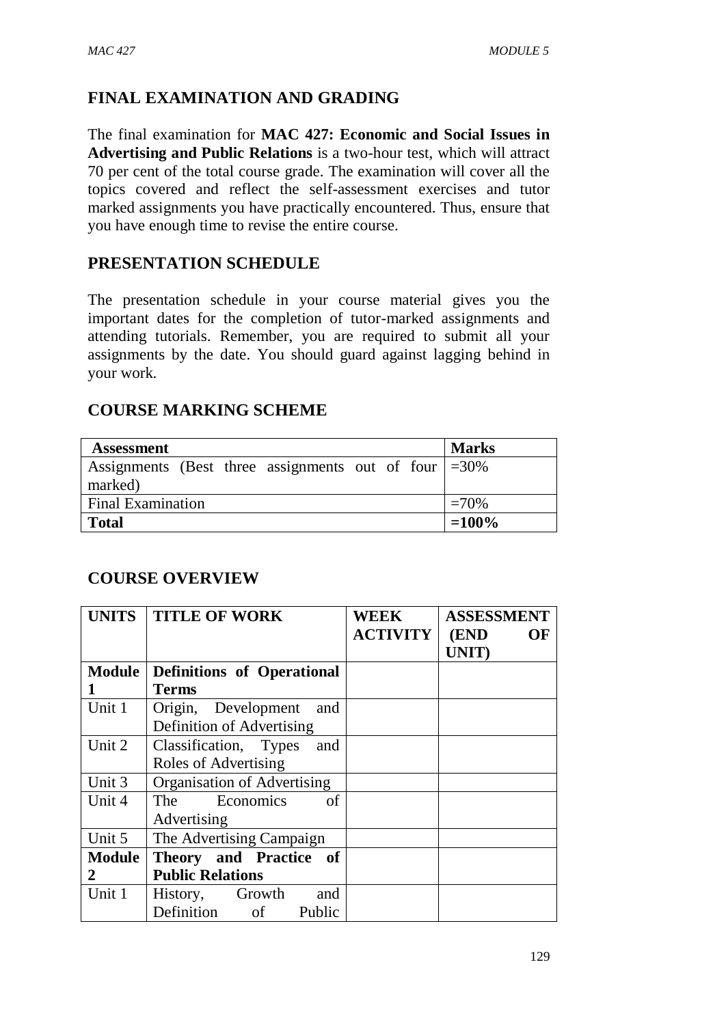# **FINAL EXAMINATION AND GRADING**

The final examination for **MAC 427: Economic and Social Issues in Advertising and Public Relations** is a two-hour test, which will attract 70 per cent of the total course grade. The examination will cover all the topics covered and reflect the self-assessment exercises and tutor marked assignments you have practically encountered. Thus, ensure that you have enough time to revise the entire course.

#### **PRESENTATION SCHEDULE**

The presentation schedule in your course material gives you the important dates for the completion of tutor-marked assignments and attending tutorials. Remember, you are required to submit all your assignments by the date. You should guard against lagging behind in your work.

#### **COURSE MARKING SCHEME**

| <b>Assessment</b>                                                         | <b>Marks</b> |
|---------------------------------------------------------------------------|--------------|
| Assignments (Best three assignments out of four $\vert = 30\%$<br>marked) |              |
| <b>Final Examination</b>                                                  | $=70%$       |
| <b>Total</b>                                                              | $=100\%$     |

#### **COURSE OVERVIEW**

|               | UNITS   TITLE OF WORK              | <b>WEEK</b>     | <b>ASSESSMENT</b> |
|---------------|------------------------------------|-----------------|-------------------|
|               |                                    | <b>ACTIVITY</b> | (END<br><b>OF</b> |
|               |                                    |                 | UNIT)             |
| <b>Module</b> | <b>Definitions of Operational</b>  |                 |                   |
|               | <b>Terms</b>                       |                 |                   |
| Unit 1        | Origin, Development<br>and         |                 |                   |
|               | Definition of Advertising          |                 |                   |
| Unit 2        | Classification, Types<br>and       |                 |                   |
|               | Roles of Advertising               |                 |                   |
| Unit 3        | Organisation of Advertising        |                 |                   |
| Unit 4        | of<br>The Economics                |                 |                   |
|               | Advertising                        |                 |                   |
| Unit 5        | The Advertising Campaign           |                 |                   |
| <b>Module</b> | Theory and Practice of             |                 |                   |
| 2             | <b>Public Relations</b>            |                 |                   |
| Unit 1        | and<br>History, Growth             |                 |                   |
|               | Definition<br>Public<br>$\circ$ of |                 |                   |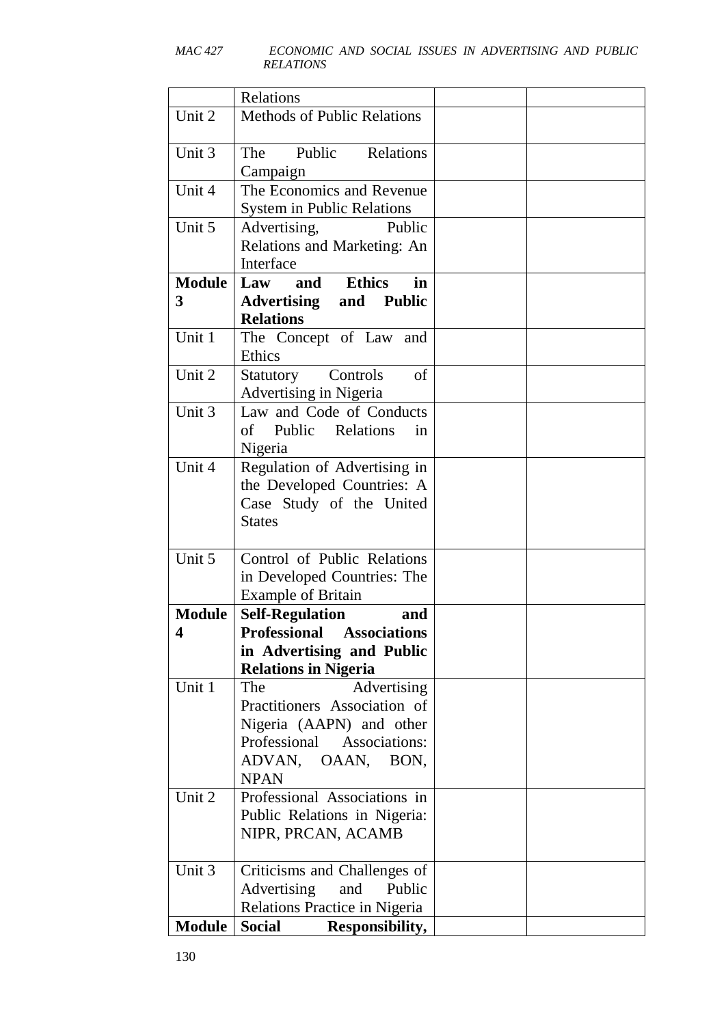|               | Relations                                                 |  |
|---------------|-----------------------------------------------------------|--|
| Unit 2        | <b>Methods of Public Relations</b>                        |  |
|               |                                                           |  |
| Unit 3        | Public Relations<br>The                                   |  |
|               | Campaign                                                  |  |
| Unit 4        | The Economics and Revenue                                 |  |
|               | <b>System in Public Relations</b>                         |  |
| Unit 5        | Advertising,<br>Public                                    |  |
|               | Relations and Marketing: An                               |  |
|               | Interface                                                 |  |
| <b>Module</b> | <b>Ethics</b><br>and<br>in<br>Law                         |  |
| 3             | <b>Advertising and Public</b>                             |  |
|               | <b>Relations</b>                                          |  |
| Unit 1        | The Concept of Law and                                    |  |
|               | Ethics                                                    |  |
| Unit 2        | Controls<br>Statutory<br>of                               |  |
|               | <b>Advertising in Nigeria</b>                             |  |
| Unit 3        | Law and Code of Conducts                                  |  |
|               | of Public Relations<br>in                                 |  |
|               | Nigeria                                                   |  |
| Unit 4        | Regulation of Advertising in                              |  |
|               | the Developed Countries: A                                |  |
|               | Case Study of the United                                  |  |
|               | <b>States</b>                                             |  |
|               |                                                           |  |
| Unit 5        | Control of Public Relations                               |  |
|               | in Developed Countries: The                               |  |
|               | <b>Example of Britain</b>                                 |  |
| <b>Module</b> | <b>Self-Regulation</b><br>and                             |  |
| 4             | <b>Professional Associations</b>                          |  |
|               | in Advertising and Public                                 |  |
|               | <b>Relations in Nigeria</b>                               |  |
| Unit 1        | Advertising<br>The                                        |  |
|               | Practitioners Association of                              |  |
|               | Nigeria (AAPN) and other<br>Professional<br>Associations: |  |
|               | ADVAN, OAAN, BON,                                         |  |
|               | <b>NPAN</b>                                               |  |
| Unit 2        | Professional Associations in                              |  |
|               | Public Relations in Nigeria:                              |  |
|               | NIPR, PRCAN, ACAMB                                        |  |
|               |                                                           |  |
| Unit 3        | Criticisms and Challenges of                              |  |
|               | Advertising<br>and<br>Public                              |  |
|               | Relations Practice in Nigeria                             |  |
| <b>Module</b> | <b>Social</b><br>Responsibility,                          |  |
|               |                                                           |  |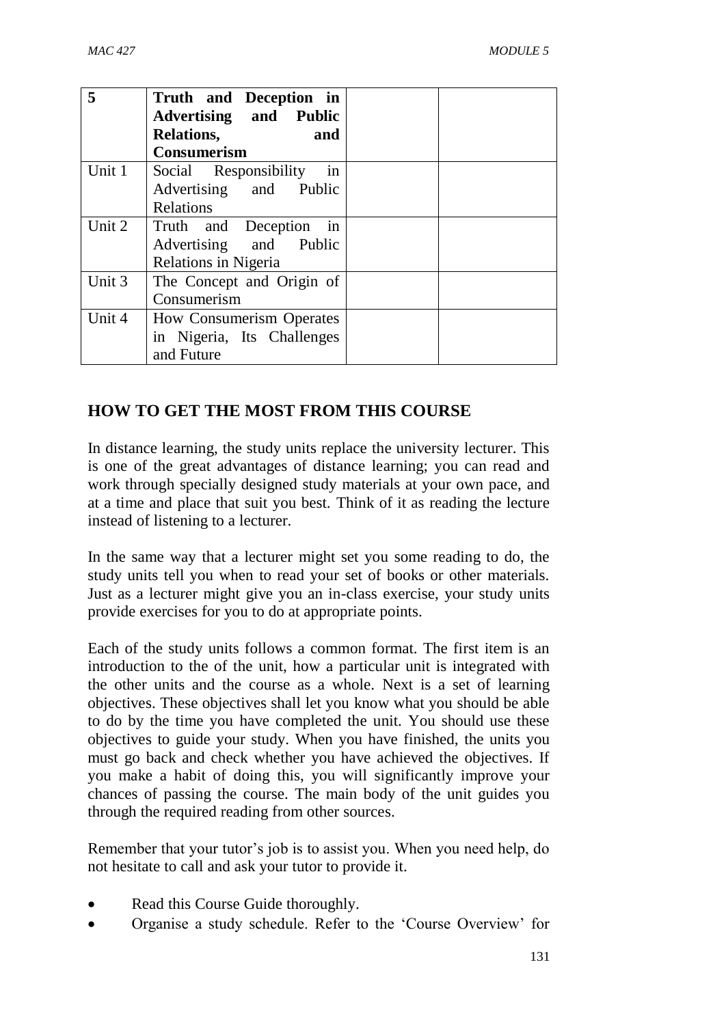| 5      | Truth and Deception in        |  |
|--------|-------------------------------|--|
|        | <b>Advertising and Public</b> |  |
|        | Relations,<br>and             |  |
|        | <b>Consumerism</b>            |  |
| Unit 1 | Social Responsibility<br>1n   |  |
|        | Advertising and Public        |  |
|        | Relations                     |  |
| Unit 2 | Truth and Deception in        |  |
|        | Advertising and Public        |  |
|        | Relations in Nigeria          |  |
| Unit 3 | The Concept and Origin of     |  |
|        | Consumerism                   |  |
| Unit 4 | How Consumerism Operates      |  |
|        | in Nigeria, Its Challenges    |  |
|        | and Future                    |  |

# **HOW TO GET THE MOST FROM THIS COURSE**

In distance learning, the study units replace the university lecturer. This is one of the great advantages of distance learning; you can read and work through specially designed study materials at your own pace, and at a time and place that suit you best. Think of it as reading the lecture instead of listening to a lecturer.

In the same way that a lecturer might set you some reading to do, the study units tell you when to read your set of books or other materials. Just as a lecturer might give you an in-class exercise, your study units provide exercises for you to do at appropriate points.

Each of the study units follows a common format. The first item is an introduction to the of the unit, how a particular unit is integrated with the other units and the course as a whole. Next is a set of learning objectives. These objectives shall let you know what you should be able to do by the time you have completed the unit. You should use these objectives to guide your study. When you have finished, the units you must go back and check whether you have achieved the objectives. If you make a habit of doing this, you will significantly improve your chances of passing the course. The main body of the unit guides you through the required reading from other sources.

Remember that your tutor's job is to assist you. When you need help, do not hesitate to call and ask your tutor to provide it.

- Read this Course Guide thoroughly.
- Organise a study schedule. Refer to the 'Course Overview' for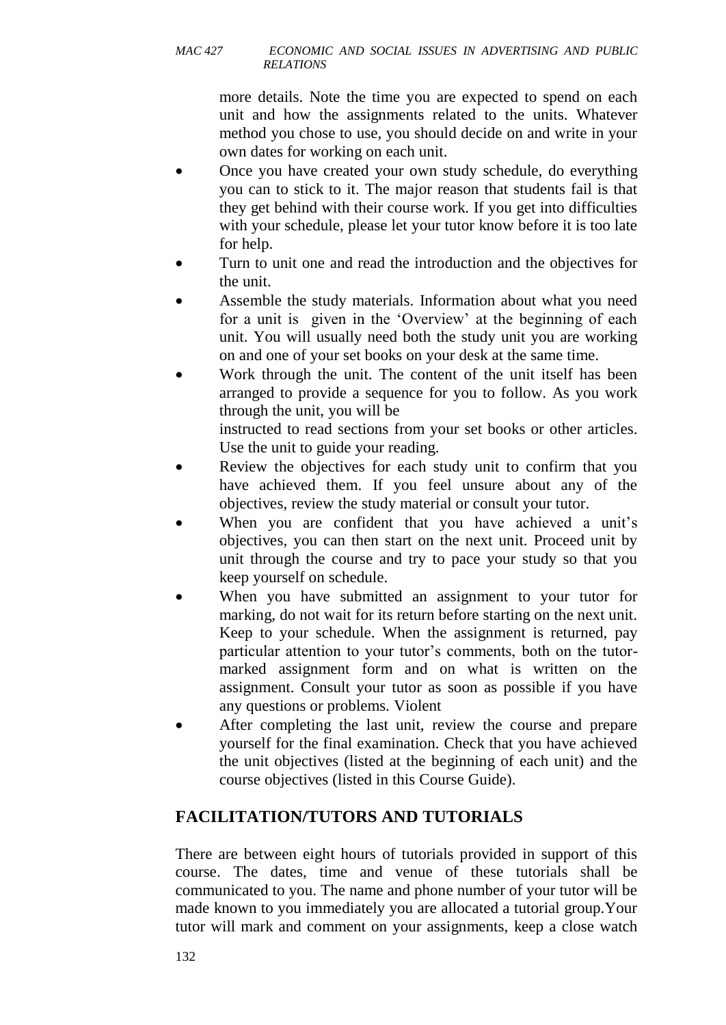more details. Note the time you are expected to spend on each unit and how the assignments related to the units. Whatever method you chose to use, you should decide on and write in your own dates for working on each unit.

- Once you have created your own study schedule, do everything you can to stick to it. The major reason that students fail is that they get behind with their course work. If you get into difficulties with your schedule, please let your tutor know before it is too late for help.
- Turn to unit one and read the introduction and the objectives for the unit.
- Assemble the study materials. Information about what you need for a unit is given in the 'Overview' at the beginning of each unit. You will usually need both the study unit you are working on and one of your set books on your desk at the same time.
- Work through the unit. The content of the unit itself has been arranged to provide a sequence for you to follow. As you work through the unit, you will be

instructed to read sections from your set books or other articles. Use the unit to guide your reading.

- Review the objectives for each study unit to confirm that you have achieved them. If you feel unsure about any of the objectives, review the study material or consult your tutor.
- When you are confident that you have achieved a unit's objectives, you can then start on the next unit. Proceed unit by unit through the course and try to pace your study so that you keep yourself on schedule.
- When you have submitted an assignment to your tutor for marking, do not wait for its return before starting on the next unit. Keep to your schedule. When the assignment is returned, pay particular attention to your tutor's comments, both on the tutormarked assignment form and on what is written on the assignment. Consult your tutor as soon as possible if you have any questions or problems. Violent
- After completing the last unit, review the course and prepare yourself for the final examination. Check that you have achieved the unit objectives (listed at the beginning of each unit) and the course objectives (listed in this Course Guide).

# **FACILITATION/TUTORS AND TUTORIALS**

There are between eight hours of tutorials provided in support of this course. The dates, time and venue of these tutorials shall be communicated to you. The name and phone number of your tutor will be made known to you immediately you are allocated a tutorial group.Your tutor will mark and comment on your assignments, keep a close watch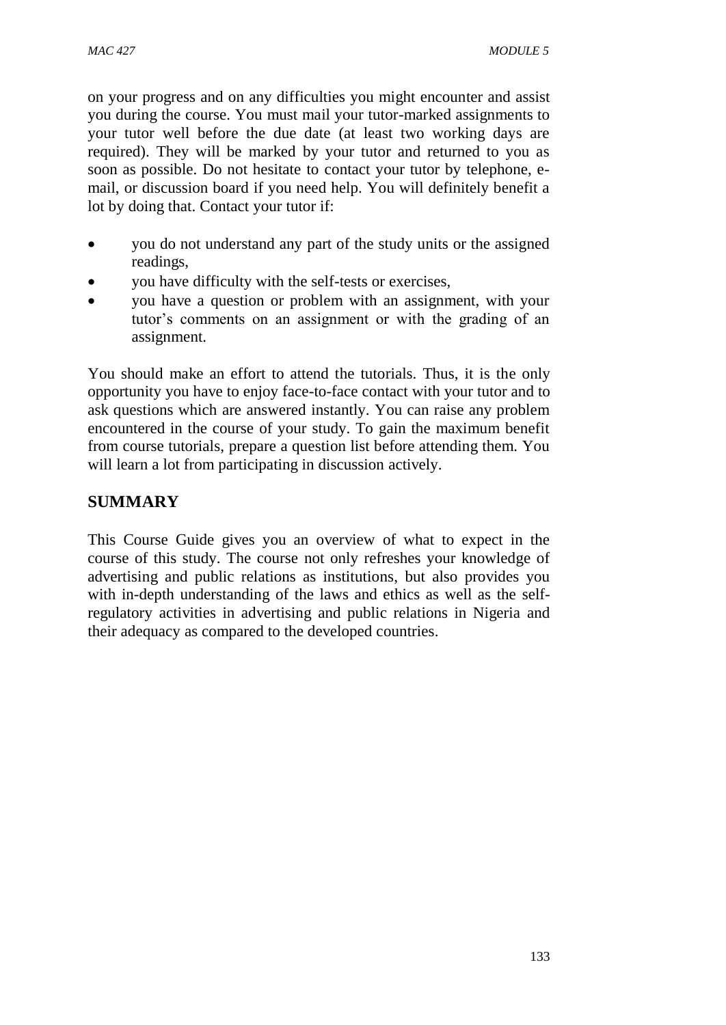on your progress and on any difficulties you might encounter and assist you during the course. You must mail your tutor-marked assignments to your tutor well before the due date (at least two working days are required). They will be marked by your tutor and returned to you as soon as possible. Do not hesitate to contact your tutor by telephone, email, or discussion board if you need help. You will definitely benefit a lot by doing that. Contact your tutor if:

- you do not understand any part of the study units or the assigned readings,
- you have difficulty with the self-tests or exercises,
- you have a question or problem with an assignment, with your tutor's comments on an assignment or with the grading of an assignment.

You should make an effort to attend the tutorials. Thus, it is the only opportunity you have to enjoy face-to-face contact with your tutor and to ask questions which are answered instantly. You can raise any problem encountered in the course of your study. To gain the maximum benefit from course tutorials, prepare a question list before attending them. You will learn a lot from participating in discussion actively.

# **SUMMARY**

This Course Guide gives you an overview of what to expect in the course of this study. The course not only refreshes your knowledge of advertising and public relations as institutions, but also provides you with in-depth understanding of the laws and ethics as well as the selfregulatory activities in advertising and public relations in Nigeria and their adequacy as compared to the developed countries.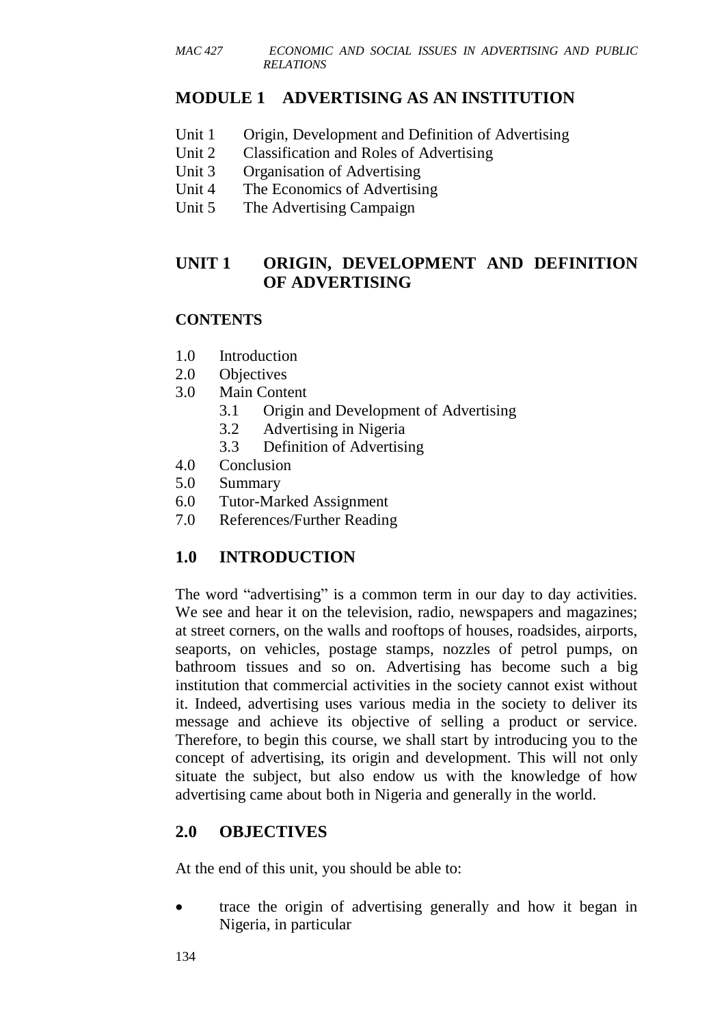# **MODULE 1 ADVERTISING AS AN INSTITUTION**

- Unit 1 Origin, Development and Definition of Advertising
- Unit 2 Classification and Roles of Advertising
- Unit 3 Organisation of Advertising
- Unit 4 The Economics of Advertising
- Unit 5 The Advertising Campaign

# **UNIT 1 ORIGIN, DEVELOPMENT AND DEFINITION OF ADVERTISING**

#### **CONTENTS**

- 1.0 Introduction
- 2.0 Objectives
- 3.0 Main Content
	- 3.1 Origin and Development of Advertising
	- 3.2 Advertising in Nigeria
	- 3.3 Definition of Advertising
- 4.0 Conclusion
- 5.0 Summary
- 6.0 Tutor-Marked Assignment
- 7.0 References/Further Reading

# **1.0 INTRODUCTION**

The word "advertising" is a common term in our day to day activities. We see and hear it on the television, radio, newspapers and magazines; at street corners, on the walls and rooftops of houses, roadsides, airports, seaports, on vehicles, postage stamps, nozzles of petrol pumps, on bathroom tissues and so on. Advertising has become such a big institution that commercial activities in the society cannot exist without it. Indeed, advertising uses various media in the society to deliver its message and achieve its objective of selling a product or service. Therefore, to begin this course, we shall start by introducing you to the concept of advertising, its origin and development. This will not only situate the subject, but also endow us with the knowledge of how advertising came about both in Nigeria and generally in the world.

# **2.0 OBJECTIVES**

At the end of this unit, you should be able to:

• trace the origin of advertising generally and how it began in Nigeria, in particular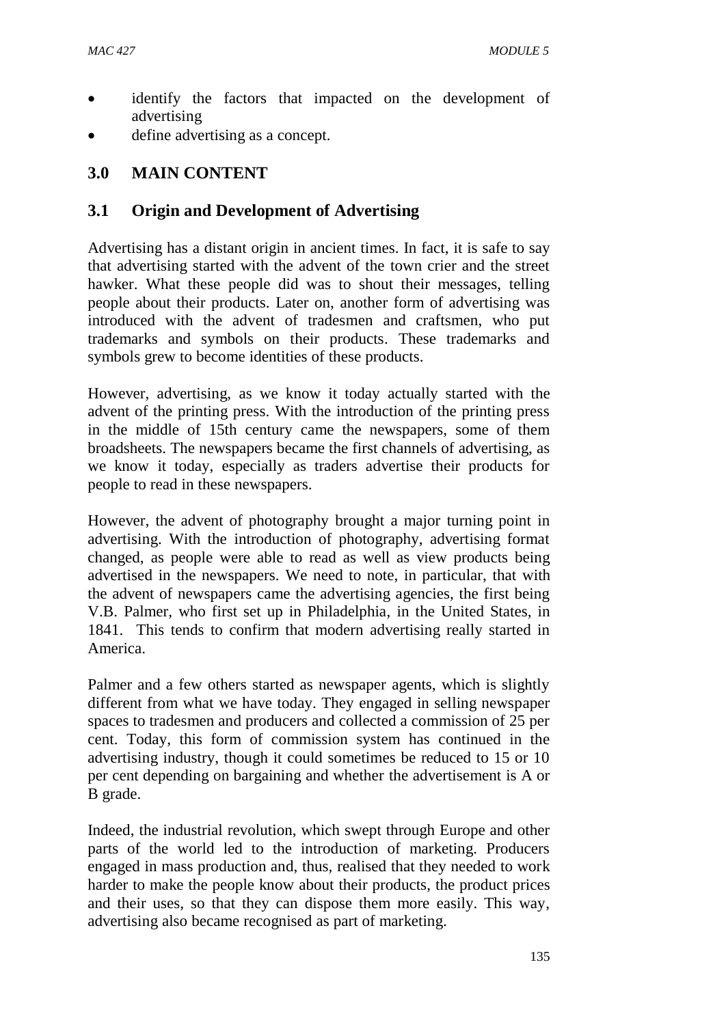- identify the factors that impacted on the development of advertising
- define advertising as a concept.

#### **3.0 MAIN CONTENT**

#### **3.1 Origin and Development of Advertising**

Advertising has a distant origin in ancient times. In fact, it is safe to say that advertising started with the advent of the town crier and the street hawker. What these people did was to shout their messages, telling people about their products. Later on, another form of advertising was introduced with the advent of tradesmen and craftsmen, who put trademarks and symbols on their products. These trademarks and symbols grew to become identities of these products.

However, advertising, as we know it today actually started with the advent of the printing press. With the introduction of the printing press in the middle of 15th century came the newspapers, some of them broadsheets. The newspapers became the first channels of advertising, as we know it today, especially as traders advertise their products for people to read in these newspapers.

However, the advent of photography brought a major turning point in advertising. With the introduction of photography, advertising format changed, as people were able to read as well as view products being advertised in the newspapers. We need to note, in particular, that with the advent of newspapers came the advertising agencies, the first being V.B. Palmer, who first set up in Philadelphia, in the United States, in 1841. This tends to confirm that modern advertising really started in America.

Palmer and a few others started as newspaper agents, which is slightly different from what we have today. They engaged in selling newspaper spaces to tradesmen and producers and collected a commission of 25 per cent. Today, this form of commission system has continued in the advertising industry, though it could sometimes be reduced to 15 or 10 per cent depending on bargaining and whether the advertisement is A or B grade.

Indeed, the industrial revolution, which swept through Europe and other parts of the world led to the introduction of marketing. Producers engaged in mass production and, thus, realised that they needed to work harder to make the people know about their products, the product prices and their uses, so that they can dispose them more easily. This way, advertising also became recognised as part of marketing.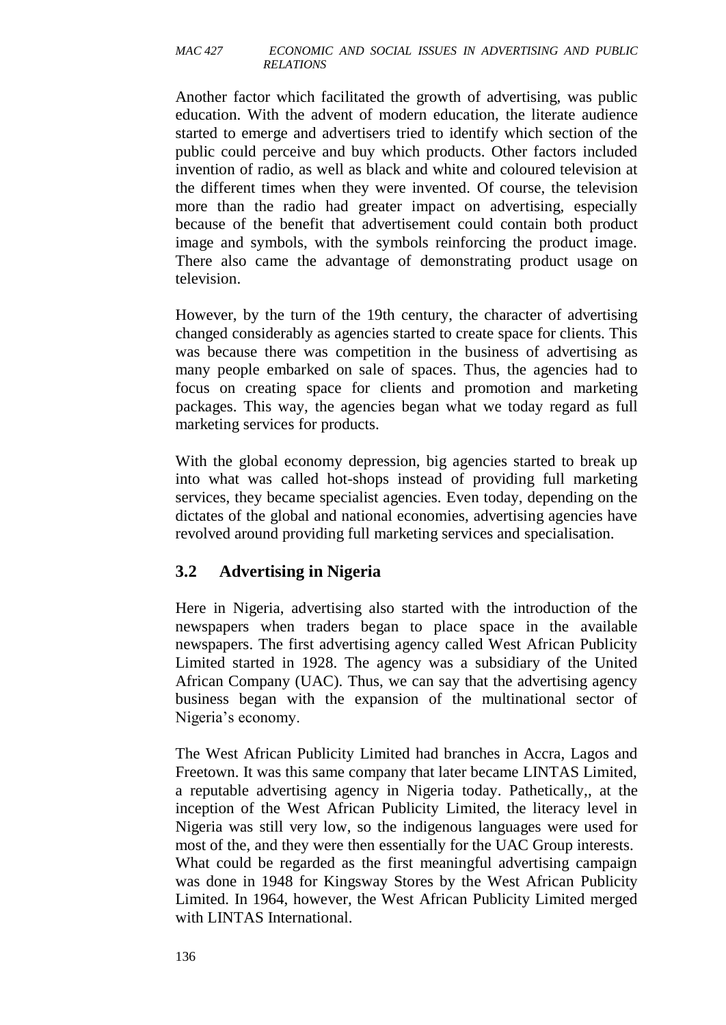Another factor which facilitated the growth of advertising, was public education. With the advent of modern education, the literate audience started to emerge and advertisers tried to identify which section of the public could perceive and buy which products. Other factors included invention of radio, as well as black and white and coloured television at the different times when they were invented. Of course, the television more than the radio had greater impact on advertising, especially because of the benefit that advertisement could contain both product image and symbols, with the symbols reinforcing the product image. There also came the advantage of demonstrating product usage on television.

However, by the turn of the 19th century, the character of advertising changed considerably as agencies started to create space for clients. This was because there was competition in the business of advertising as many people embarked on sale of spaces. Thus, the agencies had to focus on creating space for clients and promotion and marketing packages. This way, the agencies began what we today regard as full marketing services for products.

With the global economy depression, big agencies started to break up into what was called hot-shops instead of providing full marketing services, they became specialist agencies. Even today, depending on the dictates of the global and national economies, advertising agencies have revolved around providing full marketing services and specialisation.

# **3.2 Advertising in Nigeria**

Here in Nigeria, advertising also started with the introduction of the newspapers when traders began to place space in the available newspapers. The first advertising agency called West African Publicity Limited started in 1928. The agency was a subsidiary of the United African Company (UAC). Thus, we can say that the advertising agency business began with the expansion of the multinational sector of Nigeria's economy.

The West African Publicity Limited had branches in Accra, Lagos and Freetown. It was this same company that later became LINTAS Limited, a reputable advertising agency in Nigeria today. Pathetically,, at the inception of the West African Publicity Limited, the literacy level in Nigeria was still very low, so the indigenous languages were used for most of the, and they were then essentially for the UAC Group interests. What could be regarded as the first meaningful advertising campaign was done in 1948 for Kingsway Stores by the West African Publicity Limited. In 1964, however, the West African Publicity Limited merged with LINTAS International.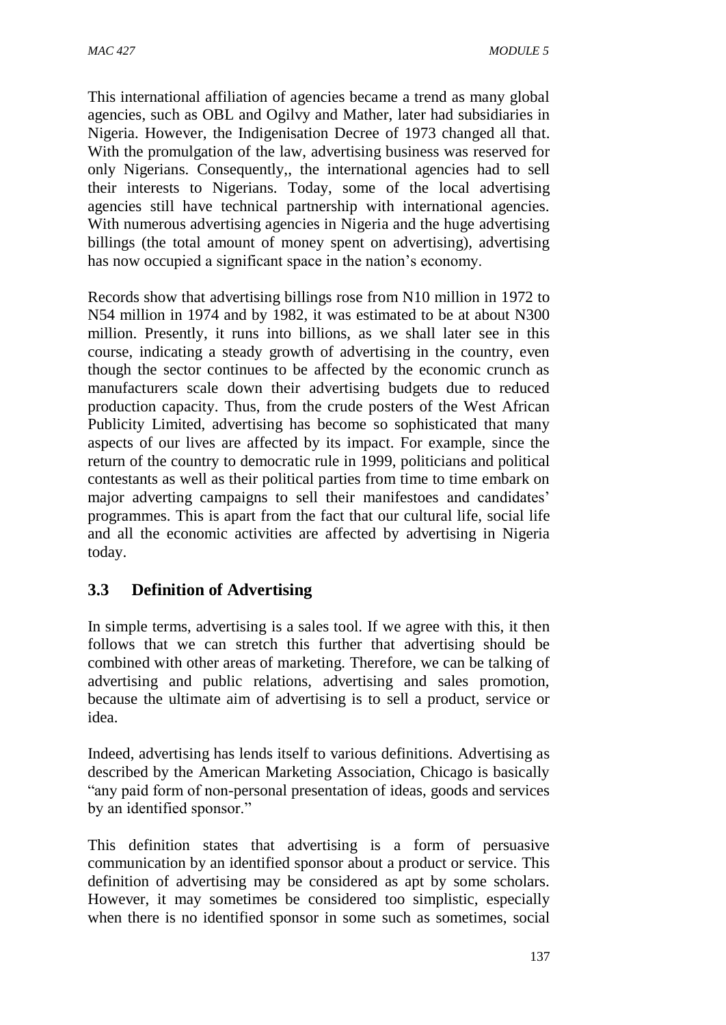This international affiliation of agencies became a trend as many global agencies, such as OBL and Ogilvy and Mather, later had subsidiaries in Nigeria. However, the Indigenisation Decree of 1973 changed all that. With the promulgation of the law, advertising business was reserved for only Nigerians. Consequently,, the international agencies had to sell their interests to Nigerians. Today, some of the local advertising agencies still have technical partnership with international agencies. With numerous advertising agencies in Nigeria and the huge advertising billings (the total amount of money spent on advertising), advertising has now occupied a significant space in the nation's economy.

Records show that advertising billings rose from N10 million in 1972 to N54 million in 1974 and by 1982, it was estimated to be at about N300 million. Presently, it runs into billions, as we shall later see in this course, indicating a steady growth of advertising in the country, even though the sector continues to be affected by the economic crunch as manufacturers scale down their advertising budgets due to reduced production capacity. Thus, from the crude posters of the West African Publicity Limited, advertising has become so sophisticated that many aspects of our lives are affected by its impact. For example, since the return of the country to democratic rule in 1999, politicians and political contestants as well as their political parties from time to time embark on major adverting campaigns to sell their manifestoes and candidates' programmes. This is apart from the fact that our cultural life, social life and all the economic activities are affected by advertising in Nigeria today.

# **3.3 Definition of Advertising**

In simple terms, advertising is a sales tool. If we agree with this, it then follows that we can stretch this further that advertising should be combined with other areas of marketing. Therefore, we can be talking of advertising and public relations, advertising and sales promotion, because the ultimate aim of advertising is to sell a product, service or idea.

Indeed, advertising has lends itself to various definitions. Advertising as described by the American Marketing Association, Chicago is basically "any paid form of non-personal presentation of ideas, goods and services by an identified sponsor."

This definition states that advertising is a form of persuasive communication by an identified sponsor about a product or service. This definition of advertising may be considered as apt by some scholars. However, it may sometimes be considered too simplistic, especially when there is no identified sponsor in some such as sometimes, social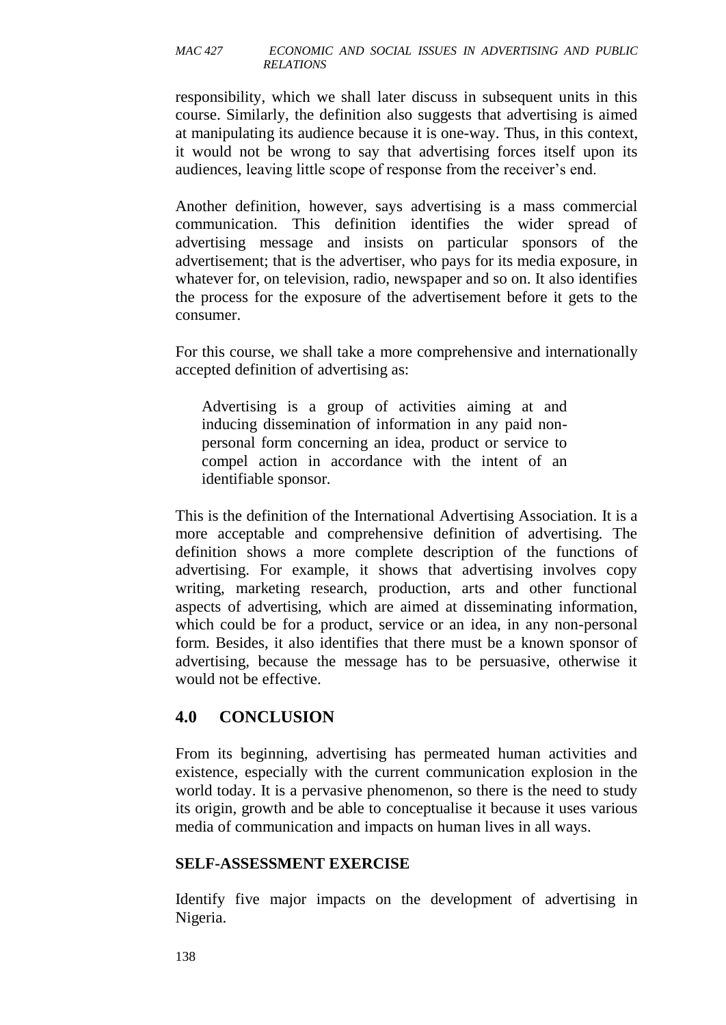responsibility, which we shall later discuss in subsequent units in this course. Similarly, the definition also suggests that advertising is aimed at manipulating its audience because it is one-way. Thus, in this context, it would not be wrong to say that advertising forces itself upon its audiences, leaving little scope of response from the receiver's end.

Another definition, however, says advertising is a mass commercial communication. This definition identifies the wider spread of advertising message and insists on particular sponsors of the advertisement; that is the advertiser, who pays for its media exposure, in whatever for, on television, radio, newspaper and so on. It also identifies the process for the exposure of the advertisement before it gets to the consumer.

For this course, we shall take a more comprehensive and internationally accepted definition of advertising as:

Advertising is a group of activities aiming at and inducing dissemination of information in any paid nonpersonal form concerning an idea, product or service to compel action in accordance with the intent of an identifiable sponsor*.* 

This is the definition of the International Advertising Association. It is a more acceptable and comprehensive definition of advertising. The definition shows a more complete description of the functions of advertising. For example, it shows that advertising involves copy writing, marketing research, production, arts and other functional aspects of advertising, which are aimed at disseminating information, which could be for a product, service or an idea, in any non-personal form. Besides, it also identifies that there must be a known sponsor of advertising, because the message has to be persuasive, otherwise it would not be effective.

# **4.0 CONCLUSION**

From its beginning, advertising has permeated human activities and existence, especially with the current communication explosion in the world today. It is a pervasive phenomenon, so there is the need to study its origin, growth and be able to conceptualise it because it uses various media of communication and impacts on human lives in all ways.

#### **SELF-ASSESSMENT EXERCISE**

Identify five major impacts on the development of advertising in Nigeria.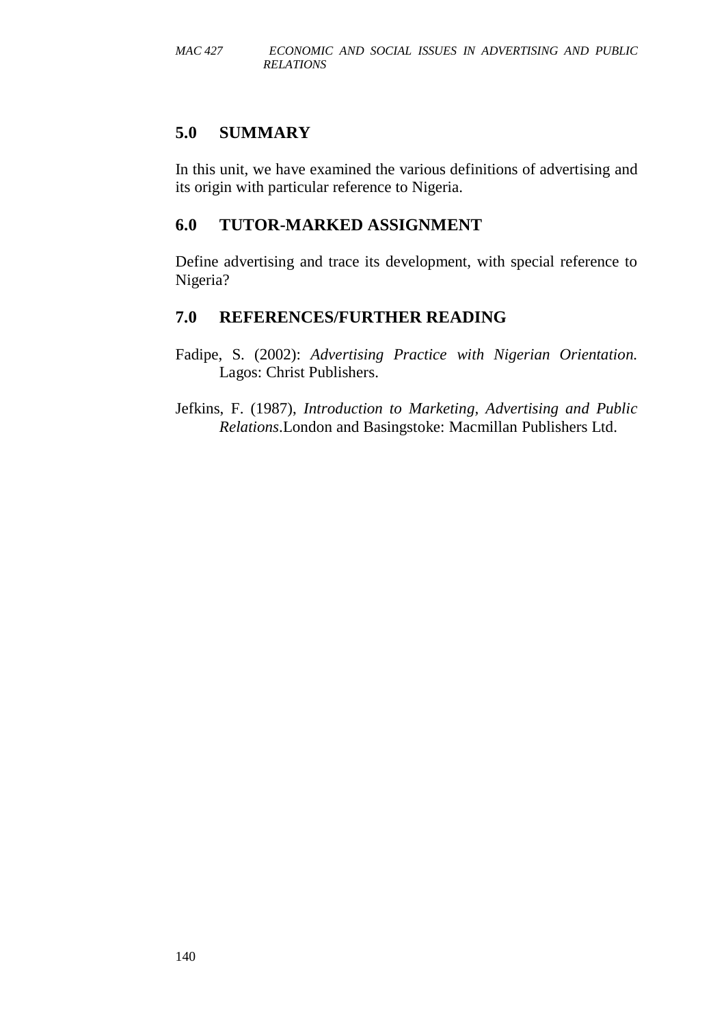# **5.0 SUMMARY**

In this unit, we have examined the various definitions of advertising and its origin with particular reference to Nigeria.

# **6.0 TUTOR-MARKED ASSIGNMENT**

Define advertising and trace its development, with special reference to Nigeria?

# **7.0 REFERENCES/FURTHER READING**

Fadipe, S. (2002): *Advertising Practice with Nigerian Orientation.*  Lagos: Christ Publishers.

Jefkins, F. (1987), *Introduction to Marketing, Advertising and Public Relations*.London and Basingstoke: Macmillan Publishers Ltd.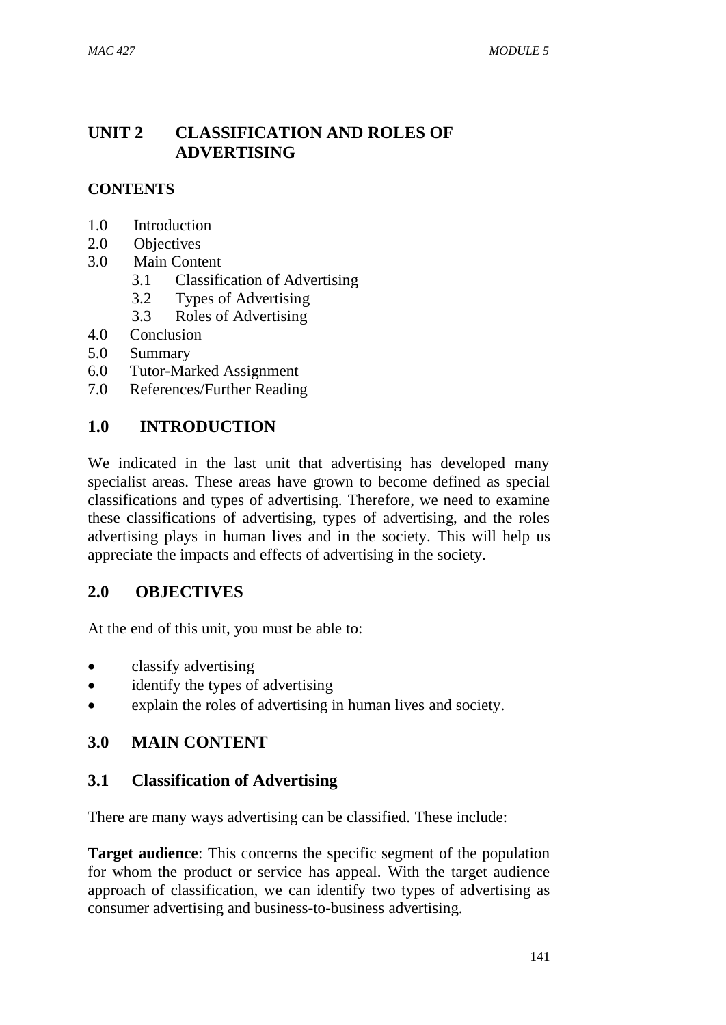# **UNIT 2 CLASSIFICATION AND ROLES OF ADVERTISING**

# **CONTENTS**

- 1.0 Introduction
- 2.0 Objectives
- 3.0 Main Content
	- 3.1 Classification of Advertising
	- 3.2 Types of Advertising
	- 3.3 Roles of Advertising
- 4.0 Conclusion
- 5.0 Summary
- 6.0 Tutor-Marked Assignment
- 7.0 References/Further Reading

#### **1.0 INTRODUCTION**

We indicated in the last unit that advertising has developed many specialist areas. These areas have grown to become defined as special classifications and types of advertising. Therefore, we need to examine these classifications of advertising, types of advertising, and the roles advertising plays in human lives and in the society. This will help us appreciate the impacts and effects of advertising in the society.

#### **2.0 OBJECTIVES**

At the end of this unit, you must be able to:

- classify advertising
- identify the types of advertising
- explain the roles of advertising in human lives and society.

# **3.0 MAIN CONTENT**

#### **3.1 Classification of Advertising**

There are many ways advertising can be classified. These include:

**Target audience**: This concerns the specific segment of the population for whom the product or service has appeal. With the target audience approach of classification, we can identify two types of advertising as consumer advertising and business-to-business advertising.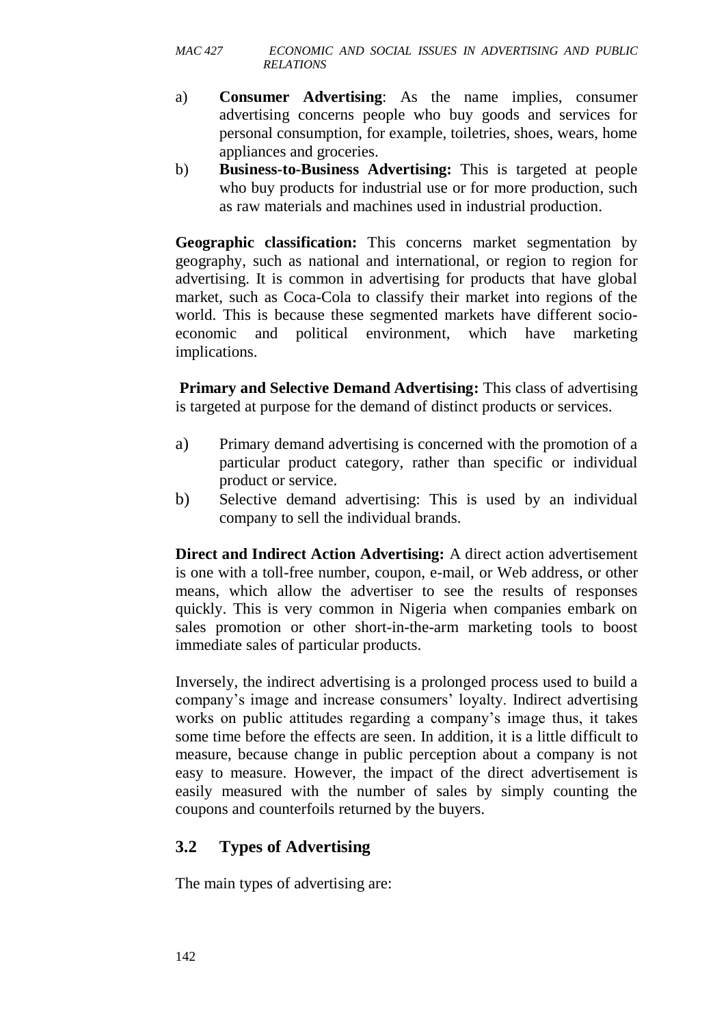- a) **Consumer Advertising**: As the name implies, consumer advertising concerns people who buy goods and services for personal consumption, for example, toiletries, shoes, wears, home appliances and groceries.
- b) **Business-to-Business Advertising:** This is targeted at people who buy products for industrial use or for more production, such as raw materials and machines used in industrial production.

**Geographic classification:** This concerns market segmentation by geography, such as national and international, or region to region for advertising. It is common in advertising for products that have global market, such as Coca-Cola to classify their market into regions of the world. This is because these segmented markets have different socioeconomic and political environment, which have marketing implications.

**Primary and Selective Demand Advertising:** This class of advertising is targeted at purpose for the demand of distinct products or services.

- a) Primary demand advertising is concerned with the promotion of a particular product category, rather than specific or individual product or service.
- b) Selective demand advertising: This is used by an individual company to sell the individual brands.

**Direct and Indirect Action Advertising:** A direct action advertisement is one with a toll-free number, coupon, e-mail, or Web address, or other means, which allow the advertiser to see the results of responses quickly. This is very common in Nigeria when companies embark on sales promotion or other short-in-the-arm marketing tools to boost immediate sales of particular products.

Inversely, the indirect advertising is a prolonged process used to build a company's image and increase consumers' loyalty. Indirect advertising works on public attitudes regarding a company's image thus, it takes some time before the effects are seen. In addition, it is a little difficult to measure, because change in public perception about a company is not easy to measure. However, the impact of the direct advertisement is easily measured with the number of sales by simply counting the coupons and counterfoils returned by the buyers.

# **3.2 Types of Advertising**

The main types of advertising are: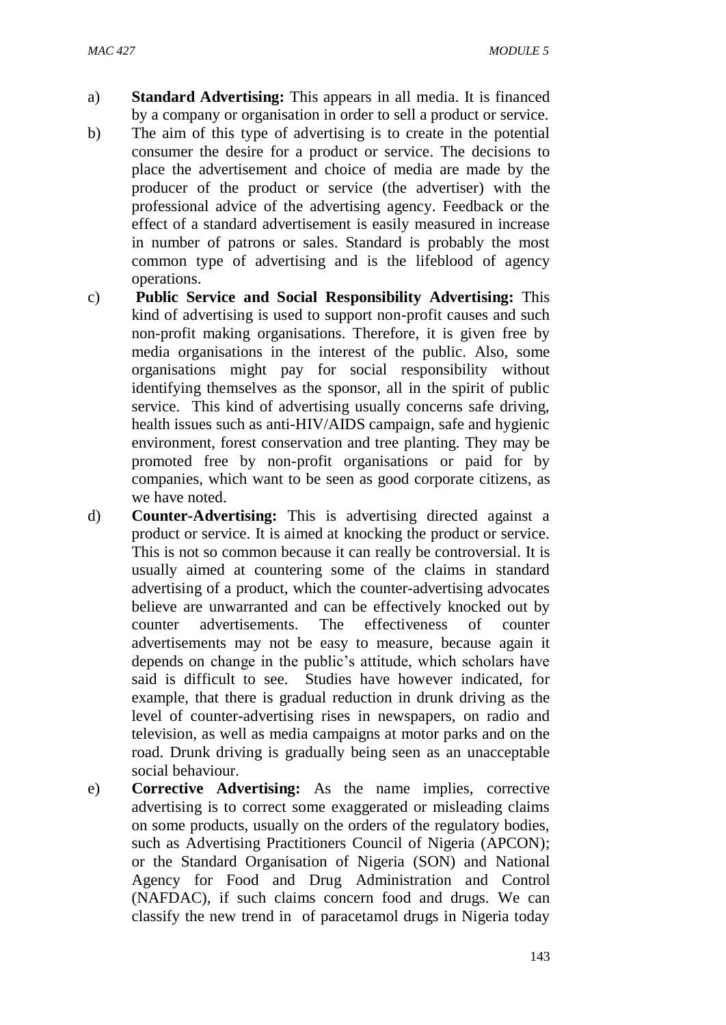- a) **Standard Advertising:** This appears in all media. It is financed by a company or organisation in order to sell a product or service.
- b) The aim of this type of advertising is to create in the potential consumer the desire for a product or service. The decisions to place the advertisement and choice of media are made by the producer of the product or service (the advertiser) with the professional advice of the advertising agency. Feedback or the effect of a standard advertisement is easily measured in increase in number of patrons or sales. Standard is probably the most common type of advertising and is the lifeblood of agency operations.
- c) **Public Service and Social Responsibility Advertising:** This kind of advertising is used to support non-profit causes and such non-profit making organisations. Therefore, it is given free by media organisations in the interest of the public. Also, some organisations might pay for social responsibility without identifying themselves as the sponsor, all in the spirit of public service. This kind of advertising usually concerns safe driving, health issues such as anti-HIV/AIDS campaign, safe and hygienic environment, forest conservation and tree planting. They may be promoted free by non-profit organisations or paid for by companies, which want to be seen as good corporate citizens, as we have noted.
- d) **Counter-Advertising:** This is advertising directed against a product or service. It is aimed at knocking the product or service. This is not so common because it can really be controversial. It is usually aimed at countering some of the claims in standard advertising of a product, which the counter-advertising advocates believe are unwarranted and can be effectively knocked out by counter advertisements. The effectiveness of counter advertisements may not be easy to measure, because again it depends on change in the public's attitude, which scholars have said is difficult to see. Studies have however indicated, for example, that there is gradual reduction in drunk driving as the level of counter-advertising rises in newspapers, on radio and television, as well as media campaigns at motor parks and on the road. Drunk driving is gradually being seen as an unacceptable social behaviour.
- e) **Corrective Advertising:** As the name implies, corrective advertising is to correct some exaggerated or misleading claims on some products, usually on the orders of the regulatory bodies, such as Advertising Practitioners Council of Nigeria (APCON); or the Standard Organisation of Nigeria (SON) and National Agency for Food and Drug Administration and Control (NAFDAC), if such claims concern food and drugs. We can classify the new trend in of paracetamol drugs in Nigeria today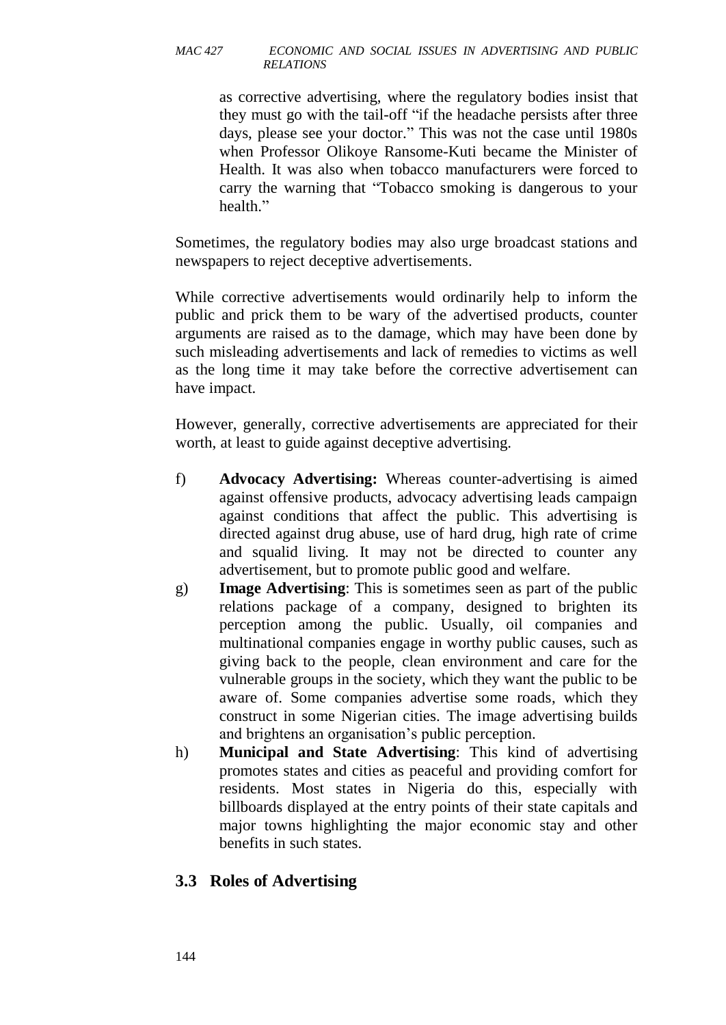as corrective advertising, where the regulatory bodies insist that they must go with the tail-off "if the headache persists after three days, please see your doctor." This was not the case until 1980s when Professor Olikoye Ransome-Kuti became the Minister of Health. It was also when tobacco manufacturers were forced to carry the warning that "Tobacco smoking is dangerous to your health."

Sometimes, the regulatory bodies may also urge broadcast stations and newspapers to reject deceptive advertisements.

While corrective advertisements would ordinarily help to inform the public and prick them to be wary of the advertised products, counter arguments are raised as to the damage, which may have been done by such misleading advertisements and lack of remedies to victims as well as the long time it may take before the corrective advertisement can have impact.

However, generally, corrective advertisements are appreciated for their worth, at least to guide against deceptive advertising.

- f) **Advocacy Advertising:** Whereas counter-advertising is aimed against offensive products, advocacy advertising leads campaign against conditions that affect the public. This advertising is directed against drug abuse, use of hard drug, high rate of crime and squalid living. It may not be directed to counter any advertisement, but to promote public good and welfare.
- g) **Image Advertising**: This is sometimes seen as part of the public relations package of a company, designed to brighten its perception among the public. Usually, oil companies and multinational companies engage in worthy public causes, such as giving back to the people, clean environment and care for the vulnerable groups in the society, which they want the public to be aware of. Some companies advertise some roads, which they construct in some Nigerian cities. The image advertising builds and brightens an organisation's public perception.
- h) **Municipal and State Advertising**: This kind of advertising promotes states and cities as peaceful and providing comfort for residents. Most states in Nigeria do this, especially with billboards displayed at the entry points of their state capitals and major towns highlighting the major economic stay and other benefits in such states.

# **3.3 Roles of Advertising**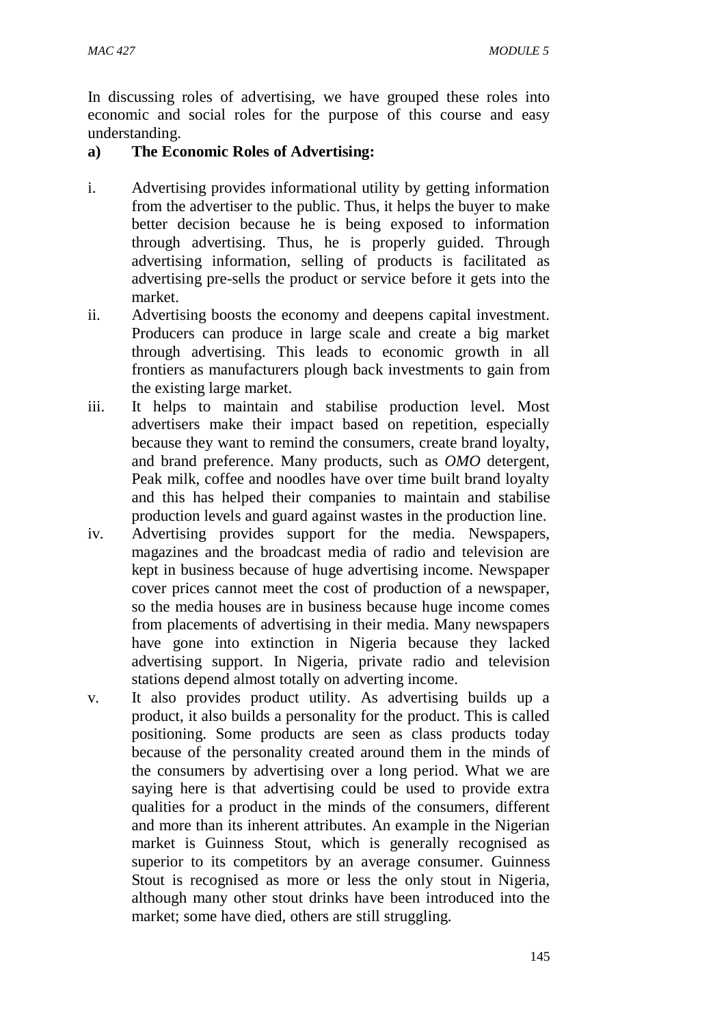In discussing roles of advertising, we have grouped these roles into economic and social roles for the purpose of this course and easy understanding.

#### **a) The Economic Roles of Advertising:**

- i. Advertising provides informational utility by getting information from the advertiser to the public. Thus, it helps the buyer to make better decision because he is being exposed to information through advertising. Thus, he is properly guided. Through advertising information, selling of products is facilitated as advertising pre-sells the product or service before it gets into the market.
- ii. Advertising boosts the economy and deepens capital investment. Producers can produce in large scale and create a big market through advertising. This leads to economic growth in all frontiers as manufacturers plough back investments to gain from the existing large market.
- iii. It helps to maintain and stabilise production level. Most advertisers make their impact based on repetition, especially because they want to remind the consumers, create brand loyalty, and brand preference. Many products, such as *OMO* detergent, Peak milk, coffee and noodles have over time built brand loyalty and this has helped their companies to maintain and stabilise production levels and guard against wastes in the production line.
- iv. Advertising provides support for the media. Newspapers, magazines and the broadcast media of radio and television are kept in business because of huge advertising income. Newspaper cover prices cannot meet the cost of production of a newspaper, so the media houses are in business because huge income comes from placements of advertising in their media. Many newspapers have gone into extinction in Nigeria because they lacked advertising support. In Nigeria, private radio and television stations depend almost totally on adverting income.
- v. It also provides product utility. As advertising builds up a product, it also builds a personality for the product. This is called positioning. Some products are seen as class products today because of the personality created around them in the minds of the consumers by advertising over a long period. What we are saying here is that advertising could be used to provide extra qualities for a product in the minds of the consumers, different and more than its inherent attributes. An example in the Nigerian market is Guinness Stout, which is generally recognised as superior to its competitors by an average consumer. Guinness Stout is recognised as more or less the only stout in Nigeria, although many other stout drinks have been introduced into the market; some have died, others are still struggling.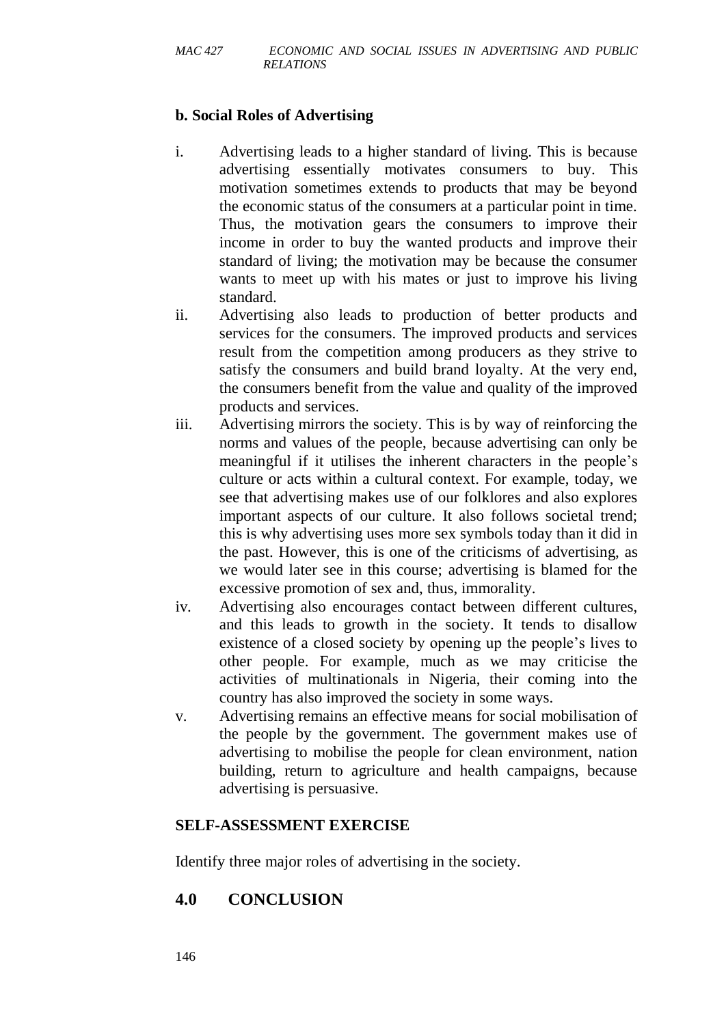### **b. Social Roles of Advertising**

- i. Advertising leads to a higher standard of living. This is because advertising essentially motivates consumers to buy. This motivation sometimes extends to products that may be beyond the economic status of the consumers at a particular point in time. Thus, the motivation gears the consumers to improve their income in order to buy the wanted products and improve their standard of living; the motivation may be because the consumer wants to meet up with his mates or just to improve his living standard.
- ii. Advertising also leads to production of better products and services for the consumers. The improved products and services result from the competition among producers as they strive to satisfy the consumers and build brand loyalty. At the very end, the consumers benefit from the value and quality of the improved products and services.
- iii. Advertising mirrors the society. This is by way of reinforcing the norms and values of the people, because advertising can only be meaningful if it utilises the inherent characters in the people's culture or acts within a cultural context. For example, today, we see that advertising makes use of our folklores and also explores important aspects of our culture. It also follows societal trend; this is why advertising uses more sex symbols today than it did in the past. However, this is one of the criticisms of advertising, as we would later see in this course; advertising is blamed for the excessive promotion of sex and, thus, immorality.
- iv. Advertising also encourages contact between different cultures, and this leads to growth in the society. It tends to disallow existence of a closed society by opening up the people's lives to other people. For example, much as we may criticise the activities of multinationals in Nigeria, their coming into the country has also improved the society in some ways.
- v. Advertising remains an effective means for social mobilisation of the people by the government. The government makes use of advertising to mobilise the people for clean environment, nation building, return to agriculture and health campaigns, because advertising is persuasive.

#### **SELF-ASSESSMENT EXERCISE**

Identify three major roles of advertising in the society.

# **4.0 CONCLUSION**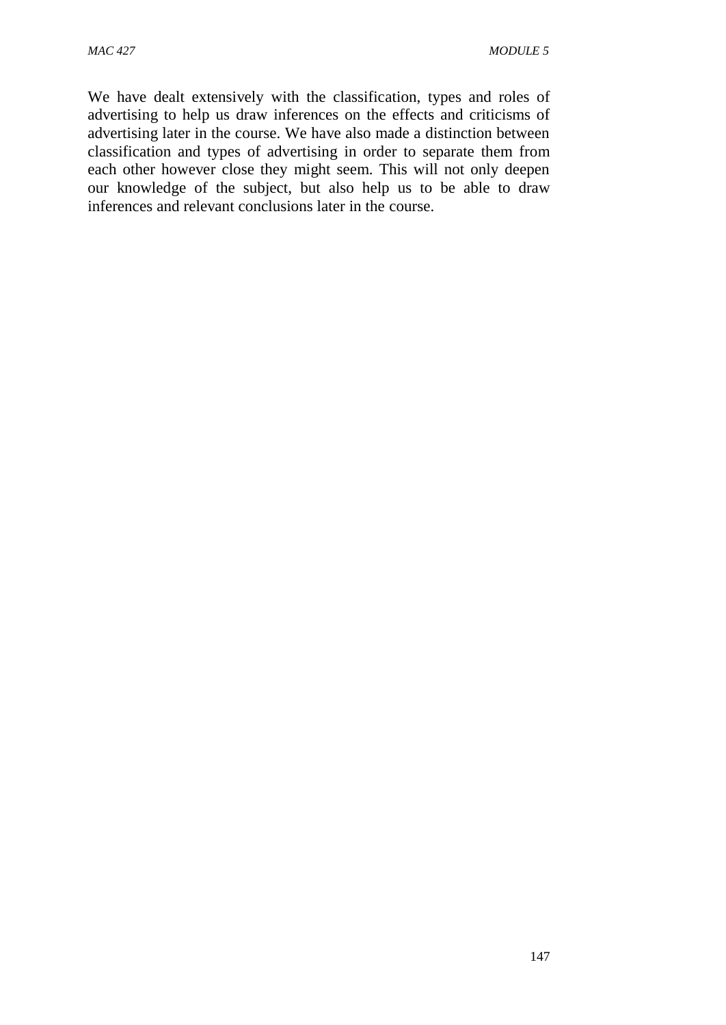We have dealt extensively with the classification, types and roles of advertising to help us draw inferences on the effects and criticisms of advertising later in the course. We have also made a distinction between classification and types of advertising in order to separate them from each other however close they might seem. This will not only deepen our knowledge of the subject, but also help us to be able to draw inferences and relevant conclusions later in the course.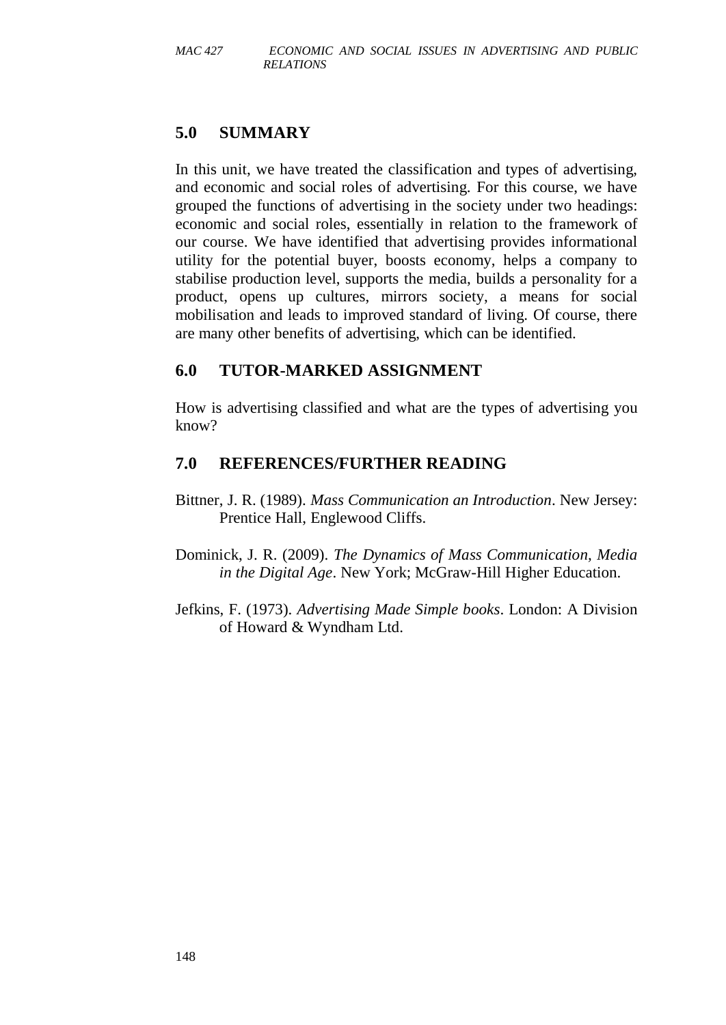## **5.0 SUMMARY**

In this unit, we have treated the classification and types of advertising, and economic and social roles of advertising. For this course, we have grouped the functions of advertising in the society under two headings: economic and social roles, essentially in relation to the framework of our course. We have identified that advertising provides informational utility for the potential buyer, boosts economy, helps a company to stabilise production level, supports the media, builds a personality for a product, opens up cultures, mirrors society, a means for social mobilisation and leads to improved standard of living. Of course, there are many other benefits of advertising, which can be identified.

#### **6.0 TUTOR-MARKED ASSIGNMENT**

How is advertising classified and what are the types of advertising you know?

#### **7.0 REFERENCES/FURTHER READING**

- Bittner, J. R. (1989). *Mass Communication an Introduction*. New Jersey: Prentice Hall, Englewood Cliffs.
- Dominick, J. R. (2009). *The Dynamics of Mass Communication, Media in the Digital Age*. New York; McGraw-Hill Higher Education.
- Jefkins, F. (1973). *Advertising Made Simple books*. London: A Division of Howard & Wyndham Ltd.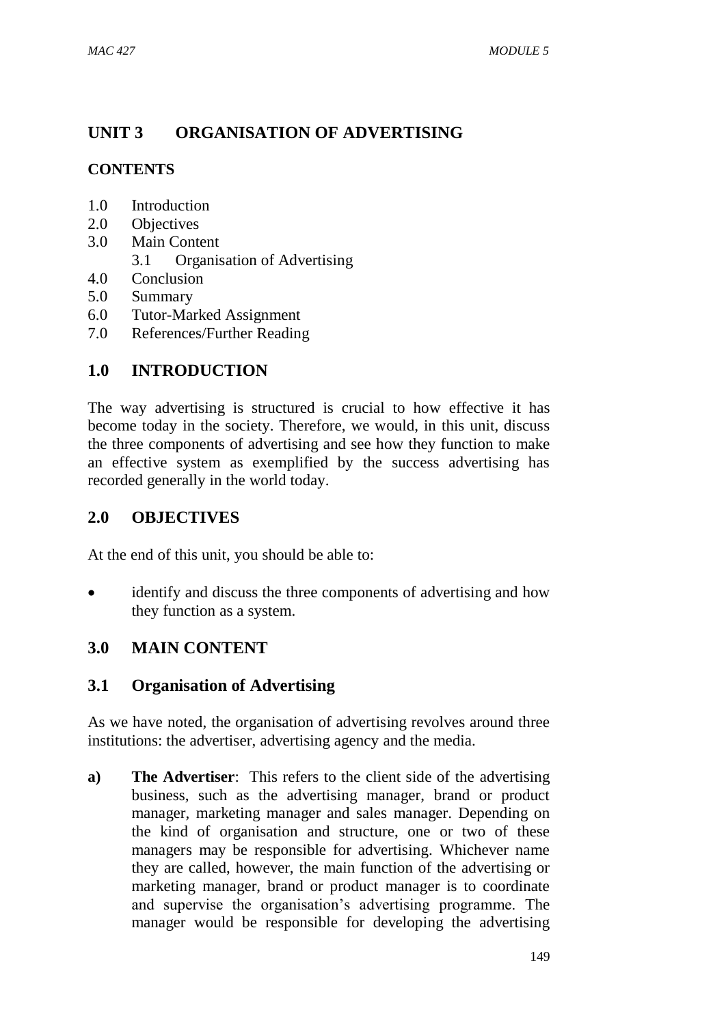# **UNIT 3 ORGANISATION OF ADVERTISING**

# **CONTENTS**

- 1.0 Introduction
- 2.0 Objectives
- 3.0 Main Content
	- 3.1 Organisation of Advertising
- 4.0 Conclusion
- 5.0 Summary
- 6.0 Tutor-Marked Assignment
- 7.0 References/Further Reading

# **1.0 INTRODUCTION**

The way advertising is structured is crucial to how effective it has become today in the society. Therefore, we would, in this unit, discuss the three components of advertising and see how they function to make an effective system as exemplified by the success advertising has recorded generally in the world today.

# **2.0 OBJECTIVES**

At the end of this unit, you should be able to:

 identify and discuss the three components of advertising and how they function as a system.

# **3.0 MAIN CONTENT**

# **3.1 Organisation of Advertising**

As we have noted, the organisation of advertising revolves around three institutions: the advertiser, advertising agency and the media.

**a) The Advertiser**: This refers to the client side of the advertising business, such as the advertising manager, brand or product manager, marketing manager and sales manager. Depending on the kind of organisation and structure, one or two of these managers may be responsible for advertising. Whichever name they are called, however, the main function of the advertising or marketing manager, brand or product manager is to coordinate and supervise the organisation's advertising programme. The manager would be responsible for developing the advertising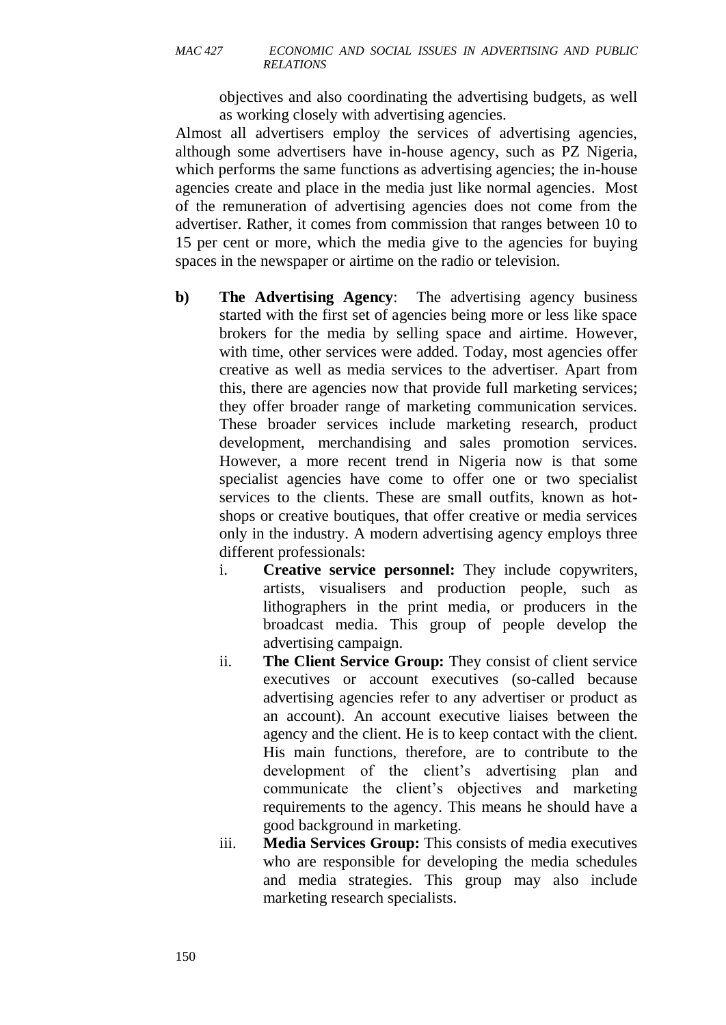objectives and also coordinating the advertising budgets, as well as working closely with advertising agencies.

Almost all advertisers employ the services of advertising agencies, although some advertisers have in-house agency, such as PZ Nigeria, which performs the same functions as advertising agencies; the in-house agencies create and place in the media just like normal agencies. Most of the remuneration of advertising agencies does not come from the advertiser. Rather, it comes from commission that ranges between 10 to 15 per cent or more, which the media give to the agencies for buying spaces in the newspaper or airtime on the radio or television.

- **b) The Advertising Agency**: The advertising agency business started with the first set of agencies being more or less like space brokers for the media by selling space and airtime. However, with time, other services were added. Today, most agencies offer creative as well as media services to the advertiser. Apart from this, there are agencies now that provide full marketing services; they offer broader range of marketing communication services. These broader services include marketing research, product development, merchandising and sales promotion services. However, a more recent trend in Nigeria now is that some specialist agencies have come to offer one or two specialist services to the clients. These are small outfits, known as hotshops or creative boutiques, that offer creative or media services only in the industry. A modern advertising agency employs three different professionals:
	- i. **Creative service personnel:** They include copywriters, artists, visualisers and production people, such as lithographers in the print media, or producers in the broadcast media. This group of people develop the advertising campaign.
	- ii. **The Client Service Group:** They consist of client service executives or account executives (so-called because advertising agencies refer to any advertiser or product as an account). An account executive liaises between the agency and the client. He is to keep contact with the client. His main functions, therefore, are to contribute to the development of the client's advertising plan and communicate the client's objectives and marketing requirements to the agency. This means he should have a good background in marketing.
	- iii. **Media Services Group:** This consists of media executives who are responsible for developing the media schedules and media strategies. This group may also include marketing research specialists.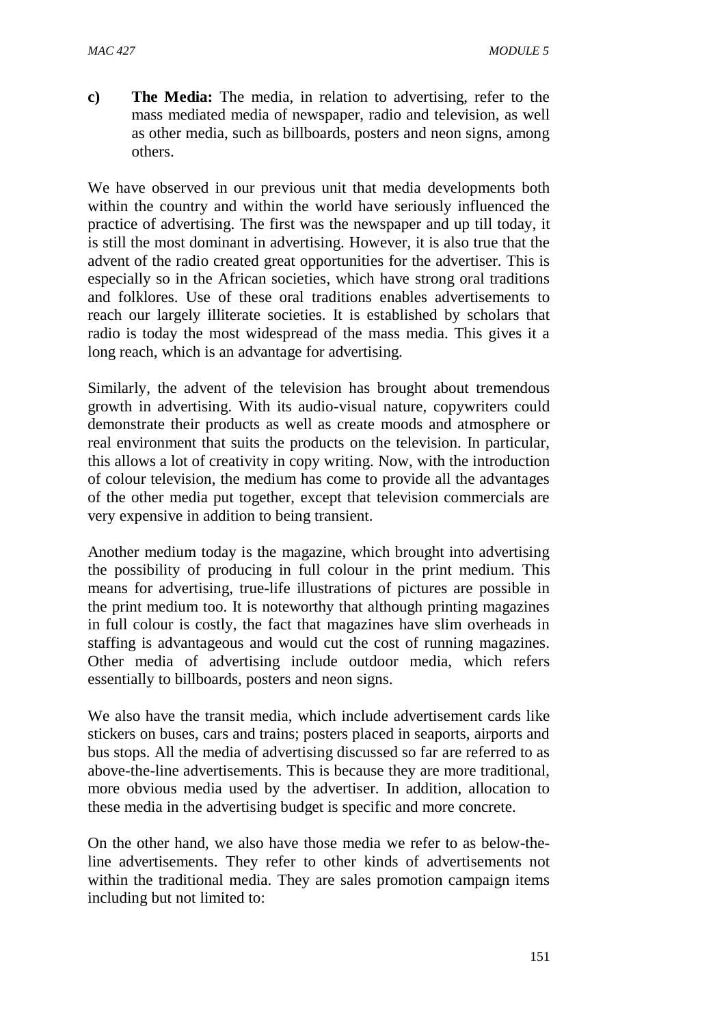**c) The Media:** The media, in relation to advertising, refer to the mass mediated media of newspaper, radio and television, as well as other media, such as billboards, posters and neon signs, among others.

We have observed in our previous unit that media developments both within the country and within the world have seriously influenced the practice of advertising. The first was the newspaper and up till today, it is still the most dominant in advertising. However, it is also true that the advent of the radio created great opportunities for the advertiser. This is especially so in the African societies, which have strong oral traditions and folklores. Use of these oral traditions enables advertisements to reach our largely illiterate societies. It is established by scholars that radio is today the most widespread of the mass media. This gives it a long reach, which is an advantage for advertising.

Similarly, the advent of the television has brought about tremendous growth in advertising. With its audio-visual nature, copywriters could demonstrate their products as well as create moods and atmosphere or real environment that suits the products on the television. In particular, this allows a lot of creativity in copy writing. Now, with the introduction of colour television, the medium has come to provide all the advantages of the other media put together, except that television commercials are very expensive in addition to being transient.

Another medium today is the magazine, which brought into advertising the possibility of producing in full colour in the print medium. This means for advertising, true-life illustrations of pictures are possible in the print medium too. It is noteworthy that although printing magazines in full colour is costly, the fact that magazines have slim overheads in staffing is advantageous and would cut the cost of running magazines. Other media of advertising include outdoor media, which refers essentially to billboards, posters and neon signs.

We also have the transit media, which include advertisement cards like stickers on buses, cars and trains; posters placed in seaports, airports and bus stops. All the media of advertising discussed so far are referred to as above-the-line advertisements. This is because they are more traditional, more obvious media used by the advertiser. In addition, allocation to these media in the advertising budget is specific and more concrete.

On the other hand, we also have those media we refer to as below-theline advertisements. They refer to other kinds of advertisements not within the traditional media. They are sales promotion campaign items including but not limited to: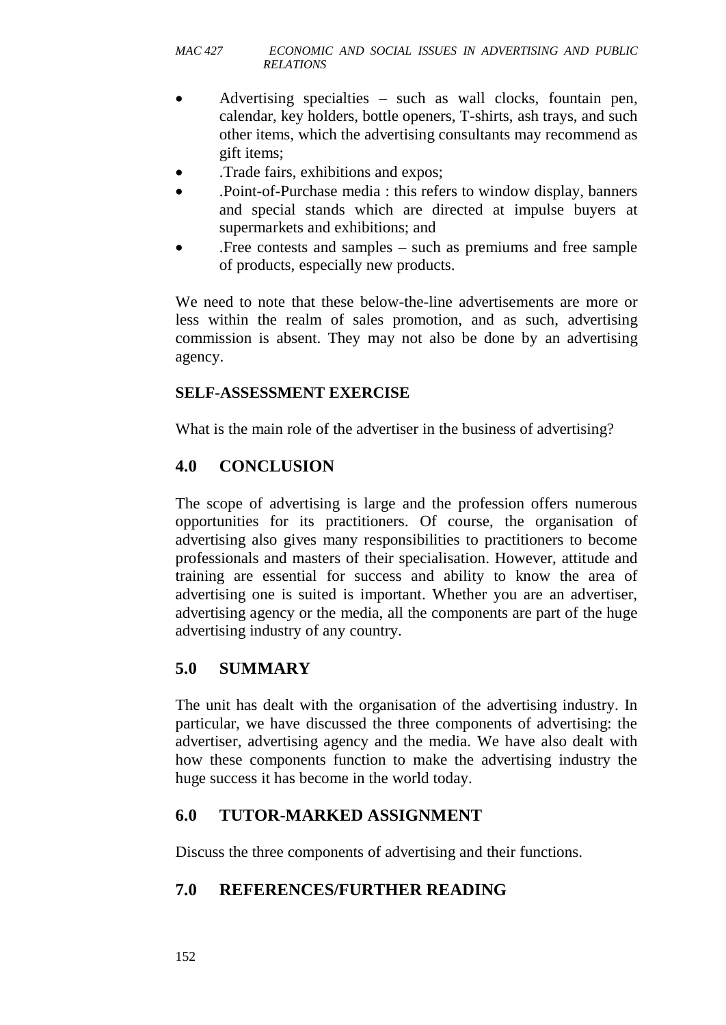- Advertising specialties such as wall clocks, fountain pen, calendar, key holders, bottle openers, T-shirts, ash trays, and such other items, which the advertising consultants may recommend as gift items;
- .Trade fairs, exhibitions and expos;
- .Point-of-Purchase media : this refers to window display, banners and special stands which are directed at impulse buyers at supermarkets and exhibitions; and
- .Free contests and samples such as premiums and free sample of products, especially new products.

We need to note that these below-the-line advertisements are more or less within the realm of sales promotion, and as such, advertising commission is absent. They may not also be done by an advertising agency.

#### **SELF-ASSESSMENT EXERCISE**

What is the main role of the advertiser in the business of advertising?

# **4.0 CONCLUSION**

The scope of advertising is large and the profession offers numerous opportunities for its practitioners. Of course, the organisation of advertising also gives many responsibilities to practitioners to become professionals and masters of their specialisation. However, attitude and training are essential for success and ability to know the area of advertising one is suited is important. Whether you are an advertiser, advertising agency or the media, all the components are part of the huge advertising industry of any country.

# **5.0 SUMMARY**

The unit has dealt with the organisation of the advertising industry. In particular, we have discussed the three components of advertising: the advertiser, advertising agency and the media. We have also dealt with how these components function to make the advertising industry the huge success it has become in the world today.

#### **6.0 TUTOR-MARKED ASSIGNMENT**

Discuss the three components of advertising and their functions.

# **7.0 REFERENCES/FURTHER READING**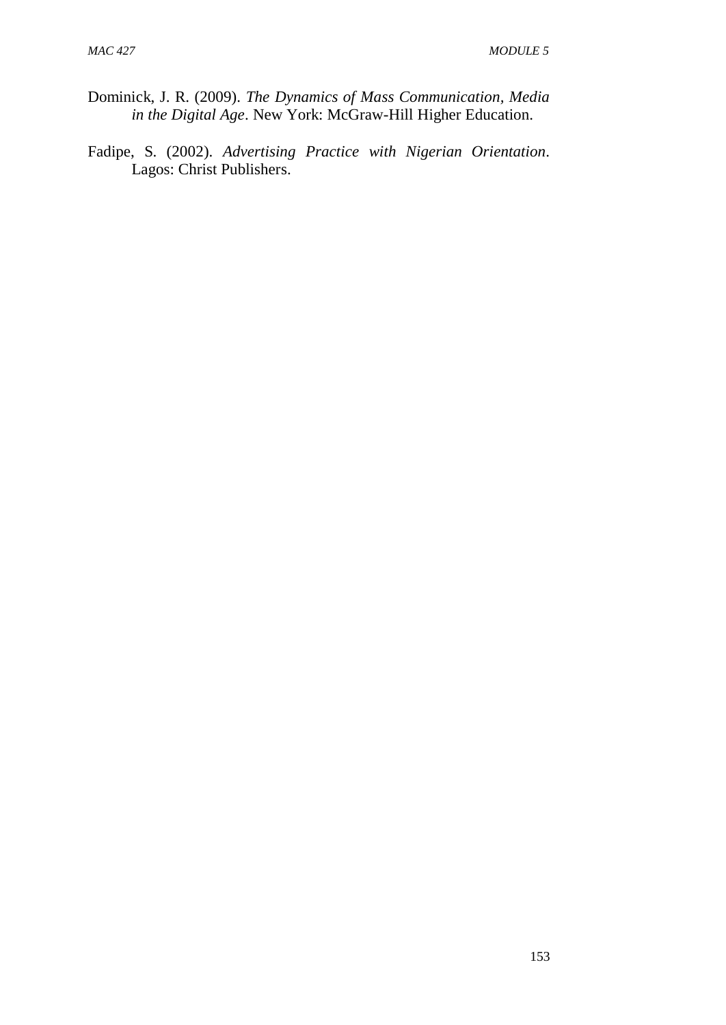- Dominick, J. R. (2009). *The Dynamics of Mass Communication, Media in the Digital Age*. New York: McGraw-Hill Higher Education.
- Fadipe, S. (2002). *Advertising Practice with Nigerian Orientation*. Lagos: Christ Publishers.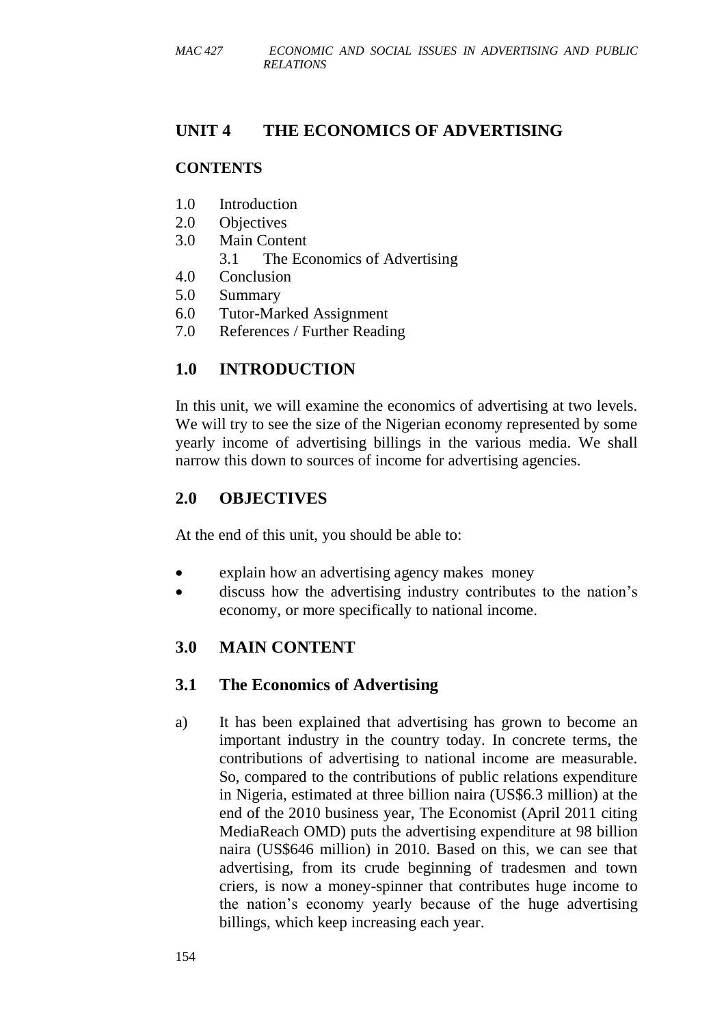# **UNIT 4 THE ECONOMICS OF ADVERTISING**

## **CONTENTS**

- 1.0 Introduction
- 2.0 Objectives
- 3.0 Main Content
	- 3.1 The Economics of Advertising
- 4.0 Conclusion
- 5.0 Summary
- 6.0 Tutor-Marked Assignment
- 7.0 References / Further Reading

# **1.0 INTRODUCTION**

In this unit, we will examine the economics of advertising at two levels. We will try to see the size of the Nigerian economy represented by some yearly income of advertising billings in the various media. We shall narrow this down to sources of income for advertising agencies.

# **2.0 OBJECTIVES**

At the end of this unit, you should be able to:

- explain how an advertising agency makes money
- discuss how the advertising industry contributes to the nation's economy, or more specifically to national income.

# **3.0 MAIN CONTENT**

# **3.1 The Economics of Advertising**

a) It has been explained that advertising has grown to become an important industry in the country today. In concrete terms, the contributions of advertising to national income are measurable. So, compared to the contributions of public relations expenditure in Nigeria, estimated at three billion naira (US\$6.3 million) at the end of the 2010 business year, The Economist (April 2011 citing MediaReach OMD) puts the advertising expenditure at 98 billion naira (US\$646 million) in 2010. Based on this, we can see that advertising, from its crude beginning of tradesmen and town criers, is now a money-spinner that contributes huge income to the nation's economy yearly because of the huge advertising billings, which keep increasing each year.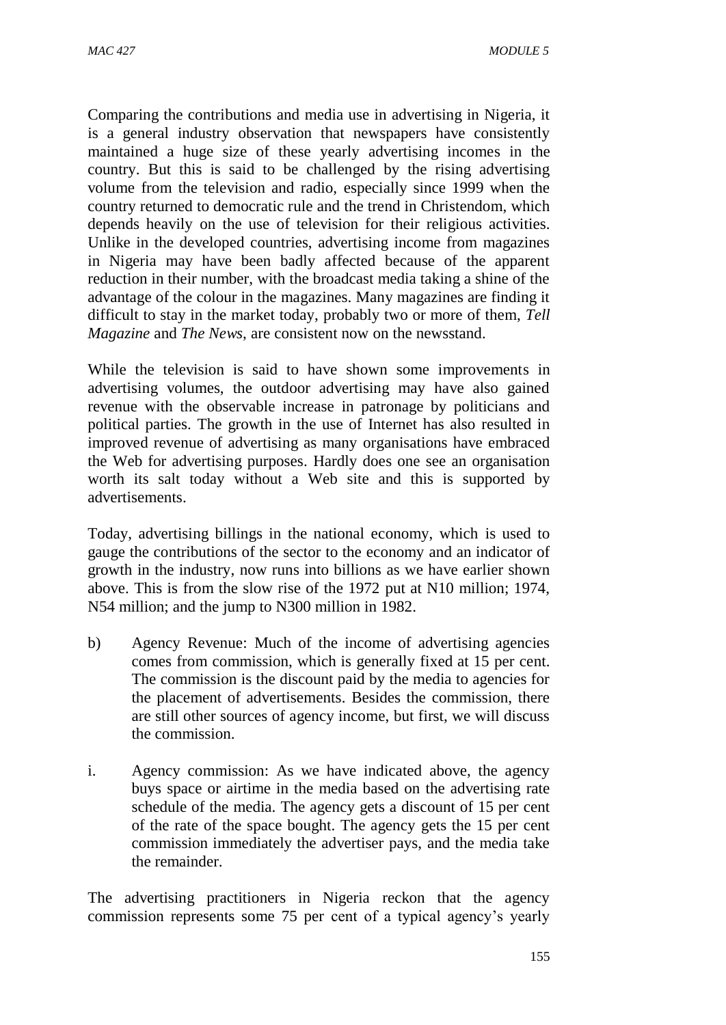Comparing the contributions and media use in advertising in Nigeria, it is a general industry observation that newspapers have consistently maintained a huge size of these yearly advertising incomes in the country. But this is said to be challenged by the rising advertising volume from the television and radio, especially since 1999 when the country returned to democratic rule and the trend in Christendom, which depends heavily on the use of television for their religious activities. Unlike in the developed countries, advertising income from magazines in Nigeria may have been badly affected because of the apparent reduction in their number, with the broadcast media taking a shine of the advantage of the colour in the magazines. Many magazines are finding it difficult to stay in the market today, probably two or more of them, *Tell Magazine* and *The News*, are consistent now on the newsstand.

While the television is said to have shown some improvements in advertising volumes, the outdoor advertising may have also gained revenue with the observable increase in patronage by politicians and political parties. The growth in the use of Internet has also resulted in improved revenue of advertising as many organisations have embraced the Web for advertising purposes. Hardly does one see an organisation worth its salt today without a Web site and this is supported by advertisements.

Today, advertising billings in the national economy, which is used to gauge the contributions of the sector to the economy and an indicator of growth in the industry, now runs into billions as we have earlier shown above. This is from the slow rise of the 1972 put at N10 million; 1974, N54 million; and the jump to N300 million in 1982.

- b) Agency Revenue: Much of the income of advertising agencies comes from commission, which is generally fixed at 15 per cent. The commission is the discount paid by the media to agencies for the placement of advertisements. Besides the commission, there are still other sources of agency income, but first, we will discuss the commission.
- i. Agency commission: As we have indicated above, the agency buys space or airtime in the media based on the advertising rate schedule of the media. The agency gets a discount of 15 per cent of the rate of the space bought. The agency gets the 15 per cent commission immediately the advertiser pays, and the media take the remainder.

The advertising practitioners in Nigeria reckon that the agency commission represents some 75 per cent of a typical agency's yearly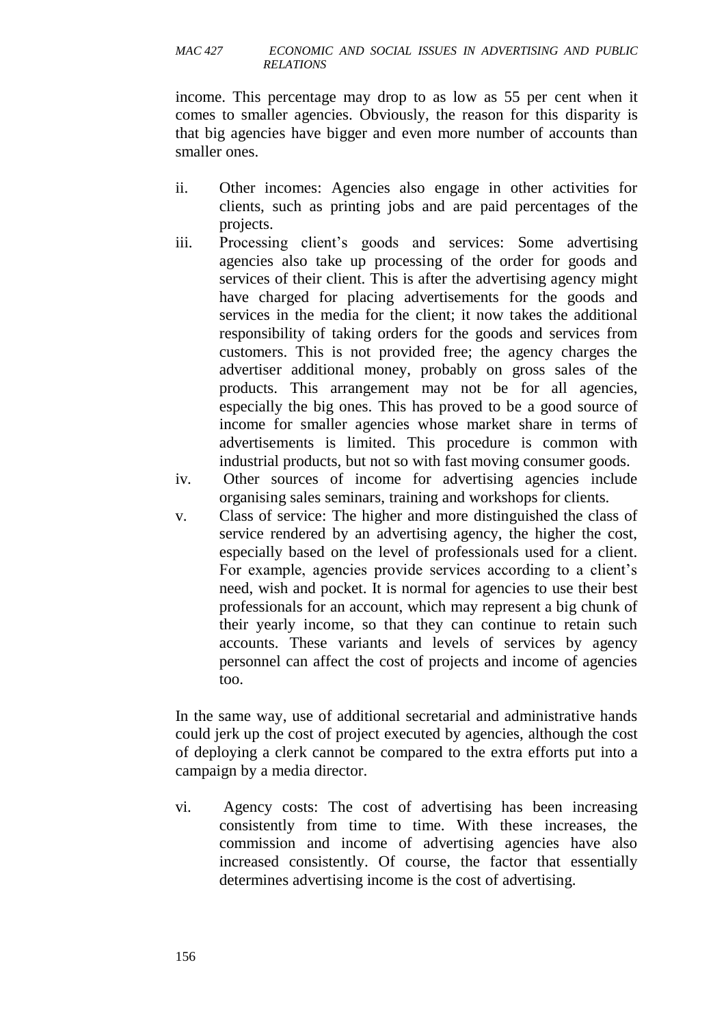income. This percentage may drop to as low as 55 per cent when it comes to smaller agencies. Obviously, the reason for this disparity is that big agencies have bigger and even more number of accounts than smaller ones.

- ii. Other incomes: Agencies also engage in other activities for clients, such as printing jobs and are paid percentages of the projects.
- iii. Processing client's goods and services: Some advertising agencies also take up processing of the order for goods and services of their client. This is after the advertising agency might have charged for placing advertisements for the goods and services in the media for the client; it now takes the additional responsibility of taking orders for the goods and services from customers. This is not provided free; the agency charges the advertiser additional money, probably on gross sales of the products. This arrangement may not be for all agencies, especially the big ones. This has proved to be a good source of income for smaller agencies whose market share in terms of advertisements is limited. This procedure is common with industrial products, but not so with fast moving consumer goods.
- iv. Other sources of income for advertising agencies include organising sales seminars, training and workshops for clients.
- v. Class of service: The higher and more distinguished the class of service rendered by an advertising agency, the higher the cost, especially based on the level of professionals used for a client. For example, agencies provide services according to a client's need, wish and pocket. It is normal for agencies to use their best professionals for an account, which may represent a big chunk of their yearly income, so that they can continue to retain such accounts. These variants and levels of services by agency personnel can affect the cost of projects and income of agencies too.

In the same way, use of additional secretarial and administrative hands could jerk up the cost of project executed by agencies, although the cost of deploying a clerk cannot be compared to the extra efforts put into a campaign by a media director.

vi. Agency costs: The cost of advertising has been increasing consistently from time to time. With these increases, the commission and income of advertising agencies have also increased consistently. Of course, the factor that essentially determines advertising income is the cost of advertising.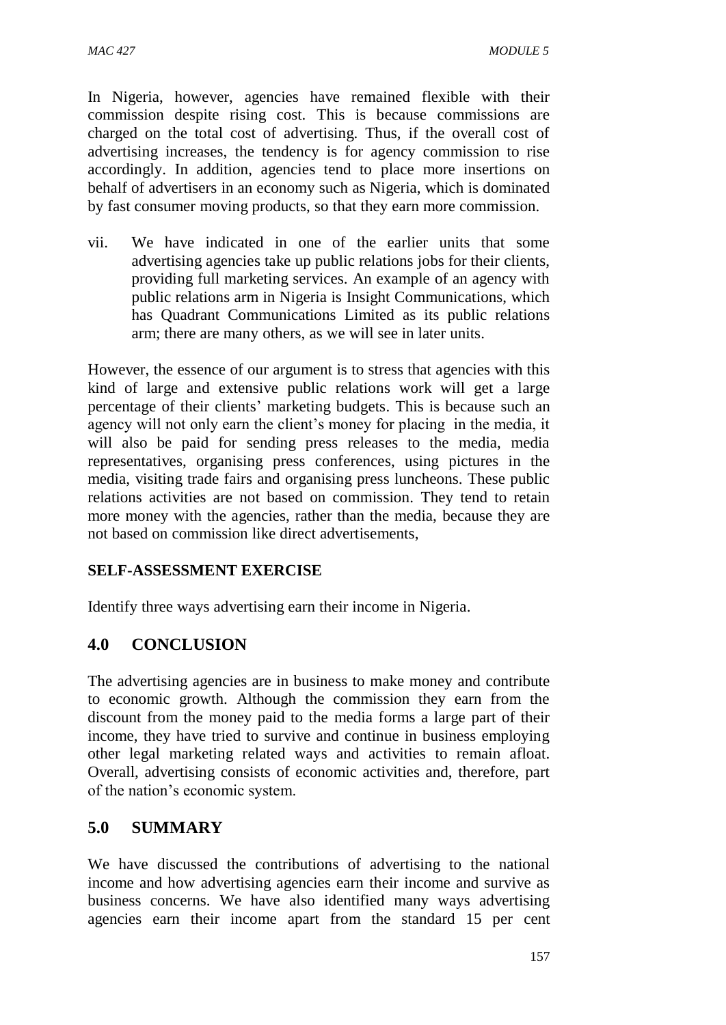In Nigeria, however, agencies have remained flexible with their commission despite rising cost. This is because commissions are charged on the total cost of advertising. Thus, if the overall cost of advertising increases, the tendency is for agency commission to rise accordingly. In addition, agencies tend to place more insertions on behalf of advertisers in an economy such as Nigeria, which is dominated by fast consumer moving products, so that they earn more commission.

vii. We have indicated in one of the earlier units that some advertising agencies take up public relations jobs for their clients, providing full marketing services. An example of an agency with public relations arm in Nigeria is Insight Communications, which has Quadrant Communications Limited as its public relations arm; there are many others, as we will see in later units.

However, the essence of our argument is to stress that agencies with this kind of large and extensive public relations work will get a large percentage of their clients' marketing budgets. This is because such an agency will not only earn the client's money for placing in the media, it will also be paid for sending press releases to the media, media representatives, organising press conferences, using pictures in the media, visiting trade fairs and organising press luncheons. These public relations activities are not based on commission. They tend to retain more money with the agencies, rather than the media, because they are not based on commission like direct advertisements,

# **SELF-ASSESSMENT EXERCISE**

Identify three ways advertising earn their income in Nigeria.

# **4.0 CONCLUSION**

The advertising agencies are in business to make money and contribute to economic growth. Although the commission they earn from the discount from the money paid to the media forms a large part of their income, they have tried to survive and continue in business employing other legal marketing related ways and activities to remain afloat. Overall, advertising consists of economic activities and, therefore, part of the nation's economic system.

# **5.0 SUMMARY**

We have discussed the contributions of advertising to the national income and how advertising agencies earn their income and survive as business concerns. We have also identified many ways advertising agencies earn their income apart from the standard 15 per cent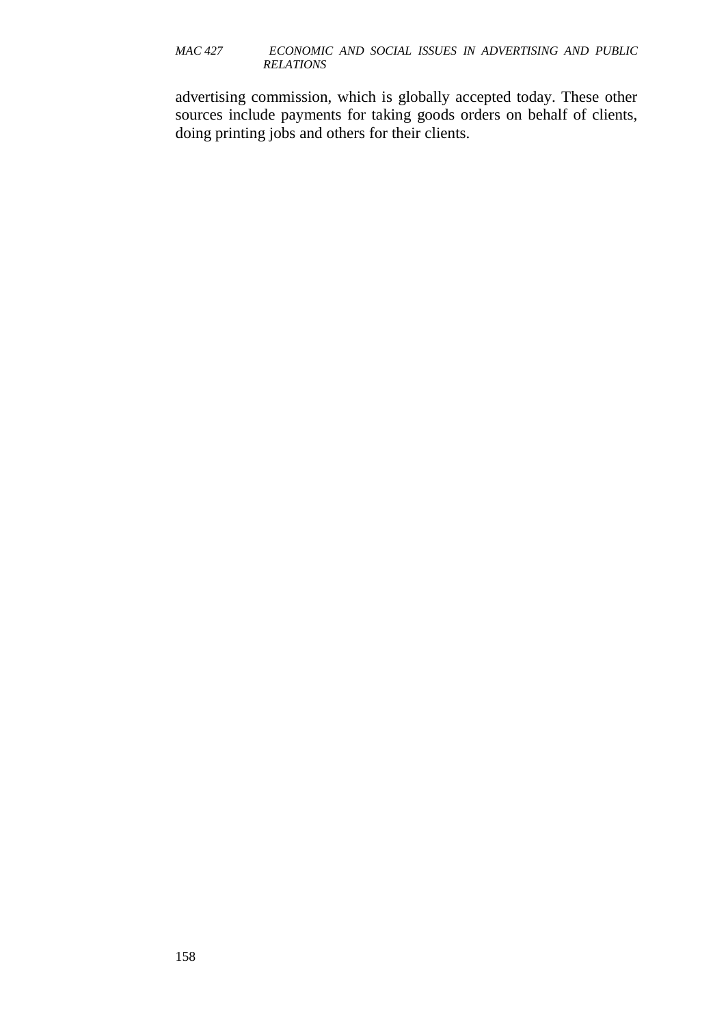advertising commission, which is globally accepted today. These other sources include payments for taking goods orders on behalf of clients, doing printing jobs and others for their clients.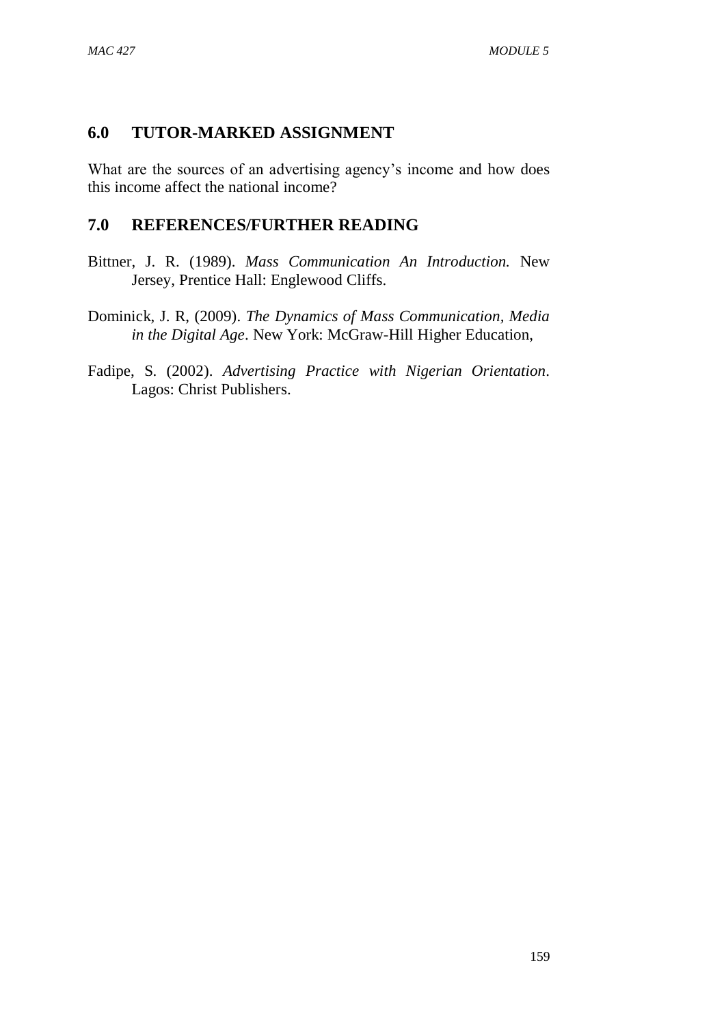# **6.0 TUTOR-MARKED ASSIGNMENT**

What are the sources of an advertising agency's income and how does this income affect the national income?

# **7.0 REFERENCES/FURTHER READING**

- Bittner, J. R. (1989). *Mass Communication An Introduction.* New Jersey, Prentice Hall: Englewood Cliffs.
- Dominick, J. R, (2009). *The Dynamics of Mass Communication, Media in the Digital Age*. New York: McGraw-Hill Higher Education,
- Fadipe, S. (2002). *Advertising Practice with Nigerian Orientation*. Lagos: Christ Publishers.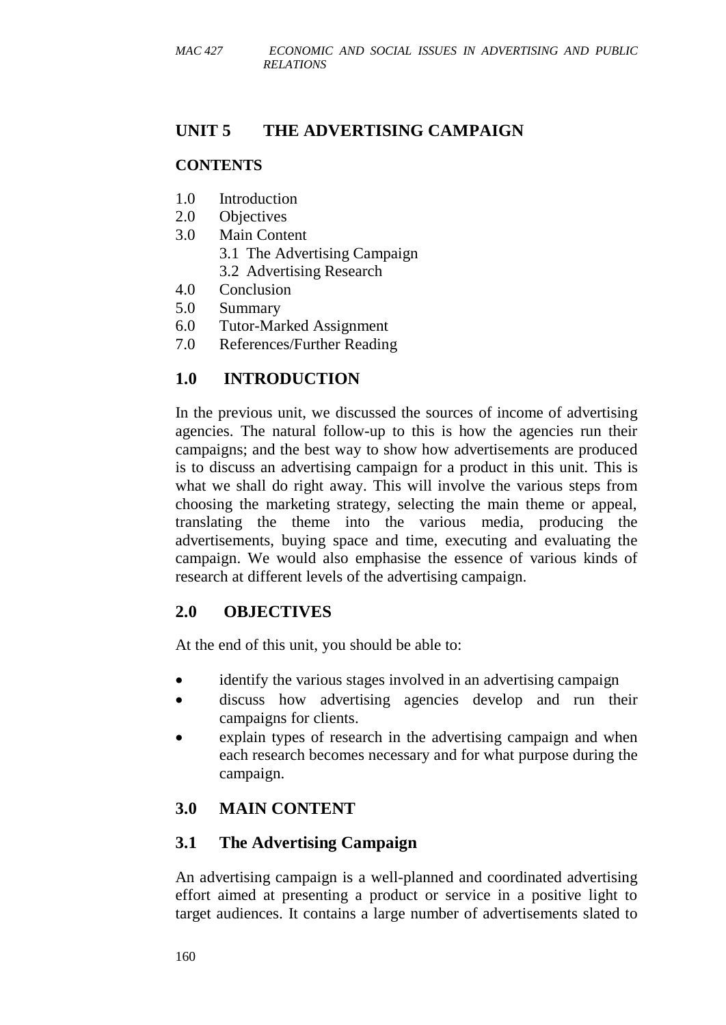# **UNIT 5 THE ADVERTISING CAMPAIGN**

## **CONTENTS**

- 1.0 Introduction
- 2.0 Objectives
- 3.0 Main Content
	- 3.1 The Advertising Campaign
	- 3.2 Advertising Research
- 4.0 Conclusion
- 5.0 Summary
- 6.0 Tutor-Marked Assignment
- 7.0 References/Further Reading

# **1.0 INTRODUCTION**

In the previous unit, we discussed the sources of income of advertising agencies. The natural follow-up to this is how the agencies run their campaigns; and the best way to show how advertisements are produced is to discuss an advertising campaign for a product in this unit. This is what we shall do right away. This will involve the various steps from choosing the marketing strategy, selecting the main theme or appeal, translating the theme into the various media, producing the advertisements, buying space and time, executing and evaluating the campaign. We would also emphasise the essence of various kinds of research at different levels of the advertising campaign.

# **2.0 OBJECTIVES**

At the end of this unit, you should be able to:

- identify the various stages involved in an advertising campaign
- discuss how advertising agencies develop and run their campaigns for clients.
- explain types of research in the advertising campaign and when each research becomes necessary and for what purpose during the campaign.

# **3.0 MAIN CONTENT**

# **3.1 The Advertising Campaign**

An advertising campaign is a well-planned and coordinated advertising effort aimed at presenting a product or service in a positive light to target audiences. It contains a large number of advertisements slated to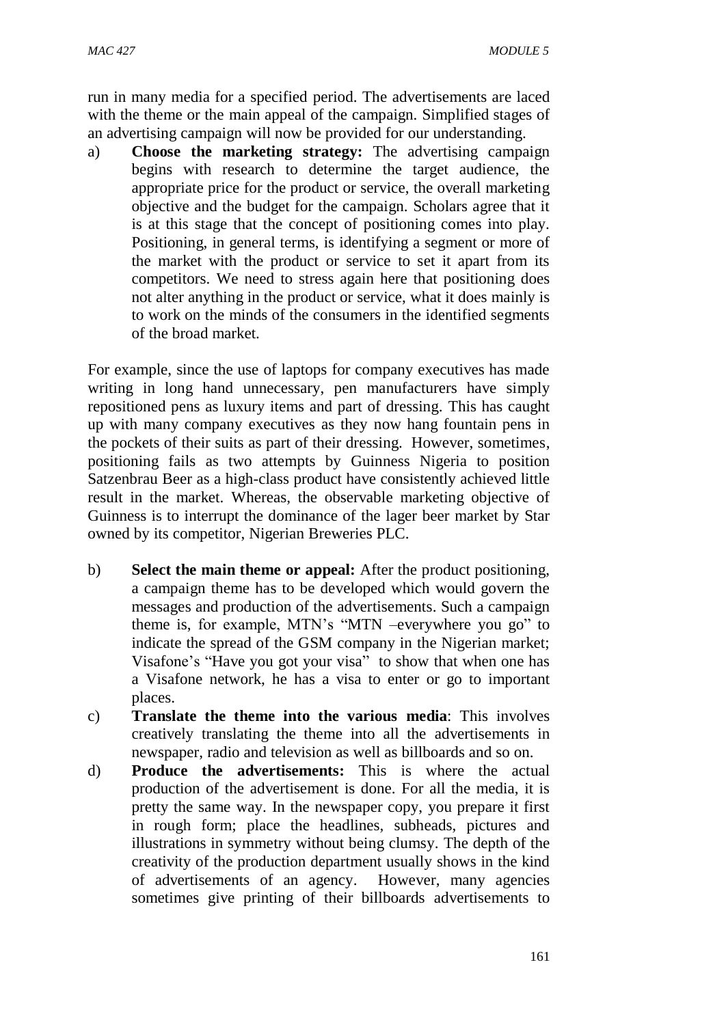run in many media for a specified period. The advertisements are laced with the theme or the main appeal of the campaign. Simplified stages of an advertising campaign will now be provided for our understanding.

a) **Choose the marketing strategy:** The advertising campaign begins with research to determine the target audience, the appropriate price for the product or service, the overall marketing objective and the budget for the campaign. Scholars agree that it is at this stage that the concept of positioning comes into play. Positioning, in general terms, is identifying a segment or more of the market with the product or service to set it apart from its competitors. We need to stress again here that positioning does not alter anything in the product or service, what it does mainly is to work on the minds of the consumers in the identified segments of the broad market.

For example, since the use of laptops for company executives has made writing in long hand unnecessary, pen manufacturers have simply repositioned pens as luxury items and part of dressing. This has caught up with many company executives as they now hang fountain pens in the pockets of their suits as part of their dressing. However, sometimes, positioning fails as two attempts by Guinness Nigeria to position Satzenbrau Beer as a high-class product have consistently achieved little result in the market. Whereas, the observable marketing objective of Guinness is to interrupt the dominance of the lager beer market by Star owned by its competitor, Nigerian Breweries PLC.

- b) **Select the main theme or appeal:** After the product positioning, a campaign theme has to be developed which would govern the messages and production of the advertisements. Such a campaign theme is, for example, MTN's "MTN –everywhere you go" to indicate the spread of the GSM company in the Nigerian market; Visafone's "Have you got your visa" to show that when one has a Visafone network, he has a visa to enter or go to important places.
- c) **Translate the theme into the various media**: This involves creatively translating the theme into all the advertisements in newspaper, radio and television as well as billboards and so on.
- d) **Produce the advertisements:** This is where the actual production of the advertisement is done. For all the media, it is pretty the same way. In the newspaper copy, you prepare it first in rough form; place the headlines, subheads, pictures and illustrations in symmetry without being clumsy. The depth of the creativity of the production department usually shows in the kind of advertisements of an agency. However, many agencies sometimes give printing of their billboards advertisements to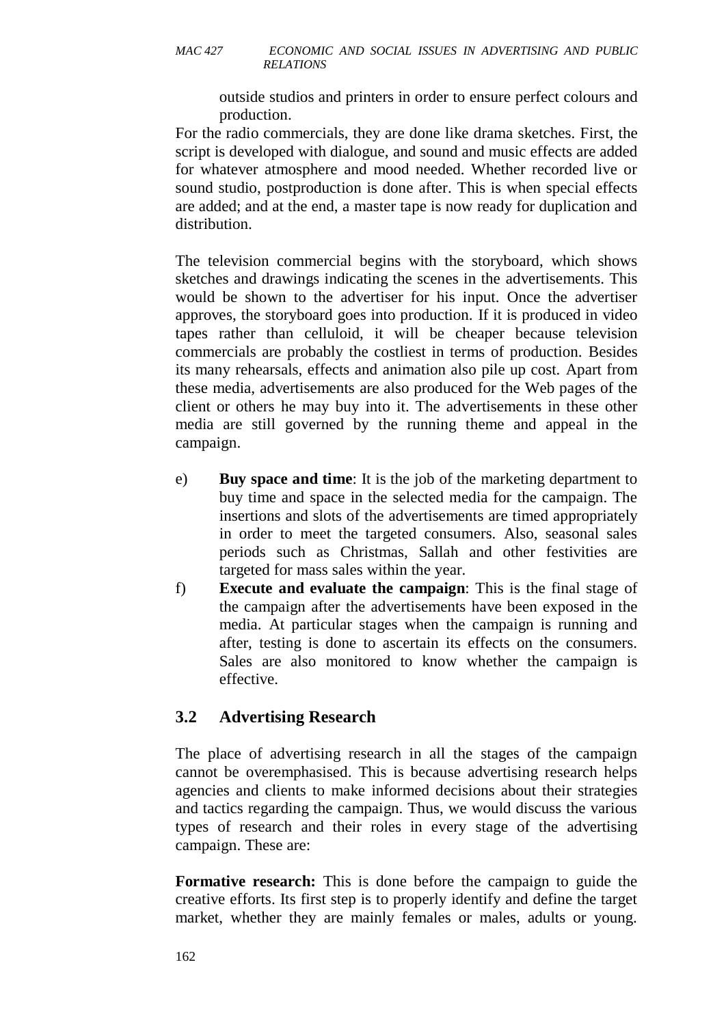outside studios and printers in order to ensure perfect colours and production.

For the radio commercials, they are done like drama sketches. First, the script is developed with dialogue, and sound and music effects are added for whatever atmosphere and mood needed. Whether recorded live or sound studio, postproduction is done after. This is when special effects are added; and at the end, a master tape is now ready for duplication and distribution.

The television commercial begins with the storyboard, which shows sketches and drawings indicating the scenes in the advertisements. This would be shown to the advertiser for his input. Once the advertiser approves, the storyboard goes into production. If it is produced in video tapes rather than celluloid, it will be cheaper because television commercials are probably the costliest in terms of production. Besides its many rehearsals, effects and animation also pile up cost. Apart from these media, advertisements are also produced for the Web pages of the client or others he may buy into it. The advertisements in these other media are still governed by the running theme and appeal in the campaign.

- e) **Buy space and time**: It is the job of the marketing department to buy time and space in the selected media for the campaign. The insertions and slots of the advertisements are timed appropriately in order to meet the targeted consumers. Also, seasonal sales periods such as Christmas, Sallah and other festivities are targeted for mass sales within the year.
- f) **Execute and evaluate the campaign**: This is the final stage of the campaign after the advertisements have been exposed in the media. At particular stages when the campaign is running and after, testing is done to ascertain its effects on the consumers. Sales are also monitored to know whether the campaign is effective.

# **3.2 Advertising Research**

The place of advertising research in all the stages of the campaign cannot be overemphasised. This is because advertising research helps agencies and clients to make informed decisions about their strategies and tactics regarding the campaign. Thus, we would discuss the various types of research and their roles in every stage of the advertising campaign. These are:

**Formative research:** This is done before the campaign to guide the creative efforts. Its first step is to properly identify and define the target market, whether they are mainly females or males, adults or young.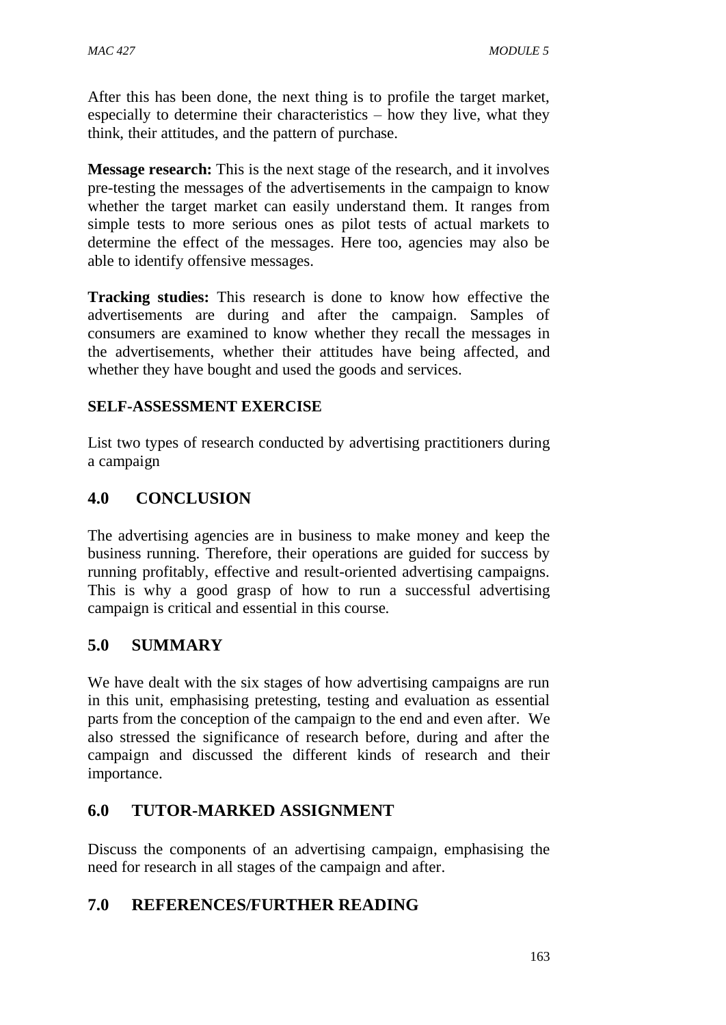After this has been done, the next thing is to profile the target market, especially to determine their characteristics – how they live, what they think, their attitudes, and the pattern of purchase.

**Message research:** This is the next stage of the research, and it involves pre-testing the messages of the advertisements in the campaign to know whether the target market can easily understand them. It ranges from simple tests to more serious ones as pilot tests of actual markets to determine the effect of the messages. Here too, agencies may also be able to identify offensive messages.

**Tracking studies:** This research is done to know how effective the advertisements are during and after the campaign. Samples of consumers are examined to know whether they recall the messages in the advertisements, whether their attitudes have being affected, and whether they have bought and used the goods and services.

## **SELF-ASSESSMENT EXERCISE**

List two types of research conducted by advertising practitioners during a campaign

# **4.0 CONCLUSION**

The advertising agencies are in business to make money and keep the business running. Therefore, their operations are guided for success by running profitably, effective and result-oriented advertising campaigns. This is why a good grasp of how to run a successful advertising campaign is critical and essential in this course.

# **5.0 SUMMARY**

We have dealt with the six stages of how advertising campaigns are run in this unit, emphasising pretesting, testing and evaluation as essential parts from the conception of the campaign to the end and even after. We also stressed the significance of research before, during and after the campaign and discussed the different kinds of research and their importance.

# **6.0 TUTOR-MARKED ASSIGNMENT**

Discuss the components of an advertising campaign, emphasising the need for research in all stages of the campaign and after.

# **7.0 REFERENCES/FURTHER READING**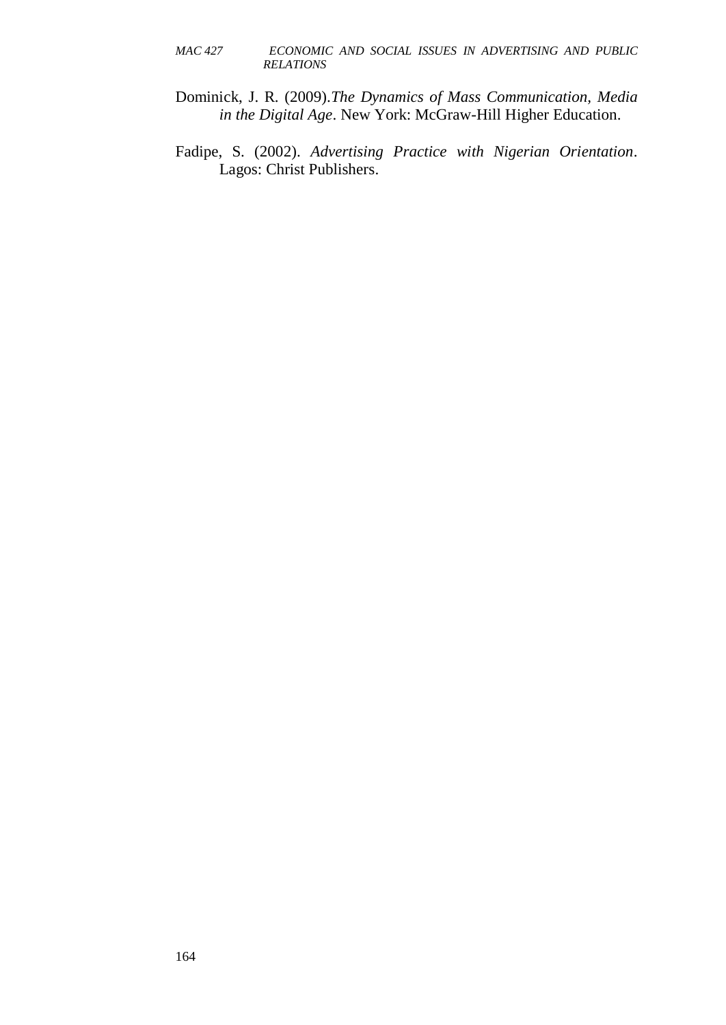- Dominick, J. R. (2009).*The Dynamics of Mass Communication, Media in the Digital Age*. New York: McGraw-Hill Higher Education.
- Fadipe, S. (2002). *Advertising Practice with Nigerian Orientation*. Lagos: Christ Publishers.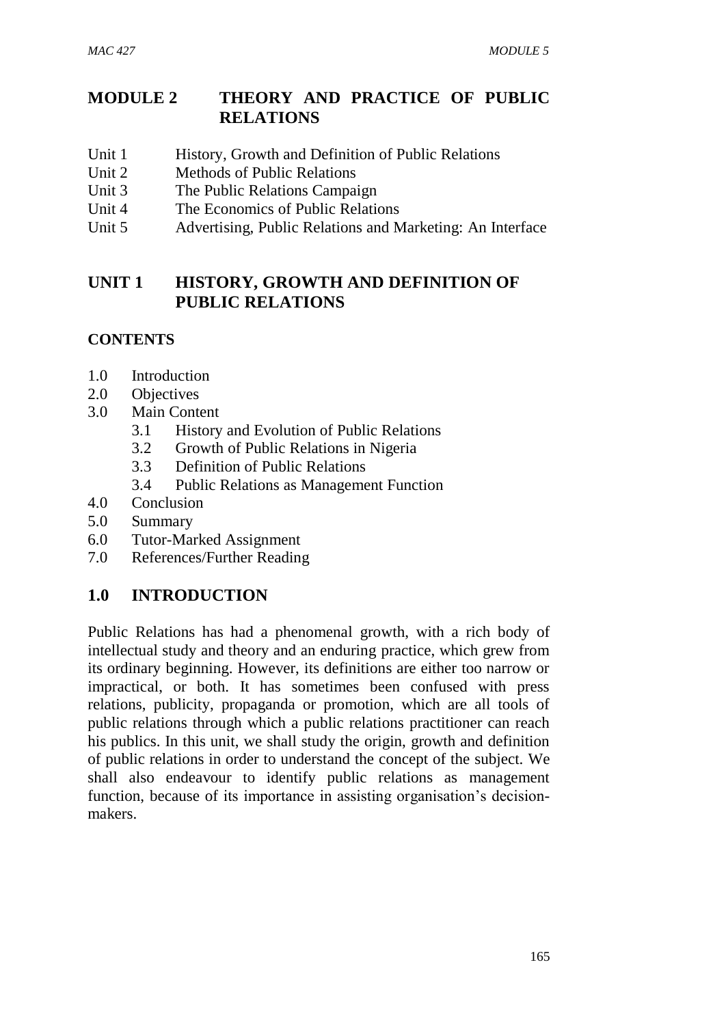# **MODULE 2 THEORY AND PRACTICE OF PUBLIC RELATIONS**

- Unit 1 History, Growth and Definition of Public Relations
- Unit 2 Methods of Public Relations
- Unit 3 The Public Relations Campaign
- Unit 4 The Economics of Public Relations
- Unit 5 Advertising, Public Relations and Marketing: An Interface

# **UNIT 1 HISTORY, GROWTH AND DEFINITION OF PUBLIC RELATIONS**

# **CONTENTS**

- 1.0 Introduction
- 2.0 Objectives
- 3.0 Main Content
	- 3.1 History and Evolution of Public Relations
	- 3.2 Growth of Public Relations in Nigeria
	- 3.3 Definition of Public Relations
	- 3.4 Public Relations as Management Function
- 4.0 Conclusion
- 5.0 Summary
- 6.0 Tutor-Marked Assignment
- 7.0 References/Further Reading

# **1.0 INTRODUCTION**

Public Relations has had a phenomenal growth, with a rich body of intellectual study and theory and an enduring practice, which grew from its ordinary beginning. However, its definitions are either too narrow or impractical, or both. It has sometimes been confused with press relations, publicity, propaganda or promotion, which are all tools of public relations through which a public relations practitioner can reach his publics. In this unit, we shall study the origin, growth and definition of public relations in order to understand the concept of the subject. We shall also endeavour to identify public relations as management function, because of its importance in assisting organisation's decisionmakers.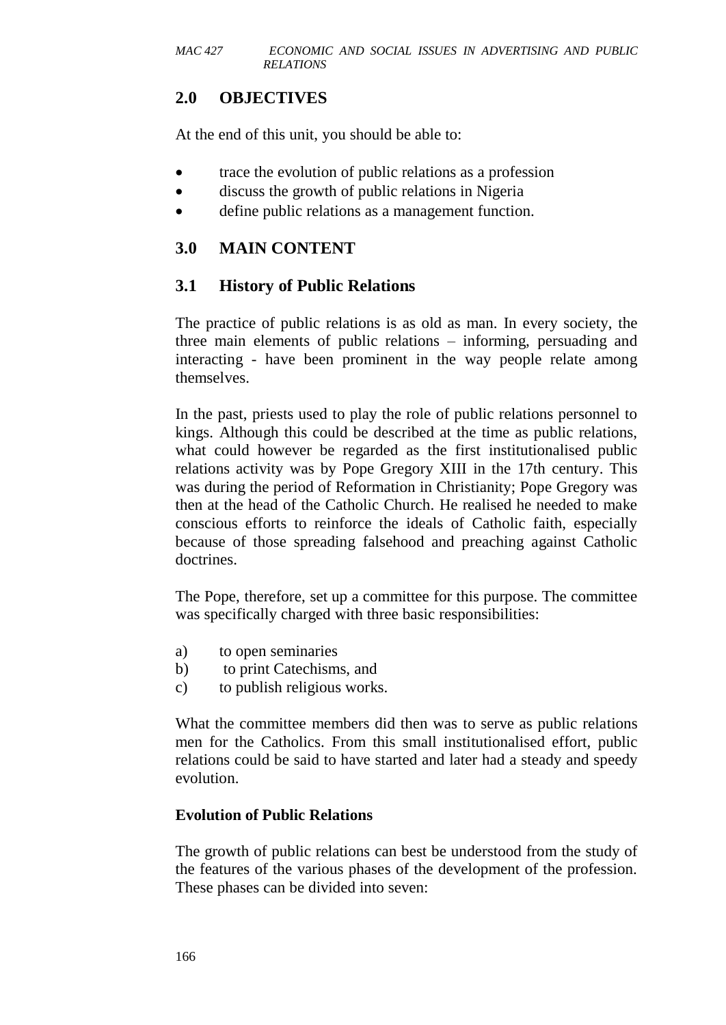# **2.0 OBJECTIVES**

At the end of this unit, you should be able to:

- trace the evolution of public relations as a profession
- discuss the growth of public relations in Nigeria
- define public relations as a management function.

# **3.0 MAIN CONTENT**

# **3.1 History of Public Relations**

The practice of public relations is as old as man. In every society, the three main elements of public relations – informing, persuading and interacting - have been prominent in the way people relate among themselves.

In the past, priests used to play the role of public relations personnel to kings. Although this could be described at the time as public relations, what could however be regarded as the first institutionalised public relations activity was by Pope Gregory XIII in the 17th century. This was during the period of Reformation in Christianity; Pope Gregory was then at the head of the Catholic Church. He realised he needed to make conscious efforts to reinforce the ideals of Catholic faith, especially because of those spreading falsehood and preaching against Catholic doctrines.

The Pope, therefore, set up a committee for this purpose. The committee was specifically charged with three basic responsibilities:

- a) to open seminaries
- b) to print Catechisms, and
- c) to publish religious works.

What the committee members did then was to serve as public relations men for the Catholics. From this small institutionalised effort, public relations could be said to have started and later had a steady and speedy evolution.

### **Evolution of Public Relations**

The growth of public relations can best be understood from the study of the features of the various phases of the development of the profession. These phases can be divided into seven: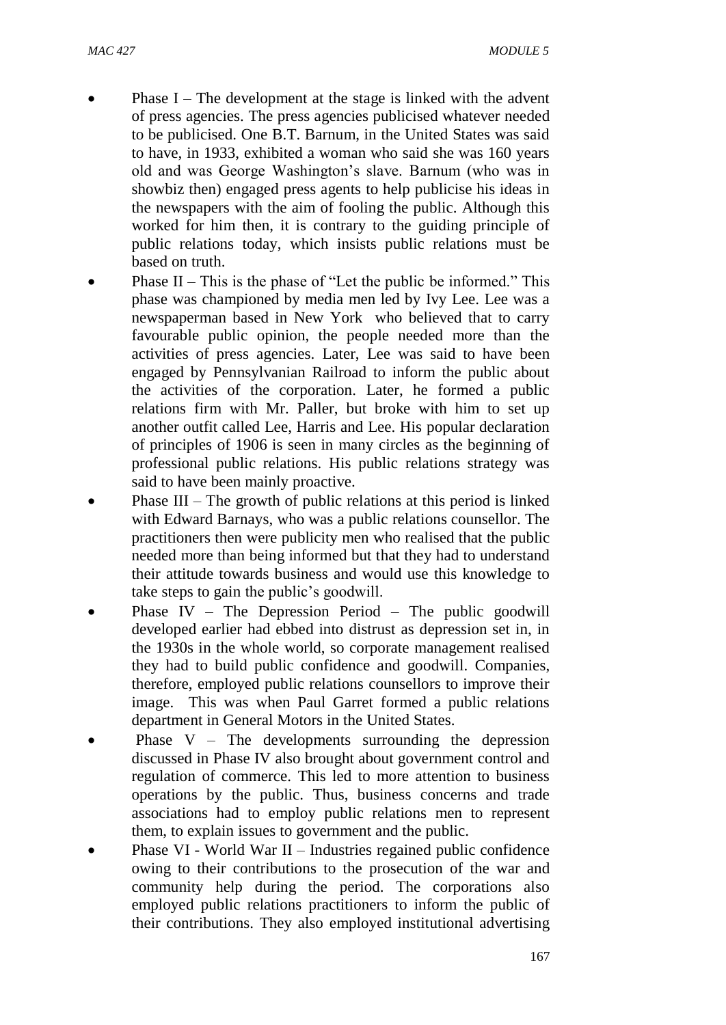- Phase I The development at the stage is linked with the advent of press agencies. The press agencies publicised whatever needed to be publicised. One B.T. Barnum, in the United States was said to have, in 1933, exhibited a woman who said she was 160 years old and was George Washington's slave. Barnum (who was in showbiz then) engaged press agents to help publicise his ideas in the newspapers with the aim of fooling the public. Although this worked for him then, it is contrary to the guiding principle of public relations today, which insists public relations must be based on truth.
- Phase II This is the phase of "Let the public be informed." This phase was championed by media men led by Ivy Lee. Lee was a newspaperman based in New York who believed that to carry favourable public opinion, the people needed more than the activities of press agencies. Later, Lee was said to have been engaged by Pennsylvanian Railroad to inform the public about the activities of the corporation. Later, he formed a public relations firm with Mr. Paller, but broke with him to set up another outfit called Lee, Harris and Lee. His popular declaration of principles of 1906 is seen in many circles as the beginning of professional public relations. His public relations strategy was said to have been mainly proactive.
- Phase III The growth of public relations at this period is linked with Edward Barnays, who was a public relations counsellor. The practitioners then were publicity men who realised that the public needed more than being informed but that they had to understand their attitude towards business and would use this knowledge to take steps to gain the public's goodwill.
- Phase IV The Depression Period The public goodwill developed earlier had ebbed into distrust as depression set in, in the 1930s in the whole world, so corporate management realised they had to build public confidence and goodwill. Companies, therefore, employed public relations counsellors to improve their image. This was when Paul Garret formed a public relations department in General Motors in the United States.
- Phase  $V -$  The developments surrounding the depression discussed in Phase IV also brought about government control and regulation of commerce. This led to more attention to business operations by the public. Thus, business concerns and trade associations had to employ public relations men to represent them, to explain issues to government and the public.
- Phase VI World War II Industries regained public confidence owing to their contributions to the prosecution of the war and community help during the period. The corporations also employed public relations practitioners to inform the public of their contributions. They also employed institutional advertising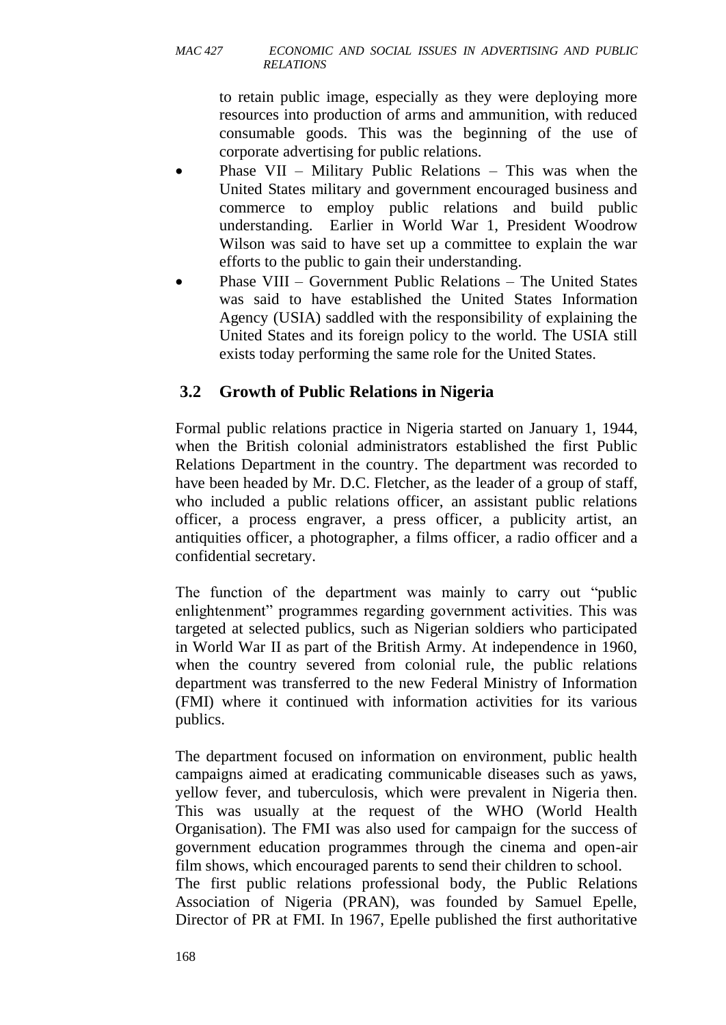to retain public image, especially as they were deploying more resources into production of arms and ammunition, with reduced consumable goods. This was the beginning of the use of corporate advertising for public relations.

- Phase VII Military Public Relations This was when the United States military and government encouraged business and commerce to employ public relations and build public understanding. Earlier in World War 1, President Woodrow Wilson was said to have set up a committee to explain the war efforts to the public to gain their understanding.
- Phase VIII Government Public Relations The United States was said to have established the United States Information Agency (USIA) saddled with the responsibility of explaining the United States and its foreign policy to the world. The USIA still exists today performing the same role for the United States.

# **3.2 Growth of Public Relations in Nigeria**

Formal public relations practice in Nigeria started on January 1, 1944, when the British colonial administrators established the first Public Relations Department in the country. The department was recorded to have been headed by Mr. D.C. Fletcher, as the leader of a group of staff, who included a public relations officer, an assistant public relations officer, a process engraver, a press officer, a publicity artist, an antiquities officer, a photographer, a films officer, a radio officer and a confidential secretary.

The function of the department was mainly to carry out "public enlightenment" programmes regarding government activities. This was targeted at selected publics, such as Nigerian soldiers who participated in World War II as part of the British Army. At independence in 1960, when the country severed from colonial rule, the public relations department was transferred to the new Federal Ministry of Information (FMI) where it continued with information activities for its various publics.

The department focused on information on environment, public health campaigns aimed at eradicating communicable diseases such as yaws, yellow fever, and tuberculosis, which were prevalent in Nigeria then. This was usually at the request of the WHO (World Health Organisation). The FMI was also used for campaign for the success of government education programmes through the cinema and open-air film shows, which encouraged parents to send their children to school. The first public relations professional body, the Public Relations Association of Nigeria (PRAN), was founded by Samuel Epelle,

Director of PR at FMI. In 1967, Epelle published the first authoritative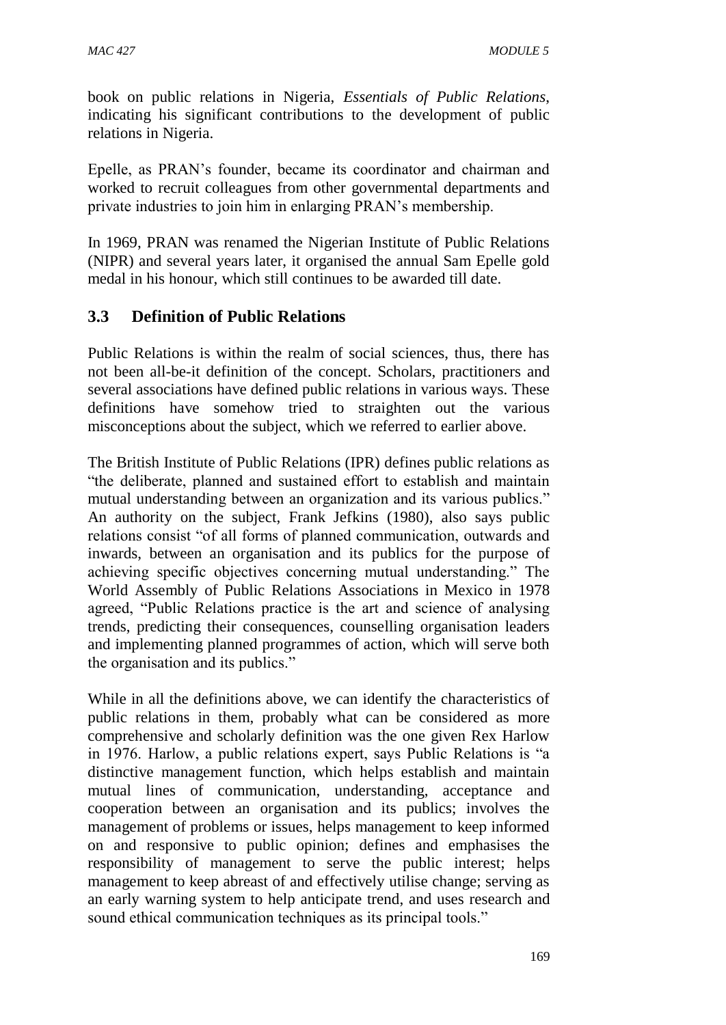book on public relations in Nigeria, *Essentials of Public Relations*, indicating his significant contributions to the development of public relations in Nigeria.

Epelle, as PRAN's founder, became its coordinator and chairman and worked to recruit colleagues from other governmental departments and private industries to join him in enlarging PRAN's membership.

In 1969, PRAN was renamed the Nigerian Institute of Public Relations (NIPR) and several years later, it organised the annual Sam Epelle gold medal in his honour, which still continues to be awarded till date.

# **3.3 Definition of Public Relations**

Public Relations is within the realm of social sciences, thus, there has not been all-be-it definition of the concept. Scholars, practitioners and several associations have defined public relations in various ways. These definitions have somehow tried to straighten out the various misconceptions about the subject, which we referred to earlier above.

The British Institute of Public Relations (IPR) defines public relations as "the deliberate, planned and sustained effort to establish and maintain mutual understanding between an organization and its various publics." An authority on the subject, Frank Jefkins (1980), also says public relations consist "of all forms of planned communication, outwards and inwards, between an organisation and its publics for the purpose of achieving specific objectives concerning mutual understanding." The World Assembly of Public Relations Associations in Mexico in 1978 agreed, "Public Relations practice is the art and science of analysing trends, predicting their consequences, counselling organisation leaders and implementing planned programmes of action, which will serve both the organisation and its publics."

While in all the definitions above, we can identify the characteristics of public relations in them, probably what can be considered as more comprehensive and scholarly definition was the one given Rex Harlow in 1976. Harlow, a public relations expert, says Public Relations is "a distinctive management function, which helps establish and maintain mutual lines of communication, understanding, acceptance and cooperation between an organisation and its publics; involves the management of problems or issues, helps management to keep informed on and responsive to public opinion; defines and emphasises the responsibility of management to serve the public interest; helps management to keep abreast of and effectively utilise change; serving as an early warning system to help anticipate trend, and uses research and sound ethical communication techniques as its principal tools."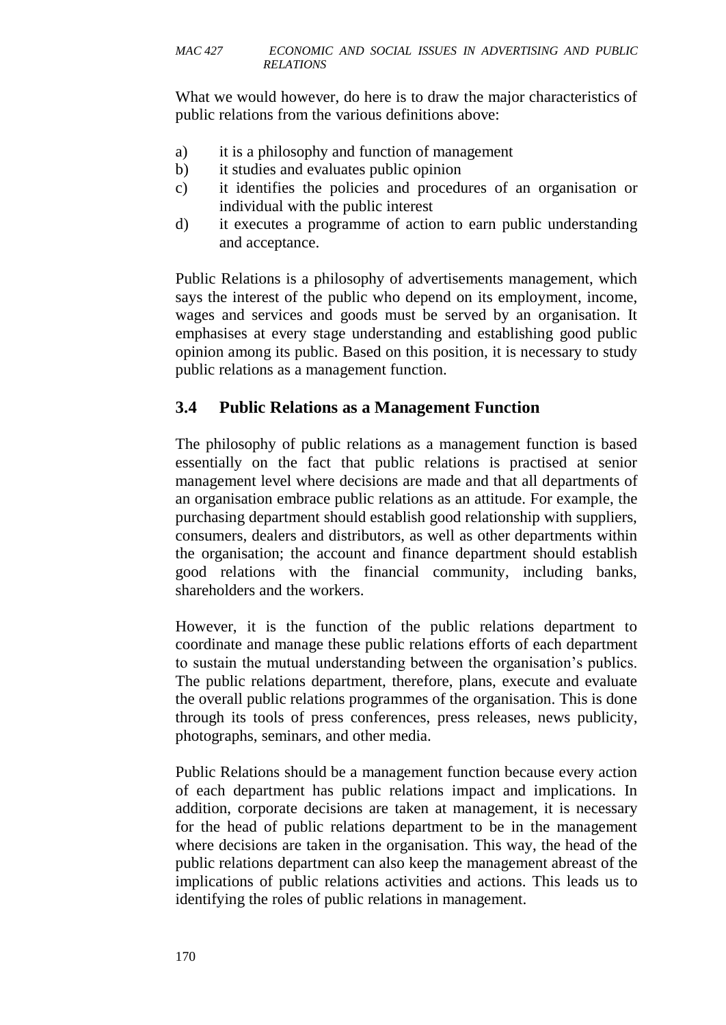What we would however, do here is to draw the major characteristics of public relations from the various definitions above:

- a) it is a philosophy and function of management
- b) it studies and evaluates public opinion
- c) it identifies the policies and procedures of an organisation or individual with the public interest
- d) it executes a programme of action to earn public understanding and acceptance.

Public Relations is a philosophy of advertisements management, which says the interest of the public who depend on its employment, income, wages and services and goods must be served by an organisation. It emphasises at every stage understanding and establishing good public opinion among its public. Based on this position, it is necessary to study public relations as a management function.

# **3.4 Public Relations as a Management Function**

The philosophy of public relations as a management function is based essentially on the fact that public relations is practised at senior management level where decisions are made and that all departments of an organisation embrace public relations as an attitude. For example, the purchasing department should establish good relationship with suppliers, consumers, dealers and distributors, as well as other departments within the organisation; the account and finance department should establish good relations with the financial community, including banks, shareholders and the workers.

However, it is the function of the public relations department to coordinate and manage these public relations efforts of each department to sustain the mutual understanding between the organisation's publics. The public relations department, therefore, plans, execute and evaluate the overall public relations programmes of the organisation. This is done through its tools of press conferences, press releases, news publicity, photographs, seminars, and other media.

Public Relations should be a management function because every action of each department has public relations impact and implications. In addition, corporate decisions are taken at management, it is necessary for the head of public relations department to be in the management where decisions are taken in the organisation. This way, the head of the public relations department can also keep the management abreast of the implications of public relations activities and actions. This leads us to identifying the roles of public relations in management.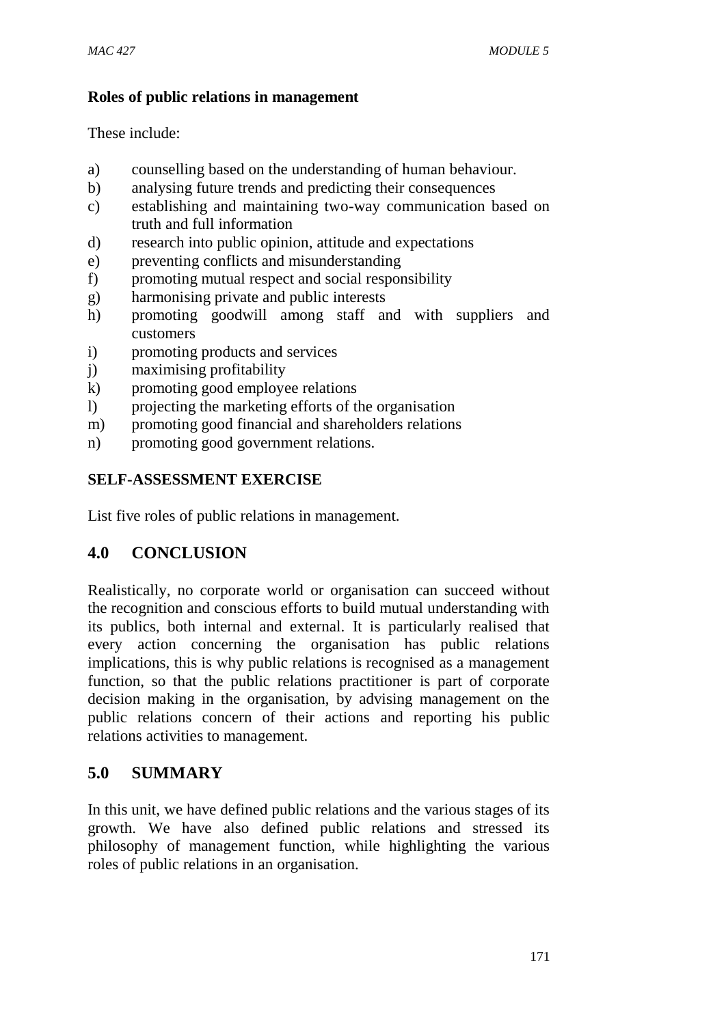### **Roles of public relations in management**

These include:

- a) counselling based on the understanding of human behaviour.
- b) analysing future trends and predicting their consequences
- c) establishing and maintaining two-way communication based on truth and full information
- d) research into public opinion, attitude and expectations
- e) preventing conflicts and misunderstanding
- f) promoting mutual respect and social responsibility
- g) harmonising private and public interests
- h) promoting goodwill among staff and with suppliers and customers
- i) promoting products and services
- j) maximising profitability
- k) promoting good employee relations
- l) projecting the marketing efforts of the organisation
- m) promoting good financial and shareholders relations
- n) promoting good government relations.

# **SELF-ASSESSMENT EXERCISE**

List five roles of public relations in management.

# **4.0 CONCLUSION**

Realistically, no corporate world or organisation can succeed without the recognition and conscious efforts to build mutual understanding with its publics, both internal and external. It is particularly realised that every action concerning the organisation has public relations implications, this is why public relations is recognised as a management function, so that the public relations practitioner is part of corporate decision making in the organisation, by advising management on the public relations concern of their actions and reporting his public relations activities to management.

# **5.0 SUMMARY**

In this unit, we have defined public relations and the various stages of its growth. We have also defined public relations and stressed its philosophy of management function, while highlighting the various roles of public relations in an organisation.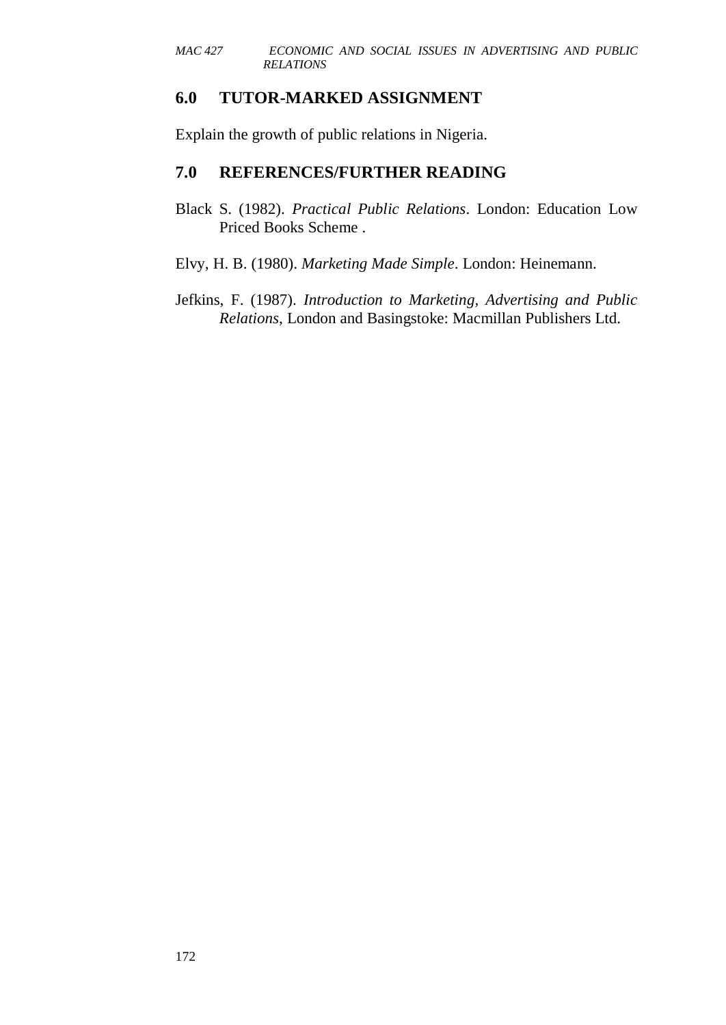### **6.0 TUTOR-MARKED ASSIGNMENT**

Explain the growth of public relations in Nigeria.

### **7.0 REFERENCES/FURTHER READING**

- Black S. (1982). *Practical Public Relations*. London: Education Low Priced Books Scheme .
- Elvy, H. B. (1980). *Marketing Made Simple*. London: Heinemann.
- Jefkins, F. (1987). *Introduction to Marketing, Advertising and Public Relations*, London and Basingstoke: Macmillan Publishers Ltd.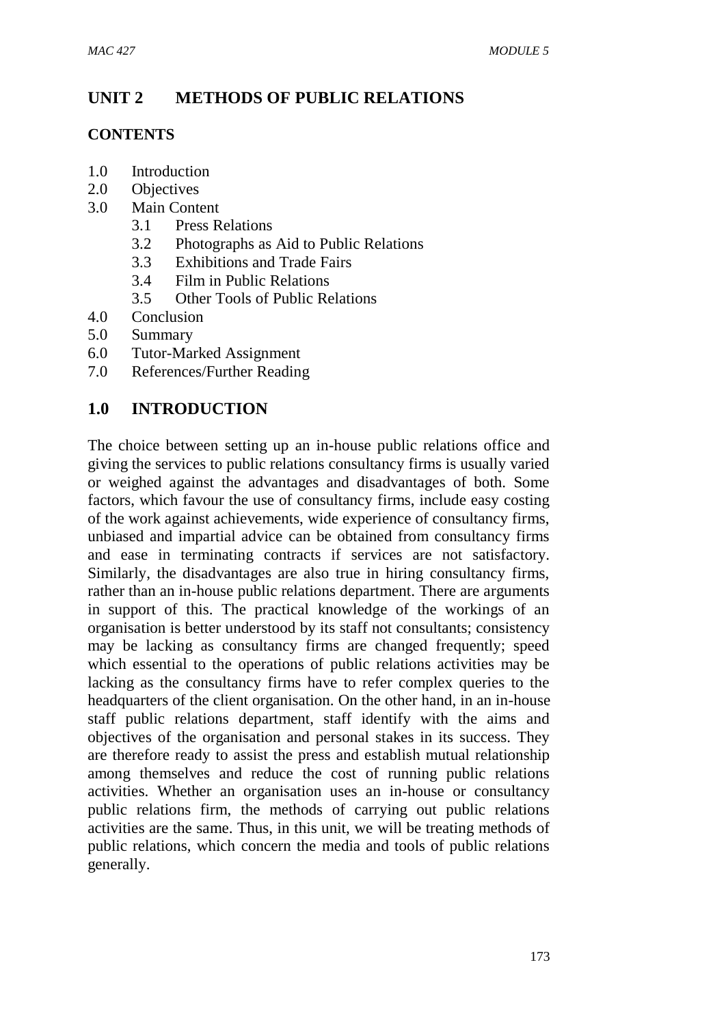# **UNIT 2 METHODS OF PUBLIC RELATIONS**

### **CONTENTS**

- 1.0 Introduction
- 2.0 Objectives
- 3.0 Main Content
	- 3.1 Press Relations
	- 3.2 Photographs as Aid to Public Relations
	- 3.3 Exhibitions and Trade Fairs
	- 3.4 Film in Public Relations
	- 3.5 Other Tools of Public Relations
- 4.0 Conclusion
- 5.0 Summary
- 6.0 Tutor-Marked Assignment
- 7.0 References/Further Reading

## **1.0 INTRODUCTION**

The choice between setting up an in-house public relations office and giving the services to public relations consultancy firms is usually varied or weighed against the advantages and disadvantages of both. Some factors, which favour the use of consultancy firms, include easy costing of the work against achievements, wide experience of consultancy firms, unbiased and impartial advice can be obtained from consultancy firms and ease in terminating contracts if services are not satisfactory. Similarly, the disadvantages are also true in hiring consultancy firms, rather than an in-house public relations department. There are arguments in support of this. The practical knowledge of the workings of an organisation is better understood by its staff not consultants; consistency may be lacking as consultancy firms are changed frequently; speed which essential to the operations of public relations activities may be lacking as the consultancy firms have to refer complex queries to the headquarters of the client organisation. On the other hand, in an in-house staff public relations department, staff identify with the aims and objectives of the organisation and personal stakes in its success. They are therefore ready to assist the press and establish mutual relationship among themselves and reduce the cost of running public relations activities. Whether an organisation uses an in-house or consultancy public relations firm, the methods of carrying out public relations activities are the same. Thus, in this unit, we will be treating methods of public relations, which concern the media and tools of public relations generally.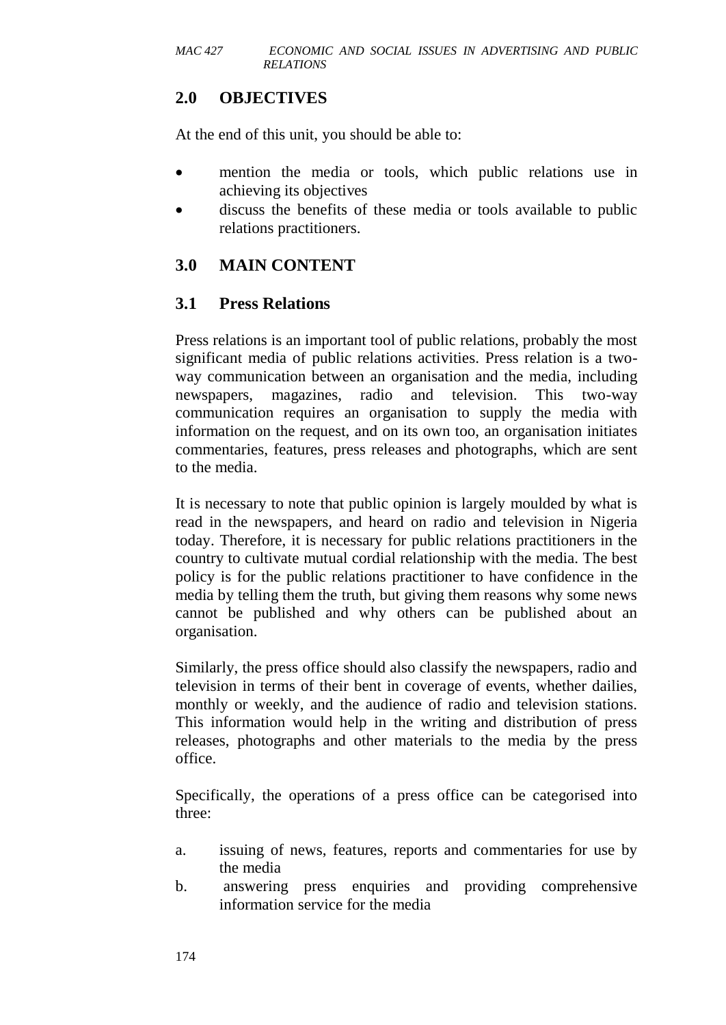# **2.0 OBJECTIVES**

At the end of this unit, you should be able to:

- mention the media or tools, which public relations use in achieving its objectives
- discuss the benefits of these media or tools available to public relations practitioners.

# **3.0 MAIN CONTENT**

# **3.1 Press Relations**

Press relations is an important tool of public relations, probably the most significant media of public relations activities. Press relation is a twoway communication between an organisation and the media, including newspapers, magazines, radio and television. This two-way communication requires an organisation to supply the media with information on the request, and on its own too, an organisation initiates commentaries, features, press releases and photographs, which are sent to the media.

It is necessary to note that public opinion is largely moulded by what is read in the newspapers, and heard on radio and television in Nigeria today. Therefore, it is necessary for public relations practitioners in the country to cultivate mutual cordial relationship with the media. The best policy is for the public relations practitioner to have confidence in the media by telling them the truth, but giving them reasons why some news cannot be published and why others can be published about an organisation.

Similarly, the press office should also classify the newspapers, radio and television in terms of their bent in coverage of events, whether dailies, monthly or weekly, and the audience of radio and television stations. This information would help in the writing and distribution of press releases, photographs and other materials to the media by the press office.

Specifically, the operations of a press office can be categorised into three:

- a. issuing of news, features, reports and commentaries for use by the media
- b. answering press enquiries and providing comprehensive information service for the media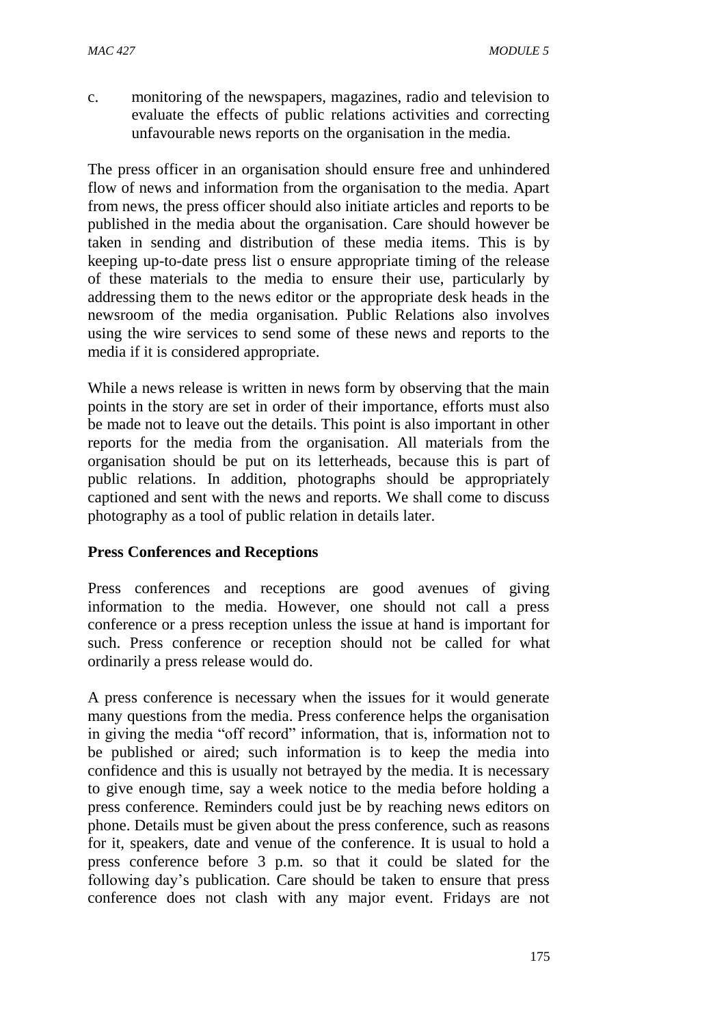c. monitoring of the newspapers, magazines, radio and television to evaluate the effects of public relations activities and correcting unfavourable news reports on the organisation in the media.

The press officer in an organisation should ensure free and unhindered flow of news and information from the organisation to the media. Apart from news, the press officer should also initiate articles and reports to be published in the media about the organisation. Care should however be taken in sending and distribution of these media items. This is by keeping up-to-date press list o ensure appropriate timing of the release of these materials to the media to ensure their use, particularly by addressing them to the news editor or the appropriate desk heads in the newsroom of the media organisation. Public Relations also involves using the wire services to send some of these news and reports to the media if it is considered appropriate.

While a news release is written in news form by observing that the main points in the story are set in order of their importance, efforts must also be made not to leave out the details. This point is also important in other reports for the media from the organisation. All materials from the organisation should be put on its letterheads, because this is part of public relations. In addition, photographs should be appropriately captioned and sent with the news and reports. We shall come to discuss photography as a tool of public relation in details later.

### **Press Conferences and Receptions**

Press conferences and receptions are good avenues of giving information to the media. However, one should not call a press conference or a press reception unless the issue at hand is important for such. Press conference or reception should not be called for what ordinarily a press release would do.

A press conference is necessary when the issues for it would generate many questions from the media. Press conference helps the organisation in giving the media "off record" information, that is, information not to be published or aired; such information is to keep the media into confidence and this is usually not betrayed by the media. It is necessary to give enough time, say a week notice to the media before holding a press conference. Reminders could just be by reaching news editors on phone. Details must be given about the press conference, such as reasons for it, speakers, date and venue of the conference. It is usual to hold a press conference before 3 p.m. so that it could be slated for the following day's publication. Care should be taken to ensure that press conference does not clash with any major event. Fridays are not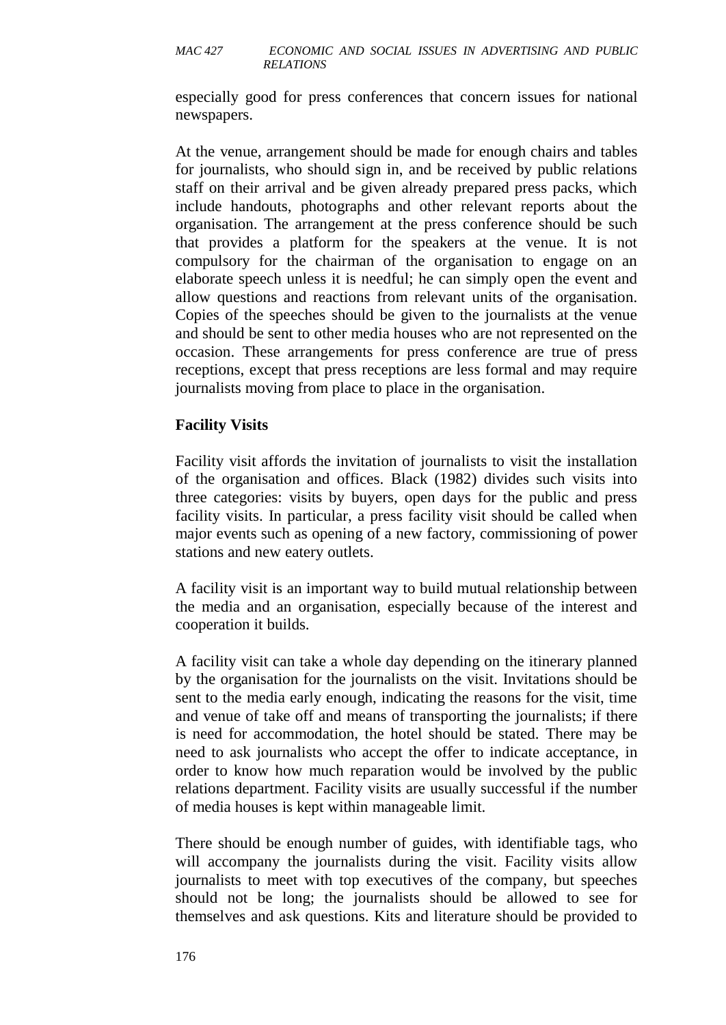especially good for press conferences that concern issues for national newspapers.

At the venue, arrangement should be made for enough chairs and tables for journalists, who should sign in, and be received by public relations staff on their arrival and be given already prepared press packs, which include handouts, photographs and other relevant reports about the organisation. The arrangement at the press conference should be such that provides a platform for the speakers at the venue. It is not compulsory for the chairman of the organisation to engage on an elaborate speech unless it is needful; he can simply open the event and allow questions and reactions from relevant units of the organisation. Copies of the speeches should be given to the journalists at the venue and should be sent to other media houses who are not represented on the occasion. These arrangements for press conference are true of press receptions, except that press receptions are less formal and may require journalists moving from place to place in the organisation.

### **Facility Visits**

Facility visit affords the invitation of journalists to visit the installation of the organisation and offices. Black (1982) divides such visits into three categories: visits by buyers, open days for the public and press facility visits. In particular, a press facility visit should be called when major events such as opening of a new factory, commissioning of power stations and new eatery outlets.

A facility visit is an important way to build mutual relationship between the media and an organisation, especially because of the interest and cooperation it builds.

A facility visit can take a whole day depending on the itinerary planned by the organisation for the journalists on the visit. Invitations should be sent to the media early enough, indicating the reasons for the visit, time and venue of take off and means of transporting the journalists; if there is need for accommodation, the hotel should be stated. There may be need to ask journalists who accept the offer to indicate acceptance, in order to know how much reparation would be involved by the public relations department. Facility visits are usually successful if the number of media houses is kept within manageable limit.

There should be enough number of guides, with identifiable tags, who will accompany the journalists during the visit. Facility visits allow journalists to meet with top executives of the company, but speeches should not be long; the journalists should be allowed to see for themselves and ask questions. Kits and literature should be provided to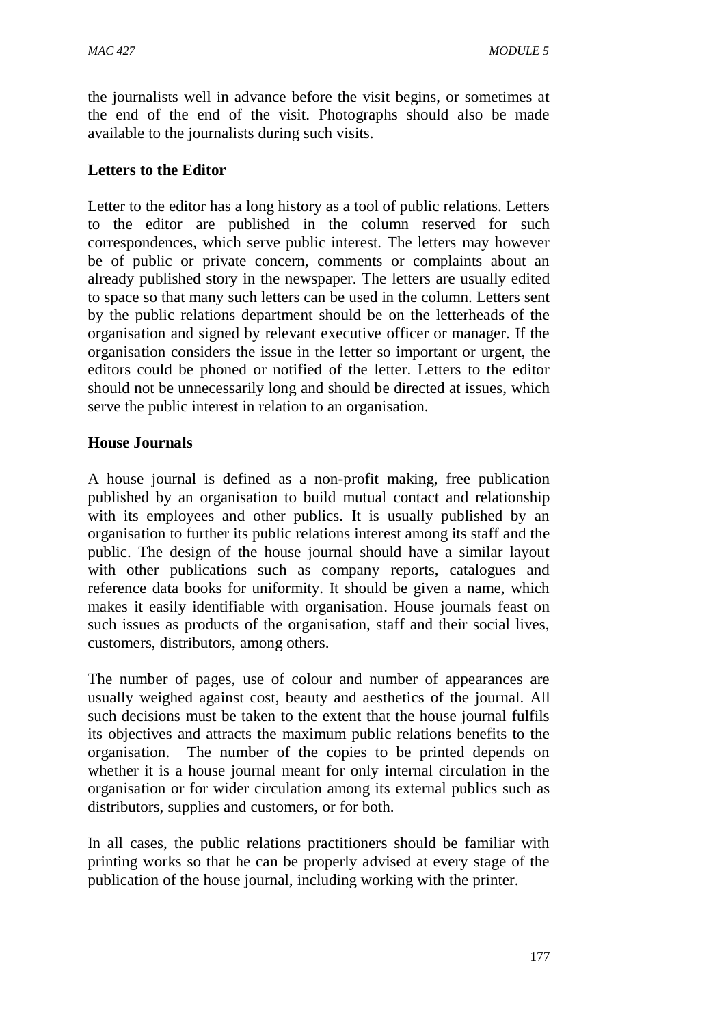the journalists well in advance before the visit begins, or sometimes at the end of the end of the visit. Photographs should also be made available to the journalists during such visits.

### **Letters to the Editor**

Letter to the editor has a long history as a tool of public relations. Letters to the editor are published in the column reserved for such correspondences, which serve public interest. The letters may however be of public or private concern, comments or complaints about an already published story in the newspaper. The letters are usually edited to space so that many such letters can be used in the column. Letters sent by the public relations department should be on the letterheads of the organisation and signed by relevant executive officer or manager. If the organisation considers the issue in the letter so important or urgent, the editors could be phoned or notified of the letter. Letters to the editor should not be unnecessarily long and should be directed at issues, which serve the public interest in relation to an organisation.

### **House Journals**

A house journal is defined as a non-profit making, free publication published by an organisation to build mutual contact and relationship with its employees and other publics. It is usually published by an organisation to further its public relations interest among its staff and the public. The design of the house journal should have a similar layout with other publications such as company reports, catalogues and reference data books for uniformity. It should be given a name, which makes it easily identifiable with organisation. House journals feast on such issues as products of the organisation, staff and their social lives, customers, distributors, among others.

The number of pages, use of colour and number of appearances are usually weighed against cost, beauty and aesthetics of the journal. All such decisions must be taken to the extent that the house journal fulfils its objectives and attracts the maximum public relations benefits to the organisation. The number of the copies to be printed depends on whether it is a house journal meant for only internal circulation in the organisation or for wider circulation among its external publics such as distributors, supplies and customers, or for both.

In all cases, the public relations practitioners should be familiar with printing works so that he can be properly advised at every stage of the publication of the house journal, including working with the printer.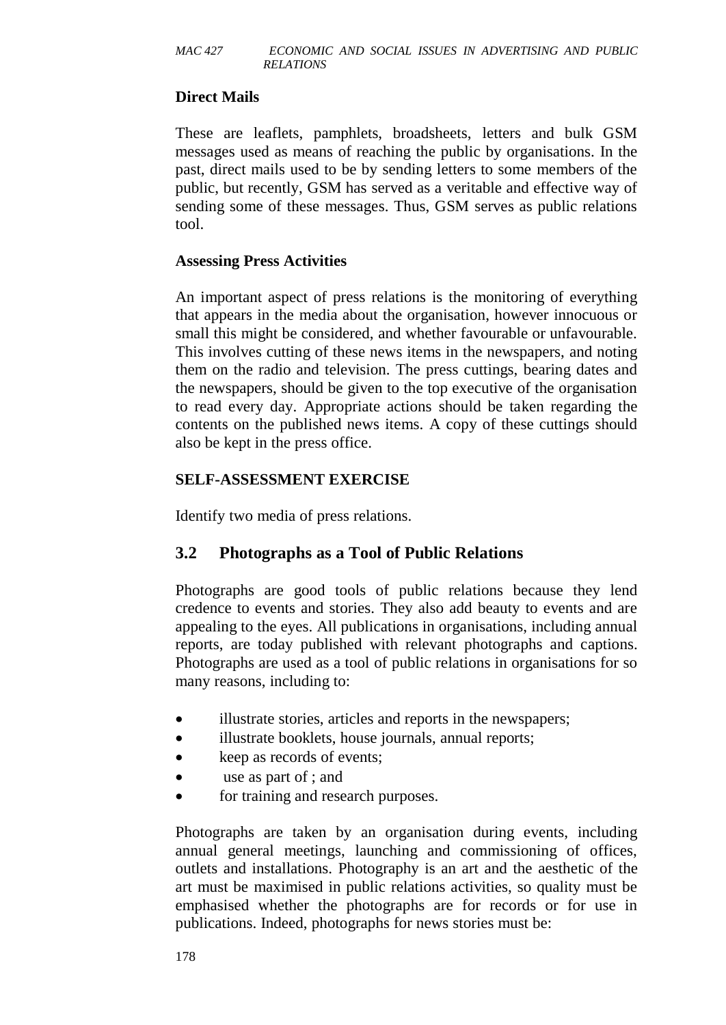### **Direct Mails**

These are leaflets, pamphlets, broadsheets, letters and bulk GSM messages used as means of reaching the public by organisations. In the past, direct mails used to be by sending letters to some members of the public, but recently, GSM has served as a veritable and effective way of sending some of these messages. Thus, GSM serves as public relations tool.

### **Assessing Press Activities**

An important aspect of press relations is the monitoring of everything that appears in the media about the organisation, however innocuous or small this might be considered, and whether favourable or unfavourable. This involves cutting of these news items in the newspapers, and noting them on the radio and television. The press cuttings, bearing dates and the newspapers, should be given to the top executive of the organisation to read every day. Appropriate actions should be taken regarding the contents on the published news items. A copy of these cuttings should also be kept in the press office.

### **SELF-ASSESSMENT EXERCISE**

Identify two media of press relations.

### **3.2 Photographs as a Tool of Public Relations**

Photographs are good tools of public relations because they lend credence to events and stories. They also add beauty to events and are appealing to the eyes. All publications in organisations, including annual reports, are today published with relevant photographs and captions. Photographs are used as a tool of public relations in organisations for so many reasons, including to:

- illustrate stories, articles and reports in the newspapers;
- illustrate booklets, house journals, annual reports;
- keep as records of events;
- use as part of ; and
- for training and research purposes.

Photographs are taken by an organisation during events, including annual general meetings, launching and commissioning of offices, outlets and installations. Photography is an art and the aesthetic of the art must be maximised in public relations activities, so quality must be emphasised whether the photographs are for records or for use in publications. Indeed, photographs for news stories must be: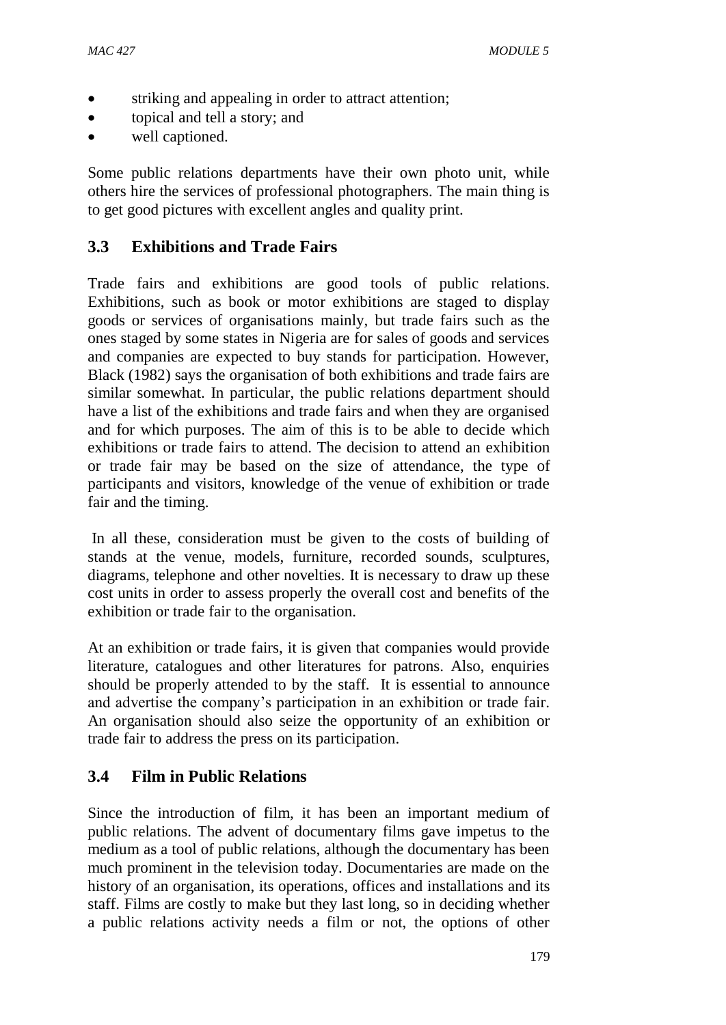- striking and appealing in order to attract attention;
- topical and tell a story; and
- well captioned.

Some public relations departments have their own photo unit, while others hire the services of professional photographers. The main thing is to get good pictures with excellent angles and quality print.

# **3.3 Exhibitions and Trade Fairs**

Trade fairs and exhibitions are good tools of public relations. Exhibitions, such as book or motor exhibitions are staged to display goods or services of organisations mainly, but trade fairs such as the ones staged by some states in Nigeria are for sales of goods and services and companies are expected to buy stands for participation. However, Black (1982) says the organisation of both exhibitions and trade fairs are similar somewhat. In particular, the public relations department should have a list of the exhibitions and trade fairs and when they are organised and for which purposes. The aim of this is to be able to decide which exhibitions or trade fairs to attend. The decision to attend an exhibition or trade fair may be based on the size of attendance, the type of participants and visitors, knowledge of the venue of exhibition or trade fair and the timing.

In all these, consideration must be given to the costs of building of stands at the venue, models, furniture, recorded sounds, sculptures, diagrams, telephone and other novelties. It is necessary to draw up these cost units in order to assess properly the overall cost and benefits of the exhibition or trade fair to the organisation.

At an exhibition or trade fairs, it is given that companies would provide literature, catalogues and other literatures for patrons. Also, enquiries should be properly attended to by the staff. It is essential to announce and advertise the company's participation in an exhibition or trade fair. An organisation should also seize the opportunity of an exhibition or trade fair to address the press on its participation.

# **3.4 Film in Public Relations**

Since the introduction of film, it has been an important medium of public relations. The advent of documentary films gave impetus to the medium as a tool of public relations, although the documentary has been much prominent in the television today. Documentaries are made on the history of an organisation, its operations, offices and installations and its staff. Films are costly to make but they last long, so in deciding whether a public relations activity needs a film or not, the options of other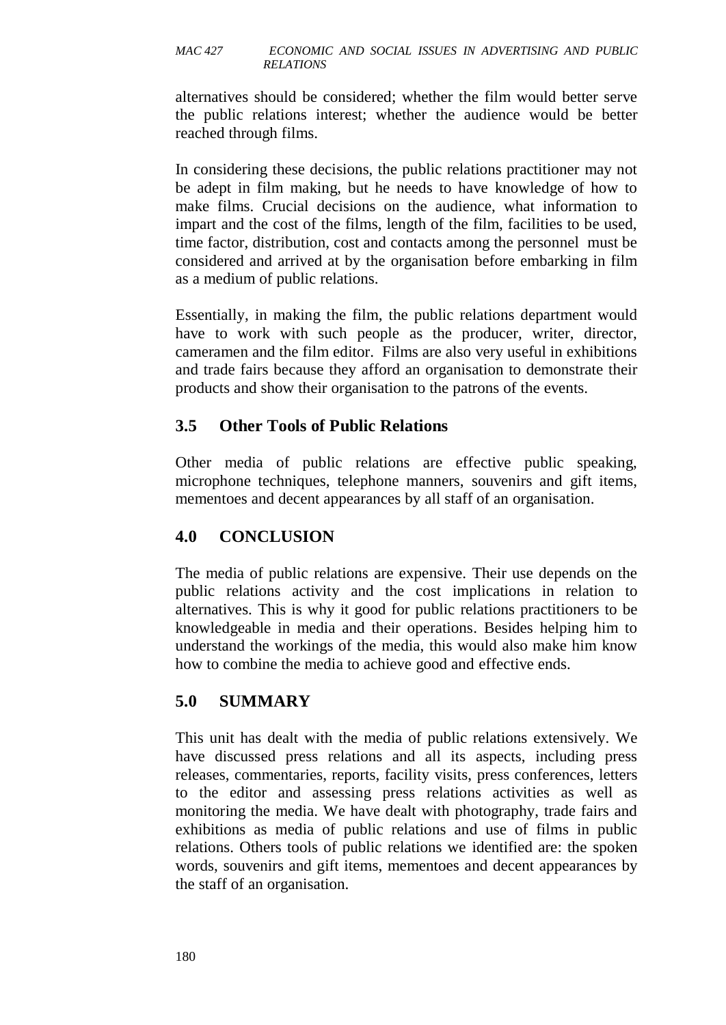alternatives should be considered; whether the film would better serve the public relations interest; whether the audience would be better reached through films.

In considering these decisions, the public relations practitioner may not be adept in film making, but he needs to have knowledge of how to make films. Crucial decisions on the audience, what information to impart and the cost of the films, length of the film, facilities to be used, time factor, distribution, cost and contacts among the personnel must be considered and arrived at by the organisation before embarking in film as a medium of public relations.

Essentially, in making the film, the public relations department would have to work with such people as the producer, writer, director, cameramen and the film editor. Films are also very useful in exhibitions and trade fairs because they afford an organisation to demonstrate their products and show their organisation to the patrons of the events.

# **3.5 Other Tools of Public Relations**

Other media of public relations are effective public speaking, microphone techniques, telephone manners, souvenirs and gift items, mementoes and decent appearances by all staff of an organisation.

# **4.0 CONCLUSION**

The media of public relations are expensive. Their use depends on the public relations activity and the cost implications in relation to alternatives. This is why it good for public relations practitioners to be knowledgeable in media and their operations. Besides helping him to understand the workings of the media, this would also make him know how to combine the media to achieve good and effective ends.

# **5.0 SUMMARY**

This unit has dealt with the media of public relations extensively. We have discussed press relations and all its aspects, including press releases, commentaries, reports, facility visits, press conferences, letters to the editor and assessing press relations activities as well as monitoring the media. We have dealt with photography, trade fairs and exhibitions as media of public relations and use of films in public relations. Others tools of public relations we identified are: the spoken words, souvenirs and gift items, mementoes and decent appearances by the staff of an organisation.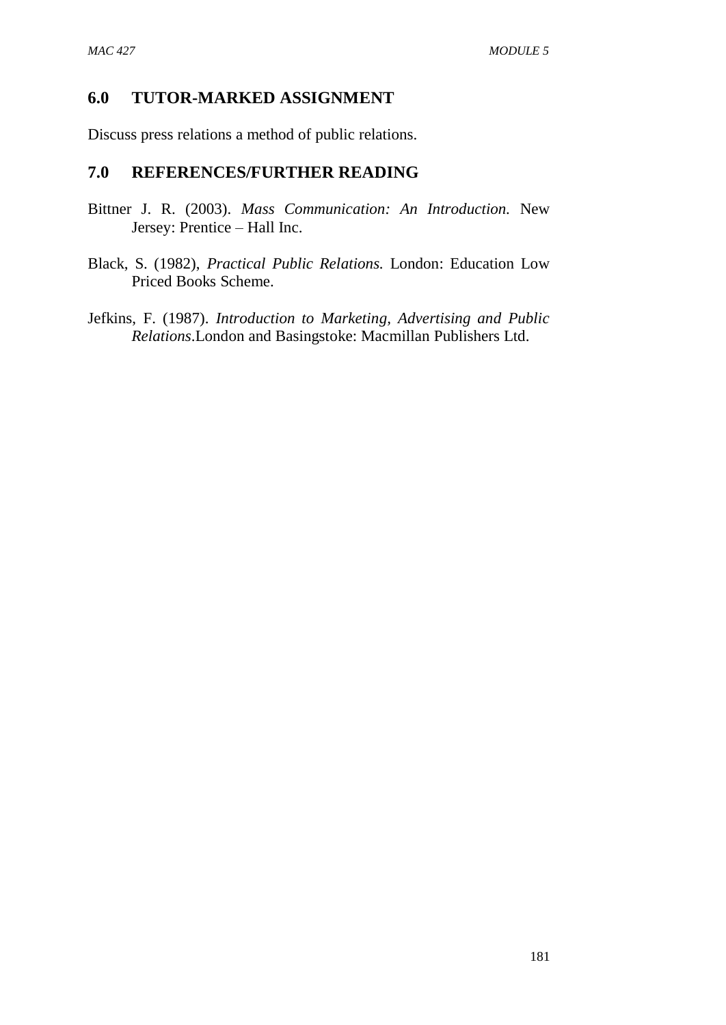## **6.0 TUTOR-MARKED ASSIGNMENT**

Discuss press relations a method of public relations.

### **7.0 REFERENCES/FURTHER READING**

- Bittner J. R. (2003). *Mass Communication: An Introduction.* New Jersey: Prentice – Hall Inc.
- Black, S. (1982), *Practical Public Relations.* London: Education Low Priced Books Scheme.
- Jefkins, F. (1987). *Introduction to Marketing, Advertising and Public Relations*.London and Basingstoke: Macmillan Publishers Ltd.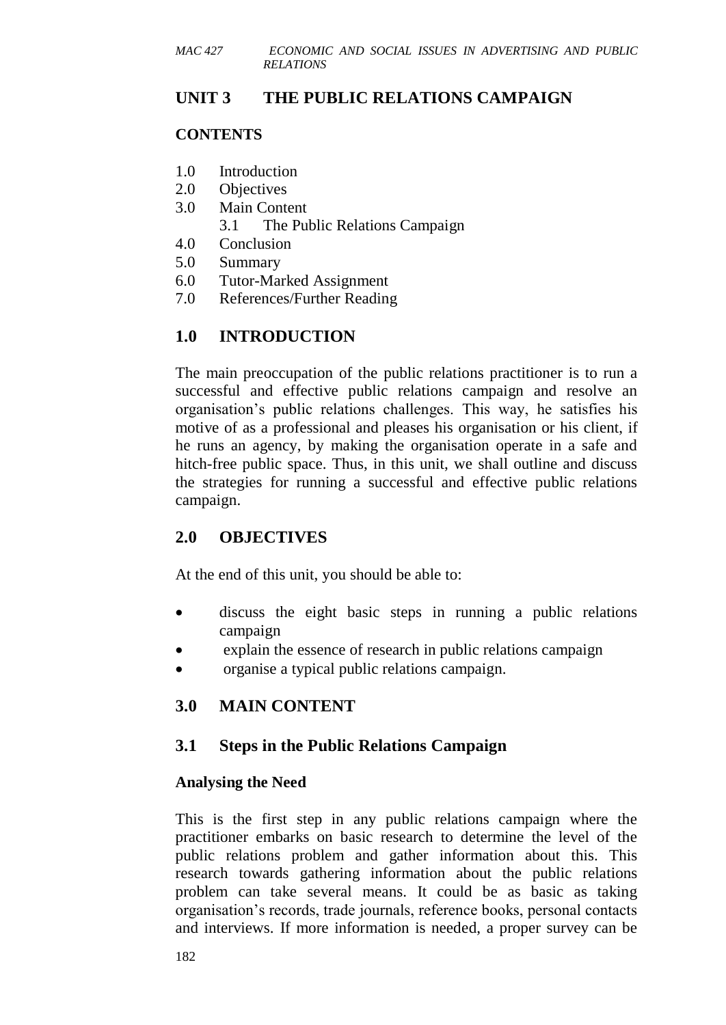## **UNIT 3 THE PUBLIC RELATIONS CAMPAIGN**

### **CONTENTS**

- 1.0 Introduction
- 2.0 Objectives
- 3.0 Main Content
	- 3.1 The Public Relations Campaign
- 4.0 Conclusion
- 5.0 Summary
- 6.0 Tutor-Marked Assignment
- 7.0 References/Further Reading

# **1.0 INTRODUCTION**

The main preoccupation of the public relations practitioner is to run a successful and effective public relations campaign and resolve an organisation's public relations challenges. This way, he satisfies his motive of as a professional and pleases his organisation or his client, if he runs an agency, by making the organisation operate in a safe and hitch-free public space. Thus, in this unit, we shall outline and discuss the strategies for running a successful and effective public relations campaign.

# **2.0 OBJECTIVES**

At the end of this unit, you should be able to:

- discuss the eight basic steps in running a public relations campaign
- explain the essence of research in public relations campaign
- organise a typical public relations campaign.

# **3.0 MAIN CONTENT**

### **3.1 Steps in the Public Relations Campaign**

### **Analysing the Need**

This is the first step in any public relations campaign where the practitioner embarks on basic research to determine the level of the public relations problem and gather information about this. This research towards gathering information about the public relations problem can take several means. It could be as basic as taking organisation's records, trade journals, reference books, personal contacts and interviews. If more information is needed, a proper survey can be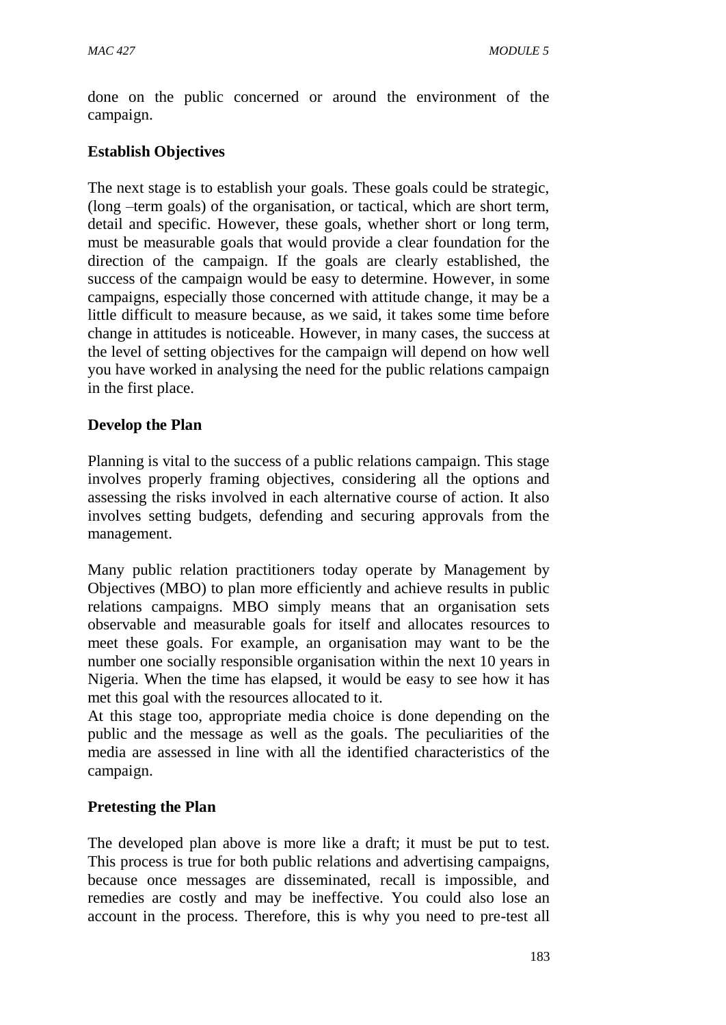done on the public concerned or around the environment of the campaign.

# **Establish Objectives**

The next stage is to establish your goals. These goals could be strategic, (long –term goals) of the organisation, or tactical, which are short term, detail and specific. However, these goals, whether short or long term, must be measurable goals that would provide a clear foundation for the direction of the campaign. If the goals are clearly established, the success of the campaign would be easy to determine. However, in some campaigns, especially those concerned with attitude change, it may be a little difficult to measure because, as we said, it takes some time before change in attitudes is noticeable. However, in many cases, the success at the level of setting objectives for the campaign will depend on how well you have worked in analysing the need for the public relations campaign in the first place.

# **Develop the Plan**

Planning is vital to the success of a public relations campaign. This stage involves properly framing objectives, considering all the options and assessing the risks involved in each alternative course of action. It also involves setting budgets, defending and securing approvals from the management.

Many public relation practitioners today operate by Management by Objectives (MBO) to plan more efficiently and achieve results in public relations campaigns. MBO simply means that an organisation sets observable and measurable goals for itself and allocates resources to meet these goals. For example, an organisation may want to be the number one socially responsible organisation within the next 10 years in Nigeria. When the time has elapsed, it would be easy to see how it has met this goal with the resources allocated to it.

At this stage too, appropriate media choice is done depending on the public and the message as well as the goals. The peculiarities of the media are assessed in line with all the identified characteristics of the campaign.

# **Pretesting the Plan**

The developed plan above is more like a draft; it must be put to test. This process is true for both public relations and advertising campaigns, because once messages are disseminated, recall is impossible, and remedies are costly and may be ineffective. You could also lose an account in the process. Therefore, this is why you need to pre-test all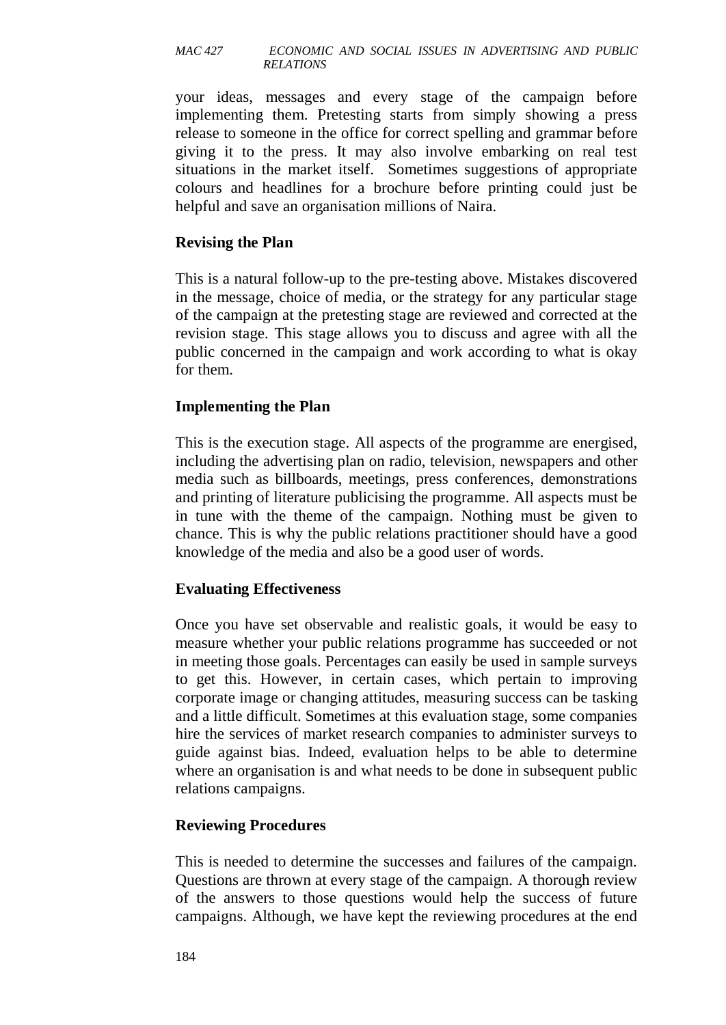your ideas, messages and every stage of the campaign before implementing them. Pretesting starts from simply showing a press release to someone in the office for correct spelling and grammar before giving it to the press. It may also involve embarking on real test situations in the market itself. Sometimes suggestions of appropriate colours and headlines for a brochure before printing could just be helpful and save an organisation millions of Naira.

### **Revising the Plan**

This is a natural follow-up to the pre-testing above. Mistakes discovered in the message, choice of media, or the strategy for any particular stage of the campaign at the pretesting stage are reviewed and corrected at the revision stage. This stage allows you to discuss and agree with all the public concerned in the campaign and work according to what is okay for them.

### **Implementing the Plan**

This is the execution stage. All aspects of the programme are energised, including the advertising plan on radio, television, newspapers and other media such as billboards, meetings, press conferences, demonstrations and printing of literature publicising the programme. All aspects must be in tune with the theme of the campaign. Nothing must be given to chance. This is why the public relations practitioner should have a good knowledge of the media and also be a good user of words.

### **Evaluating Effectiveness**

Once you have set observable and realistic goals, it would be easy to measure whether your public relations programme has succeeded or not in meeting those goals. Percentages can easily be used in sample surveys to get this. However, in certain cases, which pertain to improving corporate image or changing attitudes, measuring success can be tasking and a little difficult. Sometimes at this evaluation stage, some companies hire the services of market research companies to administer surveys to guide against bias. Indeed, evaluation helps to be able to determine where an organisation is and what needs to be done in subsequent public relations campaigns.

### **Reviewing Procedures**

This is needed to determine the successes and failures of the campaign. Questions are thrown at every stage of the campaign. A thorough review of the answers to those questions would help the success of future campaigns. Although, we have kept the reviewing procedures at the end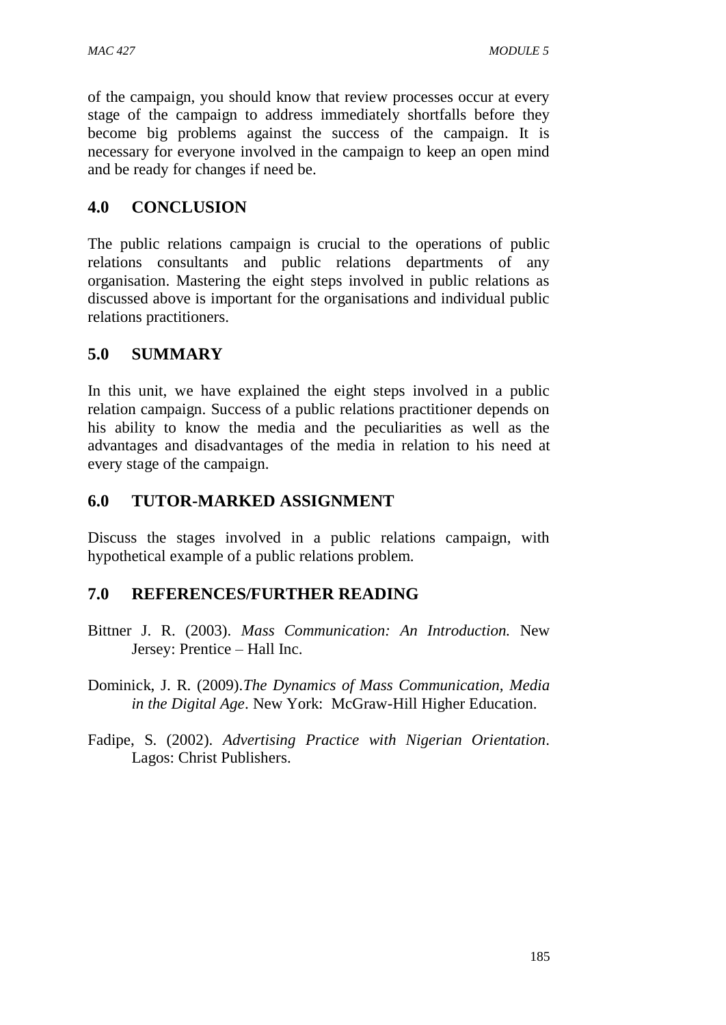of the campaign, you should know that review processes occur at every stage of the campaign to address immediately shortfalls before they become big problems against the success of the campaign. It is necessary for everyone involved in the campaign to keep an open mind and be ready for changes if need be.

# **4.0 CONCLUSION**

The public relations campaign is crucial to the operations of public relations consultants and public relations departments of any organisation. Mastering the eight steps involved in public relations as discussed above is important for the organisations and individual public relations practitioners.

# **5.0 SUMMARY**

In this unit, we have explained the eight steps involved in a public relation campaign. Success of a public relations practitioner depends on his ability to know the media and the peculiarities as well as the advantages and disadvantages of the media in relation to his need at every stage of the campaign.

# **6.0 TUTOR-MARKED ASSIGNMENT**

Discuss the stages involved in a public relations campaign, with hypothetical example of a public relations problem.

# **7.0 REFERENCES/FURTHER READING**

- Bittner J. R. (2003). *Mass Communication: An Introduction.* New Jersey: Prentice – Hall Inc.
- Dominick, J. R. (2009).*The Dynamics of Mass Communication, Media in the Digital Age*. New York: McGraw-Hill Higher Education.
- Fadipe, S. (2002). *Advertising Practice with Nigerian Orientation*. Lagos: Christ Publishers.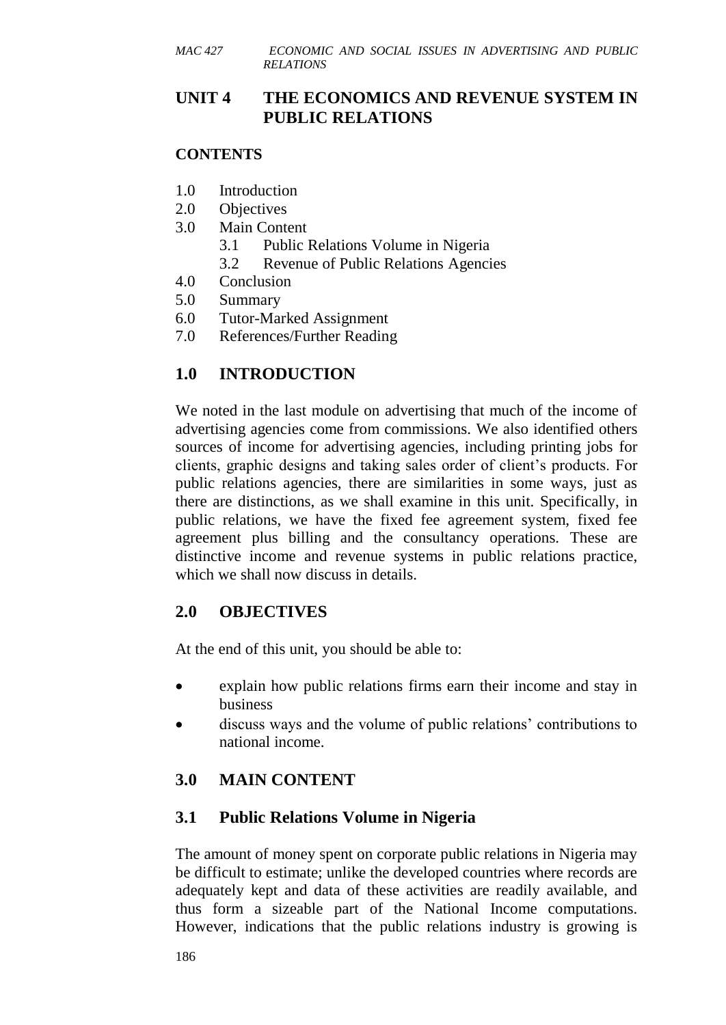# **UNIT 4 THE ECONOMICS AND REVENUE SYSTEM IN PUBLIC RELATIONS**

### **CONTENTS**

- 1.0 Introduction
- 2.0 Objectives
- 3.0 Main Content
	- 3.1 Public Relations Volume in Nigeria
	- 3.2 Revenue of Public Relations Agencies
- 4.0 Conclusion
- 5.0 Summary
- 6.0 Tutor-Marked Assignment
- 7.0 References/Further Reading

# **1.0 INTRODUCTION**

We noted in the last module on advertising that much of the income of advertising agencies come from commissions. We also identified others sources of income for advertising agencies, including printing jobs for clients, graphic designs and taking sales order of client's products. For public relations agencies, there are similarities in some ways, just as there are distinctions, as we shall examine in this unit. Specifically, in public relations, we have the fixed fee agreement system, fixed fee agreement plus billing and the consultancy operations. These are distinctive income and revenue systems in public relations practice, which we shall now discuss in details.

# **2.0 OBJECTIVES**

At the end of this unit, you should be able to:

- explain how public relations firms earn their income and stay in business
- discuss ways and the volume of public relations' contributions to national income.

# **3.0 MAIN CONTENT**

# **3.1 Public Relations Volume in Nigeria**

The amount of money spent on corporate public relations in Nigeria may be difficult to estimate; unlike the developed countries where records are adequately kept and data of these activities are readily available, and thus form a sizeable part of the National Income computations. However, indications that the public relations industry is growing is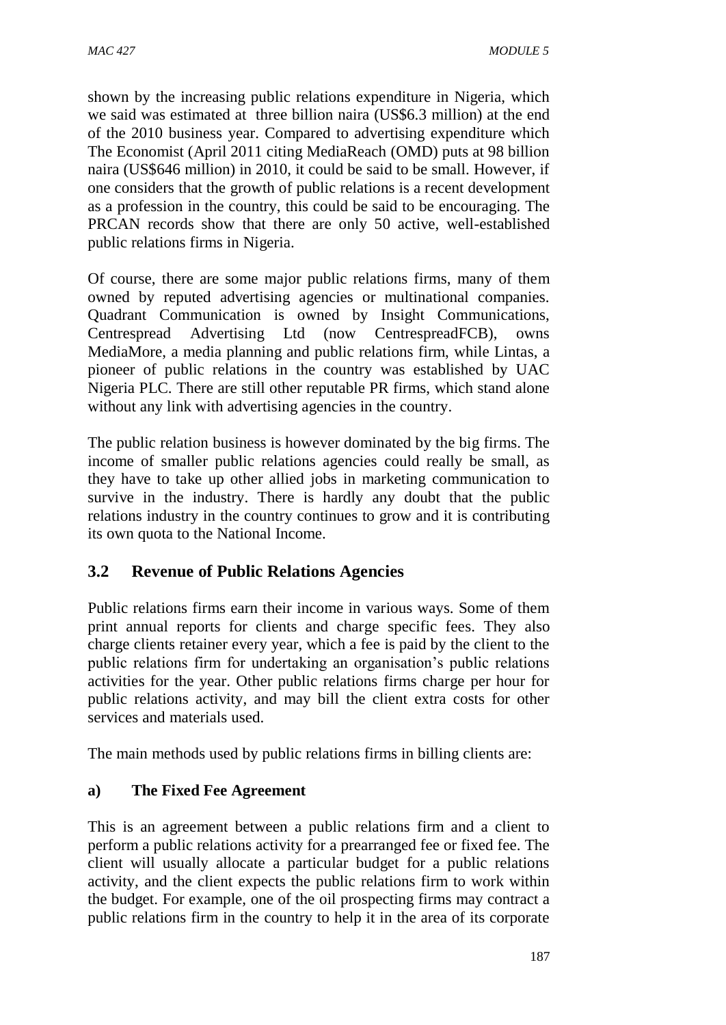shown by the increasing public relations expenditure in Nigeria, which we said was estimated at three billion naira (US\$6.3 million) at the end of the 2010 business year. Compared to advertising expenditure which The Economist (April 2011 citing MediaReach (OMD) puts at 98 billion naira (US\$646 million) in 2010, it could be said to be small. However, if one considers that the growth of public relations is a recent development as a profession in the country, this could be said to be encouraging. The PRCAN records show that there are only 50 active, well-established public relations firms in Nigeria.

Of course, there are some major public relations firms, many of them owned by reputed advertising agencies or multinational companies. Quadrant Communication is owned by Insight Communications, Centrespread Advertising Ltd (now CentrespreadFCB), owns MediaMore, a media planning and public relations firm, while Lintas, a pioneer of public relations in the country was established by UAC Nigeria PLC. There are still other reputable PR firms, which stand alone without any link with advertising agencies in the country.

The public relation business is however dominated by the big firms. The income of smaller public relations agencies could really be small, as they have to take up other allied jobs in marketing communication to survive in the industry. There is hardly any doubt that the public relations industry in the country continues to grow and it is contributing its own quota to the National Income.

# **3.2 Revenue of Public Relations Agencies**

Public relations firms earn their income in various ways. Some of them print annual reports for clients and charge specific fees. They also charge clients retainer every year, which a fee is paid by the client to the public relations firm for undertaking an organisation's public relations activities for the year. Other public relations firms charge per hour for public relations activity, and may bill the client extra costs for other services and materials used.

The main methods used by public relations firms in billing clients are:

# **a) The Fixed Fee Agreement**

This is an agreement between a public relations firm and a client to perform a public relations activity for a prearranged fee or fixed fee. The client will usually allocate a particular budget for a public relations activity, and the client expects the public relations firm to work within the budget. For example, one of the oil prospecting firms may contract a public relations firm in the country to help it in the area of its corporate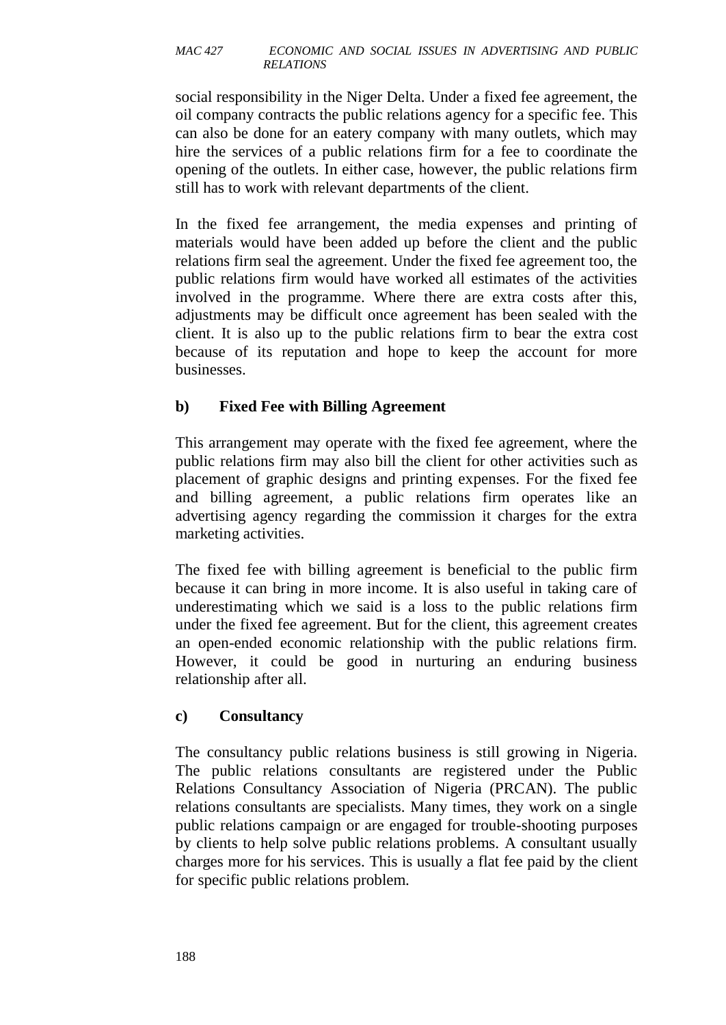social responsibility in the Niger Delta. Under a fixed fee agreement, the oil company contracts the public relations agency for a specific fee. This can also be done for an eatery company with many outlets, which may hire the services of a public relations firm for a fee to coordinate the opening of the outlets. In either case, however, the public relations firm still has to work with relevant departments of the client.

In the fixed fee arrangement, the media expenses and printing of materials would have been added up before the client and the public relations firm seal the agreement. Under the fixed fee agreement too, the public relations firm would have worked all estimates of the activities involved in the programme. Where there are extra costs after this, adjustments may be difficult once agreement has been sealed with the client. It is also up to the public relations firm to bear the extra cost because of its reputation and hope to keep the account for more businesses.

## **b) Fixed Fee with Billing Agreement**

This arrangement may operate with the fixed fee agreement, where the public relations firm may also bill the client for other activities such as placement of graphic designs and printing expenses. For the fixed fee and billing agreement, a public relations firm operates like an advertising agency regarding the commission it charges for the extra marketing activities.

The fixed fee with billing agreement is beneficial to the public firm because it can bring in more income. It is also useful in taking care of underestimating which we said is a loss to the public relations firm under the fixed fee agreement. But for the client, this agreement creates an open-ended economic relationship with the public relations firm. However, it could be good in nurturing an enduring business relationship after all.

### **c) Consultancy**

The consultancy public relations business is still growing in Nigeria. The public relations consultants are registered under the Public Relations Consultancy Association of Nigeria (PRCAN). The public relations consultants are specialists. Many times, they work on a single public relations campaign or are engaged for trouble-shooting purposes by clients to help solve public relations problems. A consultant usually charges more for his services. This is usually a flat fee paid by the client for specific public relations problem.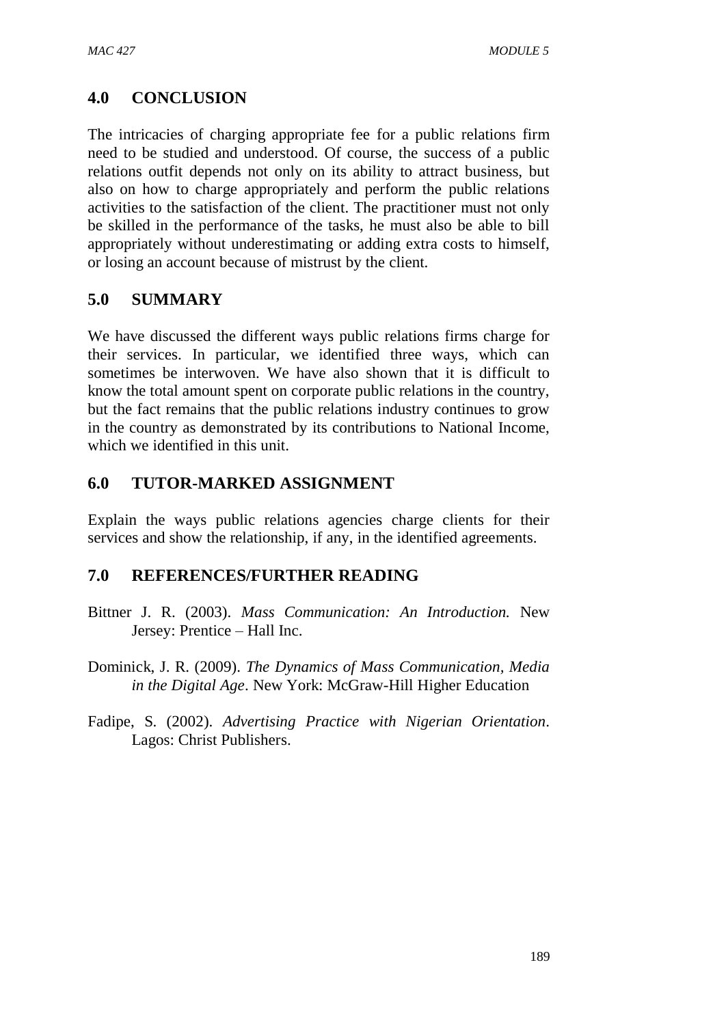# **4.0 CONCLUSION**

The intricacies of charging appropriate fee for a public relations firm need to be studied and understood. Of course, the success of a public relations outfit depends not only on its ability to attract business, but also on how to charge appropriately and perform the public relations activities to the satisfaction of the client. The practitioner must not only be skilled in the performance of the tasks, he must also be able to bill appropriately without underestimating or adding extra costs to himself, or losing an account because of mistrust by the client.

# **5.0 SUMMARY**

We have discussed the different ways public relations firms charge for their services. In particular, we identified three ways, which can sometimes be interwoven. We have also shown that it is difficult to know the total amount spent on corporate public relations in the country, but the fact remains that the public relations industry continues to grow in the country as demonstrated by its contributions to National Income, which we identified in this unit.

## **6.0 TUTOR-MARKED ASSIGNMENT**

Explain the ways public relations agencies charge clients for their services and show the relationship, if any, in the identified agreements.

### **7.0 REFERENCES/FURTHER READING**

- Bittner J. R. (2003). *Mass Communication: An Introduction.* New Jersey: Prentice – Hall Inc.
- Dominick, J. R. (2009). *The Dynamics of Mass Communication, Media in the Digital Age*. New York: McGraw-Hill Higher Education
- Fadipe, S. (2002). *Advertising Practice with Nigerian Orientation*. Lagos: Christ Publishers.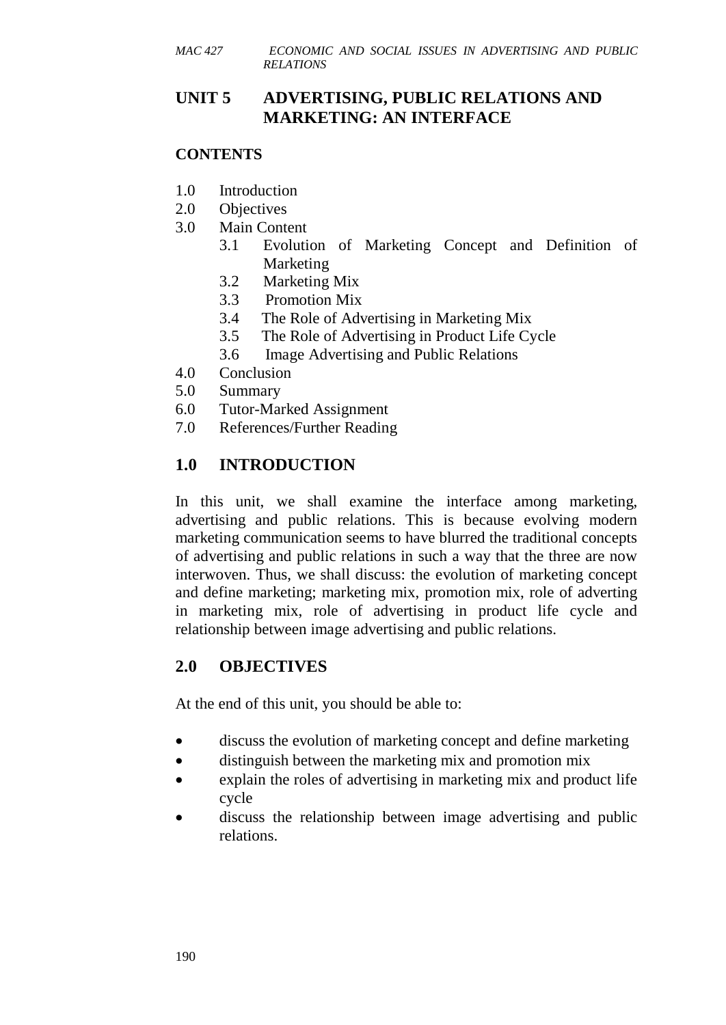# **UNIT 5 ADVERTISING, PUBLIC RELATIONS AND MARKETING: AN INTERFACE**

### **CONTENTS**

- 1.0 Introduction
- 2.0 Objectives
- 3.0 Main Content
	- 3.1 Evolution of Marketing Concept and Definition of Marketing
	- 3.2 Marketing Mix
	- 3.3 Promotion Mix
	- 3.4 The Role of Advertising in Marketing Mix
	- 3.5 The Role of Advertising in Product Life Cycle
	- 3.6 Image Advertising and Public Relations
- 4.0 Conclusion
- 5.0 Summary
- 6.0 Tutor-Marked Assignment
- 7.0 References/Further Reading

# **1.0 INTRODUCTION**

In this unit, we shall examine the interface among marketing, advertising and public relations. This is because evolving modern marketing communication seems to have blurred the traditional concepts of advertising and public relations in such a way that the three are now interwoven. Thus, we shall discuss: the evolution of marketing concept and define marketing; marketing mix, promotion mix, role of adverting in marketing mix, role of advertising in product life cycle and relationship between image advertising and public relations.

# **2.0 OBJECTIVES**

At the end of this unit, you should be able to:

- discuss the evolution of marketing concept and define marketing
- distinguish between the marketing mix and promotion mix
- explain the roles of advertising in marketing mix and product life cycle
- discuss the relationship between image advertising and public relations.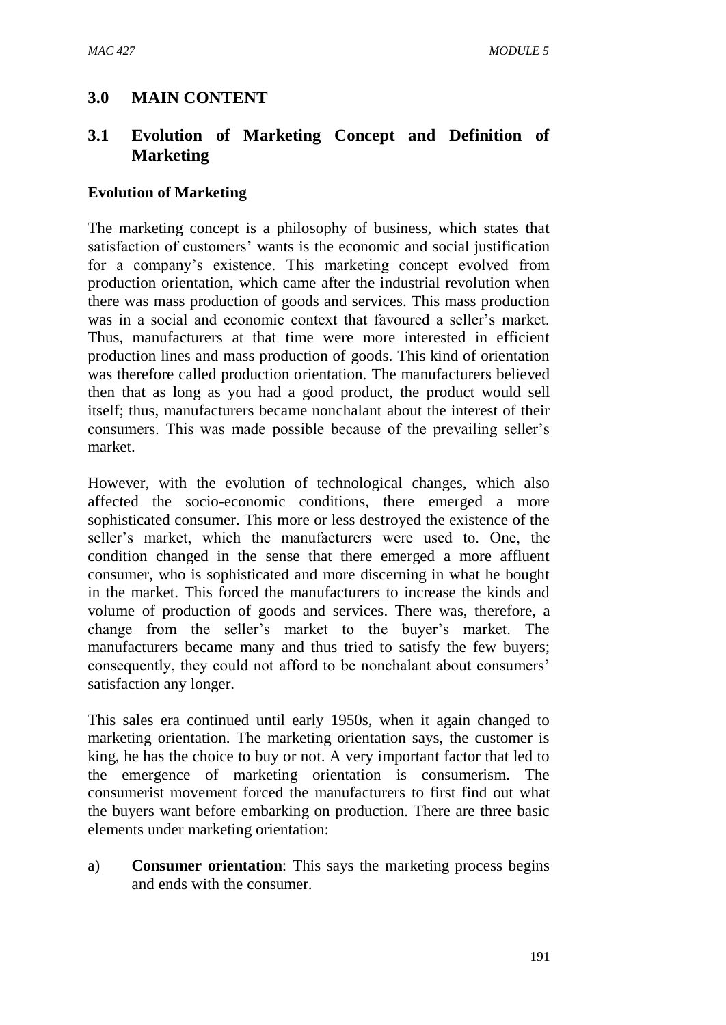# **3.0 MAIN CONTENT**

# **3.1 Evolution of Marketing Concept and Definition of Marketing**

#### **Evolution of Marketing**

The marketing concept is a philosophy of business, which states that satisfaction of customers' wants is the economic and social justification for a company's existence. This marketing concept evolved from production orientation, which came after the industrial revolution when there was mass production of goods and services. This mass production was in a social and economic context that favoured a seller's market. Thus, manufacturers at that time were more interested in efficient production lines and mass production of goods. This kind of orientation was therefore called production orientation. The manufacturers believed then that as long as you had a good product, the product would sell itself; thus, manufacturers became nonchalant about the interest of their consumers. This was made possible because of the prevailing seller's market.

However, with the evolution of technological changes, which also affected the socio-economic conditions, there emerged a more sophisticated consumer. This more or less destroyed the existence of the seller's market, which the manufacturers were used to. One, the condition changed in the sense that there emerged a more affluent consumer, who is sophisticated and more discerning in what he bought in the market. This forced the manufacturers to increase the kinds and volume of production of goods and services. There was, therefore, a change from the seller's market to the buyer's market. The manufacturers became many and thus tried to satisfy the few buyers; consequently, they could not afford to be nonchalant about consumers' satisfaction any longer.

This sales era continued until early 1950s, when it again changed to marketing orientation. The marketing orientation says, the customer is king, he has the choice to buy or not. A very important factor that led to the emergence of marketing orientation is consumerism. The consumerist movement forced the manufacturers to first find out what the buyers want before embarking on production. There are three basic elements under marketing orientation:

a) **Consumer orientation**: This says the marketing process begins and ends with the consumer.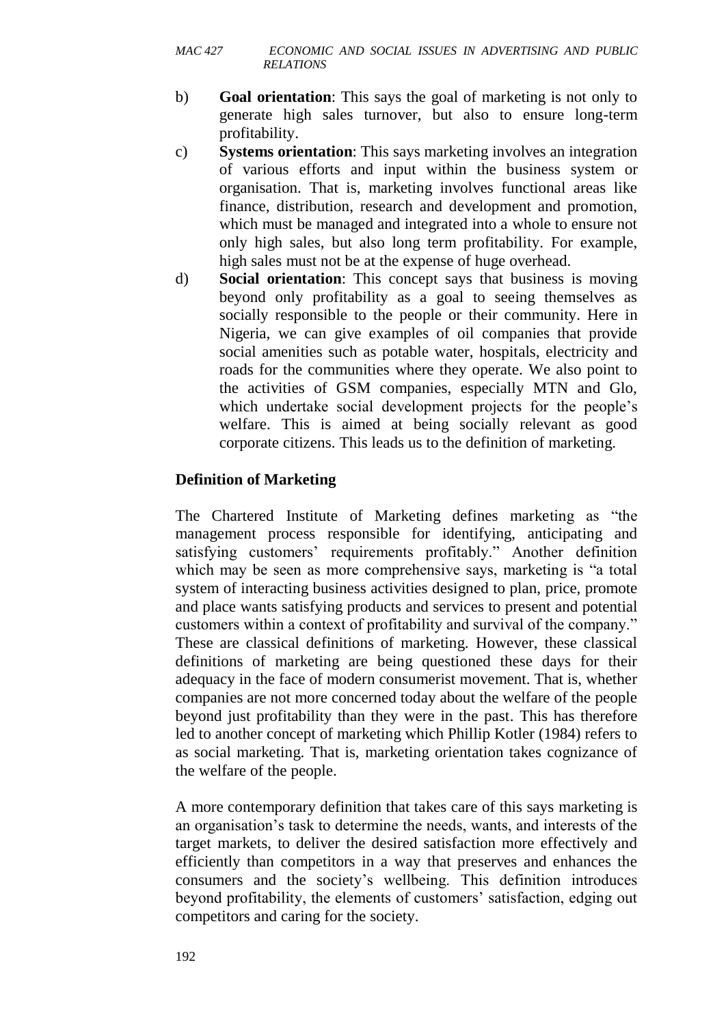- b) **Goal orientation**: This says the goal of marketing is not only to generate high sales turnover, but also to ensure long-term profitability.
- c) **Systems orientation**: This says marketing involves an integration of various efforts and input within the business system or organisation. That is, marketing involves functional areas like finance, distribution, research and development and promotion, which must be managed and integrated into a whole to ensure not only high sales, but also long term profitability. For example, high sales must not be at the expense of huge overhead.
- d) **Social orientation**: This concept says that business is moving beyond only profitability as a goal to seeing themselves as socially responsible to the people or their community. Here in Nigeria, we can give examples of oil companies that provide social amenities such as potable water, hospitals, electricity and roads for the communities where they operate. We also point to the activities of GSM companies, especially MTN and Glo, which undertake social development projects for the people's welfare. This is aimed at being socially relevant as good corporate citizens. This leads us to the definition of marketing.

#### **Definition of Marketing**

The Chartered Institute of Marketing defines marketing as "the management process responsible for identifying, anticipating and satisfying customers' requirements profitably." Another definition which may be seen as more comprehensive says, marketing is "a total system of interacting business activities designed to plan, price, promote and place wants satisfying products and services to present and potential customers within a context of profitability and survival of the company." These are classical definitions of marketing. However, these classical definitions of marketing are being questioned these days for their adequacy in the face of modern consumerist movement. That is, whether companies are not more concerned today about the welfare of the people beyond just profitability than they were in the past. This has therefore led to another concept of marketing which Phillip Kotler (1984) refers to as social marketing. That is, marketing orientation takes cognizance of the welfare of the people.

A more contemporary definition that takes care of this says marketing is an organisation's task to determine the needs, wants, and interests of the target markets, to deliver the desired satisfaction more effectively and efficiently than competitors in a way that preserves and enhances the consumers and the society's wellbeing. This definition introduces beyond profitability, the elements of customers' satisfaction, edging out competitors and caring for the society.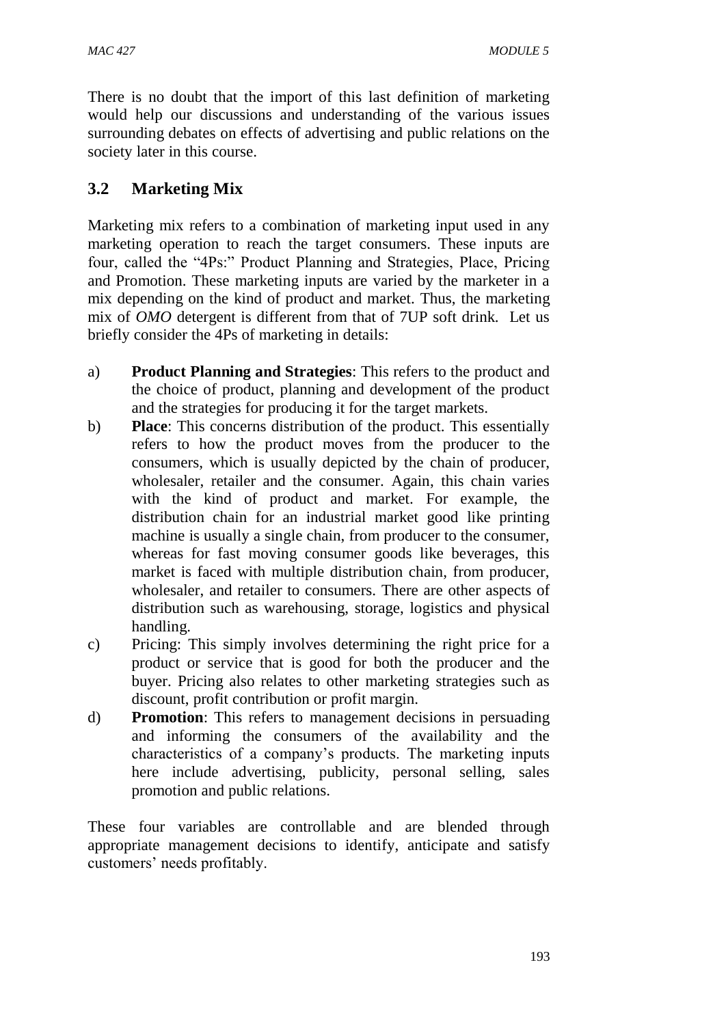There is no doubt that the import of this last definition of marketing would help our discussions and understanding of the various issues surrounding debates on effects of advertising and public relations on the society later in this course.

# **3.2 Marketing Mix**

Marketing mix refers to a combination of marketing input used in any marketing operation to reach the target consumers. These inputs are four, called the "4Ps:" Product Planning and Strategies, Place, Pricing and Promotion. These marketing inputs are varied by the marketer in a mix depending on the kind of product and market. Thus, the marketing mix of *OMO* detergent is different from that of 7UP soft drink. Let us briefly consider the 4Ps of marketing in details:

- a) **Product Planning and Strategies**: This refers to the product and the choice of product, planning and development of the product and the strategies for producing it for the target markets.
- b) **Place**: This concerns distribution of the product. This essentially refers to how the product moves from the producer to the consumers, which is usually depicted by the chain of producer, wholesaler, retailer and the consumer. Again, this chain varies with the kind of product and market. For example, the distribution chain for an industrial market good like printing machine is usually a single chain, from producer to the consumer, whereas for fast moving consumer goods like beverages, this market is faced with multiple distribution chain, from producer, wholesaler, and retailer to consumers. There are other aspects of distribution such as warehousing, storage, logistics and physical handling.
- c) Pricing: This simply involves determining the right price for a product or service that is good for both the producer and the buyer. Pricing also relates to other marketing strategies such as discount, profit contribution or profit margin.
- d) **Promotion**: This refers to management decisions in persuading and informing the consumers of the availability and the characteristics of a company's products. The marketing inputs here include advertising, publicity, personal selling, sales promotion and public relations.

These four variables are controllable and are blended through appropriate management decisions to identify, anticipate and satisfy customers' needs profitably.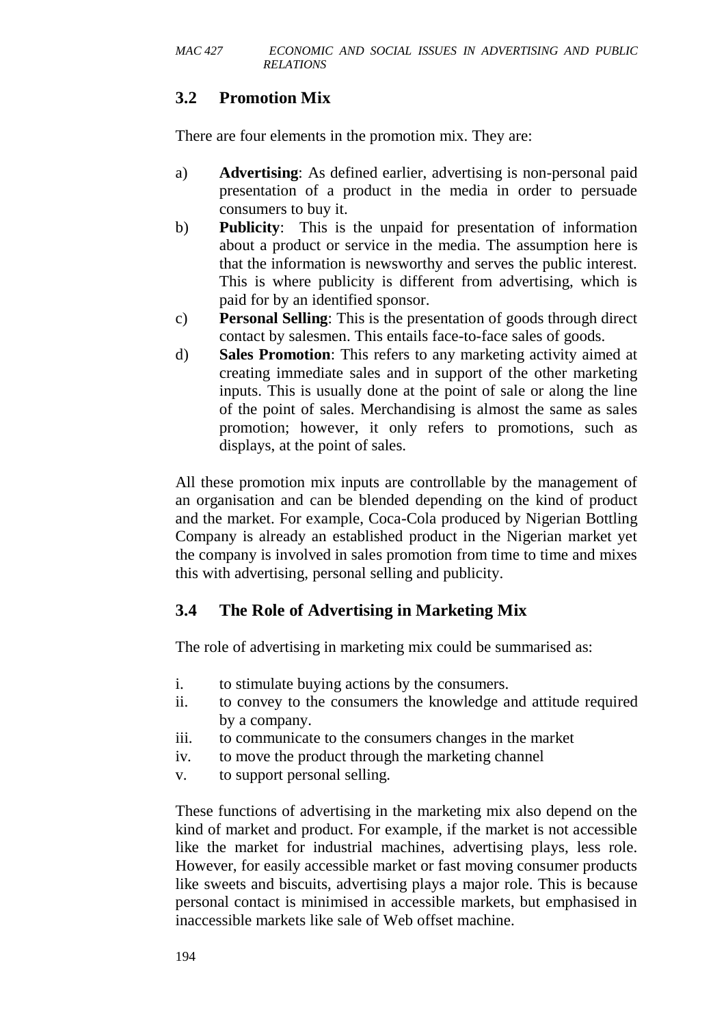# **3.2 Promotion Mix**

There are four elements in the promotion mix. They are:

- a) **Advertising**: As defined earlier, advertising is non-personal paid presentation of a product in the media in order to persuade consumers to buy it.
- b) **Publicity**: This is the unpaid for presentation of information about a product or service in the media. The assumption here is that the information is newsworthy and serves the public interest. This is where publicity is different from advertising, which is paid for by an identified sponsor.
- c) **Personal Selling**: This is the presentation of goods through direct contact by salesmen. This entails face-to-face sales of goods.
- d) **Sales Promotion**: This refers to any marketing activity aimed at creating immediate sales and in support of the other marketing inputs. This is usually done at the point of sale or along the line of the point of sales. Merchandising is almost the same as sales promotion; however, it only refers to promotions, such as displays, at the point of sales.

All these promotion mix inputs are controllable by the management of an organisation and can be blended depending on the kind of product and the market. For example, Coca-Cola produced by Nigerian Bottling Company is already an established product in the Nigerian market yet the company is involved in sales promotion from time to time and mixes this with advertising, personal selling and publicity.

# **3.4 The Role of Advertising in Marketing Mix**

The role of advertising in marketing mix could be summarised as:

- i. to stimulate buying actions by the consumers.
- ii. to convey to the consumers the knowledge and attitude required by a company.
- iii. to communicate to the consumers changes in the market
- iv. to move the product through the marketing channel
- v. to support personal selling.

These functions of advertising in the marketing mix also depend on the kind of market and product. For example, if the market is not accessible like the market for industrial machines, advertising plays, less role. However, for easily accessible market or fast moving consumer products like sweets and biscuits, advertising plays a major role. This is because personal contact is minimised in accessible markets, but emphasised in inaccessible markets like sale of Web offset machine.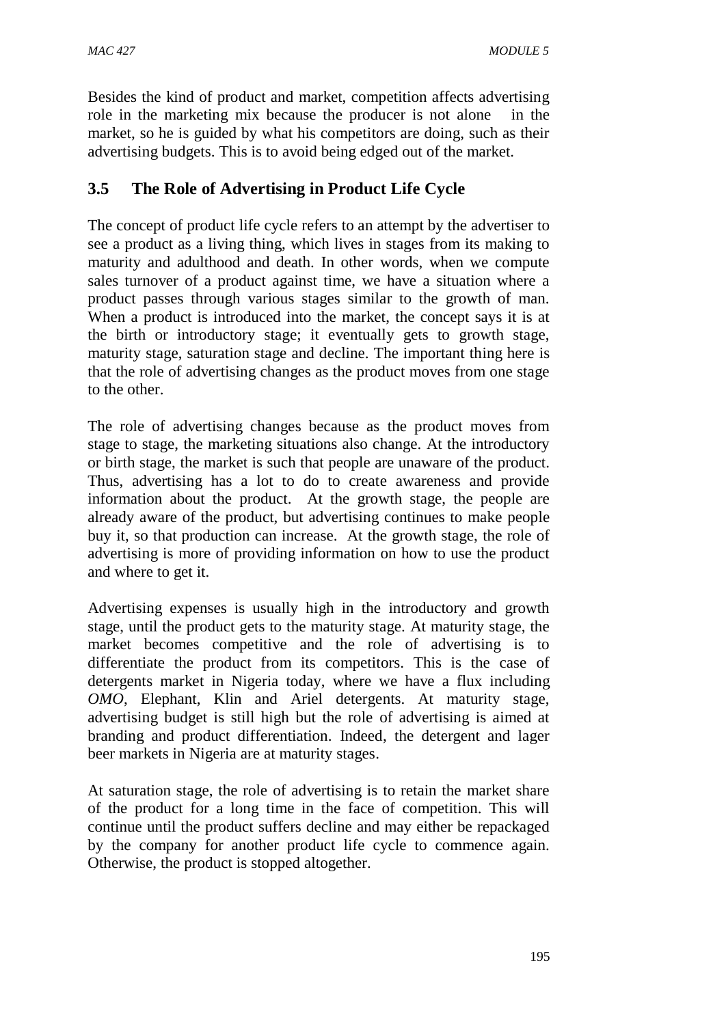Besides the kind of product and market, competition affects advertising role in the marketing mix because the producer is not alone in the market, so he is guided by what his competitors are doing, such as their advertising budgets. This is to avoid being edged out of the market.

# **3.5 The Role of Advertising in Product Life Cycle**

The concept of product life cycle refers to an attempt by the advertiser to see a product as a living thing, which lives in stages from its making to maturity and adulthood and death. In other words, when we compute sales turnover of a product against time, we have a situation where a product passes through various stages similar to the growth of man. When a product is introduced into the market, the concept says it is at the birth or introductory stage; it eventually gets to growth stage, maturity stage, saturation stage and decline. The important thing here is that the role of advertising changes as the product moves from one stage to the other.

The role of advertising changes because as the product moves from stage to stage, the marketing situations also change. At the introductory or birth stage, the market is such that people are unaware of the product. Thus, advertising has a lot to do to create awareness and provide information about the product. At the growth stage, the people are already aware of the product, but advertising continues to make people buy it, so that production can increase. At the growth stage, the role of advertising is more of providing information on how to use the product and where to get it.

Advertising expenses is usually high in the introductory and growth stage, until the product gets to the maturity stage. At maturity stage, the market becomes competitive and the role of advertising is to differentiate the product from its competitors. This is the case of detergents market in Nigeria today, where we have a flux including *OMO*, Elephant, Klin and Ariel detergents. At maturity stage, advertising budget is still high but the role of advertising is aimed at branding and product differentiation. Indeed, the detergent and lager beer markets in Nigeria are at maturity stages.

At saturation stage, the role of advertising is to retain the market share of the product for a long time in the face of competition. This will continue until the product suffers decline and may either be repackaged by the company for another product life cycle to commence again. Otherwise, the product is stopped altogether.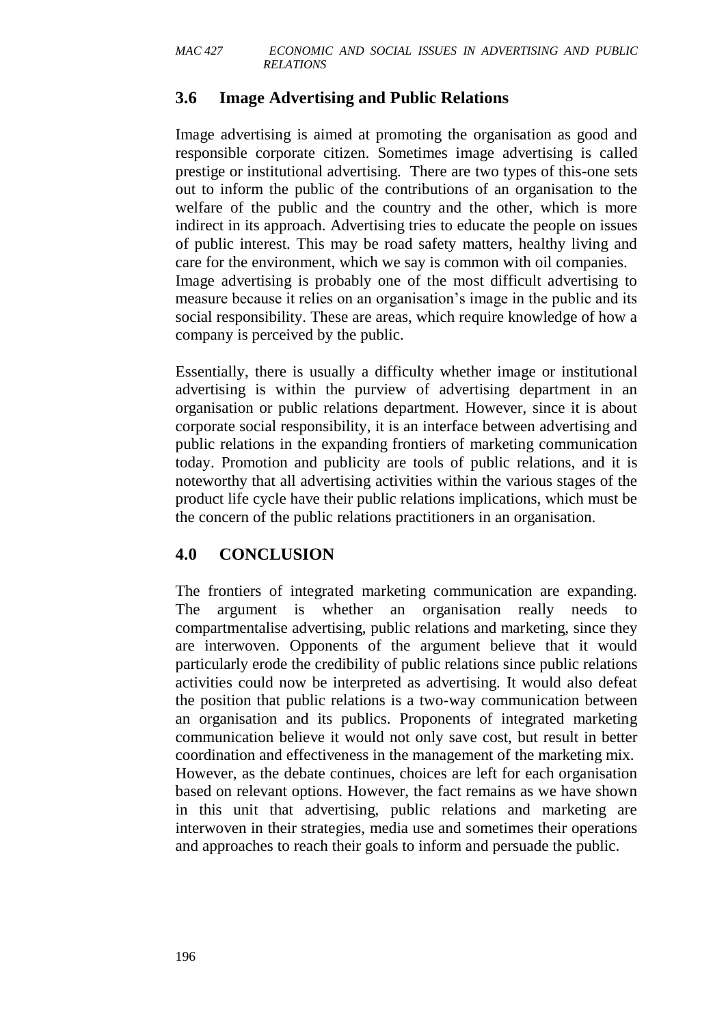# **3.6 Image Advertising and Public Relations**

Image advertising is aimed at promoting the organisation as good and responsible corporate citizen. Sometimes image advertising is called prestige or institutional advertising. There are two types of this-one sets out to inform the public of the contributions of an organisation to the welfare of the public and the country and the other, which is more indirect in its approach. Advertising tries to educate the people on issues of public interest. This may be road safety matters, healthy living and care for the environment, which we say is common with oil companies. Image advertising is probably one of the most difficult advertising to measure because it relies on an organisation's image in the public and its social responsibility. These are areas, which require knowledge of how a company is perceived by the public.

Essentially, there is usually a difficulty whether image or institutional advertising is within the purview of advertising department in an organisation or public relations department. However, since it is about corporate social responsibility, it is an interface between advertising and public relations in the expanding frontiers of marketing communication today. Promotion and publicity are tools of public relations, and it is noteworthy that all advertising activities within the various stages of the product life cycle have their public relations implications, which must be the concern of the public relations practitioners in an organisation.

# **4.0 CONCLUSION**

The frontiers of integrated marketing communication are expanding. The argument is whether an organisation really needs to compartmentalise advertising, public relations and marketing, since they are interwoven. Opponents of the argument believe that it would particularly erode the credibility of public relations since public relations activities could now be interpreted as advertising. It would also defeat the position that public relations is a two-way communication between an organisation and its publics. Proponents of integrated marketing communication believe it would not only save cost, but result in better coordination and effectiveness in the management of the marketing mix. However, as the debate continues, choices are left for each organisation based on relevant options. However, the fact remains as we have shown in this unit that advertising, public relations and marketing are interwoven in their strategies, media use and sometimes their operations and approaches to reach their goals to inform and persuade the public.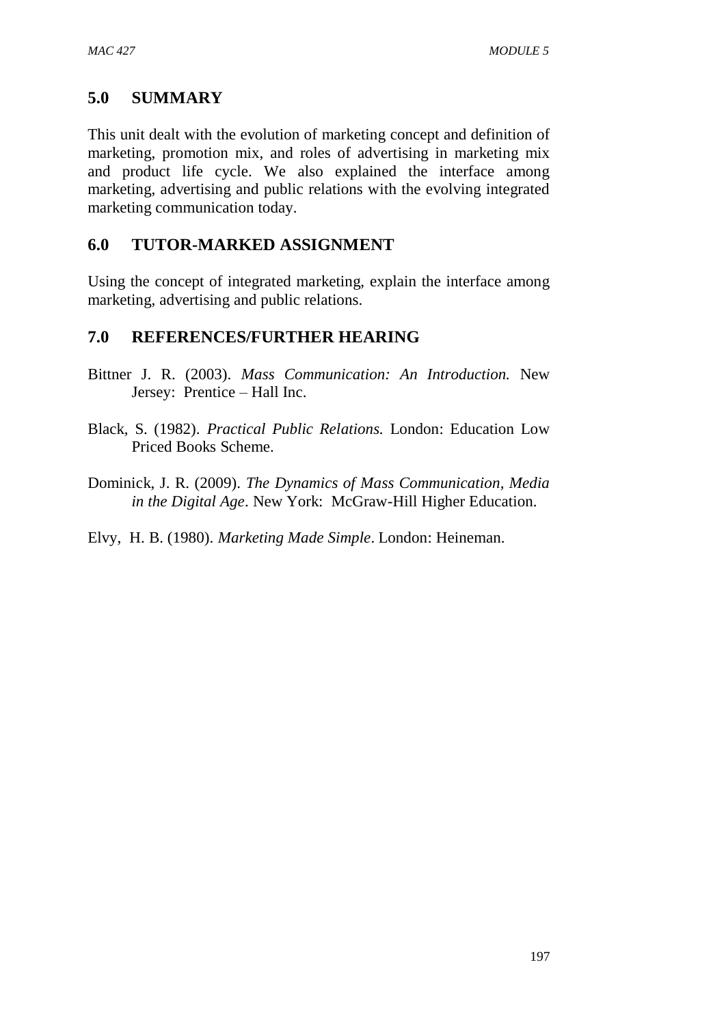# **5.0 SUMMARY**

This unit dealt with the evolution of marketing concept and definition of marketing, promotion mix, and roles of advertising in marketing mix and product life cycle. We also explained the interface among marketing, advertising and public relations with the evolving integrated marketing communication today.

# **6.0 TUTOR-MARKED ASSIGNMENT**

Using the concept of integrated marketing, explain the interface among marketing, advertising and public relations.

# **7.0 REFERENCES/FURTHER HEARING**

- Bittner J. R. (2003). *Mass Communication: An Introduction.* New Jersey: Prentice – Hall Inc.
- Black, S. (1982). *Practical Public Relations.* London: Education Low Priced Books Scheme.
- Dominick, J. R. (2009). *The Dynamics of Mass Communication, Media in the Digital Age*. New York: McGraw-Hill Higher Education.

Elvy, H. B. (1980). *Marketing Made Simple*. London: Heineman.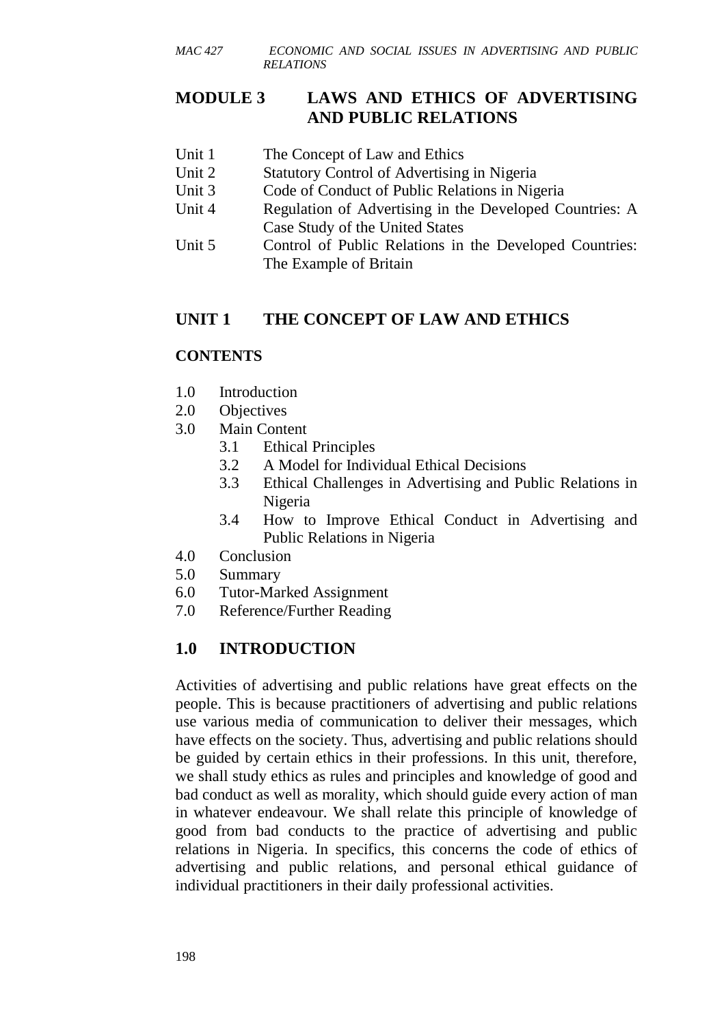# **MODULE 3 LAWS AND ETHICS OF ADVERTISING AND PUBLIC RELATIONS**

- Unit 1 The Concept of Law and Ethics
- Unit 2 Statutory Control of Advertising in Nigeria
- Unit 3 Code of Conduct of Public Relations in Nigeria
- Unit 4 Regulation of Advertising in the Developed Countries: A Case Study of the United States
- Unit 5 Control of Public Relations in the Developed Countries: The Example of Britain

# **UNIT 1 THE CONCEPT OF LAW AND ETHICS**

#### **CONTENTS**

- 1.0 Introduction
- 2.0 Objectives
- 3.0 Main Content
	- 3.1 Ethical Principles
	- 3.2 A Model for Individual Ethical Decisions
	- 3.3 Ethical Challenges in Advertising and Public Relations in Nigeria
	- 3.4 How to Improve Ethical Conduct in Advertising and Public Relations in Nigeria
- 4.0 Conclusion
- 5.0 Summary
- 6.0 Tutor-Marked Assignment
- 7.0 Reference/Further Reading

# **1.0 INTRODUCTION**

Activities of advertising and public relations have great effects on the people. This is because practitioners of advertising and public relations use various media of communication to deliver their messages, which have effects on the society. Thus, advertising and public relations should be guided by certain ethics in their professions. In this unit, therefore, we shall study ethics as rules and principles and knowledge of good and bad conduct as well as morality, which should guide every action of man in whatever endeavour. We shall relate this principle of knowledge of good from bad conducts to the practice of advertising and public relations in Nigeria. In specifics, this concerns the code of ethics of advertising and public relations, and personal ethical guidance of individual practitioners in their daily professional activities.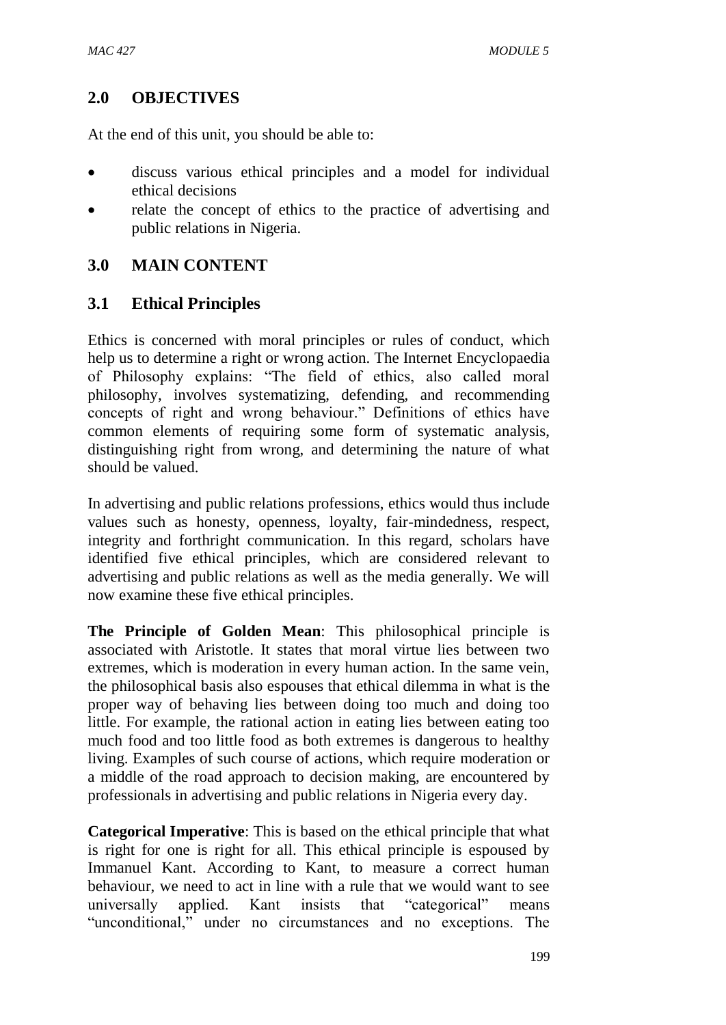# **2.0 OBJECTIVES**

At the end of this unit, you should be able to:

- discuss various ethical principles and a model for individual ethical decisions
- relate the concept of ethics to the practice of advertising and public relations in Nigeria.

# **3.0 MAIN CONTENT**

# **3.1 Ethical Principles**

Ethics is concerned with moral principles or rules of conduct, which help us to determine a right or wrong action. The Internet Encyclopaedia of Philosophy explains: "The field of ethics, also called moral philosophy, involves systematizing, defending, and recommending concepts of right and wrong behaviour." Definitions of ethics have common elements of requiring some form of systematic analysis, distinguishing right from wrong, and determining the nature of what should be valued.

In advertising and public relations professions, ethics would thus include values such as honesty, openness, loyalty, fair-mindedness, respect, integrity and forthright communication. In this regard, scholars have identified five ethical principles, which are considered relevant to advertising and public relations as well as the media generally. We will now examine these five ethical principles.

**The Principle of Golden Mean**: This philosophical principle is associated with Aristotle. It states that moral virtue lies between two extremes, which is moderation in every human action. In the same vein, the philosophical basis also espouses that ethical dilemma in what is the proper way of behaving lies between doing too much and doing too little. For example, the rational action in eating lies between eating too much food and too little food as both extremes is dangerous to healthy living. Examples of such course of actions, which require moderation or a middle of the road approach to decision making, are encountered by professionals in advertising and public relations in Nigeria every day.

**Categorical Imperative**: This is based on the ethical principle that what is right for one is right for all. This ethical principle is espoused by Immanuel Kant. According to Kant, to measure a correct human behaviour, we need to act in line with a rule that we would want to see universally applied. Kant insists that "categorical" means "unconditional," under no circumstances and no exceptions. The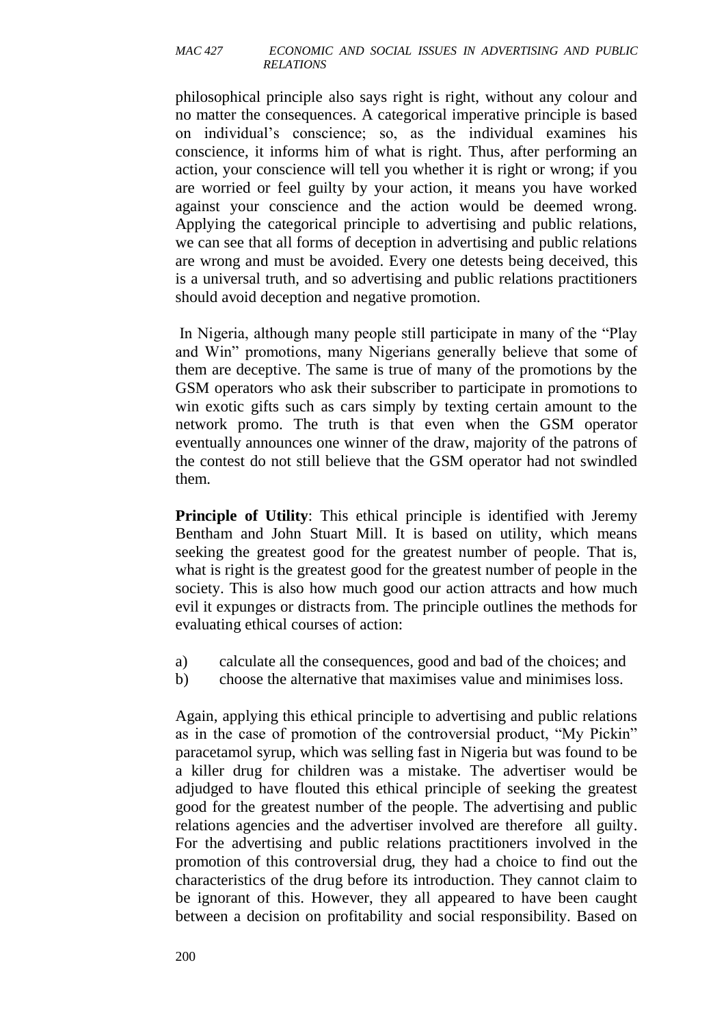philosophical principle also says right is right, without any colour and no matter the consequences. A categorical imperative principle is based on individual's conscience; so, as the individual examines his conscience, it informs him of what is right. Thus, after performing an action, your conscience will tell you whether it is right or wrong; if you are worried or feel guilty by your action, it means you have worked against your conscience and the action would be deemed wrong. Applying the categorical principle to advertising and public relations, we can see that all forms of deception in advertising and public relations are wrong and must be avoided. Every one detests being deceived, this is a universal truth, and so advertising and public relations practitioners should avoid deception and negative promotion.

In Nigeria, although many people still participate in many of the "Play and Win" promotions, many Nigerians generally believe that some of them are deceptive. The same is true of many of the promotions by the GSM operators who ask their subscriber to participate in promotions to win exotic gifts such as cars simply by texting certain amount to the network promo. The truth is that even when the GSM operator eventually announces one winner of the draw, majority of the patrons of the contest do not still believe that the GSM operator had not swindled them.

**Principle of Utility**: This ethical principle is identified with Jeremy Bentham and John Stuart Mill. It is based on utility, which means seeking the greatest good for the greatest number of people. That is, what is right is the greatest good for the greatest number of people in the society. This is also how much good our action attracts and how much evil it expunges or distracts from. The principle outlines the methods for evaluating ethical courses of action:

- a) calculate all the consequences, good and bad of the choices; and
- b) choose the alternative that maximises value and minimises loss.

Again, applying this ethical principle to advertising and public relations as in the case of promotion of the controversial product, "My Pickin" paracetamol syrup, which was selling fast in Nigeria but was found to be a killer drug for children was a mistake. The advertiser would be adjudged to have flouted this ethical principle of seeking the greatest good for the greatest number of the people. The advertising and public relations agencies and the advertiser involved are therefore all guilty. For the advertising and public relations practitioners involved in the promotion of this controversial drug, they had a choice to find out the characteristics of the drug before its introduction. They cannot claim to be ignorant of this. However, they all appeared to have been caught between a decision on profitability and social responsibility. Based on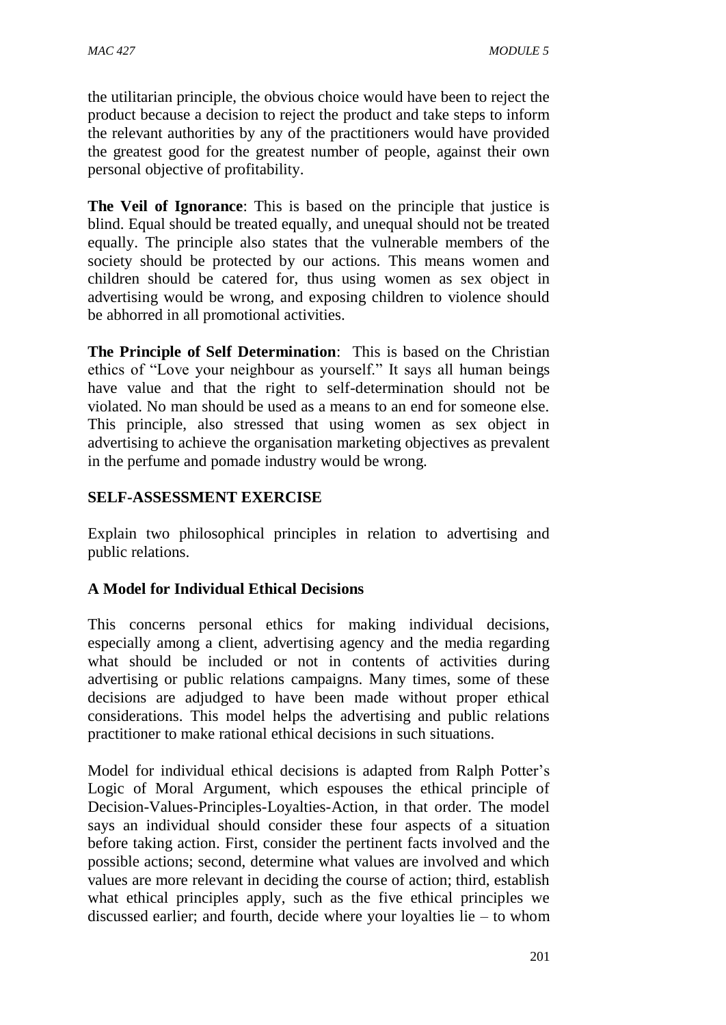the utilitarian principle, the obvious choice would have been to reject the product because a decision to reject the product and take steps to inform the relevant authorities by any of the practitioners would have provided the greatest good for the greatest number of people, against their own personal objective of profitability.

**The Veil of Ignorance**: This is based on the principle that justice is blind. Equal should be treated equally, and unequal should not be treated equally. The principle also states that the vulnerable members of the society should be protected by our actions. This means women and children should be catered for, thus using women as sex object in advertising would be wrong, and exposing children to violence should be abhorred in all promotional activities.

**The Principle of Self Determination**: This is based on the Christian ethics of "Love your neighbour as yourself." It says all human beings have value and that the right to self-determination should not be violated. No man should be used as a means to an end for someone else. This principle, also stressed that using women as sex object in advertising to achieve the organisation marketing objectives as prevalent in the perfume and pomade industry would be wrong.

### **SELF-ASSESSMENT EXERCISE**

Explain two philosophical principles in relation to advertising and public relations.

#### **A Model for Individual Ethical Decisions**

This concerns personal ethics for making individual decisions, especially among a client, advertising agency and the media regarding what should be included or not in contents of activities during advertising or public relations campaigns. Many times, some of these decisions are adjudged to have been made without proper ethical considerations. This model helps the advertising and public relations practitioner to make rational ethical decisions in such situations.

Model for individual ethical decisions is adapted from Ralph Potter's Logic of Moral Argument, which espouses the ethical principle of Decision-Values-Principles-Loyalties-Action, in that order. The model says an individual should consider these four aspects of a situation before taking action. First, consider the pertinent facts involved and the possible actions; second, determine what values are involved and which values are more relevant in deciding the course of action; third, establish what ethical principles apply, such as the five ethical principles we discussed earlier; and fourth, decide where your loyalties lie – to whom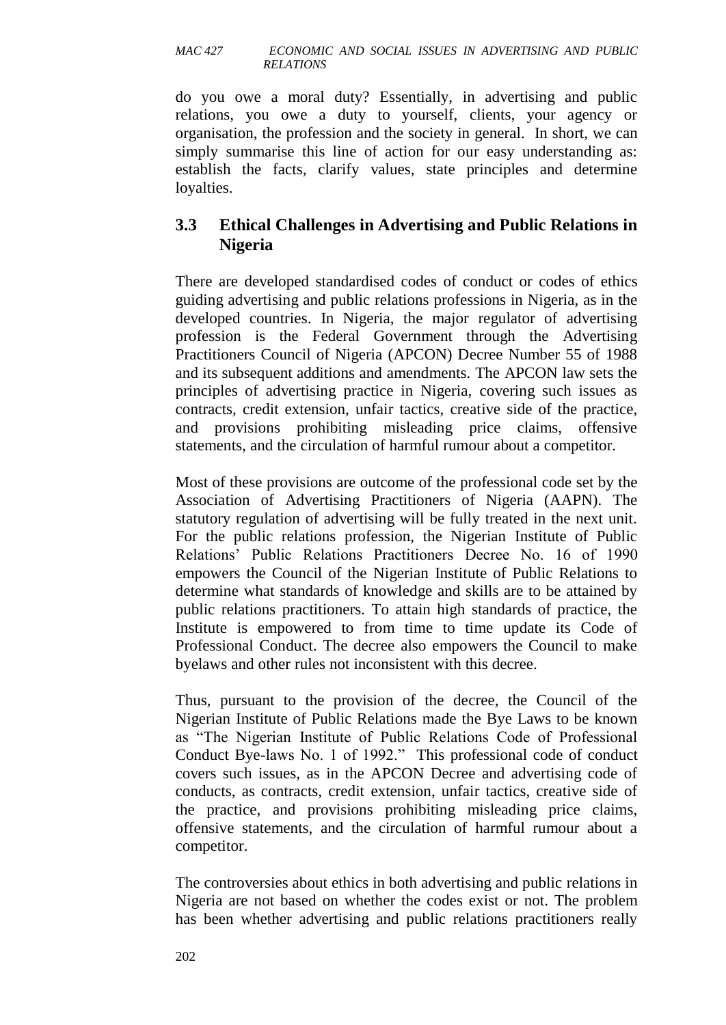do you owe a moral duty? Essentially, in advertising and public relations, you owe a duty to yourself, clients, your agency or organisation, the profession and the society in general. In short, we can simply summarise this line of action for our easy understanding as: establish the facts, clarify values, state principles and determine loyalties.

# **3.3 Ethical Challenges in Advertising and Public Relations in Nigeria**

There are developed standardised codes of conduct or codes of ethics guiding advertising and public relations professions in Nigeria, as in the developed countries. In Nigeria, the major regulator of advertising profession is the Federal Government through the Advertising Practitioners Council of Nigeria (APCON) Decree Number 55 of 1988 and its subsequent additions and amendments. The APCON law sets the principles of advertising practice in Nigeria, covering such issues as contracts, credit extension, unfair tactics, creative side of the practice, and provisions prohibiting misleading price claims, offensive statements, and the circulation of harmful rumour about a competitor.

Most of these provisions are outcome of the professional code set by the Association of Advertising Practitioners of Nigeria (AAPN). The statutory regulation of advertising will be fully treated in the next unit. For the public relations profession, the Nigerian Institute of Public Relations' Public Relations Practitioners Decree No. 16 of 1990 empowers the Council of the Nigerian Institute of Public Relations to determine what standards of knowledge and skills are to be attained by public relations practitioners. To attain high standards of practice, the Institute is empowered to from time to time update its Code of Professional Conduct. The decree also empowers the Council to make byelaws and other rules not inconsistent with this decree.

Thus, pursuant to the provision of the decree, the Council of the Nigerian Institute of Public Relations made the Bye Laws to be known as "The Nigerian Institute of Public Relations Code of Professional Conduct Bye-laws No. 1 of 1992." This professional code of conduct covers such issues, as in the APCON Decree and advertising code of conducts, as contracts, credit extension, unfair tactics, creative side of the practice, and provisions prohibiting misleading price claims, offensive statements, and the circulation of harmful rumour about a competitor.

The controversies about ethics in both advertising and public relations in Nigeria are not based on whether the codes exist or not. The problem has been whether advertising and public relations practitioners really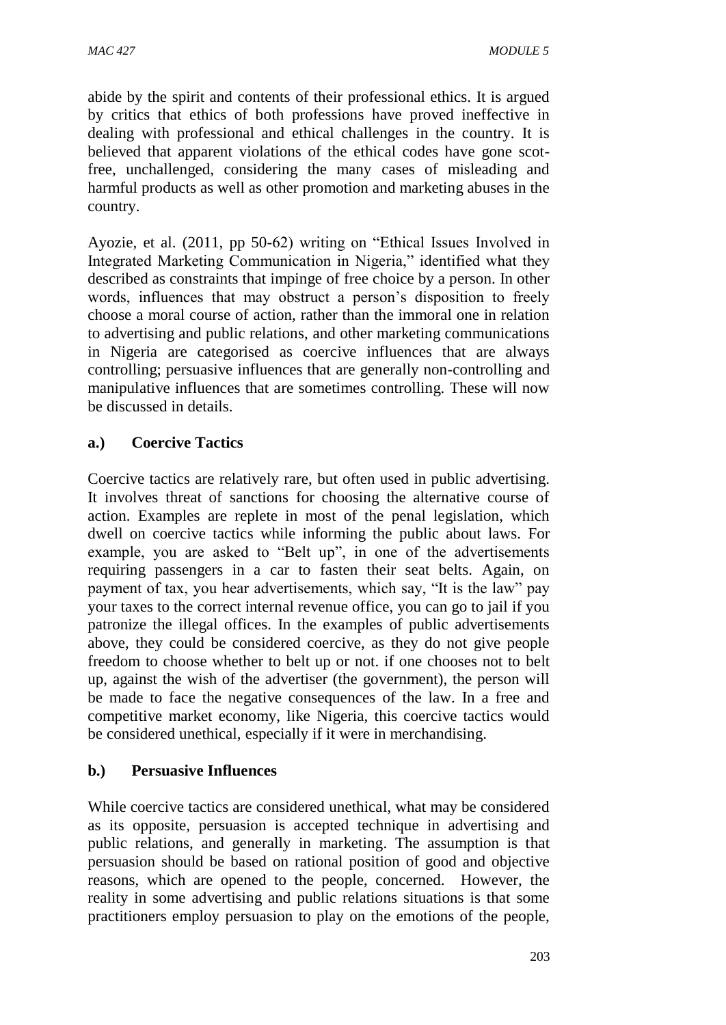abide by the spirit and contents of their professional ethics. It is argued by critics that ethics of both professions have proved ineffective in dealing with professional and ethical challenges in the country. It is believed that apparent violations of the ethical codes have gone scotfree, unchallenged, considering the many cases of misleading and harmful products as well as other promotion and marketing abuses in the country.

Ayozie, et al. (2011, pp 50-62) writing on "Ethical Issues Involved in Integrated Marketing Communication in Nigeria," identified what they described as constraints that impinge of free choice by a person. In other words, influences that may obstruct a person's disposition to freely choose a moral course of action, rather than the immoral one in relation to advertising and public relations, and other marketing communications in Nigeria are categorised as coercive influences that are always controlling; persuasive influences that are generally non-controlling and manipulative influences that are sometimes controlling. These will now be discussed in details.

### **a.) Coercive Tactics**

Coercive tactics are relatively rare, but often used in public advertising. It involves threat of sanctions for choosing the alternative course of action. Examples are replete in most of the penal legislation, which dwell on coercive tactics while informing the public about laws. For example, you are asked to "Belt up", in one of the advertisements requiring passengers in a car to fasten their seat belts. Again, on payment of tax, you hear advertisements, which say, "It is the law" pay your taxes to the correct internal revenue office, you can go to jail if you patronize the illegal offices. In the examples of public advertisements above, they could be considered coercive, as they do not give people freedom to choose whether to belt up or not. if one chooses not to belt up, against the wish of the advertiser (the government), the person will be made to face the negative consequences of the law. In a free and competitive market economy, like Nigeria, this coercive tactics would be considered unethical, especially if it were in merchandising.

#### **b.) Persuasive Influences**

While coercive tactics are considered unethical, what may be considered as its opposite, persuasion is accepted technique in advertising and public relations, and generally in marketing. The assumption is that persuasion should be based on rational position of good and objective reasons, which are opened to the people, concerned. However, the reality in some advertising and public relations situations is that some practitioners employ persuasion to play on the emotions of the people,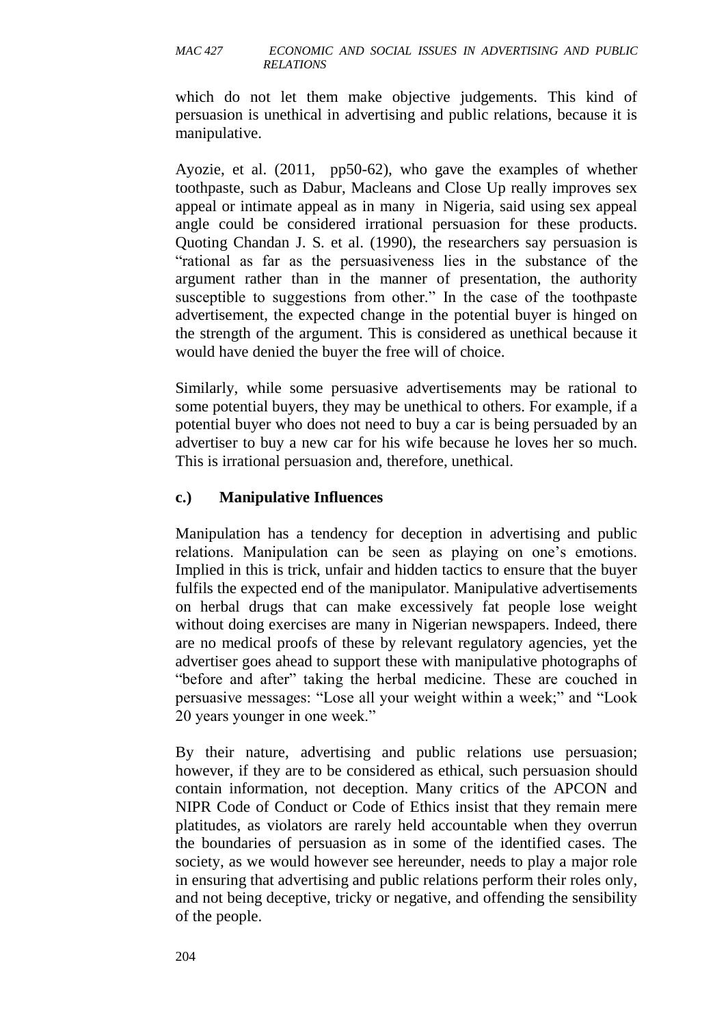which do not let them make objective judgements. This kind of persuasion is unethical in advertising and public relations, because it is manipulative.

Ayozie, et al. (2011, pp50-62), who gave the examples of whether toothpaste, such as Dabur, Macleans and Close Up really improves sex appeal or intimate appeal as in many in Nigeria, said using sex appeal angle could be considered irrational persuasion for these products. Quoting Chandan J. S. et al. (1990), the researchers say persuasion is "rational as far as the persuasiveness lies in the substance of the argument rather than in the manner of presentation, the authority susceptible to suggestions from other." In the case of the toothpaste advertisement, the expected change in the potential buyer is hinged on the strength of the argument. This is considered as unethical because it would have denied the buyer the free will of choice.

Similarly, while some persuasive advertisements may be rational to some potential buyers, they may be unethical to others. For example, if a potential buyer who does not need to buy a car is being persuaded by an advertiser to buy a new car for his wife because he loves her so much. This is irrational persuasion and, therefore, unethical.

### **c.) Manipulative Influences**

Manipulation has a tendency for deception in advertising and public relations. Manipulation can be seen as playing on one's emotions. Implied in this is trick, unfair and hidden tactics to ensure that the buyer fulfils the expected end of the manipulator. Manipulative advertisements on herbal drugs that can make excessively fat people lose weight without doing exercises are many in Nigerian newspapers. Indeed, there are no medical proofs of these by relevant regulatory agencies, yet the advertiser goes ahead to support these with manipulative photographs of "before and after" taking the herbal medicine. These are couched in persuasive messages: "Lose all your weight within a week;" and "Look 20 years younger in one week."

By their nature, advertising and public relations use persuasion; however, if they are to be considered as ethical, such persuasion should contain information, not deception. Many critics of the APCON and NIPR Code of Conduct or Code of Ethics insist that they remain mere platitudes, as violators are rarely held accountable when they overrun the boundaries of persuasion as in some of the identified cases. The society, as we would however see hereunder, needs to play a major role in ensuring that advertising and public relations perform their roles only, and not being deceptive, tricky or negative, and offending the sensibility of the people.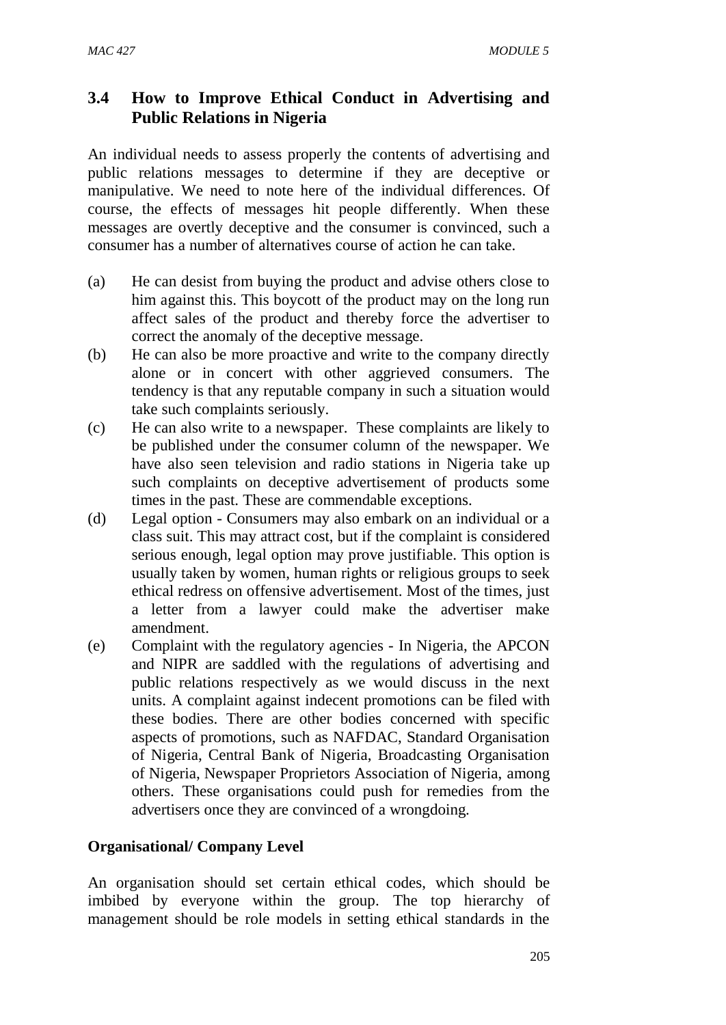# **3.4 How to Improve Ethical Conduct in Advertising and Public Relations in Nigeria**

An individual needs to assess properly the contents of advertising and public relations messages to determine if they are deceptive or manipulative. We need to note here of the individual differences. Of course, the effects of messages hit people differently. When these messages are overtly deceptive and the consumer is convinced, such a consumer has a number of alternatives course of action he can take.

- (a) He can desist from buying the product and advise others close to him against this. This boycott of the product may on the long run affect sales of the product and thereby force the advertiser to correct the anomaly of the deceptive message.
- (b) He can also be more proactive and write to the company directly alone or in concert with other aggrieved consumers. The tendency is that any reputable company in such a situation would take such complaints seriously.
- (c) He can also write to a newspaper. These complaints are likely to be published under the consumer column of the newspaper. We have also seen television and radio stations in Nigeria take up such complaints on deceptive advertisement of products some times in the past. These are commendable exceptions.
- (d) Legal option Consumers may also embark on an individual or a class suit. This may attract cost, but if the complaint is considered serious enough, legal option may prove justifiable. This option is usually taken by women, human rights or religious groups to seek ethical redress on offensive advertisement. Most of the times, just a letter from a lawyer could make the advertiser make amendment.
- (e) Complaint with the regulatory agencies In Nigeria, the APCON and NIPR are saddled with the regulations of advertising and public relations respectively as we would discuss in the next units. A complaint against indecent promotions can be filed with these bodies. There are other bodies concerned with specific aspects of promotions, such as NAFDAC, Standard Organisation of Nigeria, Central Bank of Nigeria, Broadcasting Organisation of Nigeria, Newspaper Proprietors Association of Nigeria, among others. These organisations could push for remedies from the advertisers once they are convinced of a wrongdoing.

# **Organisational/ Company Level**

An organisation should set certain ethical codes, which should be imbibed by everyone within the group. The top hierarchy of management should be role models in setting ethical standards in the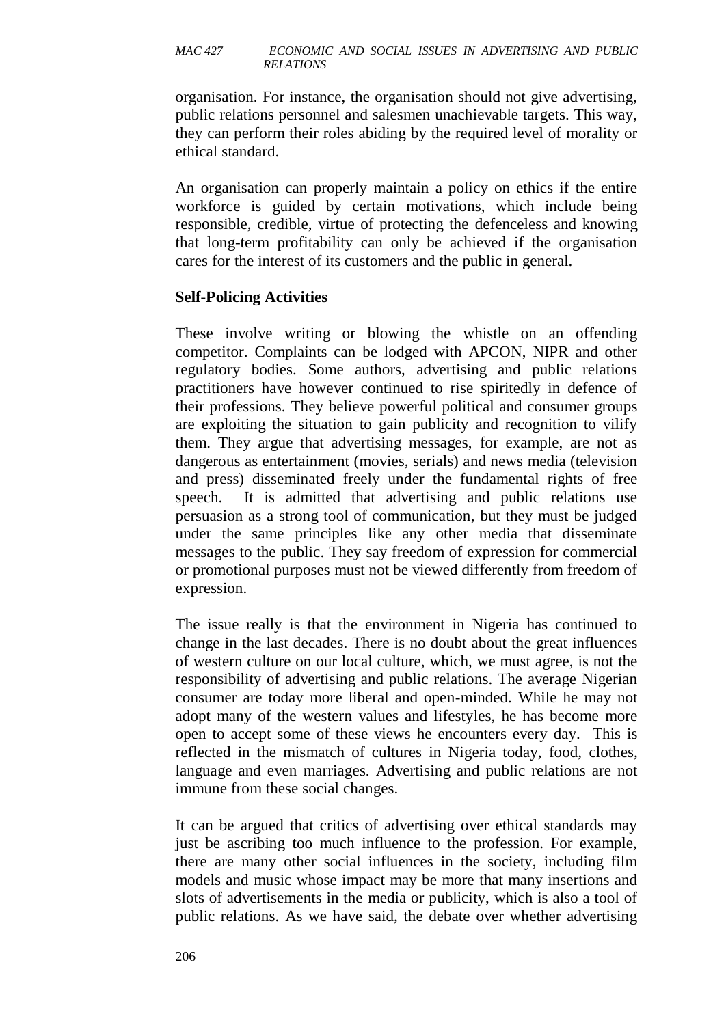organisation. For instance, the organisation should not give advertising, public relations personnel and salesmen unachievable targets. This way, they can perform their roles abiding by the required level of morality or ethical standard.

An organisation can properly maintain a policy on ethics if the entire workforce is guided by certain motivations, which include being responsible, credible, virtue of protecting the defenceless and knowing that long-term profitability can only be achieved if the organisation cares for the interest of its customers and the public in general.

#### **Self-Policing Activities**

These involve writing or blowing the whistle on an offending competitor. Complaints can be lodged with APCON, NIPR and other regulatory bodies. Some authors, advertising and public relations practitioners have however continued to rise spiritedly in defence of their professions. They believe powerful political and consumer groups are exploiting the situation to gain publicity and recognition to vilify them. They argue that advertising messages, for example, are not as dangerous as entertainment (movies, serials) and news media (television and press) disseminated freely under the fundamental rights of free speech. It is admitted that advertising and public relations use persuasion as a strong tool of communication, but they must be judged under the same principles like any other media that disseminate messages to the public. They say freedom of expression for commercial or promotional purposes must not be viewed differently from freedom of expression.

The issue really is that the environment in Nigeria has continued to change in the last decades. There is no doubt about the great influences of western culture on our local culture, which, we must agree, is not the responsibility of advertising and public relations. The average Nigerian consumer are today more liberal and open-minded. While he may not adopt many of the western values and lifestyles, he has become more open to accept some of these views he encounters every day. This is reflected in the mismatch of cultures in Nigeria today, food, clothes, language and even marriages. Advertising and public relations are not immune from these social changes.

It can be argued that critics of advertising over ethical standards may just be ascribing too much influence to the profession. For example, there are many other social influences in the society, including film models and music whose impact may be more that many insertions and slots of advertisements in the media or publicity, which is also a tool of public relations. As we have said, the debate over whether advertising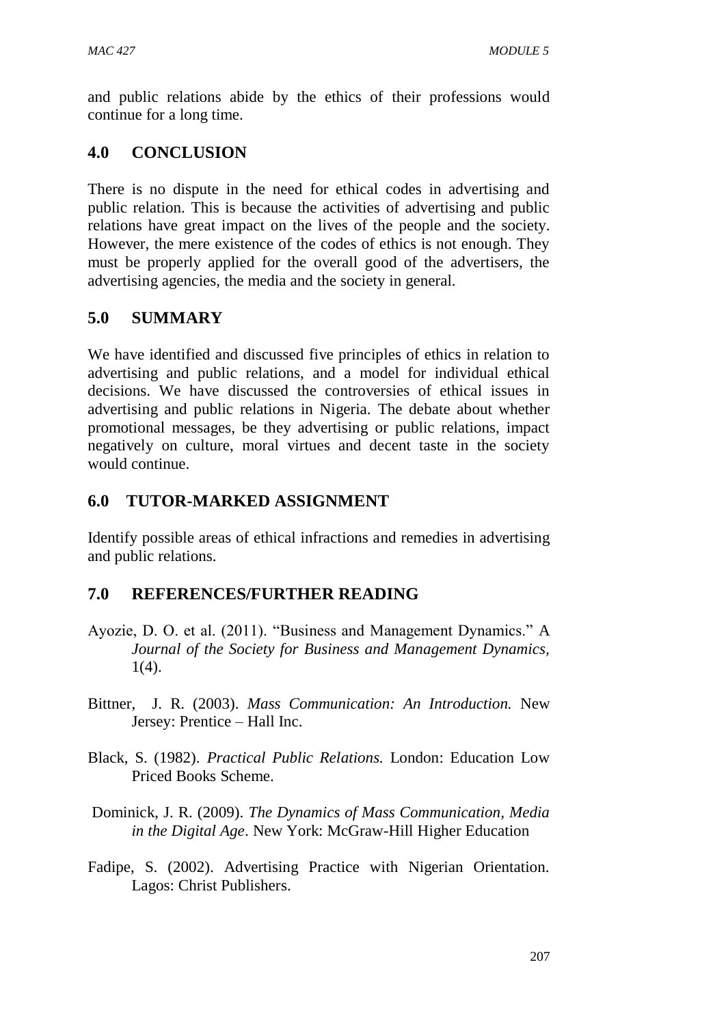and public relations abide by the ethics of their professions would continue for a long time.

# **4.0 CONCLUSION**

There is no dispute in the need for ethical codes in advertising and public relation. This is because the activities of advertising and public relations have great impact on the lives of the people and the society. However, the mere existence of the codes of ethics is not enough. They must be properly applied for the overall good of the advertisers, the advertising agencies, the media and the society in general.

# **5.0 SUMMARY**

We have identified and discussed five principles of ethics in relation to advertising and public relations, and a model for individual ethical decisions. We have discussed the controversies of ethical issues in advertising and public relations in Nigeria. The debate about whether promotional messages, be they advertising or public relations, impact negatively on culture, moral virtues and decent taste in the society would continue.

# **6.0 TUTOR-MARKED ASSIGNMENT**

Identify possible areas of ethical infractions and remedies in advertising and public relations.

# **7.0 REFERENCES/FURTHER READING**

- Ayozie, D. O. et al. (2011). "Business and Management Dynamics." A *Journal of the Society for Business and Management Dynamics,* 1(4).
- Bittner, J. R. (2003). *Mass Communication: An Introduction.* New Jersey: Prentice – Hall Inc.
- Black, S. (1982). *Practical Public Relations.* London: Education Low Priced Books Scheme.
- Dominick, J. R. (2009). *The Dynamics of Mass Communication, Media in the Digital Age*. New York: McGraw-Hill Higher Education
- Fadipe, S. (2002). Advertising Practice with Nigerian Orientation. Lagos: Christ Publishers.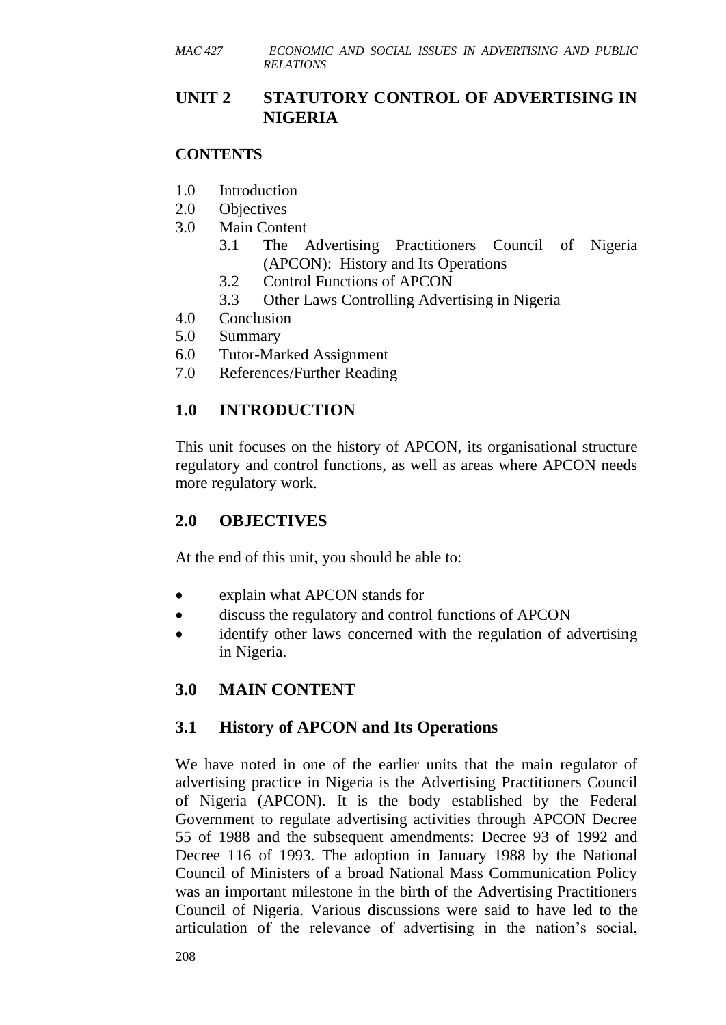# **UNIT 2 STATUTORY CONTROL OF ADVERTISING IN NIGERIA**

#### **CONTENTS**

- 1.0 Introduction
- 2.0 Objectives
- 3.0 Main Content
	- 3.1 The Advertising Practitioners Council of Nigeria (APCON): History and Its Operations
	- 3.2 Control Functions of APCON
	- 3.3 Other Laws Controlling Advertising in Nigeria
- 4.0 Conclusion
- 5.0 Summary
- 6.0 Tutor-Marked Assignment
- 7.0 References/Further Reading

# **1.0 INTRODUCTION**

This unit focuses on the history of APCON, its organisational structure regulatory and control functions, as well as areas where APCON needs more regulatory work.

# **2.0 OBJECTIVES**

At the end of this unit, you should be able to:

- explain what APCON stands for
- discuss the regulatory and control functions of APCON
- identify other laws concerned with the regulation of advertising in Nigeria.

# **3.0 MAIN CONTENT**

# **3.1 History of APCON and Its Operations**

We have noted in one of the earlier units that the main regulator of advertising practice in Nigeria is the Advertising Practitioners Council of Nigeria (APCON). It is the body established by the Federal Government to regulate advertising activities through APCON Decree 55 of 1988 and the subsequent amendments: Decree 93 of 1992 and Decree 116 of 1993. The adoption in January 1988 by the National Council of Ministers of a broad National Mass Communication Policy was an important milestone in the birth of the Advertising Practitioners Council of Nigeria. Various discussions were said to have led to the articulation of the relevance of advertising in the nation's social,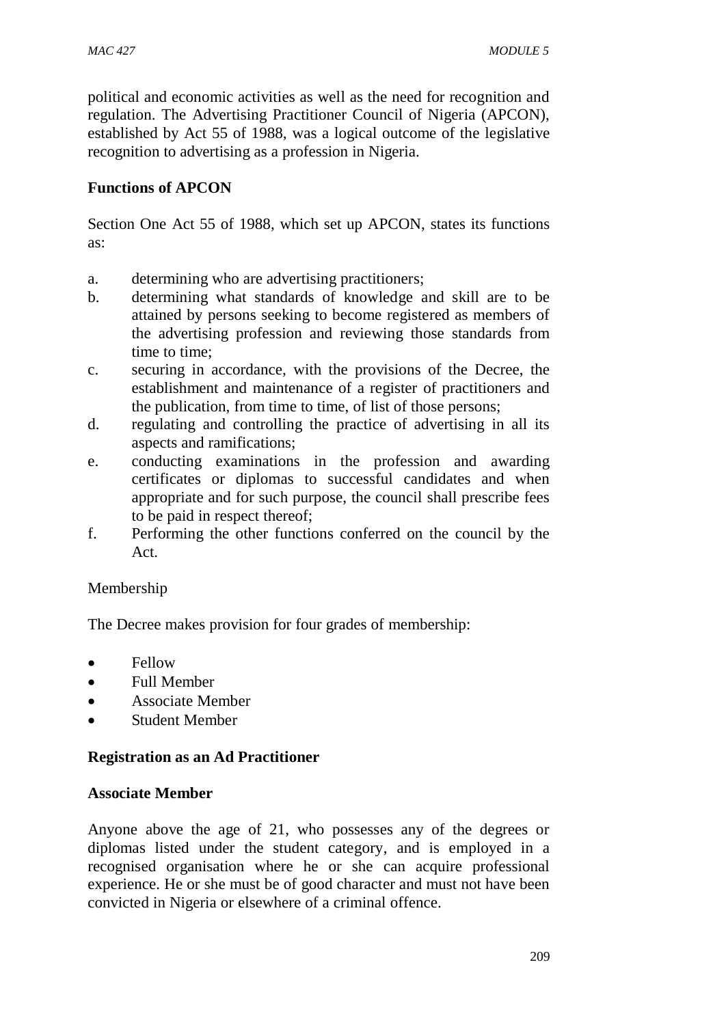political and economic activities as well as the need for recognition and regulation. The Advertising Practitioner Council of Nigeria (APCON), established by Act 55 of 1988, was a logical outcome of the legislative recognition to advertising as a profession in Nigeria.

#### **Functions of APCON**

Section One Act 55 of 1988, which set up APCON, states its functions as:

- a. determining who are advertising practitioners;
- b. determining what standards of knowledge and skill are to be attained by persons seeking to become registered as members of the advertising profession and reviewing those standards from time to time;
- c. securing in accordance, with the provisions of the Decree, the establishment and maintenance of a register of practitioners and the publication, from time to time, of list of those persons;
- d. regulating and controlling the practice of advertising in all its aspects and ramifications;
- e. conducting examinations in the profession and awarding certificates or diplomas to successful candidates and when appropriate and for such purpose, the council shall prescribe fees to be paid in respect thereof;
- f. Performing the other functions conferred on the council by the Act.

#### Membership

The Decree makes provision for four grades of membership:

- Fellow
- Full Member
- Associate Member
- Student Member

#### **Registration as an Ad Practitioner**

#### **Associate Member**

Anyone above the age of 21, who possesses any of the degrees or diplomas listed under the student category, and is employed in a recognised organisation where he or she can acquire professional experience. He or she must be of good character and must not have been convicted in Nigeria or elsewhere of a criminal offence.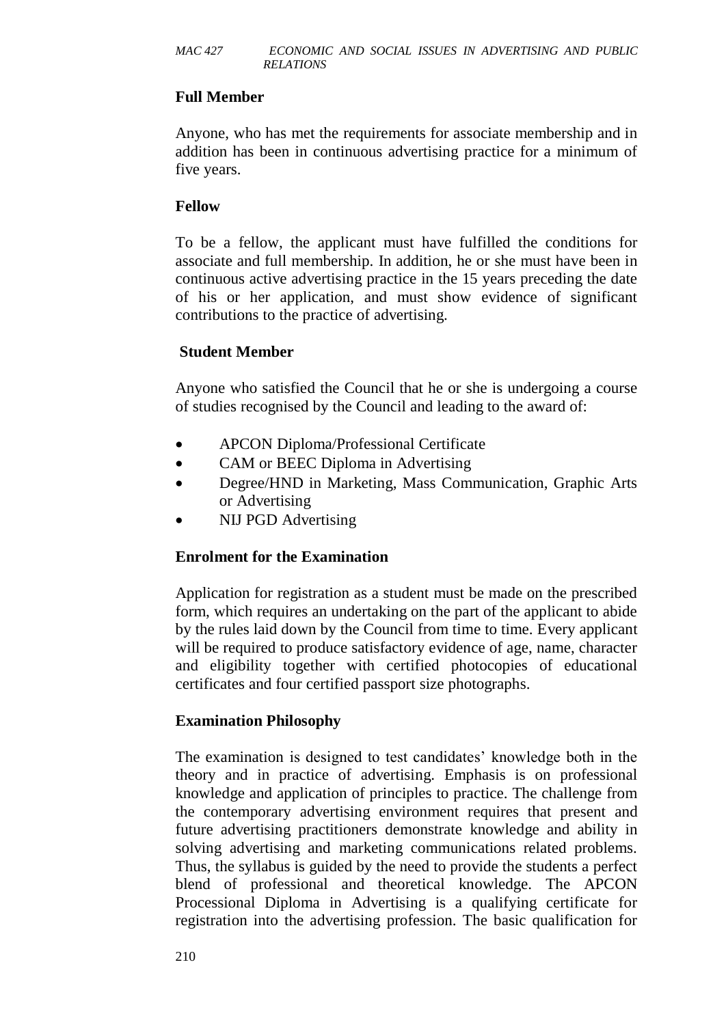#### **Full Member**

Anyone, who has met the requirements for associate membership and in addition has been in continuous advertising practice for a minimum of five years.

#### **Fellow**

To be a fellow, the applicant must have fulfilled the conditions for associate and full membership. In addition, he or she must have been in continuous active advertising practice in the 15 years preceding the date of his or her application, and must show evidence of significant contributions to the practice of advertising.

#### **Student Member**

Anyone who satisfied the Council that he or she is undergoing a course of studies recognised by the Council and leading to the award of:

- APCON Diploma/Professional Certificate
- CAM or BEEC Diploma in Advertising
- Degree/HND in Marketing, Mass Communication, Graphic Arts or Advertising
- NIJ PGD Advertising

#### **Enrolment for the Examination**

Application for registration as a student must be made on the prescribed form, which requires an undertaking on the part of the applicant to abide by the rules laid down by the Council from time to time. Every applicant will be required to produce satisfactory evidence of age, name, character and eligibility together with certified photocopies of educational certificates and four certified passport size photographs.

#### **Examination Philosophy**

The examination is designed to test candidates' knowledge both in the theory and in practice of advertising. Emphasis is on professional knowledge and application of principles to practice. The challenge from the contemporary advertising environment requires that present and future advertising practitioners demonstrate knowledge and ability in solving advertising and marketing communications related problems. Thus, the syllabus is guided by the need to provide the students a perfect blend of professional and theoretical knowledge. The APCON Processional Diploma in Advertising is a qualifying certificate for registration into the advertising profession. The basic qualification for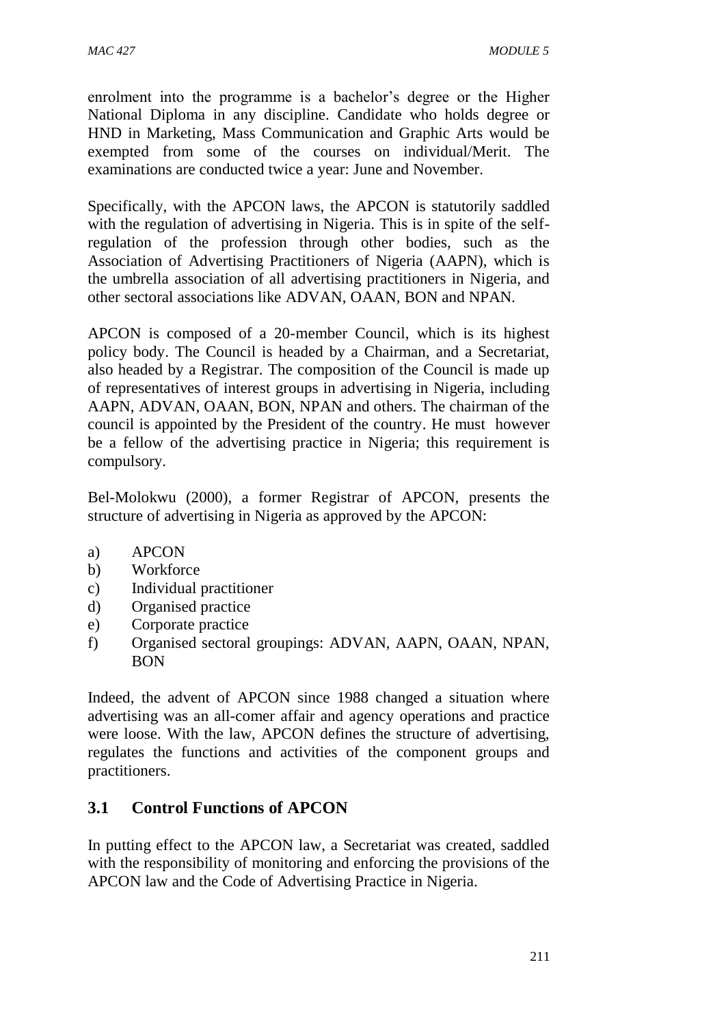enrolment into the programme is a bachelor's degree or the Higher National Diploma in any discipline. Candidate who holds degree or HND in Marketing, Mass Communication and Graphic Arts would be exempted from some of the courses on individual/Merit. The examinations are conducted twice a year: June and November.

Specifically, with the APCON laws, the APCON is statutorily saddled with the regulation of advertising in Nigeria. This is in spite of the selfregulation of the profession through other bodies, such as the Association of Advertising Practitioners of Nigeria (AAPN), which is the umbrella association of all advertising practitioners in Nigeria, and other sectoral associations like ADVAN, OAAN, BON and NPAN.

APCON is composed of a 20-member Council, which is its highest policy body. The Council is headed by a Chairman, and a Secretariat, also headed by a Registrar. The composition of the Council is made up of representatives of interest groups in advertising in Nigeria, including AAPN, ADVAN, OAAN, BON, NPAN and others. The chairman of the council is appointed by the President of the country. He must however be a fellow of the advertising practice in Nigeria; this requirement is compulsory.

Bel-Molokwu (2000), a former Registrar of APCON, presents the structure of advertising in Nigeria as approved by the APCON:

- a) APCON
- b) Workforce
- c) Individual practitioner
- d) Organised practice
- e) Corporate practice
- f) Organised sectoral groupings: ADVAN, AAPN, OAAN, NPAN, BON

Indeed, the advent of APCON since 1988 changed a situation where advertising was an all-comer affair and agency operations and practice were loose. With the law, APCON defines the structure of advertising, regulates the functions and activities of the component groups and practitioners.

# **3.1 Control Functions of APCON**

In putting effect to the APCON law, a Secretariat was created, saddled with the responsibility of monitoring and enforcing the provisions of the APCON law and the Code of Advertising Practice in Nigeria.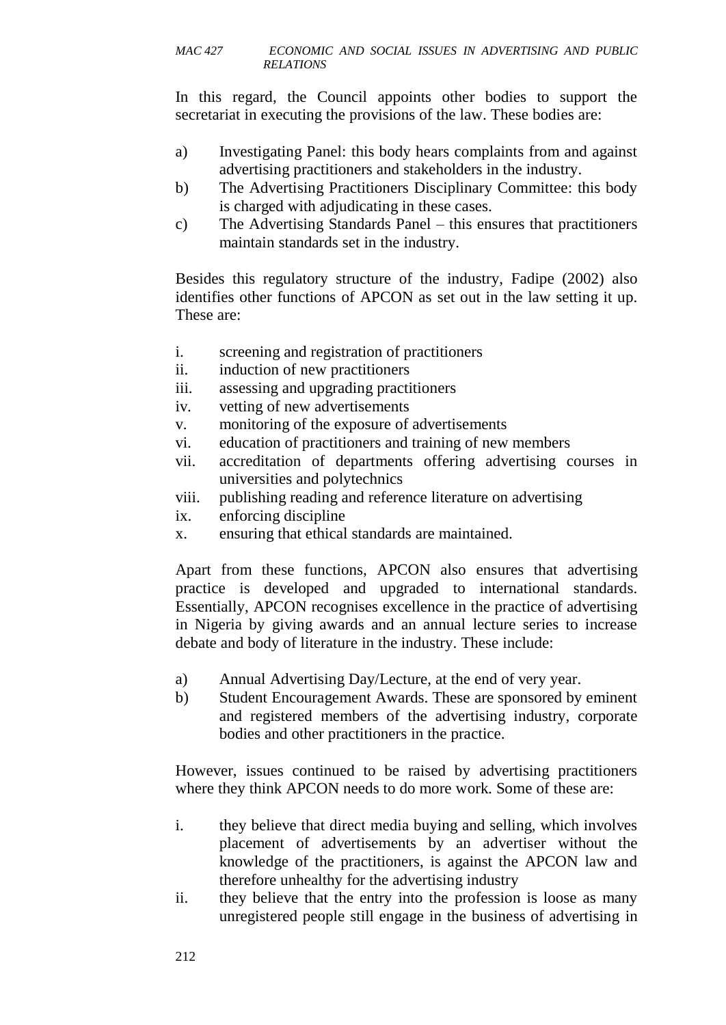In this regard, the Council appoints other bodies to support the secretariat in executing the provisions of the law. These bodies are:

- a) Investigating Panel: this body hears complaints from and against advertising practitioners and stakeholders in the industry.
- b) The Advertising Practitioners Disciplinary Committee: this body is charged with adjudicating in these cases.
- c) The Advertising Standards Panel this ensures that practitioners maintain standards set in the industry.

Besides this regulatory structure of the industry, Fadipe (2002) also identifies other functions of APCON as set out in the law setting it up. These are:

- i. screening and registration of practitioners
- ii. induction of new practitioners
- iii. assessing and upgrading practitioners
- iv. vetting of new advertisements
- v. monitoring of the exposure of advertisements
- vi. education of practitioners and training of new members
- vii. accreditation of departments offering advertising courses in universities and polytechnics
- viii. publishing reading and reference literature on advertising
- ix. enforcing discipline
- x. ensuring that ethical standards are maintained.

Apart from these functions, APCON also ensures that advertising practice is developed and upgraded to international standards. Essentially, APCON recognises excellence in the practice of advertising in Nigeria by giving awards and an annual lecture series to increase debate and body of literature in the industry. These include:

- a) Annual Advertising Day/Lecture, at the end of very year.
- b) Student Encouragement Awards. These are sponsored by eminent and registered members of the advertising industry, corporate bodies and other practitioners in the practice.

However, issues continued to be raised by advertising practitioners where they think APCON needs to do more work. Some of these are:

- i. they believe that direct media buying and selling, which involves placement of advertisements by an advertiser without the knowledge of the practitioners, is against the APCON law and therefore unhealthy for the advertising industry
- ii. they believe that the entry into the profession is loose as many unregistered people still engage in the business of advertising in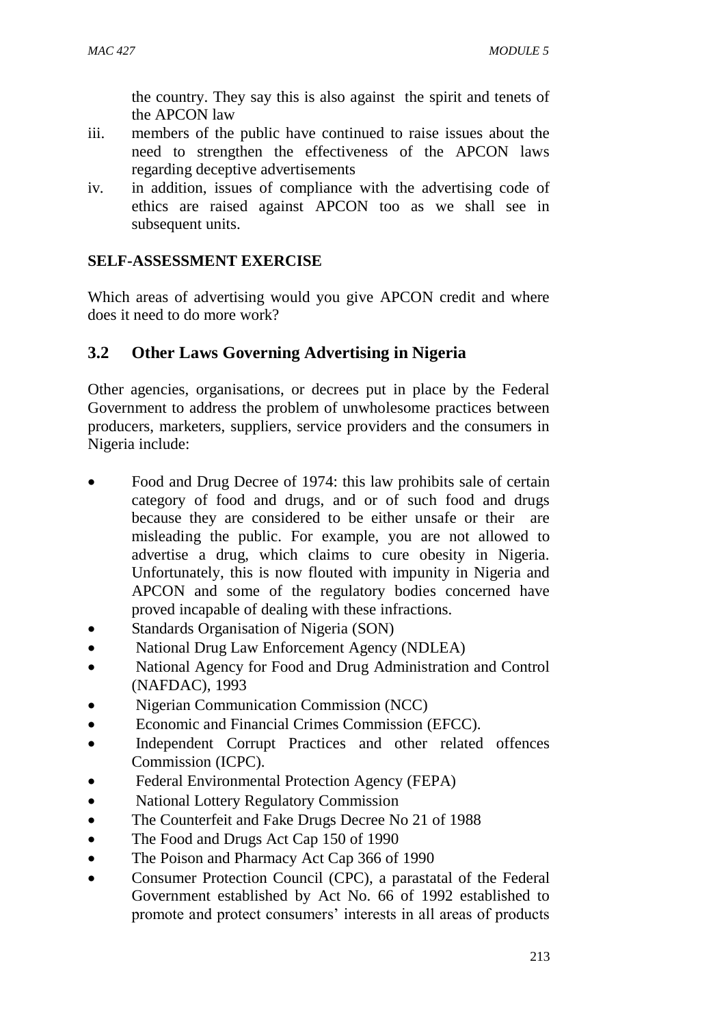the country. They say this is also against the spirit and tenets of the APCON law

- iii. members of the public have continued to raise issues about the need to strengthen the effectiveness of the APCON laws regarding deceptive advertisements
- iv. in addition, issues of compliance with the advertising code of ethics are raised against APCON too as we shall see in subsequent units.

# **SELF-ASSESSMENT EXERCISE**

Which areas of advertising would you give APCON credit and where does it need to do more work?

# **3.2 Other Laws Governing Advertising in Nigeria**

Other agencies, organisations, or decrees put in place by the Federal Government to address the problem of unwholesome practices between producers, marketers, suppliers, service providers and the consumers in Nigeria include:

- Food and Drug Decree of 1974: this law prohibits sale of certain category of food and drugs, and or of such food and drugs because they are considered to be either unsafe or their are misleading the public. For example, you are not allowed to advertise a drug, which claims to cure obesity in Nigeria. Unfortunately, this is now flouted with impunity in Nigeria and APCON and some of the regulatory bodies concerned have proved incapable of dealing with these infractions.
- Standards Organisation of Nigeria (SON)
- National Drug Law Enforcement Agency (NDLEA)
- National Agency for Food and Drug Administration and Control (NAFDAC), 1993
- Nigerian Communication Commission (NCC)
- Economic and Financial Crimes Commission (EFCC).
- Independent Corrupt Practices and other related offences Commission (ICPC).
- Federal Environmental Protection Agency (FEPA)
- National Lottery Regulatory Commission
- The Counterfeit and Fake Drugs Decree No 21 of 1988
- The Food and Drugs Act Cap 150 of 1990
- The Poison and Pharmacy Act Cap 366 of 1990
- Consumer Protection Council (CPC), a parastatal of the Federal Government established by Act No. 66 of 1992 established to promote and protect consumers' interests in all areas of products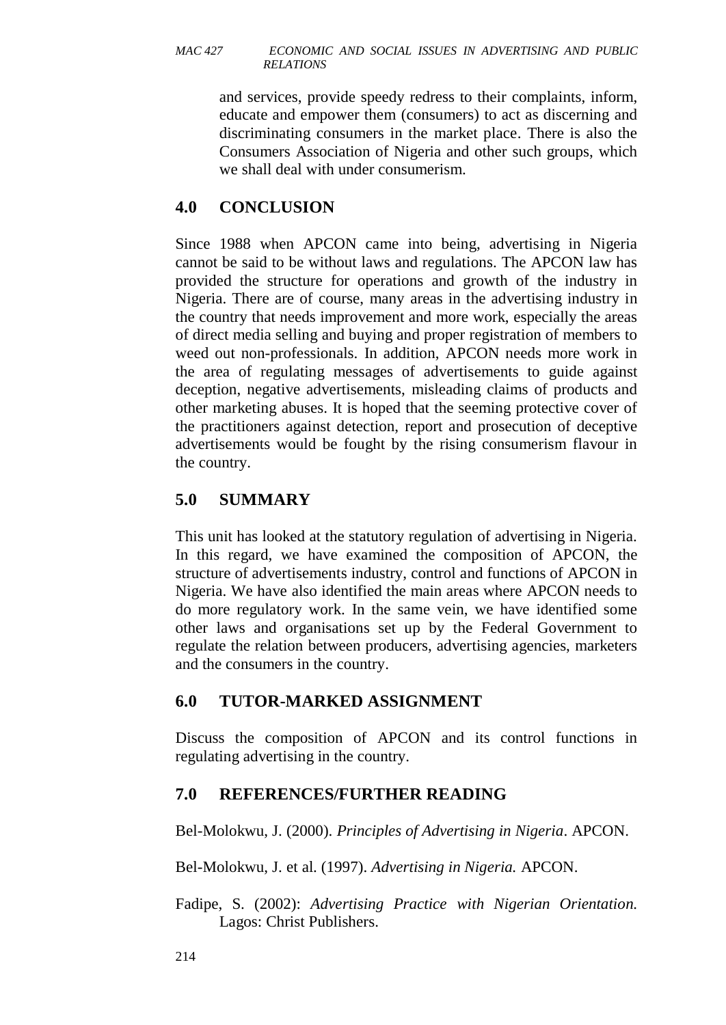and services, provide speedy redress to their complaints, inform, educate and empower them (consumers) to act as discerning and discriminating consumers in the market place. There is also the Consumers Association of Nigeria and other such groups, which we shall deal with under consumerism.

# **4.0 CONCLUSION**

Since 1988 when APCON came into being, advertising in Nigeria cannot be said to be without laws and regulations. The APCON law has provided the structure for operations and growth of the industry in Nigeria. There are of course, many areas in the advertising industry in the country that needs improvement and more work, especially the areas of direct media selling and buying and proper registration of members to weed out non-professionals. In addition, APCON needs more work in the area of regulating messages of advertisements to guide against deception, negative advertisements, misleading claims of products and other marketing abuses. It is hoped that the seeming protective cover of the practitioners against detection, report and prosecution of deceptive advertisements would be fought by the rising consumerism flavour in the country.

# **5.0 SUMMARY**

This unit has looked at the statutory regulation of advertising in Nigeria. In this regard, we have examined the composition of APCON, the structure of advertisements industry, control and functions of APCON in Nigeria. We have also identified the main areas where APCON needs to do more regulatory work. In the same vein, we have identified some other laws and organisations set up by the Federal Government to regulate the relation between producers, advertising agencies, marketers and the consumers in the country.

# **6.0 TUTOR-MARKED ASSIGNMENT**

Discuss the composition of APCON and its control functions in regulating advertising in the country.

#### **7.0 REFERENCES/FURTHER READING**

Bel-Molokwu, J. (2000). *Principles of Advertising in Nigeria*. APCON.

Bel-Molokwu, J. et al. (1997). *Advertising in Nigeria.* APCON.

Fadipe, S. (2002): *Advertising Practice with Nigerian Orientation.*  Lagos: Christ Publishers.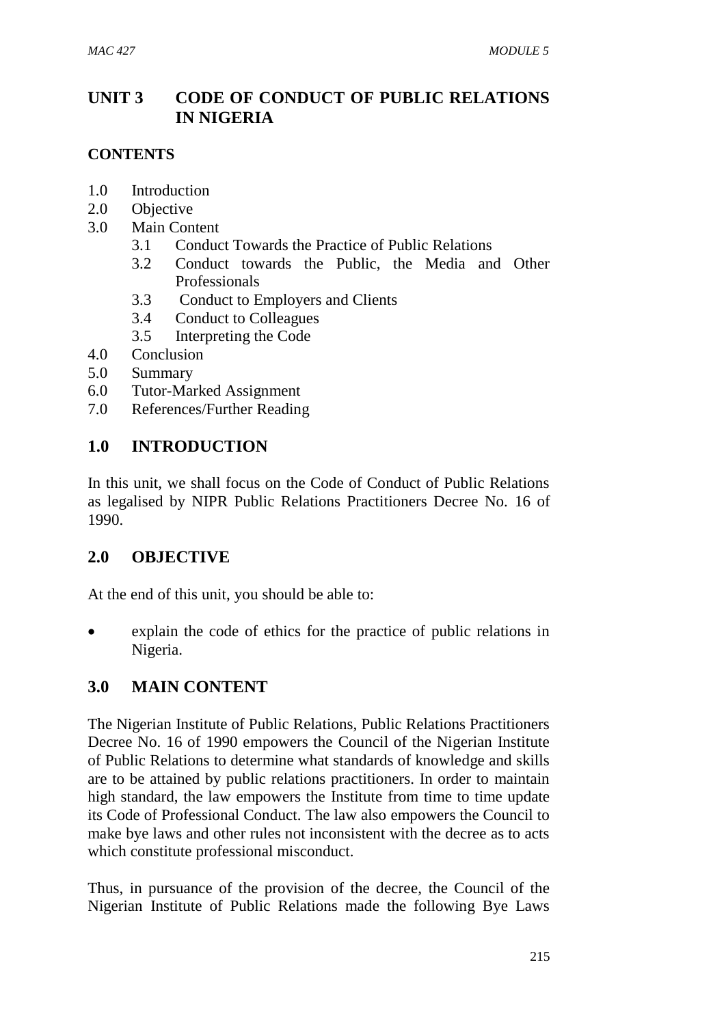# **UNIT 3 CODE OF CONDUCT OF PUBLIC RELATIONS IN NIGERIA**

### **CONTENTS**

- 1.0 Introduction
- 2.0 Objective
- 3.0 Main Content
	- 3.1 Conduct Towards the Practice of Public Relations
	- 3.2 Conduct towards the Public, the Media and Other Professionals
	- 3.3 Conduct to Employers and Clients
	- 3.4 Conduct to Colleagues
	- 3.5 Interpreting the Code
- 4.0 Conclusion
- 5.0 Summary
- 6.0 Tutor-Marked Assignment
- 7.0 References/Further Reading

# **1.0 INTRODUCTION**

In this unit, we shall focus on the Code of Conduct of Public Relations as legalised by NIPR Public Relations Practitioners Decree No. 16 of 1990.

# **2.0 OBJECTIVE**

At the end of this unit, you should be able to:

 explain the code of ethics for the practice of public relations in Nigeria.

# **3.0 MAIN CONTENT**

The Nigerian Institute of Public Relations, Public Relations Practitioners Decree No. 16 of 1990 empowers the Council of the Nigerian Institute of Public Relations to determine what standards of knowledge and skills are to be attained by public relations practitioners. In order to maintain high standard, the law empowers the Institute from time to time update its Code of Professional Conduct. The law also empowers the Council to make bye laws and other rules not inconsistent with the decree as to acts which constitute professional misconduct.

Thus, in pursuance of the provision of the decree, the Council of the Nigerian Institute of Public Relations made the following Bye Laws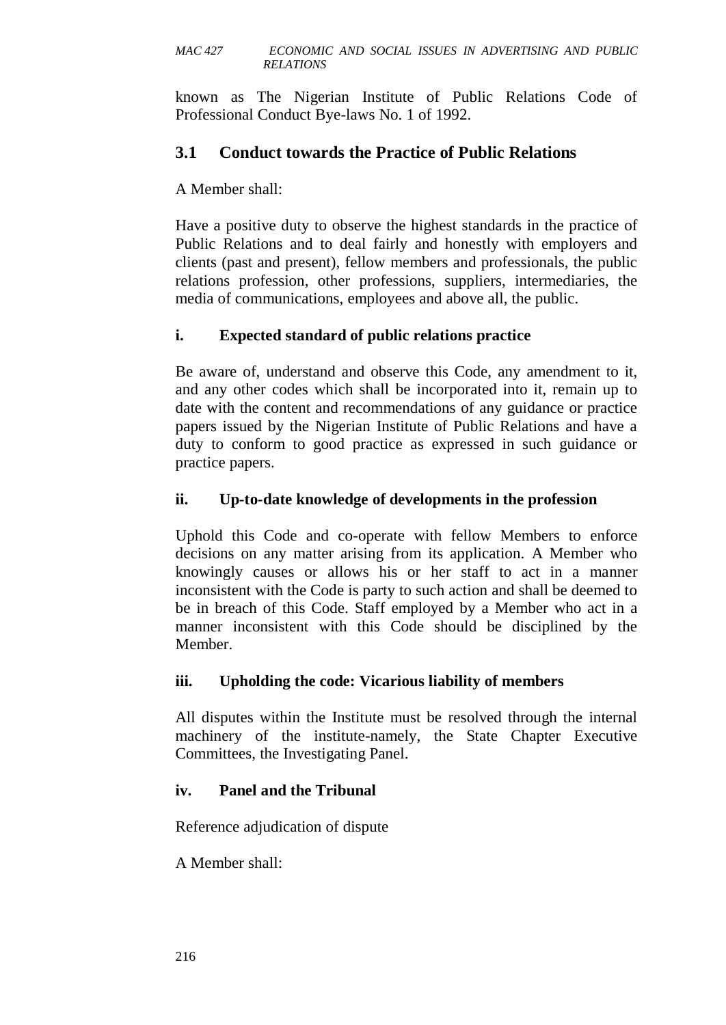known as The Nigerian Institute of Public Relations Code of Professional Conduct Bye-laws No. 1 of 1992.

# **3.1 Conduct towards the Practice of Public Relations**

A Member shall:

Have a positive duty to observe the highest standards in the practice of Public Relations and to deal fairly and honestly with employers and clients (past and present), fellow members and professionals, the public relations profession, other professions, suppliers, intermediaries, the media of communications, employees and above all, the public.

# **i. Expected standard of public relations practice**

Be aware of, understand and observe this Code, any amendment to it, and any other codes which shall be incorporated into it, remain up to date with the content and recommendations of any guidance or practice papers issued by the Nigerian Institute of Public Relations and have a duty to conform to good practice as expressed in such guidance or practice papers.

### **ii. Up-to-date knowledge of developments in the profession**

Uphold this Code and co-operate with fellow Members to enforce decisions on any matter arising from its application. A Member who knowingly causes or allows his or her staff to act in a manner inconsistent with the Code is party to such action and shall be deemed to be in breach of this Code. Staff employed by a Member who act in a manner inconsistent with this Code should be disciplined by the Member.

#### **iii. Upholding the code: Vicarious liability of members**

All disputes within the Institute must be resolved through the internal machinery of the institute-namely, the State Chapter Executive Committees, the Investigating Panel.

#### **iv. Panel and the Tribunal**

Reference adjudication of dispute

A Member shall: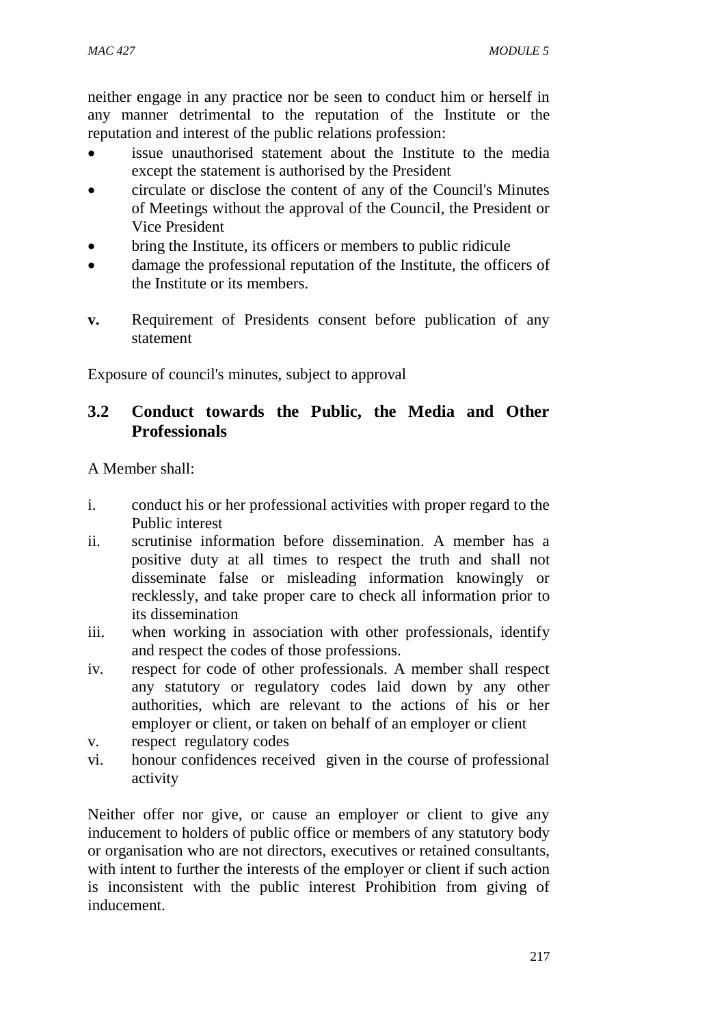neither engage in any practice nor be seen to conduct him or herself in any manner detrimental to the reputation of the Institute or the reputation and interest of the public relations profession:

- issue unauthorised statement about the Institute to the media except the statement is authorised by the President
- circulate or disclose the content of any of the Council's Minutes of Meetings without the approval of the Council, the President or Vice President
- bring the Institute, its officers or members to public ridicule
- damage the professional reputation of the Institute, the officers of the Institute or its members.
- **v.** Requirement of Presidents consent before publication of any statement

Exposure of council's minutes, subject to approval

# **3.2 Conduct towards the Public, the Media and Other Professionals**

A Member shall:

- i. conduct his or her professional activities with proper regard to the Public interest
- ii. scrutinise information before dissemination. A member has a positive duty at all times to respect the truth and shall not disseminate false or misleading information knowingly or recklessly, and take proper care to check all information prior to its dissemination
- iii. when working in association with other professionals, identify and respect the codes of those professions.
- iv. respect for code of other professionals. A member shall respect any statutory or regulatory codes laid down by any other authorities, which are relevant to the actions of his or her employer or client, or taken on behalf of an employer or client
- v. respect regulatory codes
- vi. honour confidences received given in the course of professional activity

Neither offer nor give, or cause an employer or client to give any inducement to holders of public office or members of any statutory body or organisation who are not directors, executives or retained consultants, with intent to further the interests of the employer or client if such action is inconsistent with the public interest Prohibition from giving of inducement.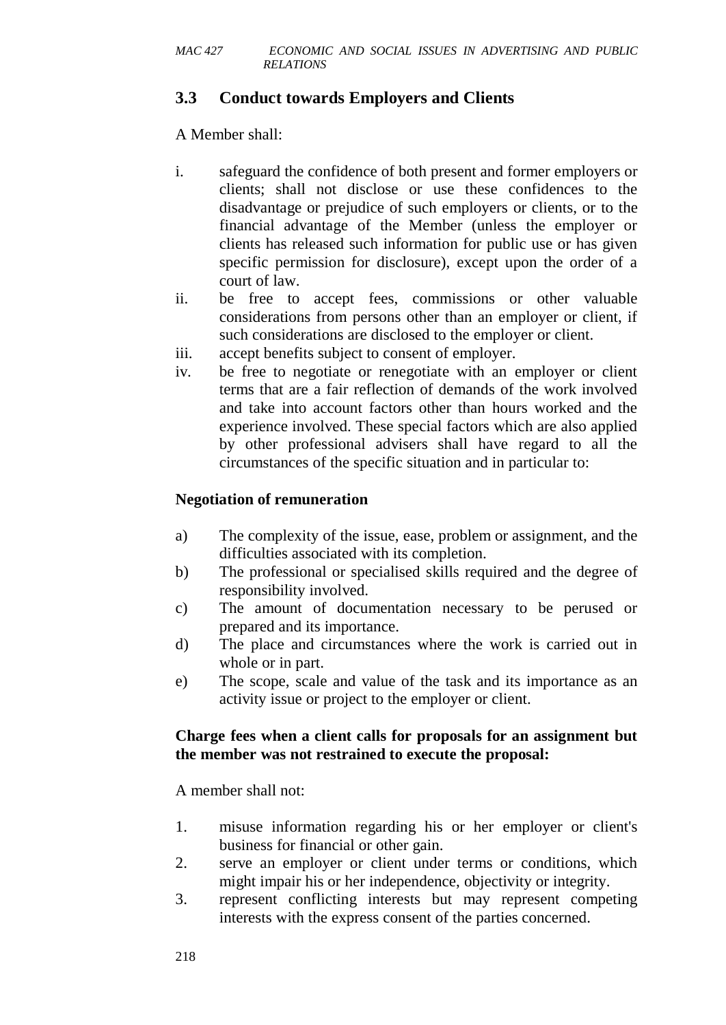# **3.3 Conduct towards Employers and Clients**

A Member shall:

- i. safeguard the confidence of both present and former employers or clients; shall not disclose or use these confidences to the disadvantage or prejudice of such employers or clients, or to the financial advantage of the Member (unless the employer or clients has released such information for public use or has given specific permission for disclosure), except upon the order of a court of law.
- ii. be free to accept fees, commissions or other valuable considerations from persons other than an employer or client, if such considerations are disclosed to the employer or client.
- iii. accept benefits subject to consent of employer.
- iv. be free to negotiate or renegotiate with an employer or client terms that are a fair reflection of demands of the work involved and take into account factors other than hours worked and the experience involved. These special factors which are also applied by other professional advisers shall have regard to all the circumstances of the specific situation and in particular to:

### **Negotiation of remuneration**

- a) The complexity of the issue, ease, problem or assignment, and the difficulties associated with its completion.
- b) The professional or specialised skills required and the degree of responsibility involved.
- c) The amount of documentation necessary to be perused or prepared and its importance.
- d) The place and circumstances where the work is carried out in whole or in part.
- e) The scope, scale and value of the task and its importance as an activity issue or project to the employer or client.

### **Charge fees when a client calls for proposals for an assignment but the member was not restrained to execute the proposal:**

A member shall not:

- 1. misuse information regarding his or her employer or client's business for financial or other gain.
- 2. serve an employer or client under terms or conditions, which might impair his or her independence, objectivity or integrity.
- 3. represent conflicting interests but may represent competing interests with the express consent of the parties concerned.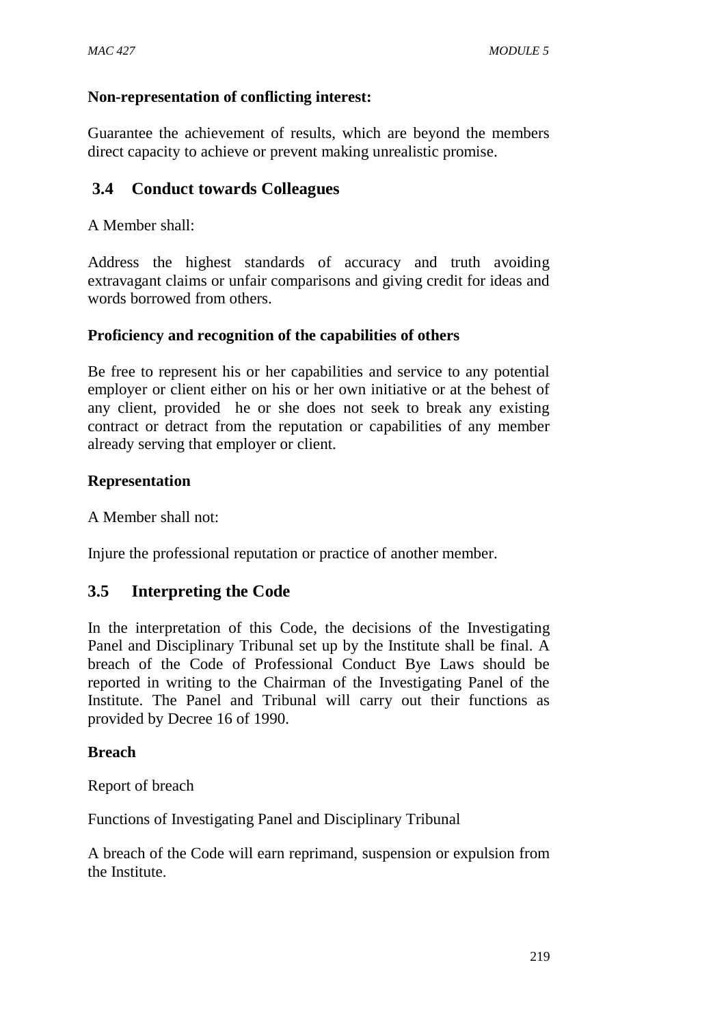#### **Non-representation of conflicting interest:**

Guarantee the achievement of results, which are beyond the members direct capacity to achieve or prevent making unrealistic promise.

# **3.4 Conduct towards Colleagues**

A Member shall:

Address the highest standards of accuracy and truth avoiding extravagant claims or unfair comparisons and giving credit for ideas and words borrowed from others.

### **Proficiency and recognition of the capabilities of others**

Be free to represent his or her capabilities and service to any potential employer or client either on his or her own initiative or at the behest of any client, provided he or she does not seek to break any existing contract or detract from the reputation or capabilities of any member already serving that employer or client.

### **Representation**

A Member shall not:

Injure the professional reputation or practice of another member.

# **3.5 Interpreting the Code**

In the interpretation of this Code, the decisions of the Investigating Panel and Disciplinary Tribunal set up by the Institute shall be final. A breach of the Code of Professional Conduct Bye Laws should be reported in writing to the Chairman of the Investigating Panel of the Institute. The Panel and Tribunal will carry out their functions as provided by Decree 16 of 1990.

#### **Breach**

Report of breach

Functions of Investigating Panel and Disciplinary Tribunal

A breach of the Code will earn reprimand, suspension or expulsion from the Institute.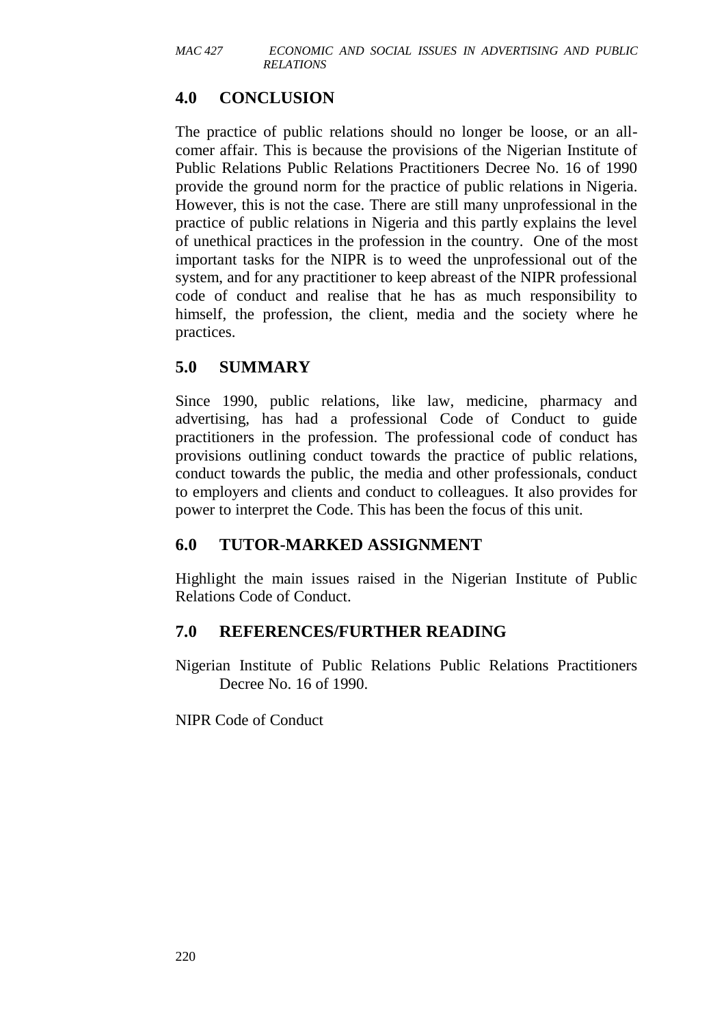# **4.0 CONCLUSION**

The practice of public relations should no longer be loose, or an allcomer affair. This is because the provisions of the Nigerian Institute of Public Relations Public Relations Practitioners Decree No. 16 of 1990 provide the ground norm for the practice of public relations in Nigeria. However, this is not the case. There are still many unprofessional in the practice of public relations in Nigeria and this partly explains the level of unethical practices in the profession in the country. One of the most important tasks for the NIPR is to weed the unprofessional out of the system, and for any practitioner to keep abreast of the NIPR professional code of conduct and realise that he has as much responsibility to himself, the profession, the client, media and the society where he practices.

# **5.0 SUMMARY**

Since 1990, public relations, like law, medicine, pharmacy and advertising, has had a professional Code of Conduct to guide practitioners in the profession. The professional code of conduct has provisions outlining conduct towards the practice of public relations, conduct towards the public, the media and other professionals, conduct to employers and clients and conduct to colleagues. It also provides for power to interpret the Code. This has been the focus of this unit.

# **6.0 TUTOR-MARKED ASSIGNMENT**

Highlight the main issues raised in the Nigerian Institute of Public Relations Code of Conduct.

# **7.0 REFERENCES/FURTHER READING**

Nigerian Institute of Public Relations Public Relations Practitioners Decree No. 16 of 1990.

NIPR Code of Conduct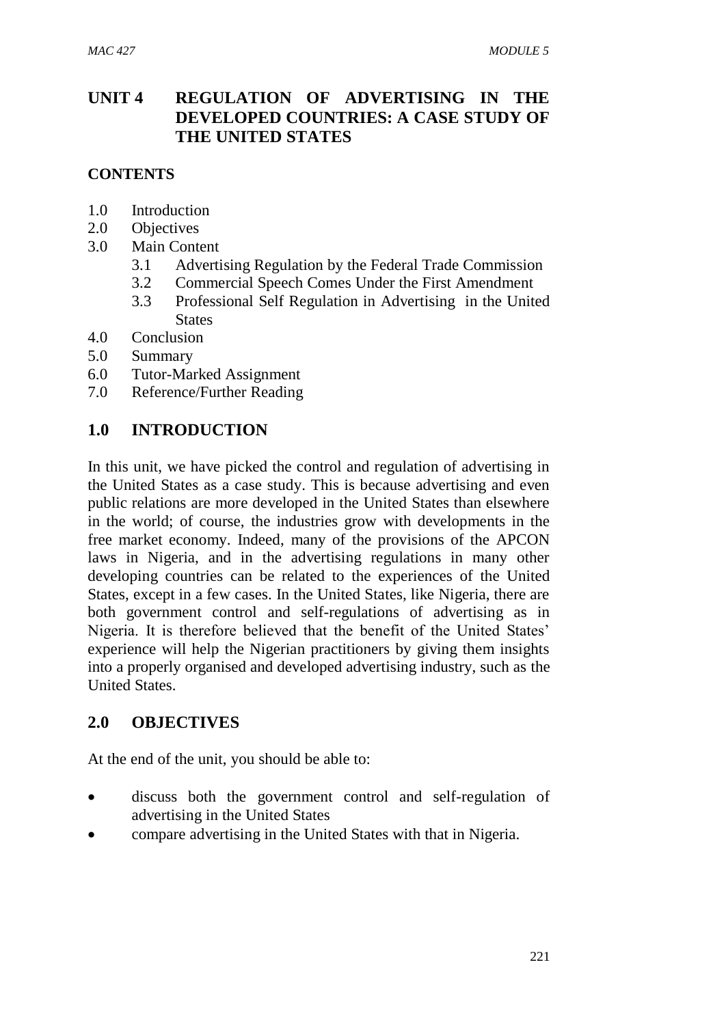# **UNIT 4 REGULATION OF ADVERTISING IN THE DEVELOPED COUNTRIES: A CASE STUDY OF THE UNITED STATES**

### **CONTENTS**

- 1.0 Introduction
- 2.0 Objectives
- 3.0 Main Content
	- 3.1 Advertising Regulation by the Federal Trade Commission
	- 3.2 Commercial Speech Comes Under the First Amendment
	- 3.3 Professional Self Regulation in Advertising in the United **States**
- 4.0 Conclusion
- 5.0 Summary
- 6.0 Tutor-Marked Assignment
- 7.0 Reference/Further Reading

### **1.0 INTRODUCTION**

In this unit, we have picked the control and regulation of advertising in the United States as a case study. This is because advertising and even public relations are more developed in the United States than elsewhere in the world; of course, the industries grow with developments in the free market economy. Indeed, many of the provisions of the APCON laws in Nigeria, and in the advertising regulations in many other developing countries can be related to the experiences of the United States, except in a few cases. In the United States, like Nigeria, there are both government control and self-regulations of advertising as in Nigeria. It is therefore believed that the benefit of the United States' experience will help the Nigerian practitioners by giving them insights into a properly organised and developed advertising industry, such as the United States.

# **2.0 OBJECTIVES**

At the end of the unit, you should be able to:

- discuss both the government control and self-regulation of advertising in the United States
- compare advertising in the United States with that in Nigeria.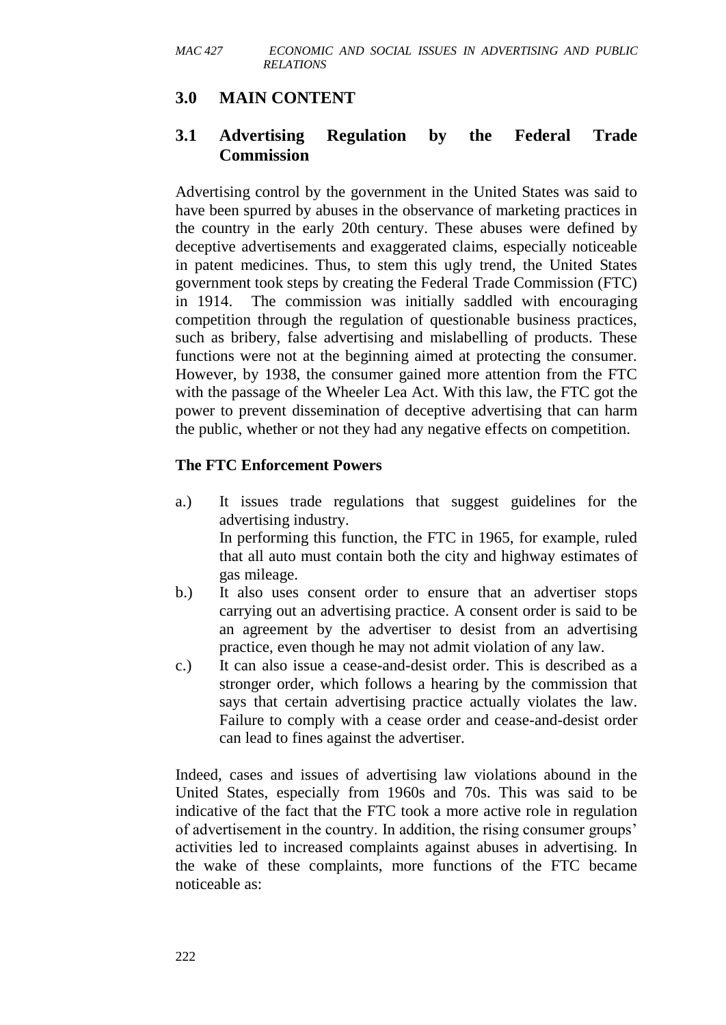# **3.0 MAIN CONTENT**

# **3.1 Advertising Regulation by the Federal Trade Commission**

Advertising control by the government in the United States was said to have been spurred by abuses in the observance of marketing practices in the country in the early 20th century. These abuses were defined by deceptive advertisements and exaggerated claims, especially noticeable in patent medicines. Thus, to stem this ugly trend, the United States government took steps by creating the Federal Trade Commission (FTC) in 1914. The commission was initially saddled with encouraging competition through the regulation of questionable business practices, such as bribery, false advertising and mislabelling of products. These functions were not at the beginning aimed at protecting the consumer. However, by 1938, the consumer gained more attention from the FTC with the passage of the Wheeler Lea Act. With this law, the FTC got the power to prevent dissemination of deceptive advertising that can harm the public, whether or not they had any negative effects on competition.

#### **The FTC Enforcement Powers**

- a.) It issues trade regulations that suggest guidelines for the advertising industry. In performing this function, the FTC in 1965, for example, ruled that all auto must contain both the city and highway estimates of gas mileage.
- b.) It also uses consent order to ensure that an advertiser stops carrying out an advertising practice. A consent order is said to be an agreement by the advertiser to desist from an advertising practice, even though he may not admit violation of any law.
- c.) It can also issue a cease-and-desist order. This is described as a stronger order, which follows a hearing by the commission that says that certain advertising practice actually violates the law. Failure to comply with a cease order and cease-and-desist order can lead to fines against the advertiser.

Indeed, cases and issues of advertising law violations abound in the United States, especially from 1960s and 70s. This was said to be indicative of the fact that the FTC took a more active role in regulation of advertisement in the country. In addition, the rising consumer groups' activities led to increased complaints against abuses in advertising. In the wake of these complaints, more functions of the FTC became noticeable as: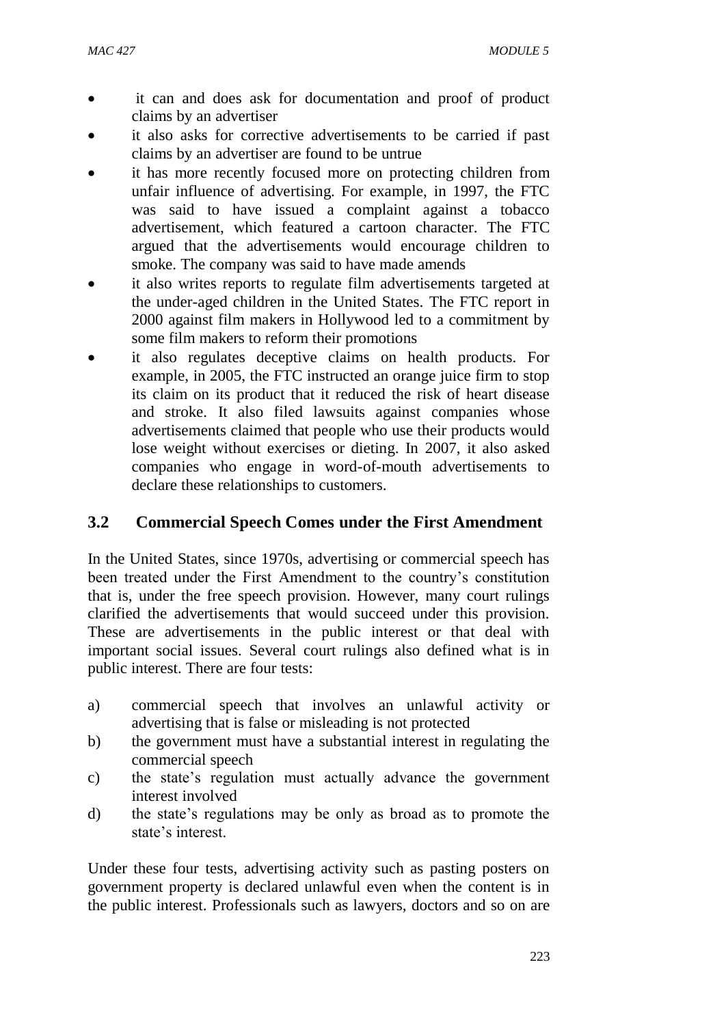- it can and does ask for documentation and proof of product claims by an advertiser
- it also asks for corrective advertisements to be carried if past claims by an advertiser are found to be untrue
- it has more recently focused more on protecting children from unfair influence of advertising. For example, in 1997, the FTC was said to have issued a complaint against a tobacco advertisement, which featured a cartoon character. The FTC argued that the advertisements would encourage children to smoke. The company was said to have made amends
- it also writes reports to regulate film advertisements targeted at the under-aged children in the United States. The FTC report in 2000 against film makers in Hollywood led to a commitment by some film makers to reform their promotions
- it also regulates deceptive claims on health products. For example, in 2005, the FTC instructed an orange juice firm to stop its claim on its product that it reduced the risk of heart disease and stroke. It also filed lawsuits against companies whose advertisements claimed that people who use their products would lose weight without exercises or dieting. In 2007, it also asked companies who engage in word-of-mouth advertisements to declare these relationships to customers.

# **3.2 Commercial Speech Comes under the First Amendment**

In the United States, since 1970s, advertising or commercial speech has been treated under the First Amendment to the country's constitution that is, under the free speech provision. However, many court rulings clarified the advertisements that would succeed under this provision. These are advertisements in the public interest or that deal with important social issues. Several court rulings also defined what is in public interest. There are four tests:

- a) commercial speech that involves an unlawful activity or advertising that is false or misleading is not protected
- b) the government must have a substantial interest in regulating the commercial speech
- c) the state's regulation must actually advance the government interest involved
- d) the state's regulations may be only as broad as to promote the state's interest.

Under these four tests, advertising activity such as pasting posters on government property is declared unlawful even when the content is in the public interest. Professionals such as lawyers, doctors and so on are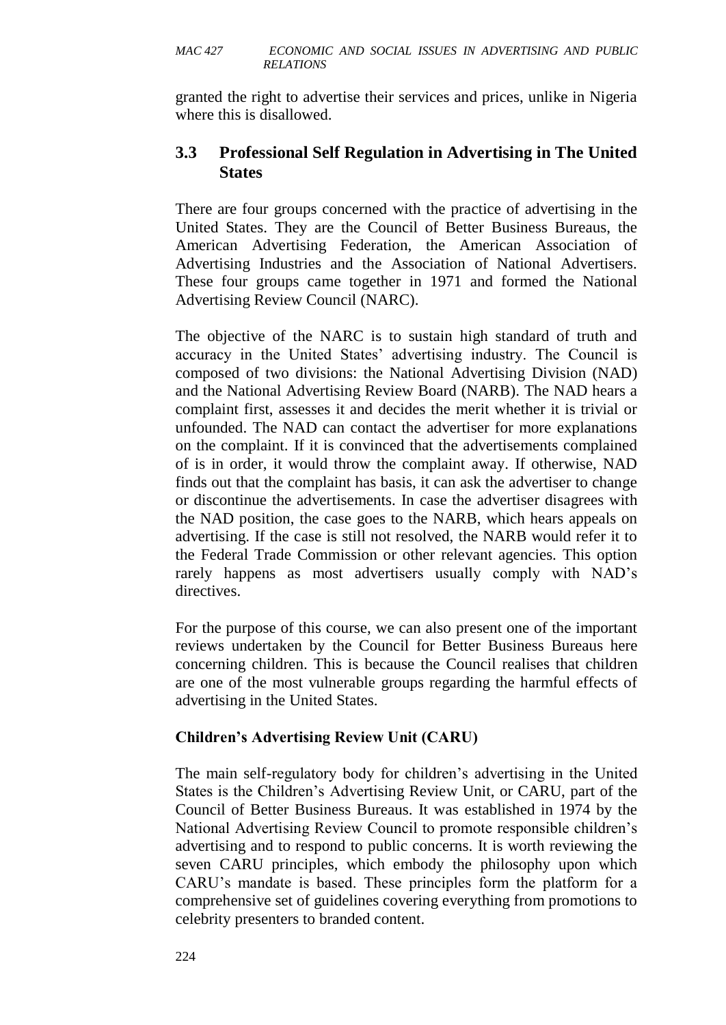granted the right to advertise their services and prices, unlike in Nigeria where this is disallowed.

# **3.3 Professional Self Regulation in Advertising in The United States**

There are four groups concerned with the practice of advertising in the United States. They are the Council of Better Business Bureaus, the American Advertising Federation, the American Association of Advertising Industries and the Association of National Advertisers. These four groups came together in 1971 and formed the National Advertising Review Council (NARC).

The objective of the NARC is to sustain high standard of truth and accuracy in the United States' advertising industry. The Council is composed of two divisions: the National Advertising Division (NAD) and the National Advertising Review Board (NARB). The NAD hears a complaint first, assesses it and decides the merit whether it is trivial or unfounded. The NAD can contact the advertiser for more explanations on the complaint. If it is convinced that the advertisements complained of is in order, it would throw the complaint away. If otherwise, NAD finds out that the complaint has basis, it can ask the advertiser to change or discontinue the advertisements. In case the advertiser disagrees with the NAD position, the case goes to the NARB, which hears appeals on advertising. If the case is still not resolved, the NARB would refer it to the Federal Trade Commission or other relevant agencies. This option rarely happens as most advertisers usually comply with NAD's directives.

For the purpose of this course, we can also present one of the important reviews undertaken by the Council for Better Business Bureaus here concerning children. This is because the Council realises that children are one of the most vulnerable groups regarding the harmful effects of advertising in the United States.

# **Children's Advertising Review Unit (CARU)**

The main self-regulatory body for children's advertising in the United States is the Children's Advertising Review Unit, or CARU, part of the Council of Better Business Bureaus. It was established in 1974 by the National Advertising Review Council to promote responsible children's advertising and to respond to public concerns. It is worth reviewing the seven CARU principles, which embody the philosophy upon which CARU's mandate is based. These principles form the platform for a comprehensive set of guidelines covering everything from promotions to celebrity presenters to branded content.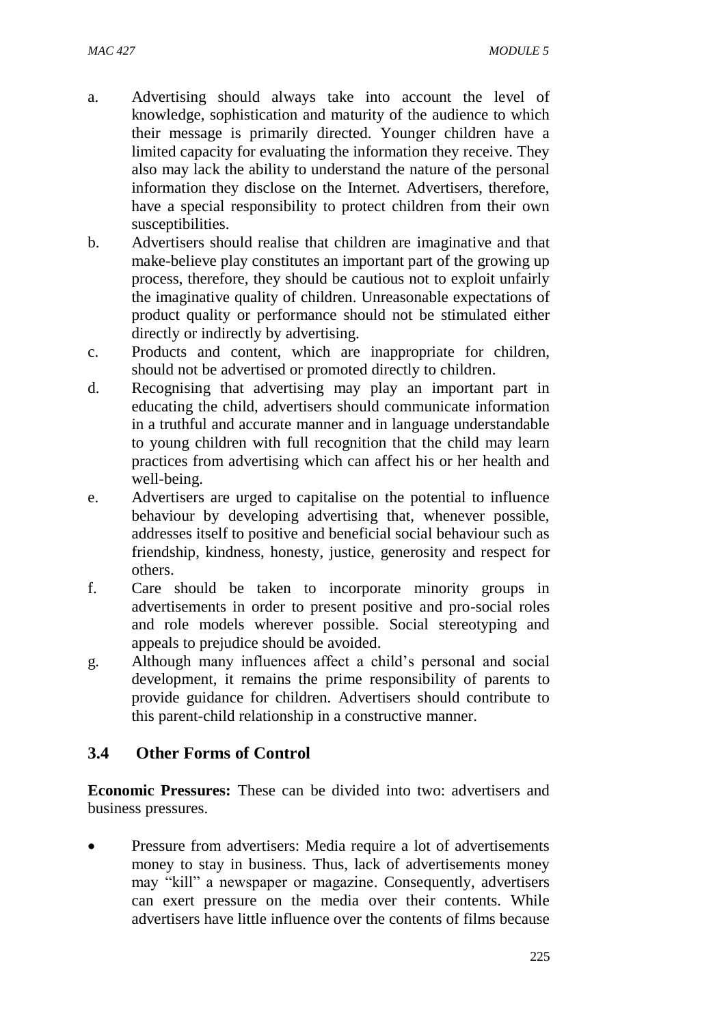- a. Advertising should always take into account the level of knowledge, sophistication and maturity of the audience to which their message is primarily directed. Younger children have a limited capacity for evaluating the information they receive. They also may lack the ability to understand the nature of the personal information they disclose on the Internet. Advertisers, therefore, have a special responsibility to protect children from their own susceptibilities.
- b. Advertisers should realise that children are imaginative and that make-believe play constitutes an important part of the growing up process, therefore, they should be cautious not to exploit unfairly the imaginative quality of children. Unreasonable expectations of product quality or performance should not be stimulated either directly or indirectly by advertising.
- c. Products and content, which are inappropriate for children, should not be advertised or promoted directly to children.
- d. Recognising that advertising may play an important part in educating the child, advertisers should communicate information in a truthful and accurate manner and in language understandable to young children with full recognition that the child may learn practices from advertising which can affect his or her health and well-being.
- e. Advertisers are urged to capitalise on the potential to influence behaviour by developing advertising that, whenever possible, addresses itself to positive and beneficial social behaviour such as friendship, kindness, honesty, justice, generosity and respect for others.
- f. Care should be taken to incorporate minority groups in advertisements in order to present positive and pro-social roles and role models wherever possible. Social stereotyping and appeals to prejudice should be avoided.
- g. Although many influences affect a child's personal and social development, it remains the prime responsibility of parents to provide guidance for children. Advertisers should contribute to this parent-child relationship in a constructive manner.

# **3.4 Other Forms of Control**

**Economic Pressures:** These can be divided into two: advertisers and business pressures.

 Pressure from advertisers: Media require a lot of advertisements money to stay in business. Thus, lack of advertisements money may "kill" a newspaper or magazine. Consequently, advertisers can exert pressure on the media over their contents. While advertisers have little influence over the contents of films because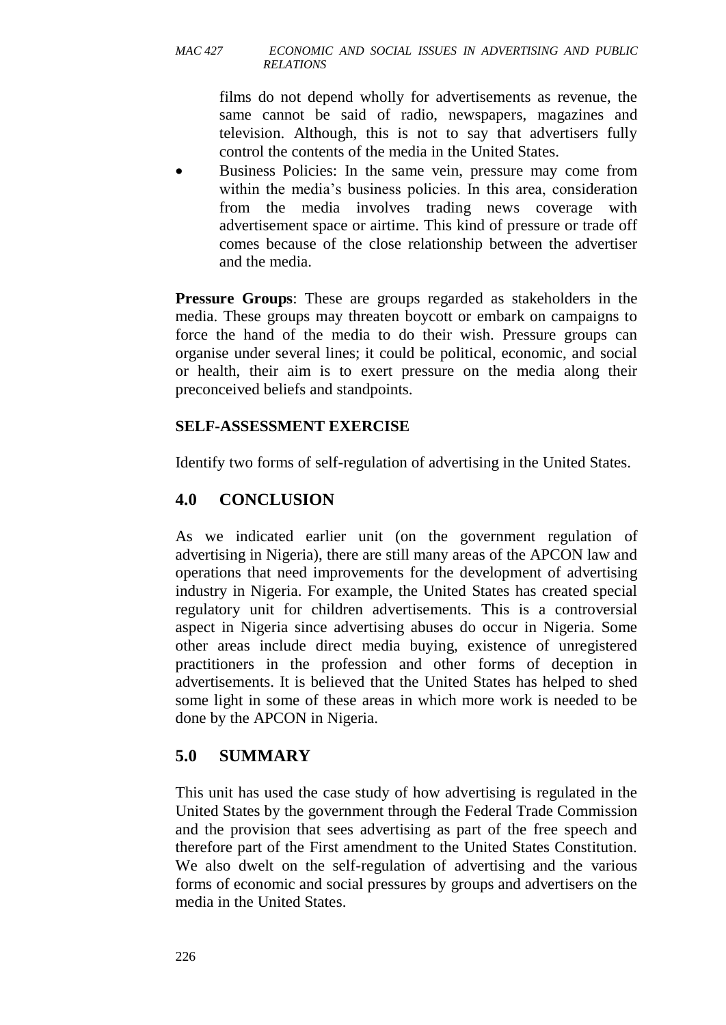films do not depend wholly for advertisements as revenue, the same cannot be said of radio, newspapers, magazines and television. Although, this is not to say that advertisers fully control the contents of the media in the United States.

 Business Policies: In the same vein, pressure may come from within the media's business policies. In this area, consideration from the media involves trading news coverage with advertisement space or airtime. This kind of pressure or trade off comes because of the close relationship between the advertiser and the media.

**Pressure Groups**: These are groups regarded as stakeholders in the media. These groups may threaten boycott or embark on campaigns to force the hand of the media to do their wish. Pressure groups can organise under several lines; it could be political, economic, and social or health, their aim is to exert pressure on the media along their preconceived beliefs and standpoints.

### **SELF-ASSESSMENT EXERCISE**

Identify two forms of self-regulation of advertising in the United States.

# **4.0 CONCLUSION**

As we indicated earlier unit (on the government regulation of advertising in Nigeria), there are still many areas of the APCON law and operations that need improvements for the development of advertising industry in Nigeria. For example, the United States has created special regulatory unit for children advertisements. This is a controversial aspect in Nigeria since advertising abuses do occur in Nigeria. Some other areas include direct media buying, existence of unregistered practitioners in the profession and other forms of deception in advertisements. It is believed that the United States has helped to shed some light in some of these areas in which more work is needed to be done by the APCON in Nigeria.

# **5.0 SUMMARY**

This unit has used the case study of how advertising is regulated in the United States by the government through the Federal Trade Commission and the provision that sees advertising as part of the free speech and therefore part of the First amendment to the United States Constitution. We also dwelt on the self-regulation of advertising and the various forms of economic and social pressures by groups and advertisers on the media in the United States.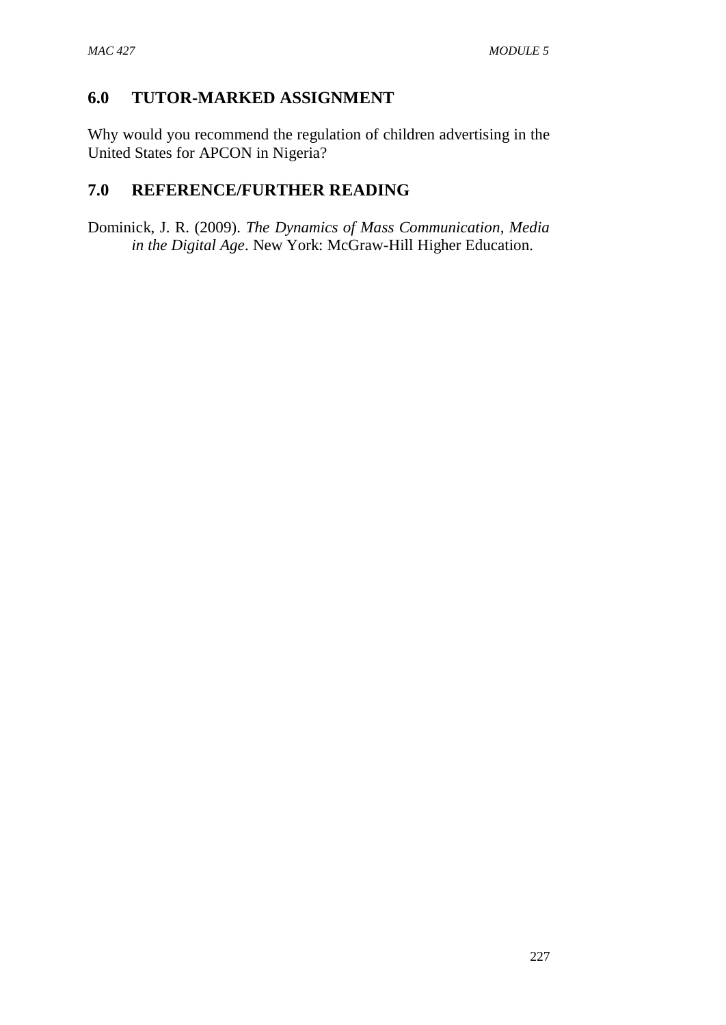### **6.0 TUTOR-MARKED ASSIGNMENT**

Why would you recommend the regulation of children advertising in the United States for APCON in Nigeria?

### **7.0 REFERENCE/FURTHER READING**

Dominick, J. R. (2009). *The Dynamics of Mass Communication, Media in the Digital Age*. New York: McGraw-Hill Higher Education.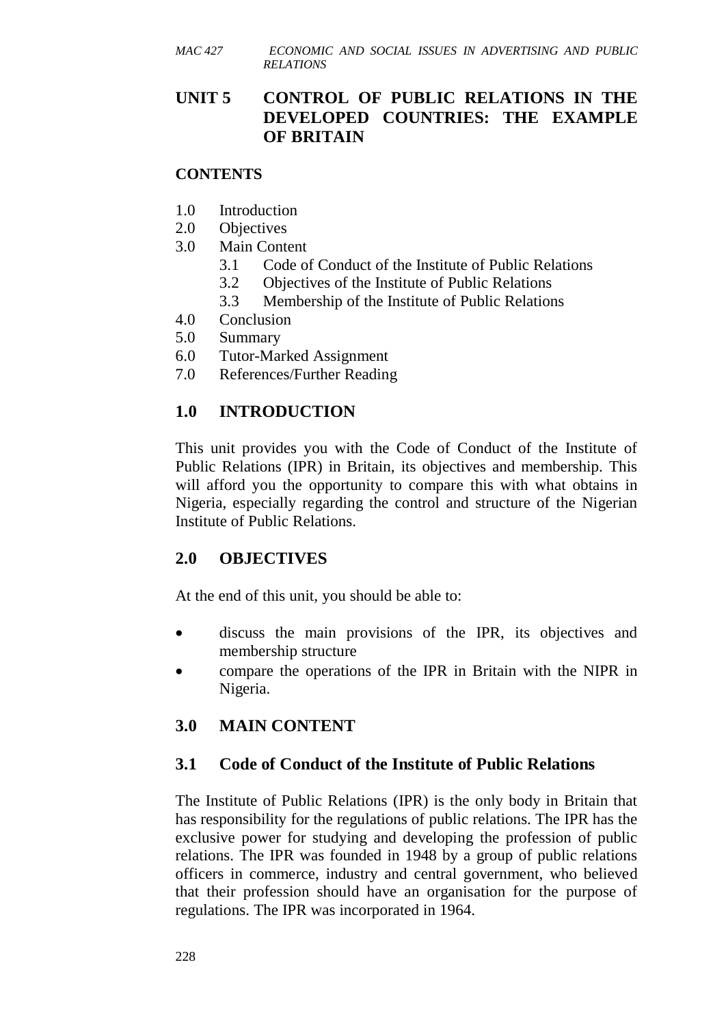### **UNIT 5 CONTROL OF PUBLIC RELATIONS IN THE DEVELOPED COUNTRIES: THE EXAMPLE OF BRITAIN**

#### **CONTENTS**

- 1.0 Introduction
- 2.0 Objectives
- 3.0 Main Content
	- 3.1 Code of Conduct of the Institute of Public Relations
	- 3.2 Objectives of the Institute of Public Relations
	- 3.3 Membership of the Institute of Public Relations
- 4.0 Conclusion
- 5.0 Summary
- 6.0 Tutor-Marked Assignment
- 7.0 References/Further Reading

### **1.0 INTRODUCTION**

This unit provides you with the Code of Conduct of the Institute of Public Relations (IPR) in Britain, its objectives and membership. This will afford you the opportunity to compare this with what obtains in Nigeria, especially regarding the control and structure of the Nigerian Institute of Public Relations.

### **2.0 OBJECTIVES**

At the end of this unit, you should be able to:

- discuss the main provisions of the IPR, its objectives and membership structure
- compare the operations of the IPR in Britain with the NIPR in Nigeria.

## **3.0 MAIN CONTENT**

### **3.1 Code of Conduct of the Institute of Public Relations**

The Institute of Public Relations (IPR) is the only body in Britain that has responsibility for the regulations of public relations. The IPR has the exclusive power for studying and developing the profession of public relations. The IPR was founded in 1948 by a group of public relations officers in commerce, industry and central government, who believed that their profession should have an organisation for the purpose of regulations. The IPR was incorporated in 1964.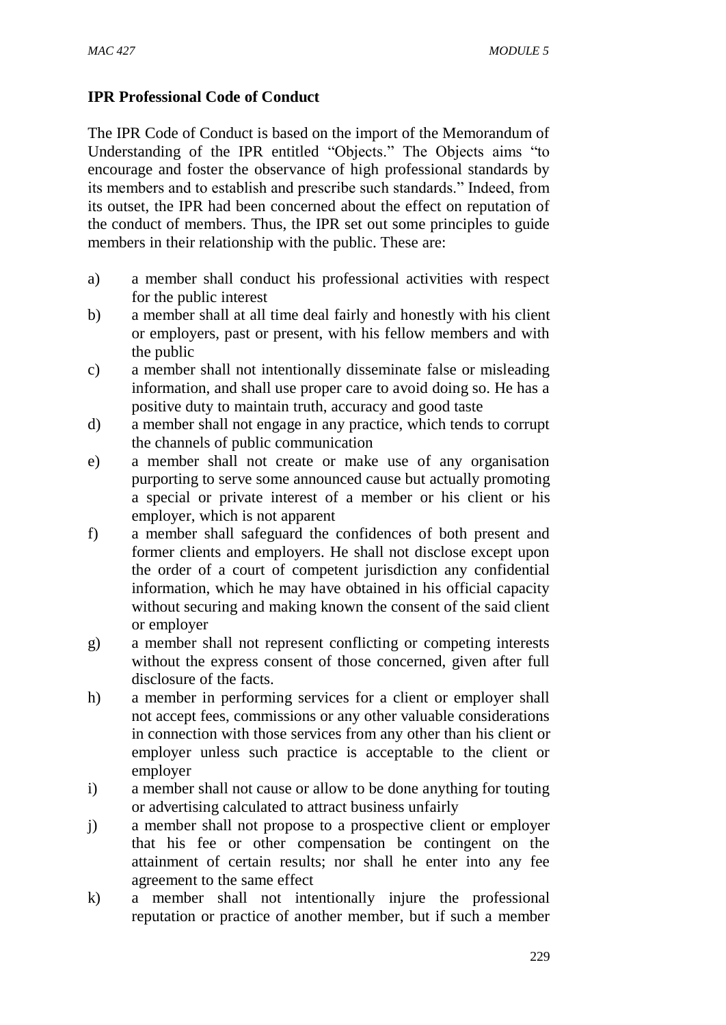### **IPR Professional Code of Conduct**

The IPR Code of Conduct is based on the import of the Memorandum of Understanding of the IPR entitled "Objects." The Objects aims "to encourage and foster the observance of high professional standards by its members and to establish and prescribe such standards." Indeed, from its outset, the IPR had been concerned about the effect on reputation of the conduct of members. Thus, the IPR set out some principles to guide members in their relationship with the public. These are:

- a) a member shall conduct his professional activities with respect for the public interest
- b) a member shall at all time deal fairly and honestly with his client or employers, past or present, with his fellow members and with the public
- c) a member shall not intentionally disseminate false or misleading information, and shall use proper care to avoid doing so. He has a positive duty to maintain truth, accuracy and good taste
- d) a member shall not engage in any practice, which tends to corrupt the channels of public communication
- e) a member shall not create or make use of any organisation purporting to serve some announced cause but actually promoting a special or private interest of a member or his client or his employer, which is not apparent
- f) a member shall safeguard the confidences of both present and former clients and employers. He shall not disclose except upon the order of a court of competent jurisdiction any confidential information, which he may have obtained in his official capacity without securing and making known the consent of the said client or employer
- g) a member shall not represent conflicting or competing interests without the express consent of those concerned, given after full disclosure of the facts.
- h) a member in performing services for a client or employer shall not accept fees, commissions or any other valuable considerations in connection with those services from any other than his client or employer unless such practice is acceptable to the client or employer
- i) a member shall not cause or allow to be done anything for touting or advertising calculated to attract business unfairly
- j) a member shall not propose to a prospective client or employer that his fee or other compensation be contingent on the attainment of certain results; nor shall he enter into any fee agreement to the same effect
- k) a member shall not intentionally injure the professional reputation or practice of another member, but if such a member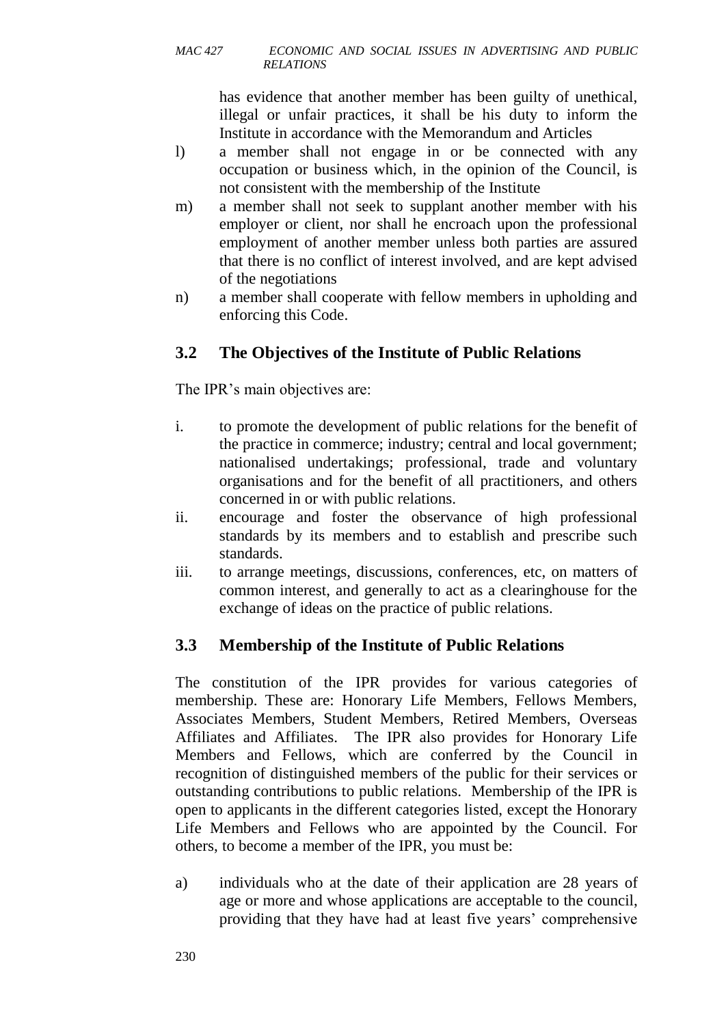has evidence that another member has been guilty of unethical, illegal or unfair practices, it shall be his duty to inform the Institute in accordance with the Memorandum and Articles

- l) a member shall not engage in or be connected with any occupation or business which, in the opinion of the Council, is not consistent with the membership of the Institute
- m) a member shall not seek to supplant another member with his employer or client, nor shall he encroach upon the professional employment of another member unless both parties are assured that there is no conflict of interest involved, and are kept advised of the negotiations
- n) a member shall cooperate with fellow members in upholding and enforcing this Code.

# **3.2 The Objectives of the Institute of Public Relations**

The IPR's main objectives are:

- i. to promote the development of public relations for the benefit of the practice in commerce; industry; central and local government; nationalised undertakings; professional, trade and voluntary organisations and for the benefit of all practitioners, and others concerned in or with public relations.
- ii. encourage and foster the observance of high professional standards by its members and to establish and prescribe such standards.
- iii. to arrange meetings, discussions, conferences, etc, on matters of common interest, and generally to act as a clearinghouse for the exchange of ideas on the practice of public relations.

## **3.3 Membership of the Institute of Public Relations**

The constitution of the IPR provides for various categories of membership. These are: Honorary Life Members, Fellows Members, Associates Members, Student Members, Retired Members, Overseas Affiliates and Affiliates. The IPR also provides for Honorary Life Members and Fellows, which are conferred by the Council in recognition of distinguished members of the public for their services or outstanding contributions to public relations. Membership of the IPR is open to applicants in the different categories listed, except the Honorary Life Members and Fellows who are appointed by the Council. For others, to become a member of the IPR, you must be:

a) individuals who at the date of their application are 28 years of age or more and whose applications are acceptable to the council, providing that they have had at least five years' comprehensive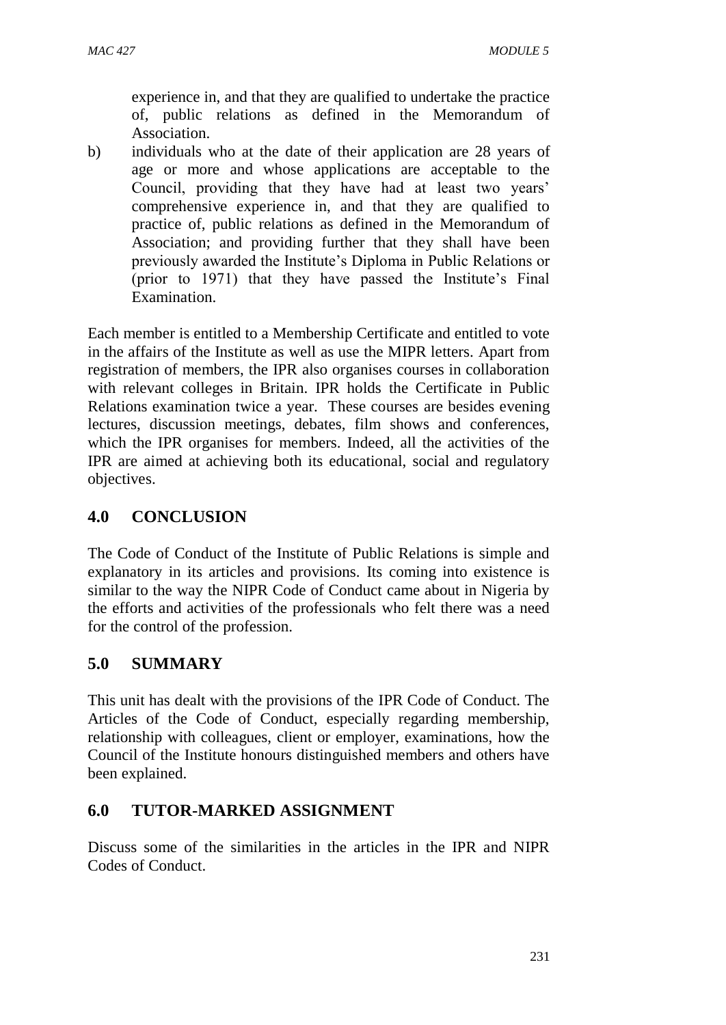experience in, and that they are qualified to undertake the practice of, public relations as defined in the Memorandum of Association.

b) individuals who at the date of their application are 28 years of age or more and whose applications are acceptable to the Council, providing that they have had at least two years' comprehensive experience in, and that they are qualified to practice of, public relations as defined in the Memorandum of Association; and providing further that they shall have been previously awarded the Institute's Diploma in Public Relations or (prior to 1971) that they have passed the Institute's Final Examination.

Each member is entitled to a Membership Certificate and entitled to vote in the affairs of the Institute as well as use the MIPR letters. Apart from registration of members, the IPR also organises courses in collaboration with relevant colleges in Britain. IPR holds the Certificate in Public Relations examination twice a year. These courses are besides evening lectures, discussion meetings, debates, film shows and conferences, which the IPR organises for members. Indeed, all the activities of the IPR are aimed at achieving both its educational, social and regulatory objectives.

### **4.0 CONCLUSION**

The Code of Conduct of the Institute of Public Relations is simple and explanatory in its articles and provisions. Its coming into existence is similar to the way the NIPR Code of Conduct came about in Nigeria by the efforts and activities of the professionals who felt there was a need for the control of the profession.

### **5.0 SUMMARY**

This unit has dealt with the provisions of the IPR Code of Conduct. The Articles of the Code of Conduct, especially regarding membership, relationship with colleagues, client or employer, examinations, how the Council of the Institute honours distinguished members and others have been explained.

## **6.0 TUTOR-MARKED ASSIGNMENT**

Discuss some of the similarities in the articles in the IPR and NIPR Codes of Conduct.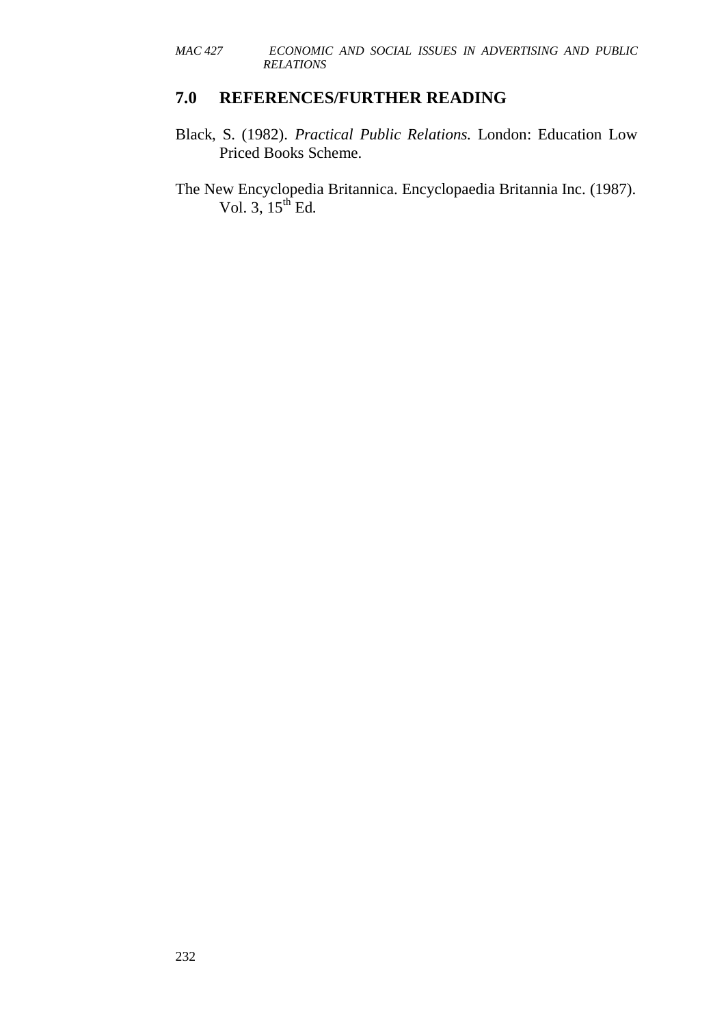#### **7.0 REFERENCES/FURTHER READING**

- Black, S. (1982). *Practical Public Relations.* London: Education Low Priced Books Scheme.
- The New Encyclopedia Britannica. Encyclopaedia Britannia Inc. (1987). Vol. 3,  $15^{th}$  Ed.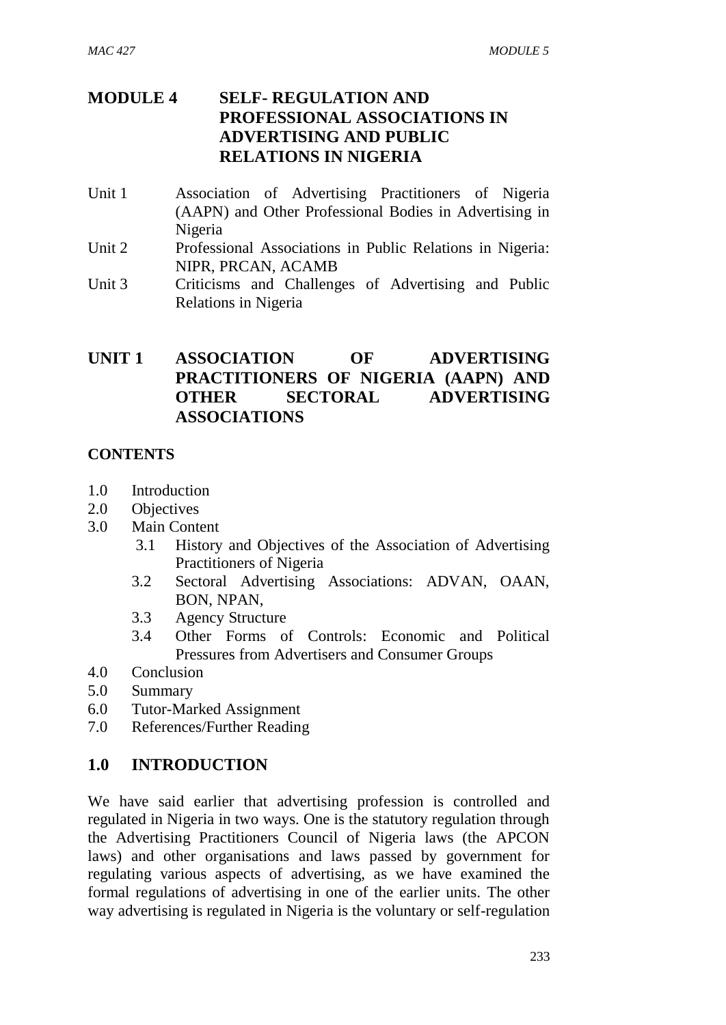## **MODULE 4 SELF- REGULATION AND PROFESSIONAL ASSOCIATIONS IN ADVERTISING AND PUBLIC RELATIONS IN NIGERIA**

- Unit 1 Association of Advertising Practitioners of Nigeria (AAPN) and Other Professional Bodies in Advertising in Nigeria
- Unit 2 Professional Associations in Public Relations in Nigeria: NIPR, PRCAN, ACAMB
- Unit 3 Criticisms and Challenges of Advertising and Public Relations in Nigeria

### **UNIT 1 ASSOCIATION OF ADVERTISING PRACTITIONERS OF NIGERIA (AAPN) AND OTHER SECTORAL ADVERTISING ASSOCIATIONS**

### **CONTENTS**

- 1.0 Introduction
- 2.0 Objectives
- 3.0 Main Content
	- 3.1 History and Objectives of the Association of Advertising Practitioners of Nigeria
	- 3.2 Sectoral Advertising Associations: ADVAN, OAAN, BON, NPAN,
	- 3.3 Agency Structure
	- 3.4 Other Forms of Controls: Economic and Political Pressures from Advertisers and Consumer Groups
- 4.0 Conclusion
- 5.0 Summary
- 6.0 Tutor-Marked Assignment
- 7.0 References/Further Reading

### **1.0 INTRODUCTION**

We have said earlier that advertising profession is controlled and regulated in Nigeria in two ways. One is the statutory regulation through the Advertising Practitioners Council of Nigeria laws (the APCON laws) and other organisations and laws passed by government for regulating various aspects of advertising, as we have examined the formal regulations of advertising in one of the earlier units. The other way advertising is regulated in Nigeria is the voluntary or self-regulation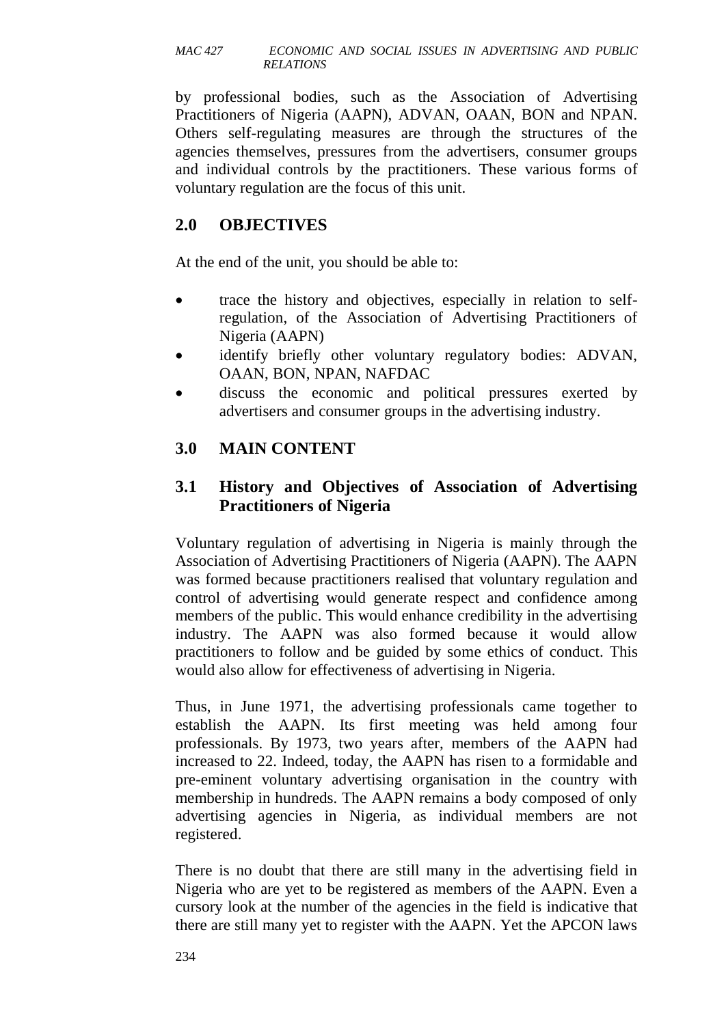by professional bodies, such as the Association of Advertising Practitioners of Nigeria (AAPN), ADVAN, OAAN, BON and NPAN. Others self-regulating measures are through the structures of the agencies themselves, pressures from the advertisers, consumer groups and individual controls by the practitioners. These various forms of voluntary regulation are the focus of this unit.

### **2.0 OBJECTIVES**

At the end of the unit, you should be able to:

- trace the history and objectives, especially in relation to selfregulation, of the Association of Advertising Practitioners of Nigeria (AAPN)
- identify briefly other voluntary regulatory bodies: ADVAN, OAAN, BON, NPAN, NAFDAC
- discuss the economic and political pressures exerted by advertisers and consumer groups in the advertising industry.

## **3.0 MAIN CONTENT**

### **3.1 History and Objectives of Association of Advertising Practitioners of Nigeria**

Voluntary regulation of advertising in Nigeria is mainly through the Association of Advertising Practitioners of Nigeria (AAPN). The AAPN was formed because practitioners realised that voluntary regulation and control of advertising would generate respect and confidence among members of the public. This would enhance credibility in the advertising industry. The AAPN was also formed because it would allow practitioners to follow and be guided by some ethics of conduct. This would also allow for effectiveness of advertising in Nigeria.

Thus, in June 1971, the advertising professionals came together to establish the AAPN. Its first meeting was held among four professionals. By 1973, two years after, members of the AAPN had increased to 22. Indeed, today, the AAPN has risen to a formidable and pre-eminent voluntary advertising organisation in the country with membership in hundreds. The AAPN remains a body composed of only advertising agencies in Nigeria, as individual members are not registered.

There is no doubt that there are still many in the advertising field in Nigeria who are yet to be registered as members of the AAPN. Even a cursory look at the number of the agencies in the field is indicative that there are still many yet to register with the AAPN. Yet the APCON laws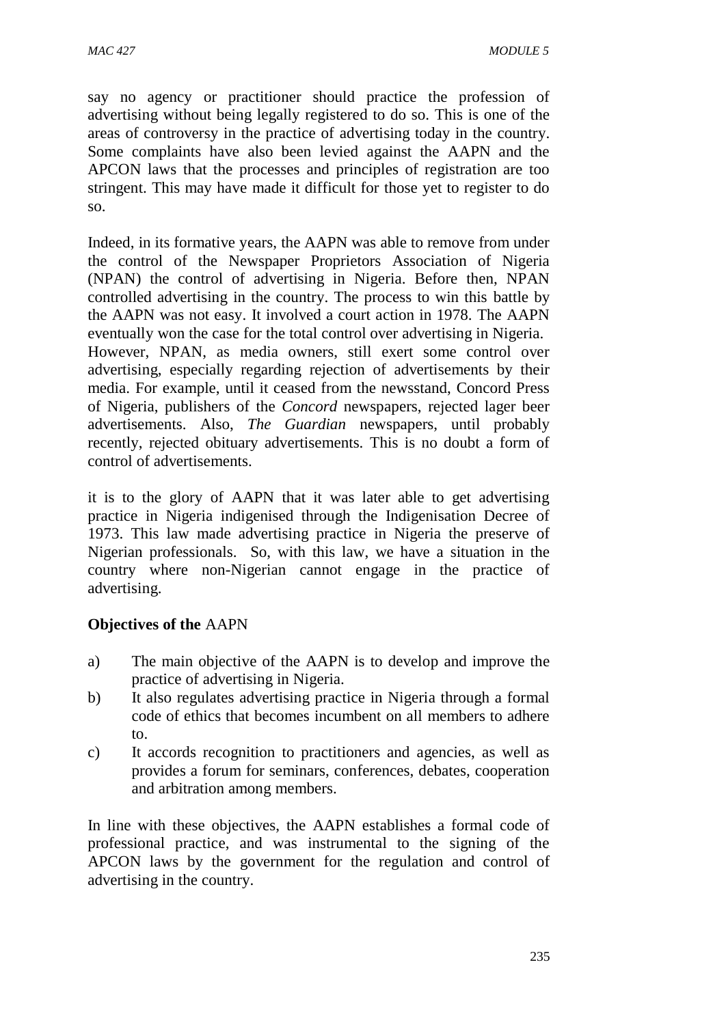say no agency or practitioner should practice the profession of advertising without being legally registered to do so. This is one of the areas of controversy in the practice of advertising today in the country. Some complaints have also been levied against the AAPN and the APCON laws that the processes and principles of registration are too stringent. This may have made it difficult for those yet to register to do so.

Indeed, in its formative years, the AAPN was able to remove from under the control of the Newspaper Proprietors Association of Nigeria (NPAN) the control of advertising in Nigeria. Before then, NPAN controlled advertising in the country. The process to win this battle by the AAPN was not easy. It involved a court action in 1978. The AAPN eventually won the case for the total control over advertising in Nigeria. However, NPAN, as media owners, still exert some control over advertising, especially regarding rejection of advertisements by their media. For example, until it ceased from the newsstand, Concord Press of Nigeria, publishers of the *Concord* newspapers, rejected lager beer advertisements. Also, *The Guardian* newspapers, until probably recently, rejected obituary advertisements. This is no doubt a form of control of advertisements.

it is to the glory of AAPN that it was later able to get advertising practice in Nigeria indigenised through the Indigenisation Decree of 1973. This law made advertising practice in Nigeria the preserve of Nigerian professionals. So, with this law, we have a situation in the country where non-Nigerian cannot engage in the practice of advertising.

#### **Objectives of the** AAPN

- a) The main objective of the AAPN is to develop and improve the practice of advertising in Nigeria.
- b) It also regulates advertising practice in Nigeria through a formal code of ethics that becomes incumbent on all members to adhere to.
- c) It accords recognition to practitioners and agencies, as well as provides a forum for seminars, conferences, debates, cooperation and arbitration among members.

In line with these objectives, the AAPN establishes a formal code of professional practice, and was instrumental to the signing of the APCON laws by the government for the regulation and control of advertising in the country.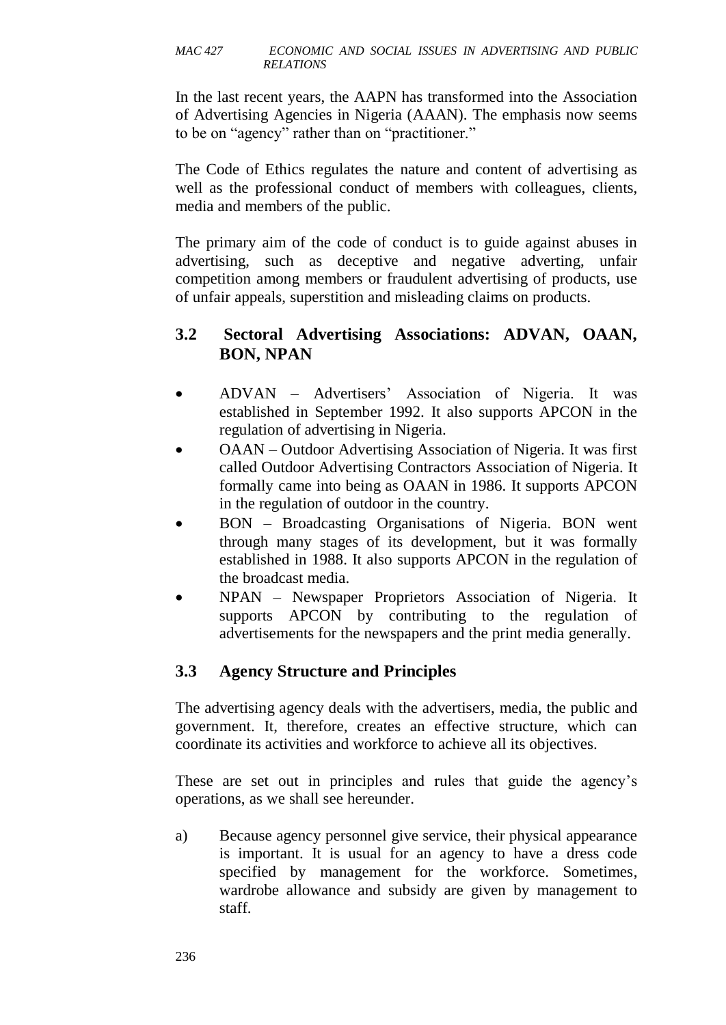In the last recent years, the AAPN has transformed into the Association of Advertising Agencies in Nigeria (AAAN). The emphasis now seems to be on "agency" rather than on "practitioner."

The Code of Ethics regulates the nature and content of advertising as well as the professional conduct of members with colleagues, clients, media and members of the public.

The primary aim of the code of conduct is to guide against abuses in advertising, such as deceptive and negative adverting, unfair competition among members or fraudulent advertising of products, use of unfair appeals, superstition and misleading claims on products.

### **3.2 Sectoral Advertising Associations: ADVAN, OAAN, BON, NPAN**

- ADVAN Advertisers' Association of Nigeria. It was established in September 1992. It also supports APCON in the regulation of advertising in Nigeria.
- OAAN Outdoor Advertising Association of Nigeria. It was first called Outdoor Advertising Contractors Association of Nigeria. It formally came into being as OAAN in 1986. It supports APCON in the regulation of outdoor in the country.
- BON Broadcasting Organisations of Nigeria. BON went through many stages of its development, but it was formally established in 1988. It also supports APCON in the regulation of the broadcast media.
- NPAN Newspaper Proprietors Association of Nigeria. It supports APCON by contributing to the regulation of advertisements for the newspapers and the print media generally.

## **3.3 Agency Structure and Principles**

The advertising agency deals with the advertisers, media, the public and government. It, therefore, creates an effective structure, which can coordinate its activities and workforce to achieve all its objectives.

These are set out in principles and rules that guide the agency's operations, as we shall see hereunder.

a) Because agency personnel give service, their physical appearance is important. It is usual for an agency to have a dress code specified by management for the workforce. Sometimes, wardrobe allowance and subsidy are given by management to staff.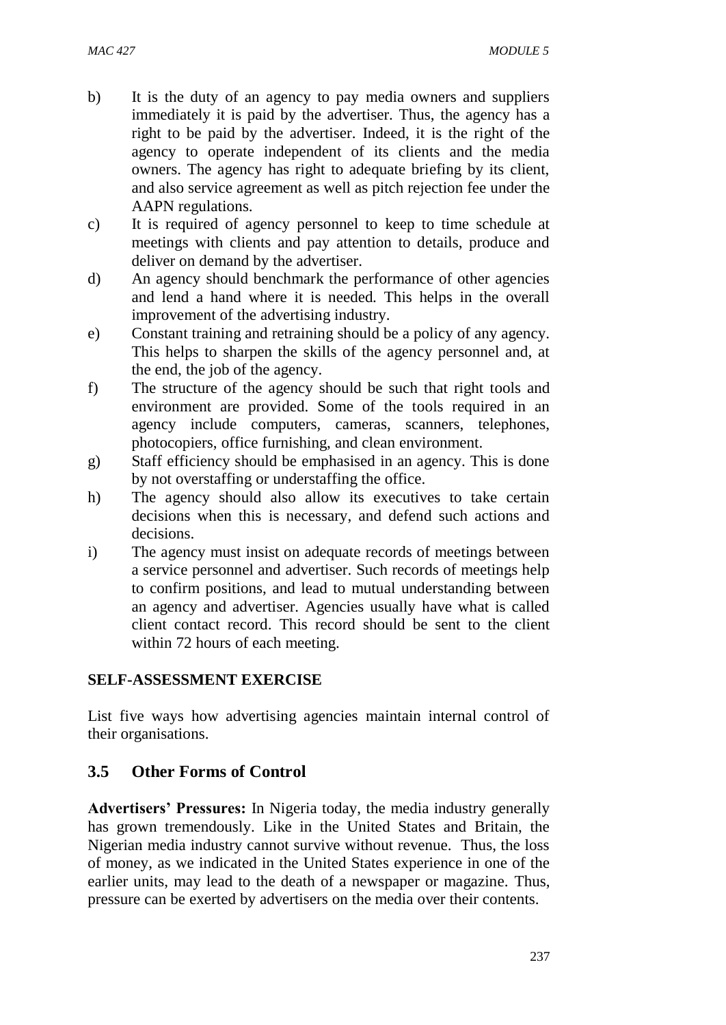- b) It is the duty of an agency to pay media owners and suppliers immediately it is paid by the advertiser. Thus, the agency has a right to be paid by the advertiser. Indeed, it is the right of the agency to operate independent of its clients and the media owners. The agency has right to adequate briefing by its client, and also service agreement as well as pitch rejection fee under the AAPN regulations.
- c) It is required of agency personnel to keep to time schedule at meetings with clients and pay attention to details, produce and deliver on demand by the advertiser.
- d) An agency should benchmark the performance of other agencies and lend a hand where it is needed. This helps in the overall improvement of the advertising industry.
- e) Constant training and retraining should be a policy of any agency. This helps to sharpen the skills of the agency personnel and, at the end, the job of the agency.
- f) The structure of the agency should be such that right tools and environment are provided. Some of the tools required in an agency include computers, cameras, scanners, telephones, photocopiers, office furnishing, and clean environment.
- g) Staff efficiency should be emphasised in an agency. This is done by not overstaffing or understaffing the office.
- h) The agency should also allow its executives to take certain decisions when this is necessary, and defend such actions and decisions.
- i) The agency must insist on adequate records of meetings between a service personnel and advertiser. Such records of meetings help to confirm positions, and lead to mutual understanding between an agency and advertiser. Agencies usually have what is called client contact record. This record should be sent to the client within 72 hours of each meeting.

### **SELF-ASSESSMENT EXERCISE**

List five ways how advertising agencies maintain internal control of their organisations.

### **3.5 Other Forms of Control**

**Advertisers' Pressures:** In Nigeria today, the media industry generally has grown tremendously. Like in the United States and Britain, the Nigerian media industry cannot survive without revenue. Thus, the loss of money, as we indicated in the United States experience in one of the earlier units, may lead to the death of a newspaper or magazine. Thus, pressure can be exerted by advertisers on the media over their contents.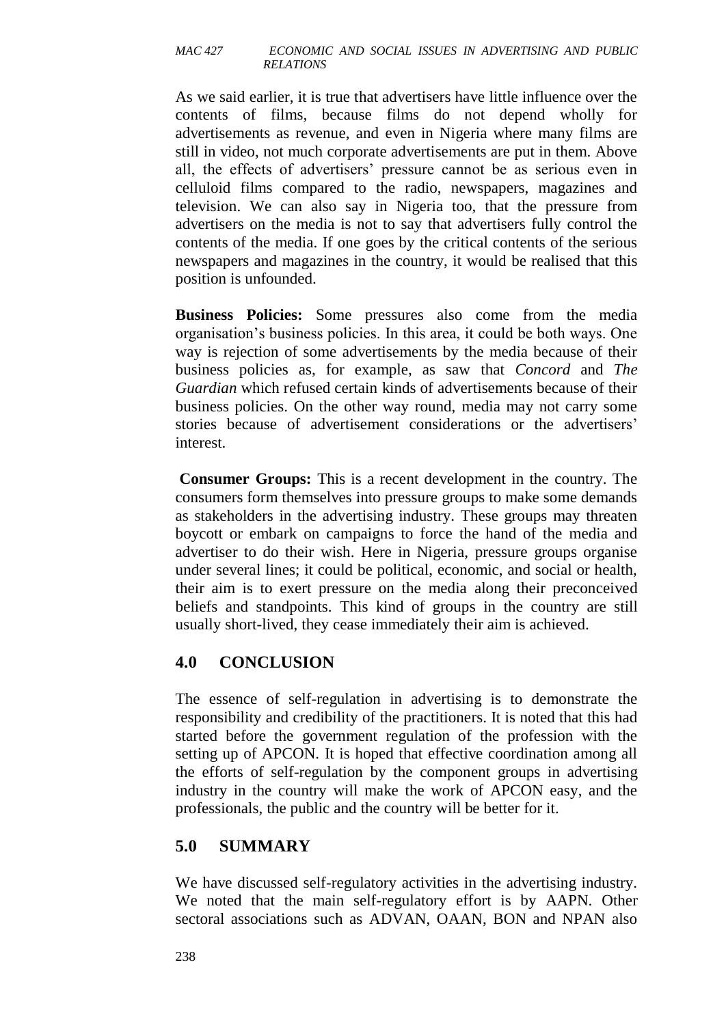As we said earlier, it is true that advertisers have little influence over the contents of films, because films do not depend wholly for advertisements as revenue, and even in Nigeria where many films are still in video, not much corporate advertisements are put in them. Above all, the effects of advertisers' pressure cannot be as serious even in celluloid films compared to the radio, newspapers, magazines and television. We can also say in Nigeria too, that the pressure from advertisers on the media is not to say that advertisers fully control the contents of the media. If one goes by the critical contents of the serious newspapers and magazines in the country, it would be realised that this position is unfounded.

**Business Policies:** Some pressures also come from the media organisation's business policies. In this area, it could be both ways. One way is rejection of some advertisements by the media because of their business policies as, for example, as saw that *Concord* and *The Guardian* which refused certain kinds of advertisements because of their business policies. On the other way round, media may not carry some stories because of advertisement considerations or the advertisers' interest.

**Consumer Groups:** This is a recent development in the country. The consumers form themselves into pressure groups to make some demands as stakeholders in the advertising industry. These groups may threaten boycott or embark on campaigns to force the hand of the media and advertiser to do their wish. Here in Nigeria, pressure groups organise under several lines; it could be political, economic, and social or health, their aim is to exert pressure on the media along their preconceived beliefs and standpoints. This kind of groups in the country are still usually short-lived, they cease immediately their aim is achieved.

### **4.0 CONCLUSION**

The essence of self-regulation in advertising is to demonstrate the responsibility and credibility of the practitioners. It is noted that this had started before the government regulation of the profession with the setting up of APCON. It is hoped that effective coordination among all the efforts of self-regulation by the component groups in advertising industry in the country will make the work of APCON easy, and the professionals, the public and the country will be better for it.

### **5.0 SUMMARY**

We have discussed self-regulatory activities in the advertising industry. We noted that the main self-regulatory effort is by AAPN. Other sectoral associations such as ADVAN, OAAN, BON and NPAN also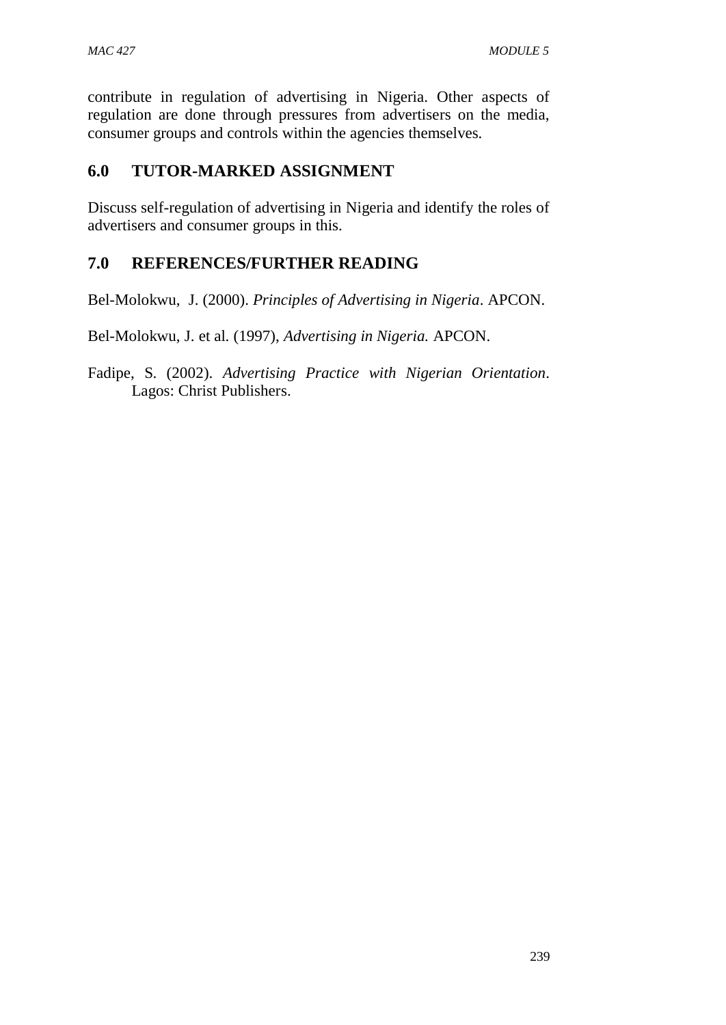contribute in regulation of advertising in Nigeria. Other aspects of regulation are done through pressures from advertisers on the media, consumer groups and controls within the agencies themselves.

### **6.0 TUTOR-MARKED ASSIGNMENT**

Discuss self-regulation of advertising in Nigeria and identify the roles of advertisers and consumer groups in this.

### **7.0 REFERENCES/FURTHER READING**

Bel-Molokwu, J. (2000). *Principles of Advertising in Nigeria*. APCON.

Bel-Molokwu, J. et al. (1997), *Advertising in Nigeria.* APCON.

Fadipe, S. (2002). *Advertising Practice with Nigerian Orientation*. Lagos: Christ Publishers.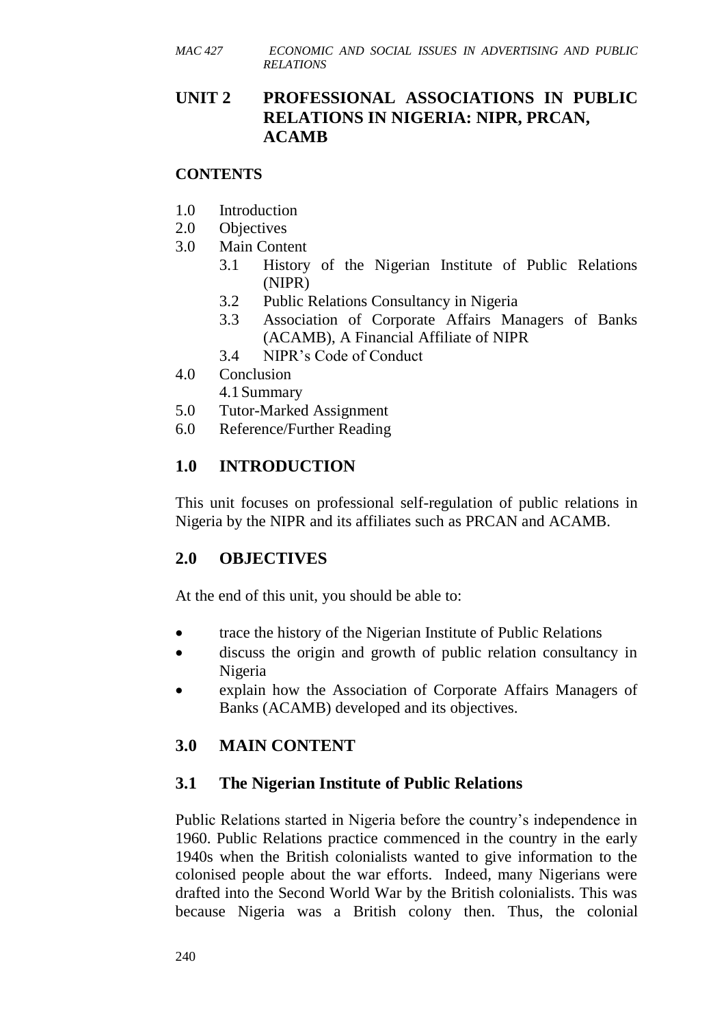### **UNIT 2 PROFESSIONAL ASSOCIATIONS IN PUBLIC RELATIONS IN NIGERIA: NIPR, PRCAN, ACAMB**

#### **CONTENTS**

- 1.0 Introduction
- 2.0 Objectives
- 3.0 Main Content
	- 3.1 History of the Nigerian Institute of Public Relations (NIPR)
	- 3.2 Public Relations Consultancy in Nigeria
	- 3.3 Association of Corporate Affairs Managers of Banks (ACAMB), A Financial Affiliate of NIPR
	- 3.4 NIPR's Code of Conduct
- 4.0 Conclusion
	- 4.1Summary
- 5.0 Tutor-Marked Assignment
- 6.0 Reference/Further Reading

### **1.0 INTRODUCTION**

This unit focuses on professional self-regulation of public relations in Nigeria by the NIPR and its affiliates such as PRCAN and ACAMB.

### **2.0 OBJECTIVES**

At the end of this unit, you should be able to:

- trace the history of the Nigerian Institute of Public Relations
- discuss the origin and growth of public relation consultancy in Nigeria
- explain how the Association of Corporate Affairs Managers of Banks (ACAMB) developed and its objectives.

## **3.0 MAIN CONTENT**

## **3.1 The Nigerian Institute of Public Relations**

Public Relations started in Nigeria before the country's independence in 1960. Public Relations practice commenced in the country in the early 1940s when the British colonialists wanted to give information to the colonised people about the war efforts. Indeed, many Nigerians were drafted into the Second World War by the British colonialists. This was because Nigeria was a British colony then. Thus, the colonial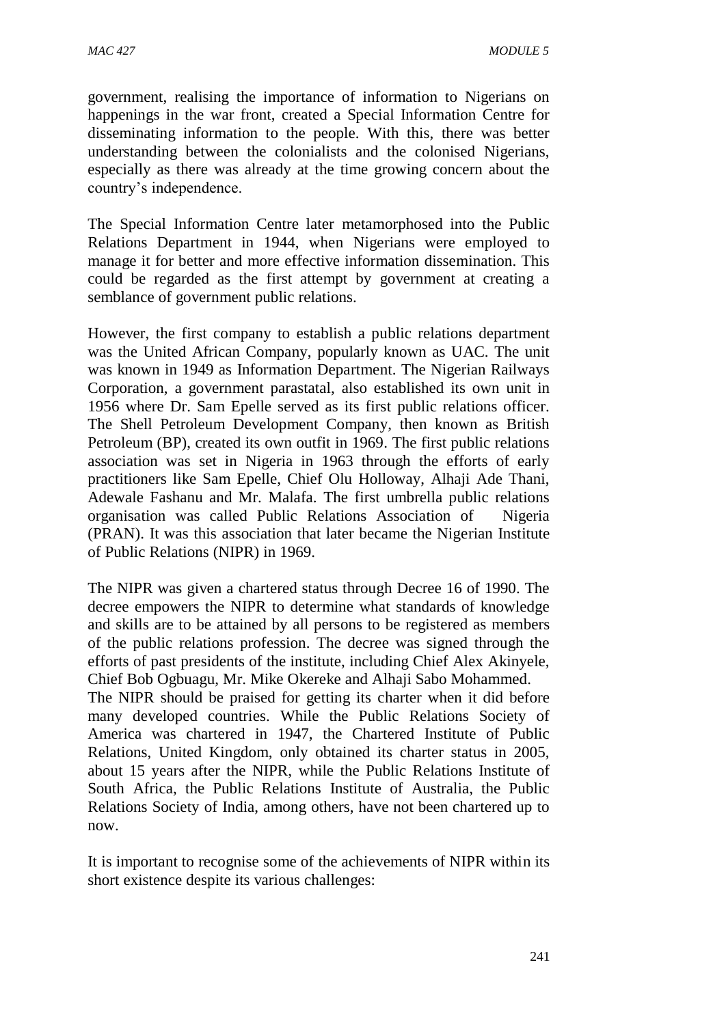government, realising the importance of information to Nigerians on happenings in the war front, created a Special Information Centre for disseminating information to the people. With this, there was better understanding between the colonialists and the colonised Nigerians, especially as there was already at the time growing concern about the country's independence.

The Special Information Centre later metamorphosed into the Public Relations Department in 1944, when Nigerians were employed to manage it for better and more effective information dissemination. This could be regarded as the first attempt by government at creating a semblance of government public relations.

However, the first company to establish a public relations department was the United African Company, popularly known as UAC. The unit was known in 1949 as Information Department. The Nigerian Railways Corporation, a government parastatal, also established its own unit in 1956 where Dr. Sam Epelle served as its first public relations officer. The Shell Petroleum Development Company, then known as British Petroleum (BP), created its own outfit in 1969. The first public relations association was set in Nigeria in 1963 through the efforts of early practitioners like Sam Epelle, Chief Olu Holloway, Alhaji Ade Thani, Adewale Fashanu and Mr. Malafa. The first umbrella public relations organisation was called Public Relations Association of Nigeria (PRAN). It was this association that later became the Nigerian Institute of Public Relations (NIPR) in 1969.

The NIPR was given a chartered status through Decree 16 of 1990. The decree empowers the NIPR to determine what standards of knowledge and skills are to be attained by all persons to be registered as members of the public relations profession. The decree was signed through the efforts of past presidents of the institute, including Chief Alex Akinyele, Chief Bob Ogbuagu, Mr. Mike Okereke and Alhaji Sabo Mohammed.

The NIPR should be praised for getting its charter when it did before many developed countries. While the Public Relations Society of America was chartered in 1947, the Chartered Institute of Public Relations, United Kingdom, only obtained its charter status in 2005, about 15 years after the NIPR, while the Public Relations Institute of South Africa, the Public Relations Institute of Australia, the Public Relations Society of India, among others, have not been chartered up to now.

It is important to recognise some of the achievements of NIPR within its short existence despite its various challenges: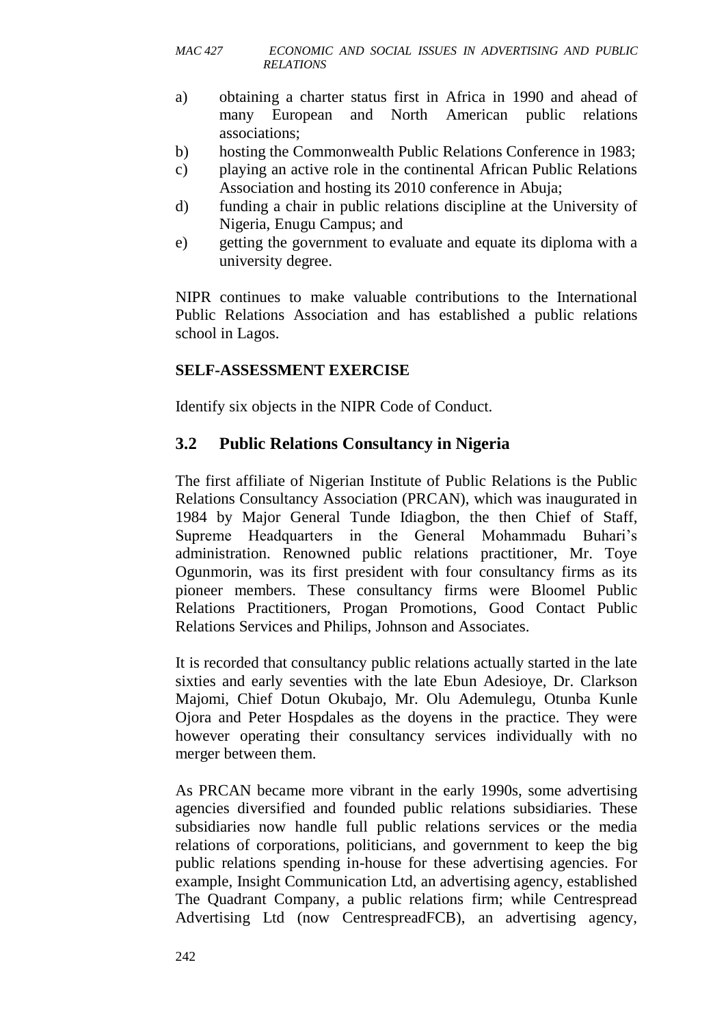- a) obtaining a charter status first in Africa in 1990 and ahead of many European and North American public relations associations;
- b) hosting the Commonwealth Public Relations Conference in 1983;
- c) playing an active role in the continental African Public Relations Association and hosting its 2010 conference in Abuja;
- d) funding a chair in public relations discipline at the University of Nigeria, Enugu Campus; and
- e) getting the government to evaluate and equate its diploma with a university degree.

NIPR continues to make valuable contributions to the International Public Relations Association and has established a public relations school in Lagos.

#### **SELF-ASSESSMENT EXERCISE**

Identify six objects in the NIPR Code of Conduct.

### **3.2 Public Relations Consultancy in Nigeria**

The first affiliate of Nigerian Institute of Public Relations is the Public Relations Consultancy Association (PRCAN), which was inaugurated in 1984 by Major General Tunde Idiagbon, the then Chief of Staff, Supreme Headquarters in the General Mohammadu Buhari's administration. Renowned public relations practitioner, Mr. Toye Ogunmorin, was its first president with four consultancy firms as its pioneer members. These consultancy firms were Bloomel Public Relations Practitioners, Progan Promotions, Good Contact Public Relations Services and Philips, Johnson and Associates.

It is recorded that consultancy public relations actually started in the late sixties and early seventies with the late Ebun Adesioye, Dr. Clarkson Majomi, Chief Dotun Okubajo, Mr. Olu Ademulegu, Otunba Kunle Ojora and Peter Hospdales as the doyens in the practice. They were however operating their consultancy services individually with no merger between them.

As PRCAN became more vibrant in the early 1990s, some advertising agencies diversified and founded public relations subsidiaries. These subsidiaries now handle full public relations services or the media relations of corporations, politicians, and government to keep the big public relations spending in-house for these advertising agencies. For example, Insight Communication Ltd, an advertising agency, established The Quadrant Company, a public relations firm; while Centrespread Advertising Ltd (now CentrespreadFCB), an advertising agency,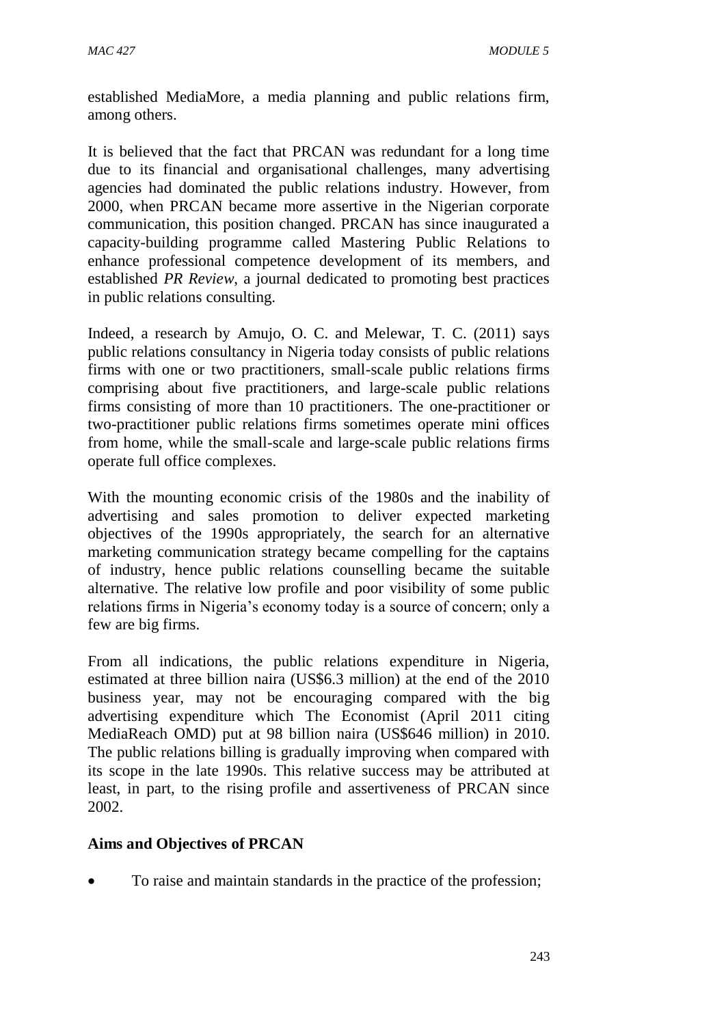established MediaMore, a media planning and public relations firm, among others.

It is believed that the fact that PRCAN was redundant for a long time due to its financial and organisational challenges, many advertising agencies had dominated the public relations industry. However, from 2000, when PRCAN became more assertive in the Nigerian corporate communication, this position changed. PRCAN has since inaugurated a capacity-building programme called Mastering Public Relations to enhance professional competence development of its members, and established *PR Review*, a journal dedicated to promoting best practices in public relations consulting.

Indeed, a research by Amujo, O. C. and Melewar, T. C. (2011) says public relations consultancy in Nigeria today consists of public relations firms with one or two practitioners, small-scale public relations firms comprising about five practitioners, and large-scale public relations firms consisting of more than 10 practitioners. The one-practitioner or two-practitioner public relations firms sometimes operate mini offices from home, while the small-scale and large-scale public relations firms operate full office complexes.

With the mounting economic crisis of the 1980s and the inability of advertising and sales promotion to deliver expected marketing objectives of the 1990s appropriately, the search for an alternative marketing communication strategy became compelling for the captains of industry, hence public relations counselling became the suitable alternative. The relative low profile and poor visibility of some public relations firms in Nigeria's economy today is a source of concern; only a few are big firms.

From all indications, the public relations expenditure in Nigeria, estimated at three billion naira (US\$6.3 million) at the end of the 2010 business year, may not be encouraging compared with the big advertising expenditure which The Economist (April 2011 citing MediaReach OMD) put at 98 billion naira (US\$646 million) in 2010. The public relations billing is gradually improving when compared with its scope in the late 1990s. This relative success may be attributed at least, in part, to the rising profile and assertiveness of PRCAN since 2002.

#### **Aims and Objectives of PRCAN**

To raise and maintain standards in the practice of the profession;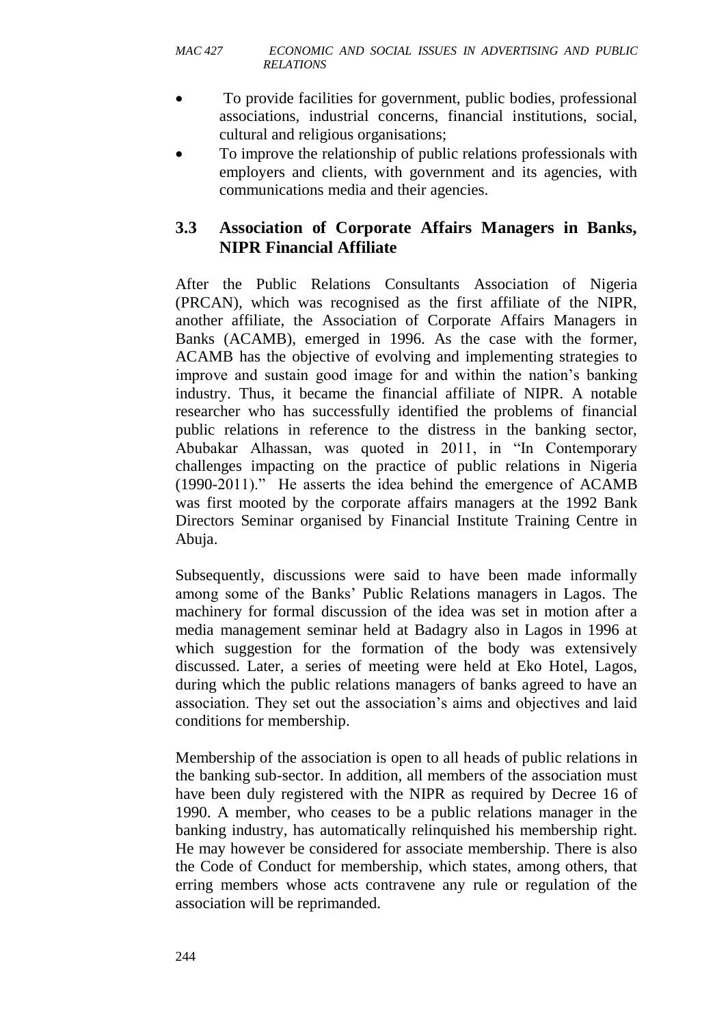- To provide facilities for government, public bodies, professional associations, industrial concerns, financial institutions, social, cultural and religious organisations;
- To improve the relationship of public relations professionals with employers and clients, with government and its agencies, with communications media and their agencies.

### **3.3 Association of Corporate Affairs Managers in Banks, NIPR Financial Affiliate**

After the Public Relations Consultants Association of Nigeria (PRCAN), which was recognised as the first affiliate of the NIPR, another affiliate, the Association of Corporate Affairs Managers in Banks (ACAMB), emerged in 1996. As the case with the former, ACAMB has the objective of evolving and implementing strategies to improve and sustain good image for and within the nation's banking industry. Thus, it became the financial affiliate of NIPR. A notable researcher who has successfully identified the problems of financial public relations in reference to the distress in the banking sector, Abubakar Alhassan, was quoted in 2011, in "In Contemporary challenges impacting on the practice of public relations in Nigeria (1990-2011)." He asserts the idea behind the emergence of ACAMB was first mooted by the corporate affairs managers at the 1992 Bank Directors Seminar organised by Financial Institute Training Centre in Abuja.

Subsequently, discussions were said to have been made informally among some of the Banks' Public Relations managers in Lagos. The machinery for formal discussion of the idea was set in motion after a media management seminar held at Badagry also in Lagos in 1996 at which suggestion for the formation of the body was extensively discussed. Later, a series of meeting were held at Eko Hotel, Lagos, during which the public relations managers of banks agreed to have an association. They set out the association's aims and objectives and laid conditions for membership.

Membership of the association is open to all heads of public relations in the banking sub-sector. In addition, all members of the association must have been duly registered with the NIPR as required by Decree 16 of 1990. A member, who ceases to be a public relations manager in the banking industry, has automatically relinquished his membership right. He may however be considered for associate membership. There is also the Code of Conduct for membership, which states, among others, that erring members whose acts contravene any rule or regulation of the association will be reprimanded.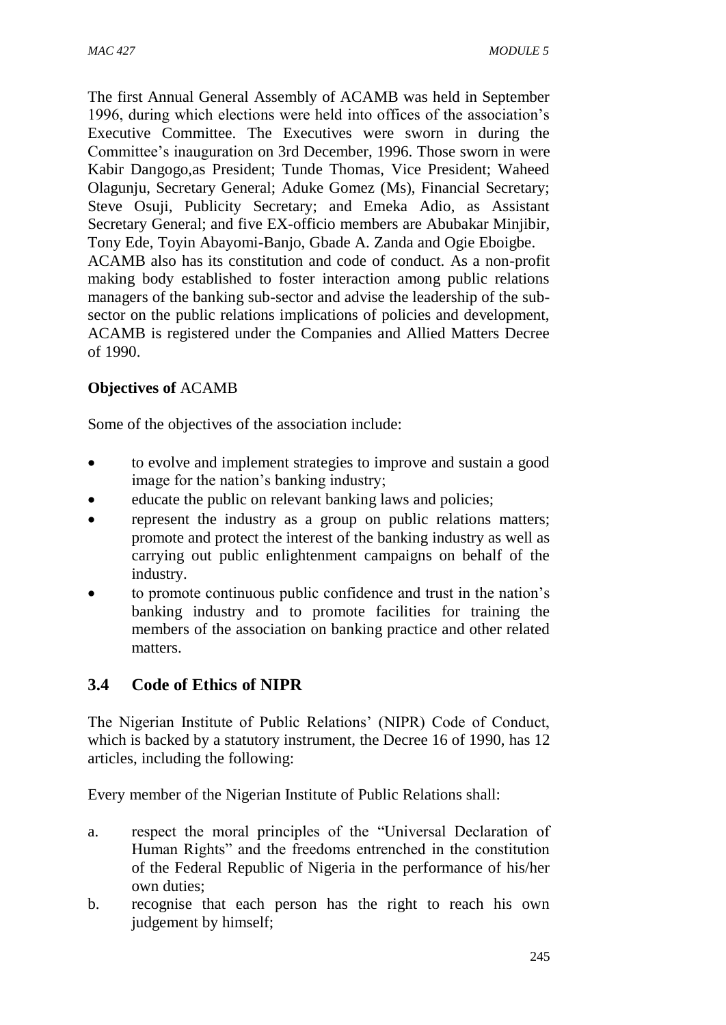The first Annual General Assembly of ACAMB was held in September 1996, during which elections were held into offices of the association's Executive Committee. The Executives were sworn in during the Committee's inauguration on 3rd December, 1996. Those sworn in were Kabir Dangogo,as President; Tunde Thomas, Vice President; Waheed Olagunju, Secretary General; Aduke Gomez (Ms), Financial Secretary; Steve Osuji, Publicity Secretary; and Emeka Adio, as Assistant Secretary General; and five EX-officio members are Abubakar Minjibir, Tony Ede, Toyin Abayomi-Banjo, Gbade A. Zanda and Ogie Eboigbe. ACAMB also has its constitution and code of conduct. As a non-profit making body established to foster interaction among public relations managers of the banking sub-sector and advise the leadership of the subsector on the public relations implications of policies and development, ACAMB is registered under the Companies and Allied Matters Decree of 1990.

### **Objectives of** ACAMB

Some of the objectives of the association include:

- to evolve and implement strategies to improve and sustain a good image for the nation's banking industry;
- educate the public on relevant banking laws and policies;
- represent the industry as a group on public relations matters; promote and protect the interest of the banking industry as well as carrying out public enlightenment campaigns on behalf of the industry.
- to promote continuous public confidence and trust in the nation's banking industry and to promote facilities for training the members of the association on banking practice and other related matters.

### **3.4 Code of Ethics of NIPR**

The Nigerian Institute of Public Relations' (NIPR) Code of Conduct, which is backed by a statutory instrument, the Decree 16 of 1990, has 12 articles, including the following:

Every member of the Nigerian Institute of Public Relations shall:

- a. respect the moral principles of the "Universal Declaration of Human Rights" and the freedoms entrenched in the constitution of the Federal Republic of Nigeria in the performance of his/her own duties;
- b. recognise that each person has the right to reach his own judgement by himself;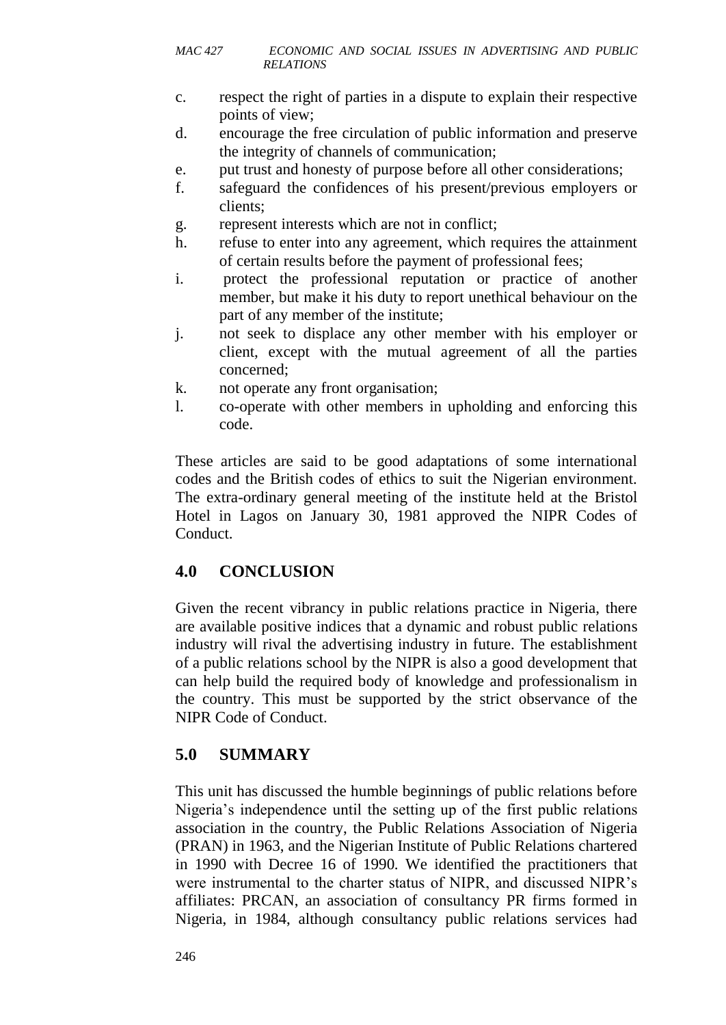- c. respect the right of parties in a dispute to explain their respective points of view;
- d. encourage the free circulation of public information and preserve the integrity of channels of communication;
- e. put trust and honesty of purpose before all other considerations;
- f. safeguard the confidences of his present/previous employers or clients;
- g. represent interests which are not in conflict;
- h. refuse to enter into any agreement, which requires the attainment of certain results before the payment of professional fees;
- i. protect the professional reputation or practice of another member, but make it his duty to report unethical behaviour on the part of any member of the institute;
- j. not seek to displace any other member with his employer or client, except with the mutual agreement of all the parties concerned;
- k. not operate any front organisation;
- l. co-operate with other members in upholding and enforcing this code.

These articles are said to be good adaptations of some international codes and the British codes of ethics to suit the Nigerian environment. The extra-ordinary general meeting of the institute held at the Bristol Hotel in Lagos on January 30, 1981 approved the NIPR Codes of Conduct.

## **4.0 CONCLUSION**

Given the recent vibrancy in public relations practice in Nigeria, there are available positive indices that a dynamic and robust public relations industry will rival the advertising industry in future. The establishment of a public relations school by the NIPR is also a good development that can help build the required body of knowledge and professionalism in the country. This must be supported by the strict observance of the NIPR Code of Conduct.

## **5.0 SUMMARY**

This unit has discussed the humble beginnings of public relations before Nigeria's independence until the setting up of the first public relations association in the country, the Public Relations Association of Nigeria (PRAN) in 1963, and the Nigerian Institute of Public Relations chartered in 1990 with Decree 16 of 1990. We identified the practitioners that were instrumental to the charter status of NIPR, and discussed NIPR's affiliates: PRCAN, an association of consultancy PR firms formed in Nigeria, in 1984, although consultancy public relations services had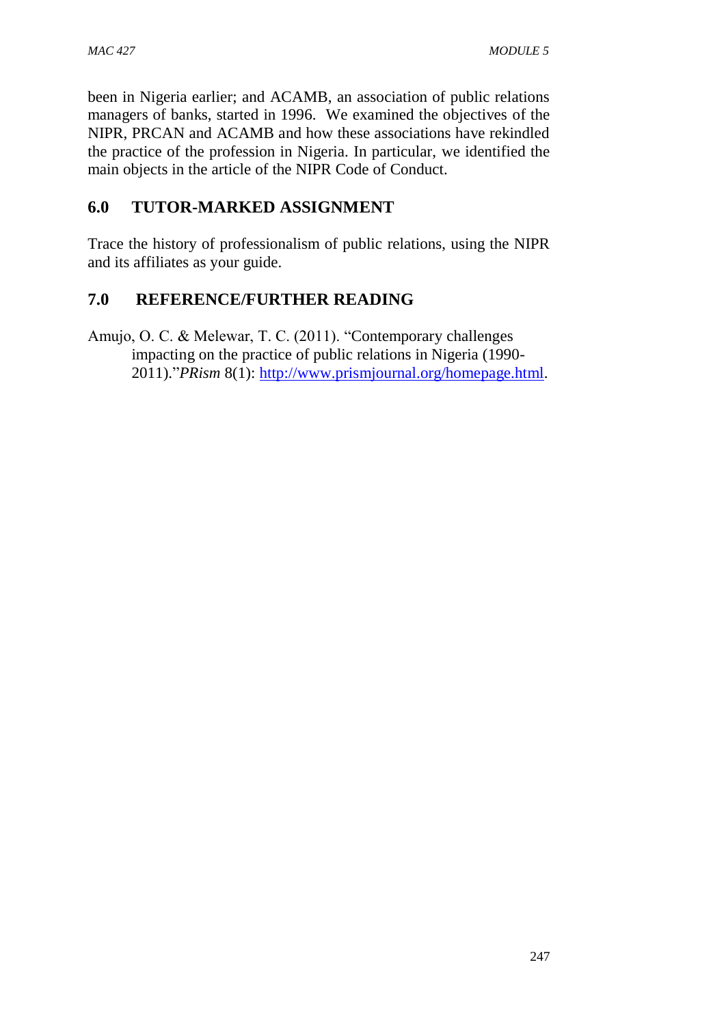been in Nigeria earlier; and ACAMB, an association of public relations managers of banks, started in 1996. We examined the objectives of the NIPR, PRCAN and ACAMB and how these associations have rekindled the practice of the profession in Nigeria. In particular, we identified the main objects in the article of the NIPR Code of Conduct.

### **6.0 TUTOR-MARKED ASSIGNMENT**

Trace the history of professionalism of public relations, using the NIPR and its affiliates as your guide.

## **7.0 REFERENCE/FURTHER READING**

Amujo, O. C. & Melewar, T. C. (2011). "Contemporary challenges impacting on the practice of public relations in Nigeria (1990- 2011)."*PRism* 8(1): [http://www.prismjournal.org/homepage.html.](http://www.prismjournal.org/homepage.html)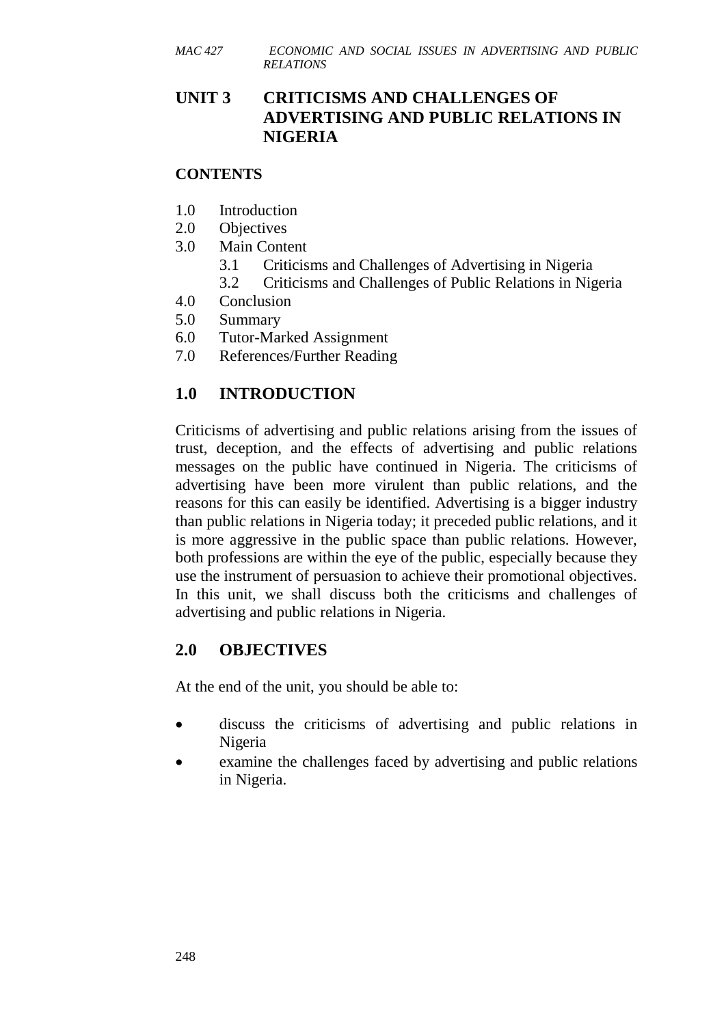### **UNIT 3 CRITICISMS AND CHALLENGES OF ADVERTISING AND PUBLIC RELATIONS IN NIGERIA**

#### **CONTENTS**

- 1.0 Introduction
- 2.0 Objectives
- 3.0 Main Content
	- 3.1 Criticisms and Challenges of Advertising in Nigeria
	- 3.2 Criticisms and Challenges of Public Relations in Nigeria
- 4.0 Conclusion
- 5.0 Summary
- 6.0 Tutor-Marked Assignment
- 7.0 References/Further Reading

## **1.0 INTRODUCTION**

Criticisms of advertising and public relations arising from the issues of trust, deception, and the effects of advertising and public relations messages on the public have continued in Nigeria. The criticisms of advertising have been more virulent than public relations, and the reasons for this can easily be identified. Advertising is a bigger industry than public relations in Nigeria today; it preceded public relations, and it is more aggressive in the public space than public relations. However, both professions are within the eye of the public, especially because they use the instrument of persuasion to achieve their promotional objectives. In this unit, we shall discuss both the criticisms and challenges of advertising and public relations in Nigeria.

### **2.0 OBJECTIVES**

At the end of the unit, you should be able to:

- discuss the criticisms of advertising and public relations in Nigeria
- examine the challenges faced by advertising and public relations in Nigeria.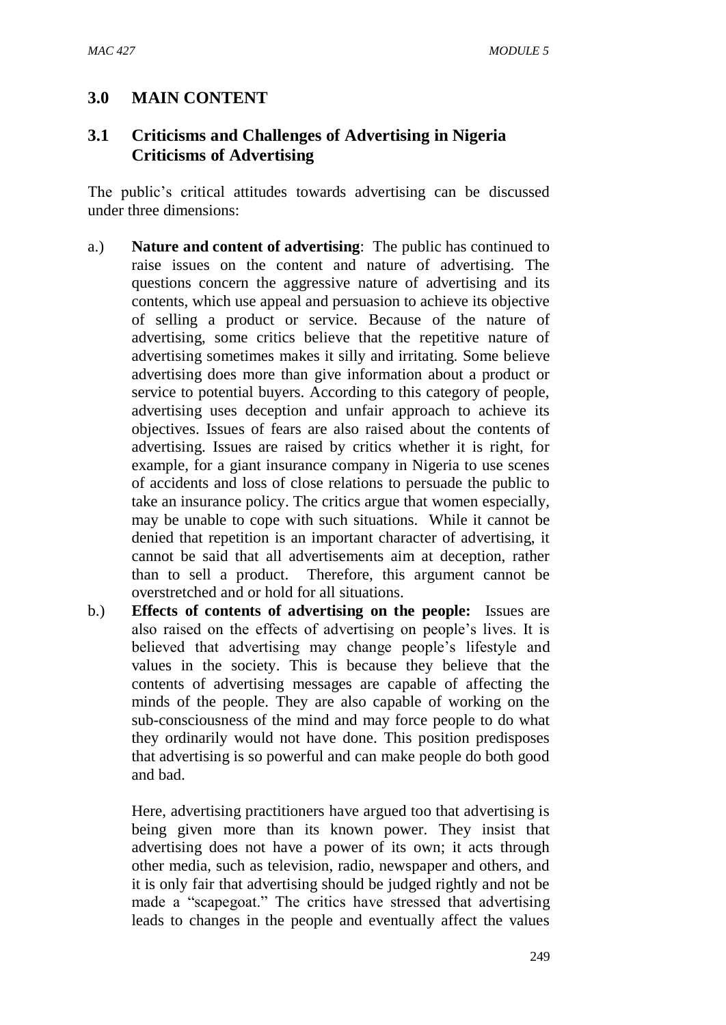### **3.0 MAIN CONTENT**

### **3.1 Criticisms and Challenges of Advertising in Nigeria Criticisms of Advertising**

The public's critical attitudes towards advertising can be discussed under three dimensions:

- a.) **Nature and content of advertising**: The public has continued to raise issues on the content and nature of advertising. The questions concern the aggressive nature of advertising and its contents, which use appeal and persuasion to achieve its objective of selling a product or service. Because of the nature of advertising, some critics believe that the repetitive nature of advertising sometimes makes it silly and irritating. Some believe advertising does more than give information about a product or service to potential buyers. According to this category of people, advertising uses deception and unfair approach to achieve its objectives. Issues of fears are also raised about the contents of advertising. Issues are raised by critics whether it is right, for example, for a giant insurance company in Nigeria to use scenes of accidents and loss of close relations to persuade the public to take an insurance policy. The critics argue that women especially, may be unable to cope with such situations. While it cannot be denied that repetition is an important character of advertising, it cannot be said that all advertisements aim at deception, rather than to sell a product. Therefore, this argument cannot be overstretched and or hold for all situations.
- b.) **Effects of contents of advertising on the people:** Issues are also raised on the effects of advertising on people's lives. It is believed that advertising may change people's lifestyle and values in the society. This is because they believe that the contents of advertising messages are capable of affecting the minds of the people. They are also capable of working on the sub-consciousness of the mind and may force people to do what they ordinarily would not have done. This position predisposes that advertising is so powerful and can make people do both good and bad.

Here, advertising practitioners have argued too that advertising is being given more than its known power. They insist that advertising does not have a power of its own; it acts through other media, such as television, radio, newspaper and others, and it is only fair that advertising should be judged rightly and not be made a "scapegoat." The critics have stressed that advertising leads to changes in the people and eventually affect the values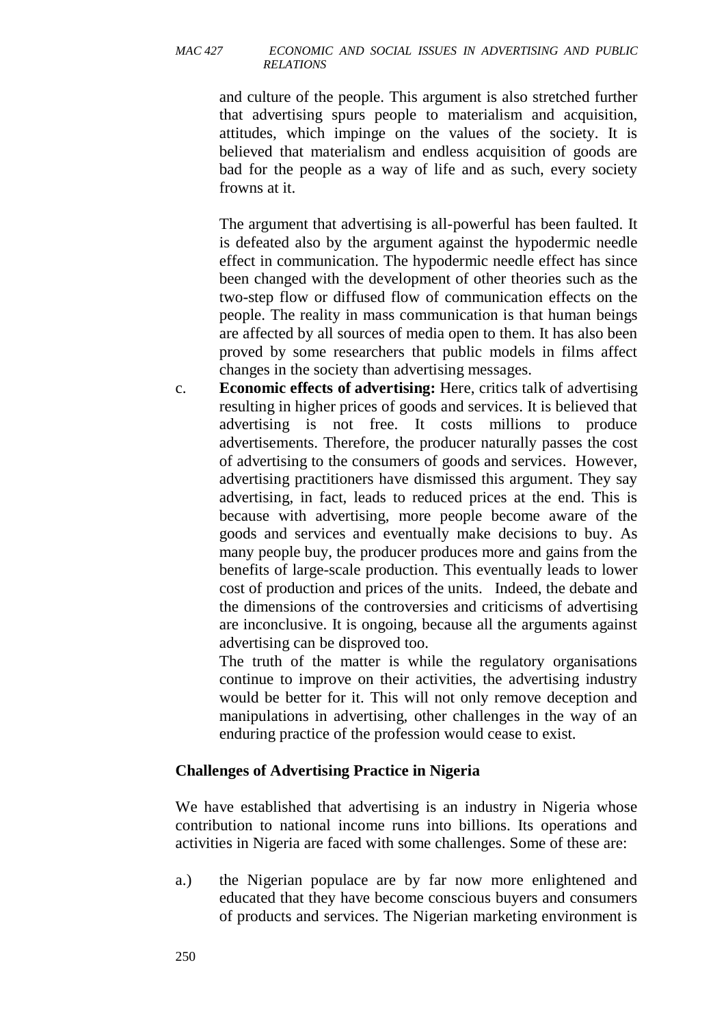and culture of the people. This argument is also stretched further that advertising spurs people to materialism and acquisition, attitudes, which impinge on the values of the society. It is believed that materialism and endless acquisition of goods are bad for the people as a way of life and as such, every society frowns at it.

The argument that advertising is all-powerful has been faulted. It is defeated also by the argument against the hypodermic needle effect in communication. The hypodermic needle effect has since been changed with the development of other theories such as the two-step flow or diffused flow of communication effects on the people. The reality in mass communication is that human beings are affected by all sources of media open to them. It has also been proved by some researchers that public models in films affect changes in the society than advertising messages.

c. **Economic effects of advertising:** Here, critics talk of advertising resulting in higher prices of goods and services. It is believed that advertising is not free. It costs millions to produce advertisements. Therefore, the producer naturally passes the cost of advertising to the consumers of goods and services. However, advertising practitioners have dismissed this argument. They say advertising, in fact, leads to reduced prices at the end. This is because with advertising, more people become aware of the goods and services and eventually make decisions to buy. As many people buy, the producer produces more and gains from the benefits of large-scale production. This eventually leads to lower cost of production and prices of the units. Indeed, the debate and the dimensions of the controversies and criticisms of advertising are inconclusive. It is ongoing, because all the arguments against advertising can be disproved too.

The truth of the matter is while the regulatory organisations continue to improve on their activities, the advertising industry would be better for it. This will not only remove deception and manipulations in advertising, other challenges in the way of an enduring practice of the profession would cease to exist.

#### **Challenges of Advertising Practice in Nigeria**

We have established that advertising is an industry in Nigeria whose contribution to national income runs into billions. Its operations and activities in Nigeria are faced with some challenges. Some of these are:

a.) the Nigerian populace are by far now more enlightened and educated that they have become conscious buyers and consumers of products and services. The Nigerian marketing environment is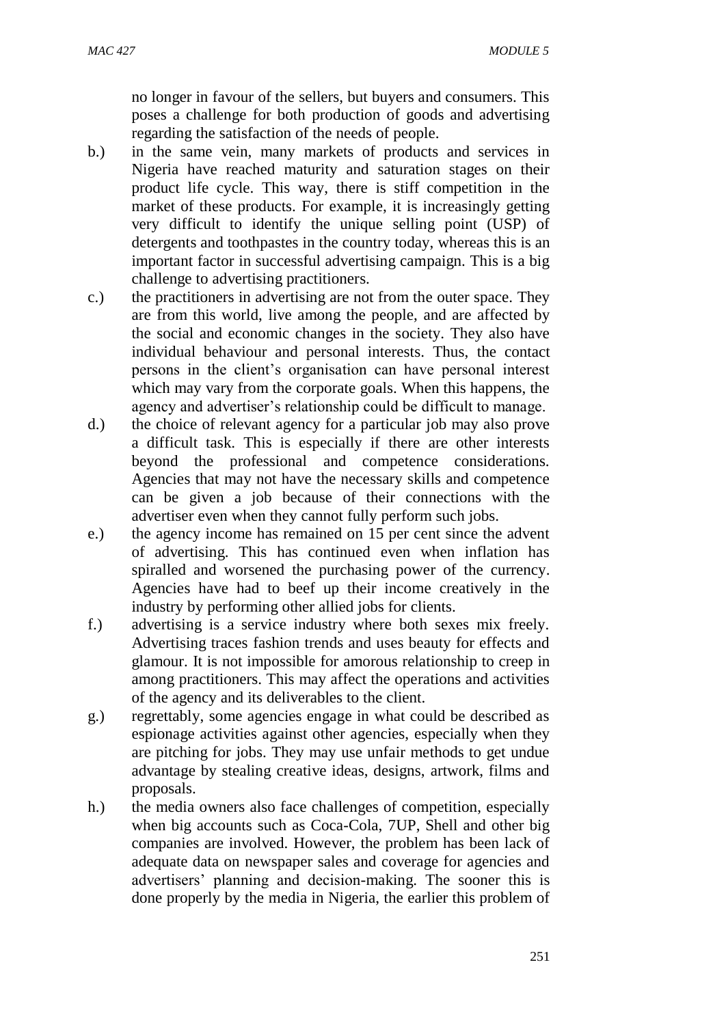no longer in favour of the sellers, but buyers and consumers. This poses a challenge for both production of goods and advertising regarding the satisfaction of the needs of people.

- b.) in the same vein, many markets of products and services in Nigeria have reached maturity and saturation stages on their product life cycle. This way, there is stiff competition in the market of these products. For example, it is increasingly getting very difficult to identify the unique selling point (USP) of detergents and toothpastes in the country today, whereas this is an important factor in successful advertising campaign. This is a big challenge to advertising practitioners.
- c.) the practitioners in advertising are not from the outer space. They are from this world, live among the people, and are affected by the social and economic changes in the society. They also have individual behaviour and personal interests. Thus, the contact persons in the client's organisation can have personal interest which may vary from the corporate goals. When this happens, the agency and advertiser's relationship could be difficult to manage.
- d.) the choice of relevant agency for a particular job may also prove a difficult task. This is especially if there are other interests beyond the professional and competence considerations. Agencies that may not have the necessary skills and competence can be given a job because of their connections with the advertiser even when they cannot fully perform such jobs.
- e.) the agency income has remained on 15 per cent since the advent of advertising. This has continued even when inflation has spiralled and worsened the purchasing power of the currency. Agencies have had to beef up their income creatively in the industry by performing other allied jobs for clients.
- f.) advertising is a service industry where both sexes mix freely. Advertising traces fashion trends and uses beauty for effects and glamour. It is not impossible for amorous relationship to creep in among practitioners. This may affect the operations and activities of the agency and its deliverables to the client.
- g.) regrettably, some agencies engage in what could be described as espionage activities against other agencies, especially when they are pitching for jobs. They may use unfair methods to get undue advantage by stealing creative ideas, designs, artwork, films and proposals.
- h.) the media owners also face challenges of competition, especially when big accounts such as Coca-Cola, 7UP, Shell and other big companies are involved. However, the problem has been lack of adequate data on newspaper sales and coverage for agencies and advertisers' planning and decision-making. The sooner this is done properly by the media in Nigeria, the earlier this problem of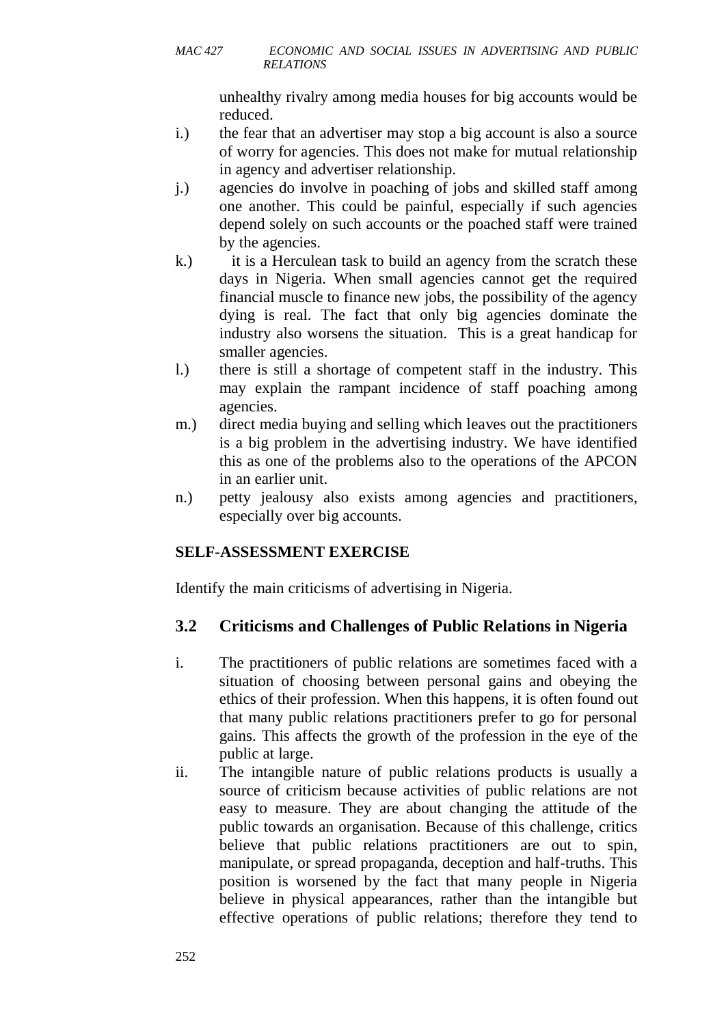unhealthy rivalry among media houses for big accounts would be reduced.

- i.) the fear that an advertiser may stop a big account is also a source of worry for agencies. This does not make for mutual relationship in agency and advertiser relationship.
- j.) agencies do involve in poaching of jobs and skilled staff among one another. This could be painful, especially if such agencies depend solely on such accounts or the poached staff were trained by the agencies.
- k.) it is a Herculean task to build an agency from the scratch these days in Nigeria. When small agencies cannot get the required financial muscle to finance new jobs, the possibility of the agency dying is real. The fact that only big agencies dominate the industry also worsens the situation. This is a great handicap for smaller agencies.
- l.) there is still a shortage of competent staff in the industry. This may explain the rampant incidence of staff poaching among agencies.
- m.) direct media buying and selling which leaves out the practitioners is a big problem in the advertising industry. We have identified this as one of the problems also to the operations of the APCON in an earlier unit.
- n.) petty jealousy also exists among agencies and practitioners, especially over big accounts.

### **SELF-ASSESSMENT EXERCISE**

Identify the main criticisms of advertising in Nigeria.

## **3.2 Criticisms and Challenges of Public Relations in Nigeria**

- i. The practitioners of public relations are sometimes faced with a situation of choosing between personal gains and obeying the ethics of their profession. When this happens, it is often found out that many public relations practitioners prefer to go for personal gains. This affects the growth of the profession in the eye of the public at large.
- ii. The intangible nature of public relations products is usually a source of criticism because activities of public relations are not easy to measure. They are about changing the attitude of the public towards an organisation. Because of this challenge, critics believe that public relations practitioners are out to spin, manipulate, or spread propaganda, deception and half-truths. This position is worsened by the fact that many people in Nigeria believe in physical appearances, rather than the intangible but effective operations of public relations; therefore they tend to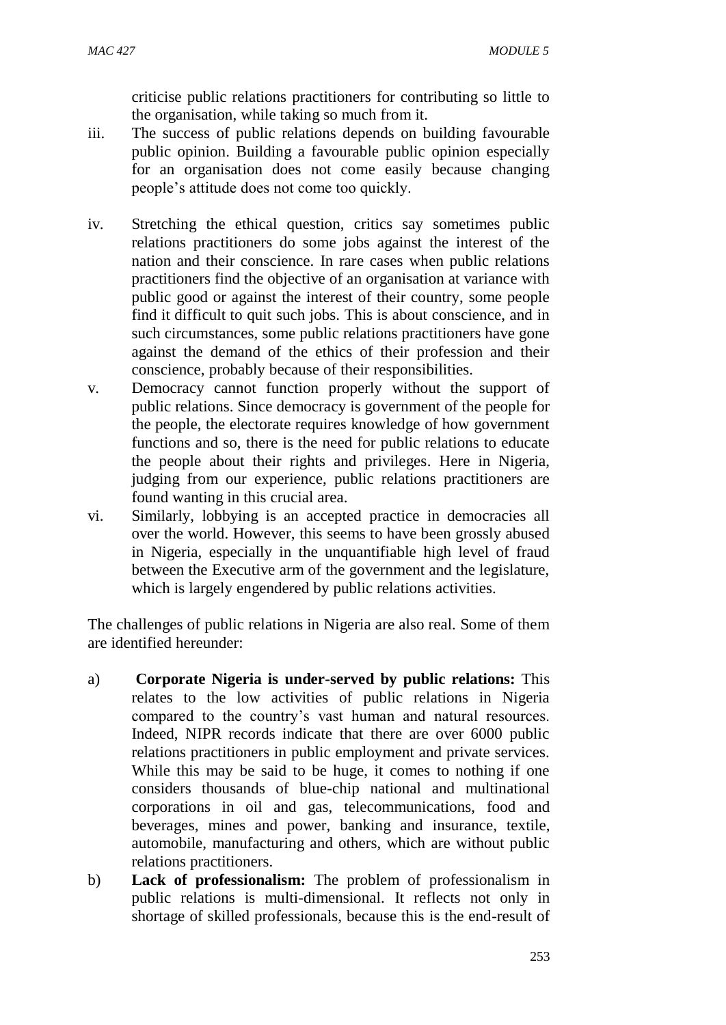criticise public relations practitioners for contributing so little to the organisation, while taking so much from it.

- iii. The success of public relations depends on building favourable public opinion. Building a favourable public opinion especially for an organisation does not come easily because changing people's attitude does not come too quickly.
- iv. Stretching the ethical question, critics say sometimes public relations practitioners do some jobs against the interest of the nation and their conscience. In rare cases when public relations practitioners find the objective of an organisation at variance with public good or against the interest of their country, some people find it difficult to quit such jobs. This is about conscience, and in such circumstances, some public relations practitioners have gone against the demand of the ethics of their profession and their conscience, probably because of their responsibilities.
- v. Democracy cannot function properly without the support of public relations. Since democracy is government of the people for the people, the electorate requires knowledge of how government functions and so, there is the need for public relations to educate the people about their rights and privileges. Here in Nigeria, judging from our experience, public relations practitioners are found wanting in this crucial area.
- vi. Similarly, lobbying is an accepted practice in democracies all over the world. However, this seems to have been grossly abused in Nigeria, especially in the unquantifiable high level of fraud between the Executive arm of the government and the legislature, which is largely engendered by public relations activities.

The challenges of public relations in Nigeria are also real. Some of them are identified hereunder:

- a) **Corporate Nigeria is under-served by public relations:** This relates to the low activities of public relations in Nigeria compared to the country's vast human and natural resources. Indeed, NIPR records indicate that there are over 6000 public relations practitioners in public employment and private services. While this may be said to be huge, it comes to nothing if one considers thousands of blue-chip national and multinational corporations in oil and gas, telecommunications, food and beverages, mines and power, banking and insurance, textile, automobile, manufacturing and others, which are without public relations practitioners.
- b) **Lack of professionalism:** The problem of professionalism in public relations is multi-dimensional. It reflects not only in shortage of skilled professionals, because this is the end-result of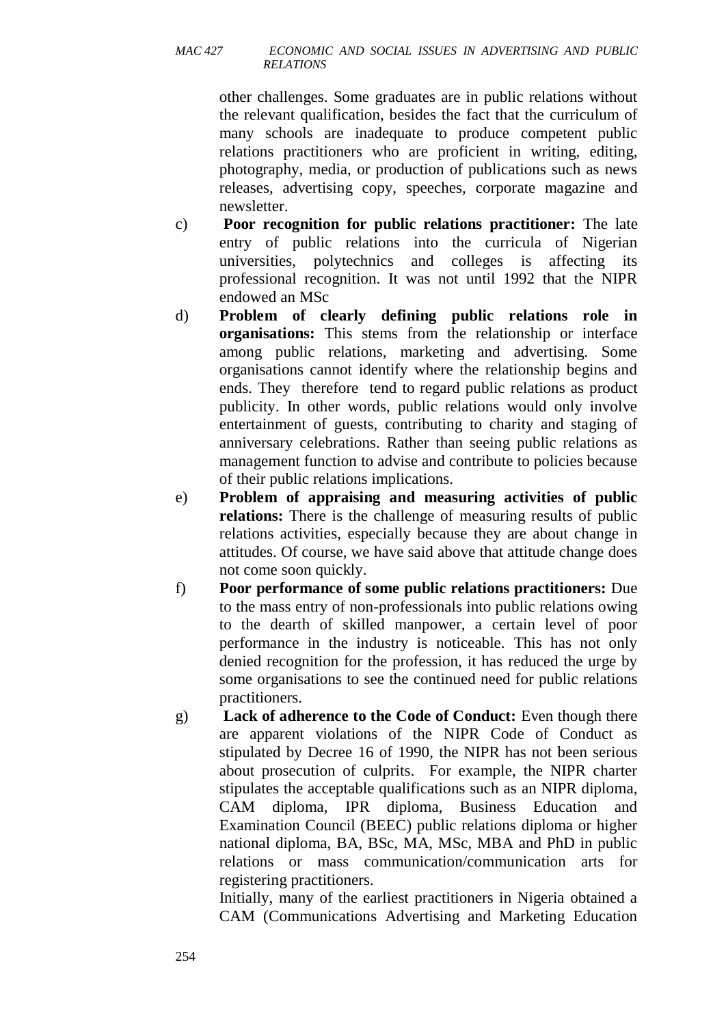other challenges. Some graduates are in public relations without the relevant qualification, besides the fact that the curriculum of many schools are inadequate to produce competent public relations practitioners who are proficient in writing, editing, photography, media, or production of publications such as news releases, advertising copy, speeches, corporate magazine and newsletter.

- c) **Poor recognition for public relations practitioner:** The late entry of public relations into the curricula of Nigerian universities, polytechnics and colleges is affecting its professional recognition. It was not until 1992 that the NIPR endowed an MSc
- d) **Problem of clearly defining public relations role in organisations:** This stems from the relationship or interface among public relations, marketing and advertising. Some organisations cannot identify where the relationship begins and ends. They therefore tend to regard public relations as product publicity. In other words, public relations would only involve entertainment of guests, contributing to charity and staging of anniversary celebrations. Rather than seeing public relations as management function to advise and contribute to policies because of their public relations implications.
- e) **Problem of appraising and measuring activities of public relations:** There is the challenge of measuring results of public relations activities, especially because they are about change in attitudes. Of course, we have said above that attitude change does not come soon quickly.
- f) **Poor performance of some public relations practitioners:** Due to the mass entry of non-professionals into public relations owing to the dearth of skilled manpower, a certain level of poor performance in the industry is noticeable. This has not only denied recognition for the profession, it has reduced the urge by some organisations to see the continued need for public relations practitioners.
- g) **Lack of adherence to the Code of Conduct:** Even though there are apparent violations of the NIPR Code of Conduct as stipulated by Decree 16 of 1990, the NIPR has not been serious about prosecution of culprits. For example, the NIPR charter stipulates the acceptable qualifications such as an NIPR diploma, CAM diploma, IPR diploma, Business Education and Examination Council (BEEC) public relations diploma or higher national diploma, BA, BSc, MA, MSc, MBA and PhD in public relations or mass communication/communication arts for registering practitioners.

Initially, many of the earliest practitioners in Nigeria obtained a CAM (Communications Advertising and Marketing Education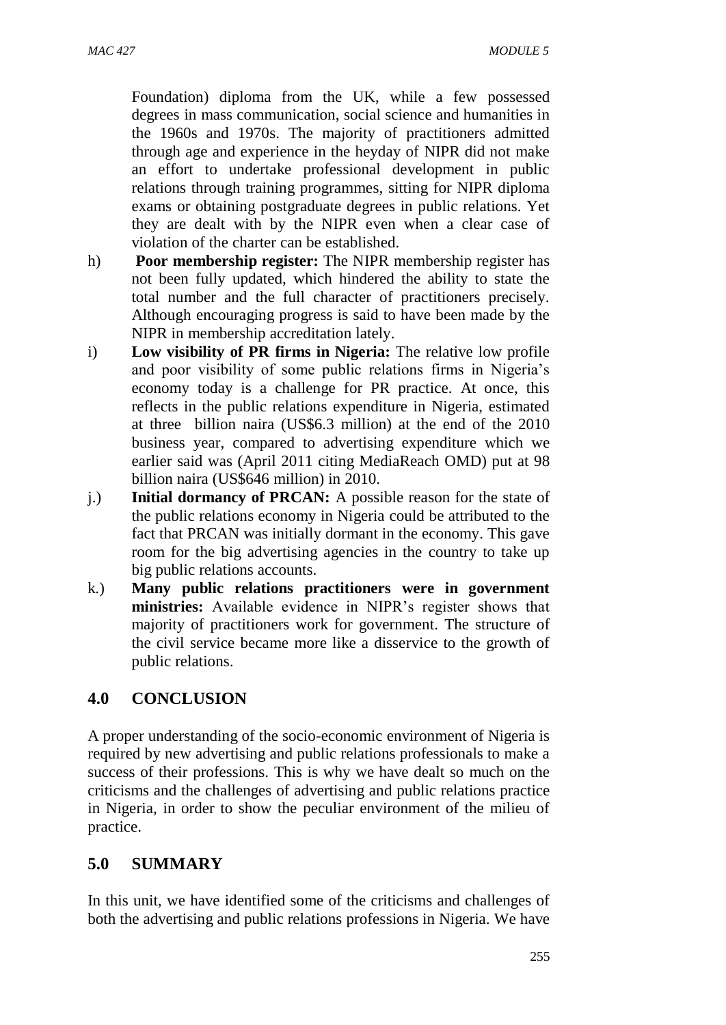Foundation) diploma from the UK, while a few possessed degrees in mass communication, social science and humanities in the 1960s and 1970s. The majority of practitioners admitted through age and experience in the heyday of NIPR did not make an effort to undertake professional development in public relations through training programmes, sitting for NIPR diploma exams or obtaining postgraduate degrees in public relations. Yet they are dealt with by the NIPR even when a clear case of violation of the charter can be established.

- h) **Poor membership register:** The NIPR membership register has not been fully updated, which hindered the ability to state the total number and the full character of practitioners precisely. Although encouraging progress is said to have been made by the NIPR in membership accreditation lately.
- i) **Low visibility of PR firms in Nigeria:** The relative low profile and poor visibility of some public relations firms in Nigeria's economy today is a challenge for PR practice. At once, this reflects in the public relations expenditure in Nigeria, estimated at three billion naira (US\$6.3 million) at the end of the 2010 business year, compared to advertising expenditure which we earlier said was (April 2011 citing MediaReach OMD) put at 98 billion naira (US\$646 million) in 2010.
- j.) **Initial dormancy of PRCAN:** A possible reason for the state of the public relations economy in Nigeria could be attributed to the fact that PRCAN was initially dormant in the economy. This gave room for the big advertising agencies in the country to take up big public relations accounts.
- k.) **Many public relations practitioners were in government ministries:** Available evidence in NIPR's register shows that majority of practitioners work for government. The structure of the civil service became more like a disservice to the growth of public relations.

### **4.0 CONCLUSION**

A proper understanding of the socio-economic environment of Nigeria is required by new advertising and public relations professionals to make a success of their professions. This is why we have dealt so much on the criticisms and the challenges of advertising and public relations practice in Nigeria, in order to show the peculiar environment of the milieu of practice.

#### **5.0 SUMMARY**

In this unit, we have identified some of the criticisms and challenges of both the advertising and public relations professions in Nigeria. We have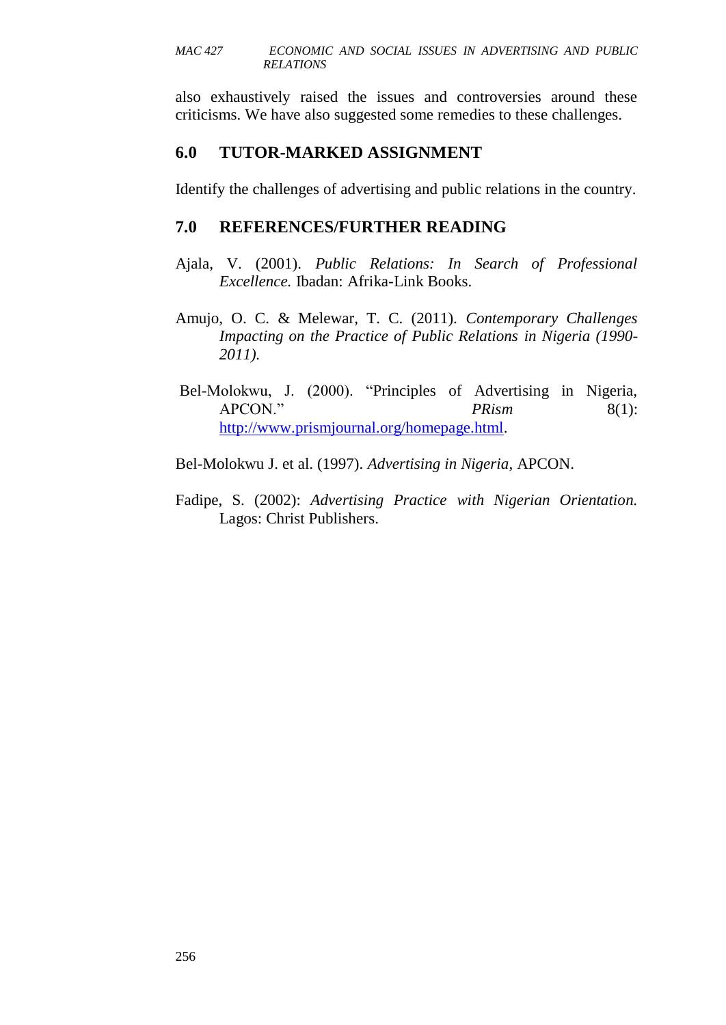also exhaustively raised the issues and controversies around these criticisms. We have also suggested some remedies to these challenges.

### **6.0 TUTOR-MARKED ASSIGNMENT**

Identify the challenges of advertising and public relations in the country.

### **7.0 REFERENCES/FURTHER READING**

- Ajala, V. (2001). *Public Relations: In Search of Professional Excellence.* Ibadan: Afrika-Link Books.
- Amujo, O. C. & Melewar, T. C. (2011). *Contemporary Challenges Impacting on the Practice of Public Relations in Nigeria (1990- 2011).*
- Bel-Molokwu, J. (2000). "Principles of Advertising in Nigeria, APCON." *PRism* 8(1): [http://www.prismjournal.org/homepage.html.](http://www.prismjournal.org/homepage.html)
- Bel-Molokwu J. et al. (1997). *Advertising in Nigeria*, APCON.
- Fadipe, S. (2002): *Advertising Practice with Nigerian Orientation.* Lagos: Christ Publishers.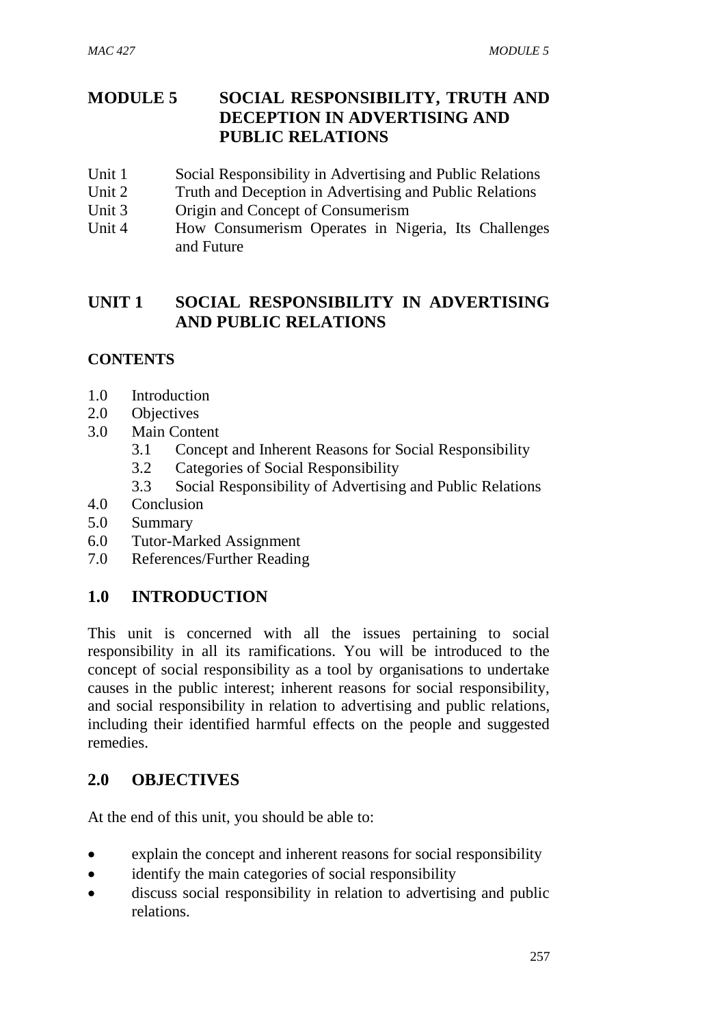### **MODULE 5 SOCIAL RESPONSIBILITY, TRUTH AND DECEPTION IN ADVERTISING AND PUBLIC RELATIONS**

- Unit 1 Social Responsibility in Advertising and Public Relations
- Unit 2 Truth and Deception in Advertising and Public Relations
- Unit 3 Origin and Concept of Consumerism
- Unit 4 How Consumerism Operates in Nigeria, Its Challenges and Future

### **UNIT 1 SOCIAL RESPONSIBILITY IN ADVERTISING AND PUBLIC RELATIONS**

### **CONTENTS**

- 1.0 Introduction
- 2.0 Objectives
- 3.0 Main Content
	- 3.1 Concept and Inherent Reasons for Social Responsibility
	- 3.2 Categories of Social Responsibility
	- 3.3 Social Responsibility of Advertising and Public Relations
- 4.0 Conclusion
- 5.0 Summary
- 6.0 Tutor-Marked Assignment
- 7.0 References/Further Reading

### **1.0 INTRODUCTION**

This unit is concerned with all the issues pertaining to social responsibility in all its ramifications. You will be introduced to the concept of social responsibility as a tool by organisations to undertake causes in the public interest; inherent reasons for social responsibility, and social responsibility in relation to advertising and public relations, including their identified harmful effects on the people and suggested remedies.

### **2.0 OBJECTIVES**

At the end of this unit, you should be able to:

- explain the concept and inherent reasons for social responsibility
- identify the main categories of social responsibility
- discuss social responsibility in relation to advertising and public relations.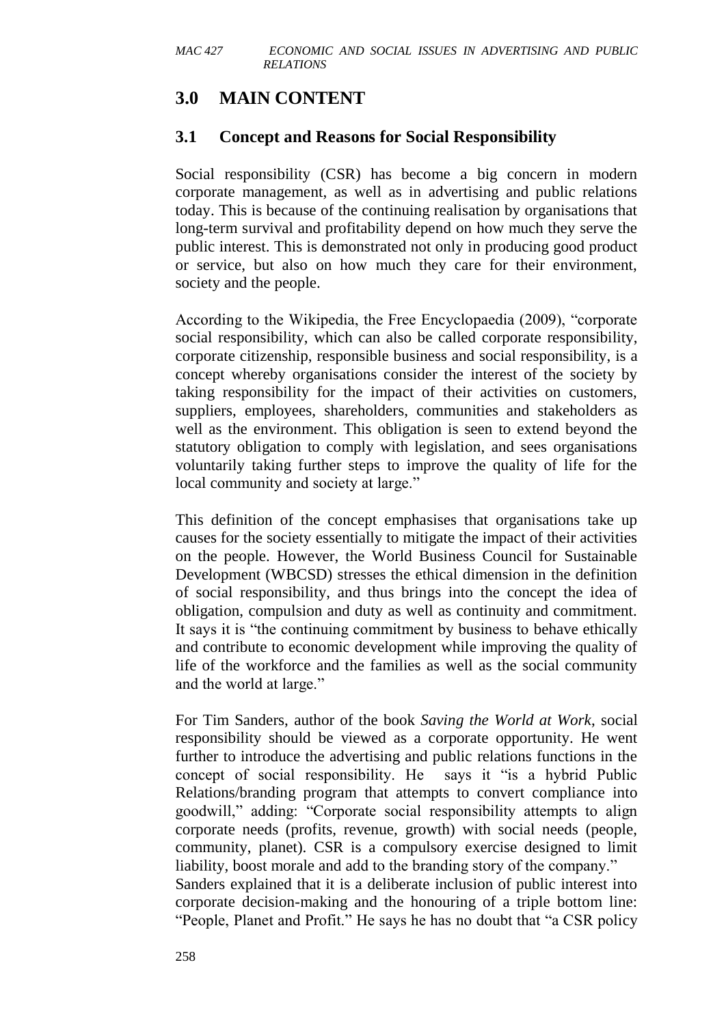# **3.0 MAIN CONTENT**

### **3.1 Concept and Reasons for Social Responsibility**

Social responsibility (CSR) has become a big concern in modern corporate management, as well as in advertising and public relations today. This is because of the continuing realisation by organisations that long-term survival and profitability depend on how much they serve the public interest. This is demonstrated not only in producing good product or service, but also on how much they care for their environment, society and the people.

According to the Wikipedia, the Free Encyclopaedia (2009), "corporate social responsibility, which can also be called corporate responsibility, corporate citizenship, responsible business and social responsibility, is a concept whereby organisations consider the interest of the society by taking responsibility for the impact of their activities on customers, suppliers, employees, shareholders, communities and stakeholders as well as the environment. This obligation is seen to extend beyond the statutory obligation to comply with legislation, and sees organisations voluntarily taking further steps to improve the quality of life for the local community and society at large."

This definition of the concept emphasises that organisations take up causes for the society essentially to mitigate the impact of their activities on the people. However, the World Business Council for Sustainable Development (WBCSD) stresses the ethical dimension in the definition of social responsibility, and thus brings into the concept the idea of obligation, compulsion and duty as well as continuity and commitment. It says it is "the continuing commitment by business to behave ethically and contribute to economic development while improving the quality of life of the workforce and the families as well as the social community and the world at large."

For Tim Sanders, author of the book *Saving the World at Work*, social responsibility should be viewed as a corporate opportunity. He went further to introduce the advertising and public relations functions in the concept of social responsibility. He says it "is a hybrid Public Relations/branding program that attempts to convert compliance into goodwill," adding: "Corporate social responsibility attempts to align corporate needs (profits, revenue, growth) with social needs (people, community, planet). CSR is a compulsory exercise designed to limit liability, boost morale and add to the branding story of the company." Sanders explained that it is a deliberate inclusion of public interest into corporate decision-making and the honouring of a triple bottom line: "People, Planet and Profit." He says he has no doubt that "a CSR policy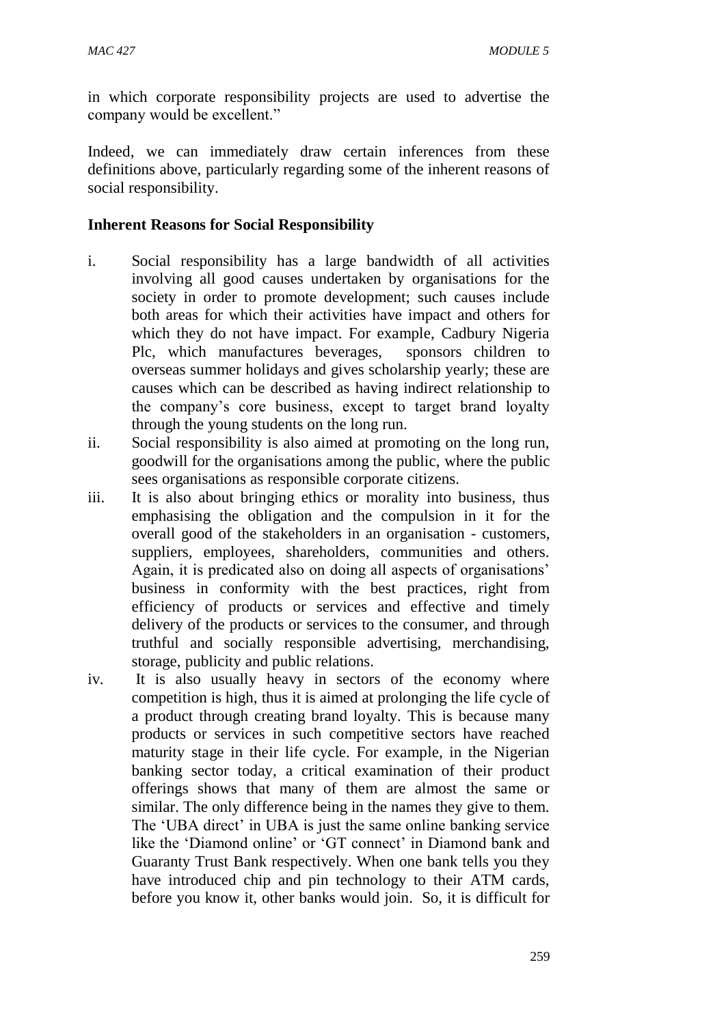in which corporate responsibility projects are used to advertise the company would be excellent."

Indeed, we can immediately draw certain inferences from these definitions above, particularly regarding some of the inherent reasons of social responsibility.

#### **Inherent Reasons for Social Responsibility**

- i. Social responsibility has a large bandwidth of all activities involving all good causes undertaken by organisations for the society in order to promote development; such causes include both areas for which their activities have impact and others for which they do not have impact. For example, Cadbury Nigeria Plc, which manufactures beverages, sponsors children to overseas summer holidays and gives scholarship yearly; these are causes which can be described as having indirect relationship to the company's core business, except to target brand loyalty through the young students on the long run.
- ii. Social responsibility is also aimed at promoting on the long run, goodwill for the organisations among the public, where the public sees organisations as responsible corporate citizens.
- iii. It is also about bringing ethics or morality into business, thus emphasising the obligation and the compulsion in it for the overall good of the stakeholders in an organisation - customers, suppliers, employees, shareholders, communities and others. Again, it is predicated also on doing all aspects of organisations' business in conformity with the best practices, right from efficiency of products or services and effective and timely delivery of the products or services to the consumer, and through truthful and socially responsible advertising, merchandising, storage, publicity and public relations.
- iv. It is also usually heavy in sectors of the economy where competition is high, thus it is aimed at prolonging the life cycle of a product through creating brand loyalty. This is because many products or services in such competitive sectors have reached maturity stage in their life cycle. For example, in the Nigerian banking sector today, a critical examination of their product offerings shows that many of them are almost the same or similar. The only difference being in the names they give to them. The 'UBA direct' in UBA is just the same online banking service like the 'Diamond online' or 'GT connect' in Diamond bank and Guaranty Trust Bank respectively. When one bank tells you they have introduced chip and pin technology to their ATM cards, before you know it, other banks would join. So, it is difficult for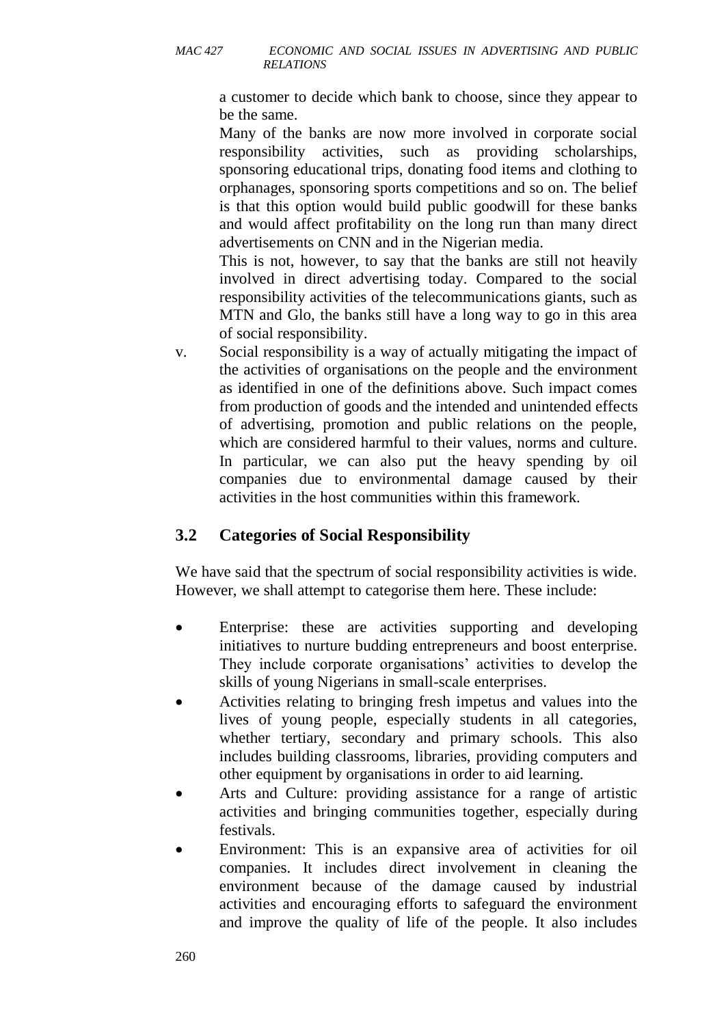a customer to decide which bank to choose, since they appear to be the same.

Many of the banks are now more involved in corporate social responsibility activities, such as providing scholarships, sponsoring educational trips, donating food items and clothing to orphanages, sponsoring sports competitions and so on. The belief is that this option would build public goodwill for these banks and would affect profitability on the long run than many direct advertisements on CNN and in the Nigerian media.

This is not, however, to say that the banks are still not heavily involved in direct advertising today. Compared to the social responsibility activities of the telecommunications giants, such as MTN and Glo, the banks still have a long way to go in this area of social responsibility.

v. Social responsibility is a way of actually mitigating the impact of the activities of organisations on the people and the environment as identified in one of the definitions above. Such impact comes from production of goods and the intended and unintended effects of advertising, promotion and public relations on the people, which are considered harmful to their values, norms and culture. In particular, we can also put the heavy spending by oil companies due to environmental damage caused by their activities in the host communities within this framework.

# **3.2 Categories of Social Responsibility**

We have said that the spectrum of social responsibility activities is wide. However, we shall attempt to categorise them here. These include:

- Enterprise: these are activities supporting and developing initiatives to nurture budding entrepreneurs and boost enterprise. They include corporate organisations' activities to develop the skills of young Nigerians in small-scale enterprises.
- Activities relating to bringing fresh impetus and values into the lives of young people, especially students in all categories, whether tertiary, secondary and primary schools. This also includes building classrooms, libraries, providing computers and other equipment by organisations in order to aid learning.
- Arts and Culture: providing assistance for a range of artistic activities and bringing communities together, especially during festivals.
- Environment: This is an expansive area of activities for oil companies. It includes direct involvement in cleaning the environment because of the damage caused by industrial activities and encouraging efforts to safeguard the environment and improve the quality of life of the people. It also includes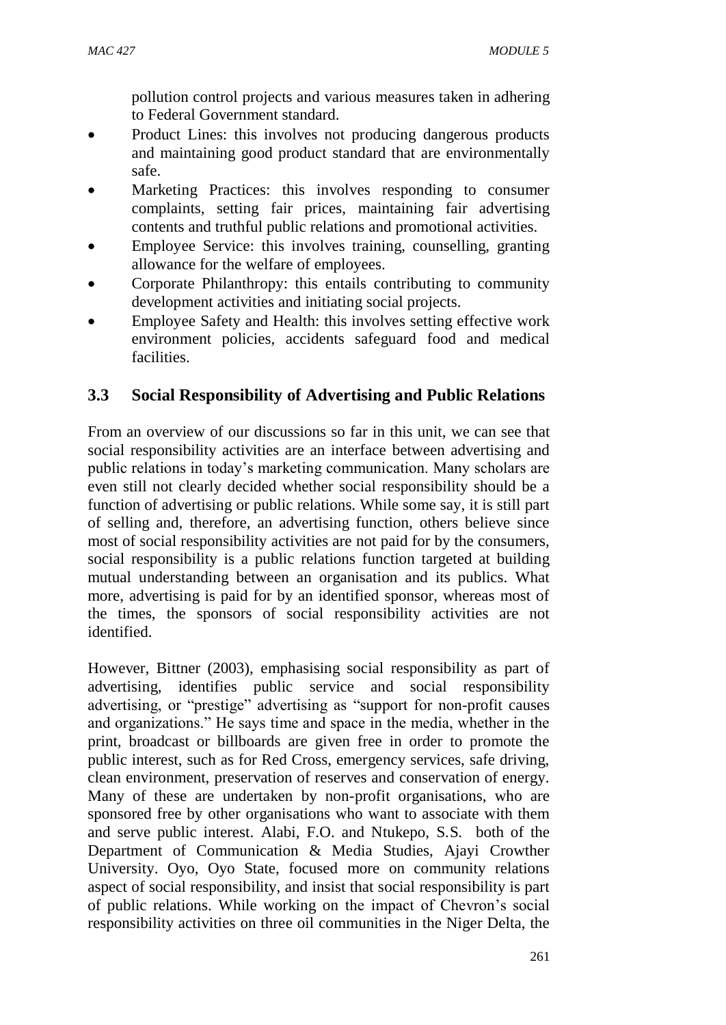pollution control projects and various measures taken in adhering to Federal Government standard.

- Product Lines: this involves not producing dangerous products and maintaining good product standard that are environmentally safe.
- Marketing Practices: this involves responding to consumer complaints, setting fair prices, maintaining fair advertising contents and truthful public relations and promotional activities.
- Employee Service: this involves training, counselling, granting allowance for the welfare of employees.
- Corporate Philanthropy: this entails contributing to community development activities and initiating social projects.
- Employee Safety and Health: this involves setting effective work environment policies, accidents safeguard food and medical facilities.

## **3.3 Social Responsibility of Advertising and Public Relations**

From an overview of our discussions so far in this unit, we can see that social responsibility activities are an interface between advertising and public relations in today's marketing communication. Many scholars are even still not clearly decided whether social responsibility should be a function of advertising or public relations. While some say, it is still part of selling and, therefore, an advertising function, others believe since most of social responsibility activities are not paid for by the consumers, social responsibility is a public relations function targeted at building mutual understanding between an organisation and its publics. What more, advertising is paid for by an identified sponsor, whereas most of the times, the sponsors of social responsibility activities are not identified.

However, Bittner (2003), emphasising social responsibility as part of advertising, identifies public service and social responsibility advertising, or "prestige" advertising as "support for non-profit causes and organizations." He says time and space in the media, whether in the print, broadcast or billboards are given free in order to promote the public interest, such as for Red Cross, emergency services, safe driving, clean environment, preservation of reserves and conservation of energy. Many of these are undertaken by non-profit organisations, who are sponsored free by other organisations who want to associate with them and serve public interest. Alabi, F.O. and Ntukepo, S.S. both of the Department of Communication & Media Studies, Ajayi Crowther University. Oyo, Oyo State, focused more on community relations aspect of social responsibility, and insist that social responsibility is part of public relations. While working on the impact of Chevron's social responsibility activities on three oil communities in the Niger Delta, the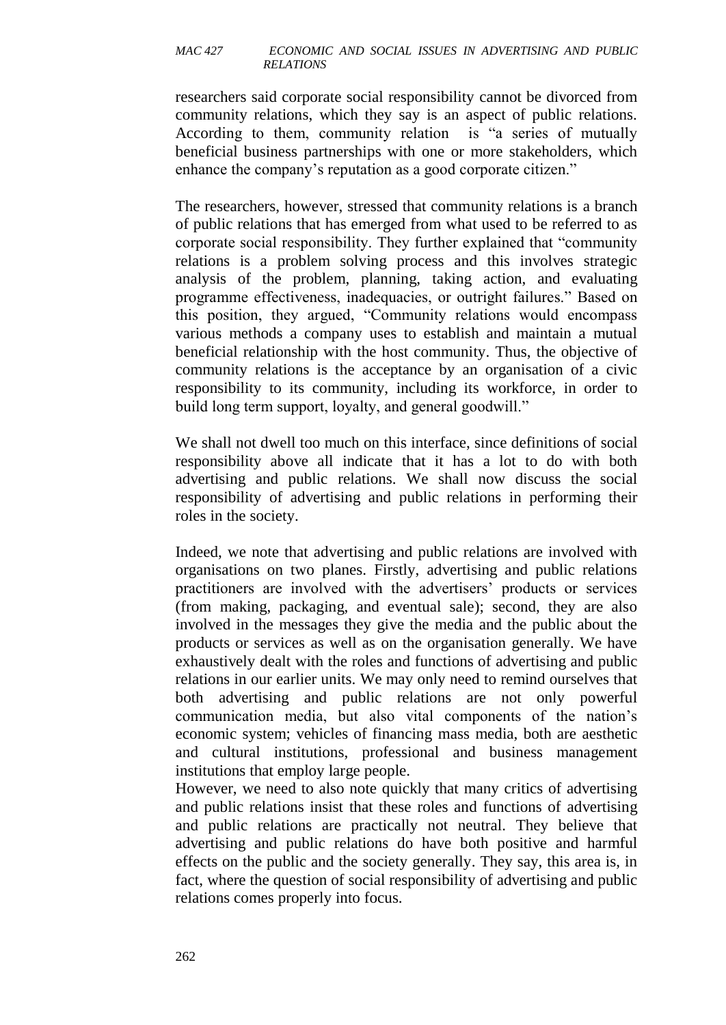researchers said corporate social responsibility cannot be divorced from community relations, which they say is an aspect of public relations. According to them, community relation is "a series of mutually beneficial business partnerships with one or more stakeholders, which enhance the company's reputation as a good corporate citizen."

The researchers, however, stressed that community relations is a branch of public relations that has emerged from what used to be referred to as corporate social responsibility. They further explained that "community relations is a problem solving process and this involves strategic analysis of the problem, planning, taking action, and evaluating programme effectiveness, inadequacies, or outright failures." Based on this position, they argued, "Community relations would encompass various methods a company uses to establish and maintain a mutual beneficial relationship with the host community. Thus, the objective of community relations is the acceptance by an organisation of a civic responsibility to its community, including its workforce, in order to build long term support, loyalty, and general goodwill."

We shall not dwell too much on this interface, since definitions of social responsibility above all indicate that it has a lot to do with both advertising and public relations. We shall now discuss the social responsibility of advertising and public relations in performing their roles in the society.

Indeed, we note that advertising and public relations are involved with organisations on two planes. Firstly, advertising and public relations practitioners are involved with the advertisers' products or services (from making, packaging, and eventual sale); second, they are also involved in the messages they give the media and the public about the products or services as well as on the organisation generally. We have exhaustively dealt with the roles and functions of advertising and public relations in our earlier units. We may only need to remind ourselves that both advertising and public relations are not only powerful communication media, but also vital components of the nation's economic system; vehicles of financing mass media, both are aesthetic and cultural institutions, professional and business management institutions that employ large people.

However, we need to also note quickly that many critics of advertising and public relations insist that these roles and functions of advertising and public relations are practically not neutral. They believe that advertising and public relations do have both positive and harmful effects on the public and the society generally. They say, this area is, in fact, where the question of social responsibility of advertising and public relations comes properly into focus.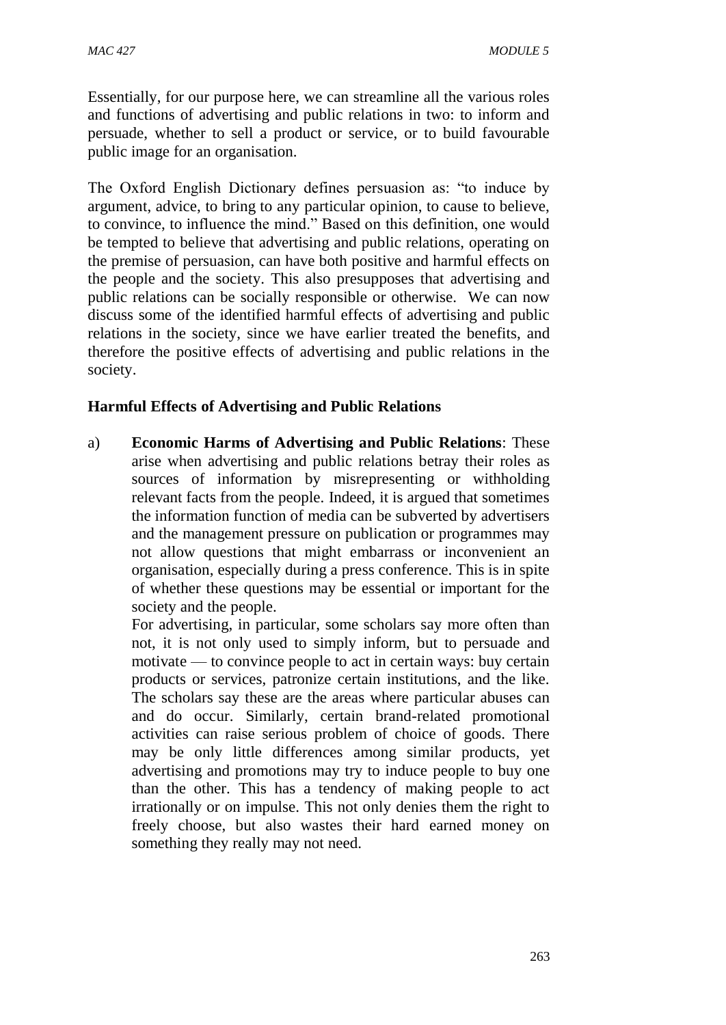Essentially, for our purpose here, we can streamline all the various roles and functions of advertising and public relations in two: to inform and persuade, whether to sell a product or service, or to build favourable public image for an organisation.

The Oxford English Dictionary defines persuasion as: "to induce by argument, advice, to bring to any particular opinion, to cause to believe, to convince, to influence the mind." Based on this definition, one would be tempted to believe that advertising and public relations, operating on the premise of persuasion, can have both positive and harmful effects on the people and the society. This also presupposes that advertising and public relations can be socially responsible or otherwise. We can now discuss some of the identified harmful effects of advertising and public relations in the society, since we have earlier treated the benefits, and therefore the positive effects of advertising and public relations in the society.

### **Harmful Effects of Advertising and Public Relations**

a) **Economic Harms of Advertising and Public Relations**: These arise when advertising and public relations betray their roles as sources of information by misrepresenting or withholding relevant facts from the people. Indeed, it is argued that sometimes the information function of media can be subverted by advertisers and the management pressure on publication or programmes may not allow questions that might embarrass or inconvenient an organisation, especially during a press conference. This is in spite of whether these questions may be essential or important for the society and the people.

For advertising, in particular, some scholars say more often than not, it is not only used to simply inform, but to persuade and motivate — to convince people to act in certain ways: buy certain products or services, patronize certain institutions, and the like. The scholars say these are the areas where particular abuses can and do occur. Similarly, certain brand-related promotional activities can raise serious problem of choice of goods. There may be only little differences among similar products, yet advertising and promotions may try to induce people to buy one than the other. This has a tendency of making people to act irrationally or on impulse. This not only denies them the right to freely choose, but also wastes their hard earned money on something they really may not need.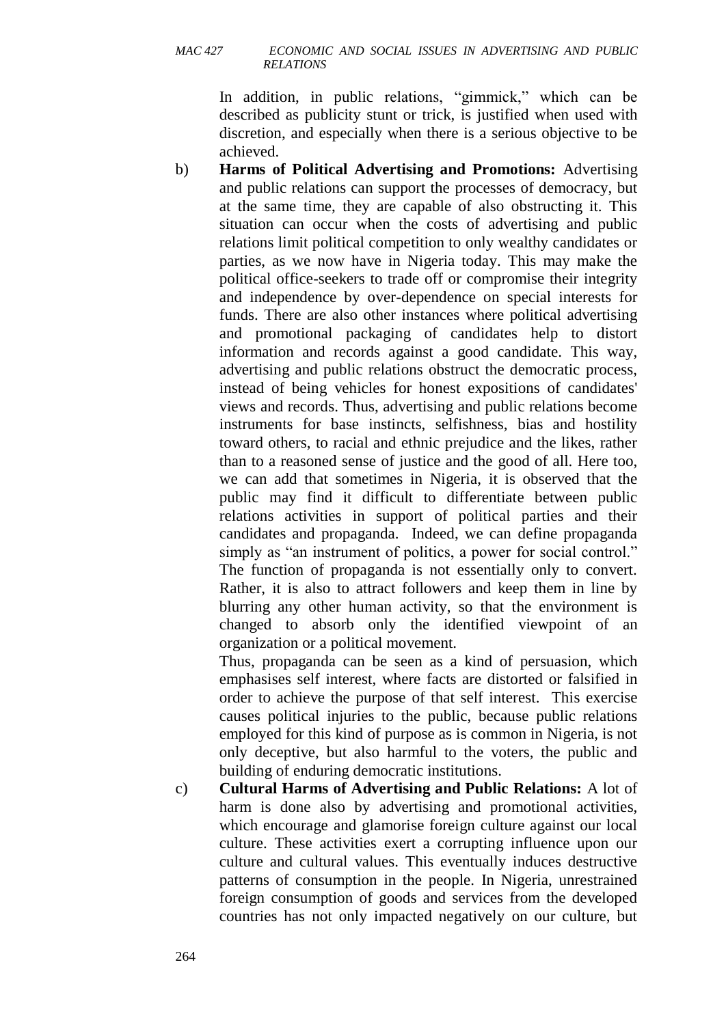In addition, in public relations, "gimmick," which can be described as publicity stunt or trick, is justified when used with discretion, and especially when there is a serious objective to be achieved.

b) **Harms of Political Advertising and Promotions:** Advertising and public relations can support the processes of democracy, but at the same time, they are capable of also obstructing it. This situation can occur when the costs of advertising and public relations limit political competition to only wealthy candidates or parties, as we now have in Nigeria today. This may make the political office-seekers to trade off or compromise their integrity and independence by over-dependence on special interests for funds. There are also other instances where political advertising and promotional packaging of candidates help to distort information and records against a good candidate. This way, advertising and public relations obstruct the democratic process, instead of being vehicles for honest expositions of candidates' views and records. Thus, advertising and public relations become instruments for base instincts, selfishness, bias and hostility toward others, to racial and ethnic prejudice and the likes, rather than to a reasoned sense of justice and the good of all. Here too, we can add that sometimes in Nigeria, it is observed that the public may find it difficult to differentiate between public relations activities in support of political parties and their candidates and propaganda. Indeed, we can define propaganda simply as "an instrument of politics, a power for social control." The function of propaganda is not essentially only to convert. Rather, it is also to attract followers and keep them in line by blurring any other human activity, so that the environment is changed to absorb only the identified viewpoint of an organization or a political movement.

Thus, propaganda can be seen as a kind of persuasion, which emphasises self interest, where facts are distorted or falsified in order to achieve the purpose of that self interest. This exercise causes political injuries to the public, because public relations employed for this kind of purpose as is common in Nigeria, is not only deceptive, but also harmful to the voters, the public and building of enduring democratic institutions.

c) **Cultural Harms of Advertising and Public Relations:** A lot of harm is done also by advertising and promotional activities, which encourage and glamorise foreign culture against our local culture. These activities exert a corrupting influence upon our culture and cultural values. This eventually induces destructive patterns of consumption in the people. In Nigeria, unrestrained foreign consumption of goods and services from the developed countries has not only impacted negatively on our culture, but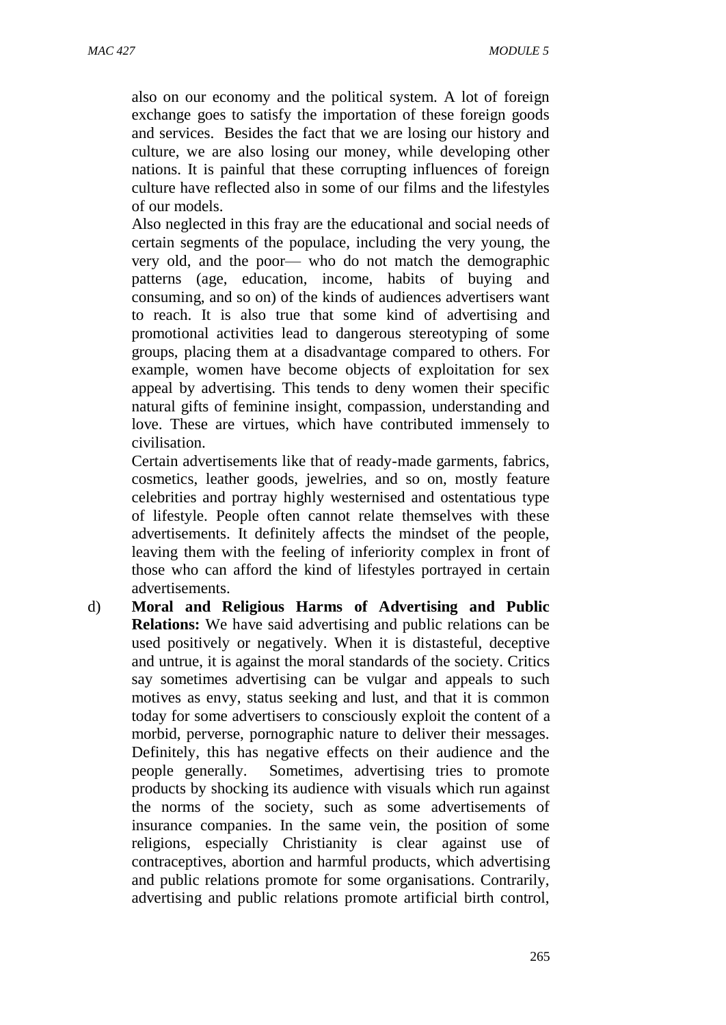also on our economy and the political system. A lot of foreign exchange goes to satisfy the importation of these foreign goods and services. Besides the fact that we are losing our history and culture, we are also losing our money, while developing other nations. It is painful that these corrupting influences of foreign culture have reflected also in some of our films and the lifestyles of our models.

Also neglected in this fray are the educational and social needs of certain segments of the populace, including the very young, the very old, and the poor— who do not match the demographic patterns (age, education, income, habits of buying and consuming, and so on) of the kinds of audiences advertisers want to reach. It is also true that some kind of advertising and promotional activities lead to dangerous stereotyping of some groups, placing them at a disadvantage compared to others. For example, women have become objects of exploitation for sex appeal by advertising. This tends to deny women their specific natural gifts of feminine insight, compassion, understanding and love. These are virtues, which have contributed immensely to civilisation.

Certain advertisements like that of ready-made garments, fabrics, cosmetics, leather goods, jewelries, and so on, mostly feature celebrities and portray highly westernised and ostentatious type of lifestyle. People often cannot relate themselves with these advertisements. It definitely affects the mindset of the people, leaving them with the feeling of inferiority complex in front of those who can afford the kind of lifestyles portrayed in certain advertisements.

d) **Moral and Religious Harms of Advertising and Public Relations:** We have said advertising and public relations can be used positively or negatively. When it is distasteful, deceptive and untrue, it is against the moral standards of the society. Critics say sometimes advertising can be vulgar and appeals to such motives as envy, status seeking and lust, and that it is common today for some advertisers to consciously exploit the content of a morbid, perverse, pornographic nature to deliver their messages. Definitely, this has negative effects on their audience and the people generally. Sometimes, advertising tries to promote products by shocking its audience with visuals which run against the norms of the society, such as some advertisements of insurance companies. In the same vein, the position of some religions, especially Christianity is clear against use of contraceptives, abortion and harmful products, which advertising and public relations promote for some organisations. Contrarily, advertising and public relations promote artificial birth control,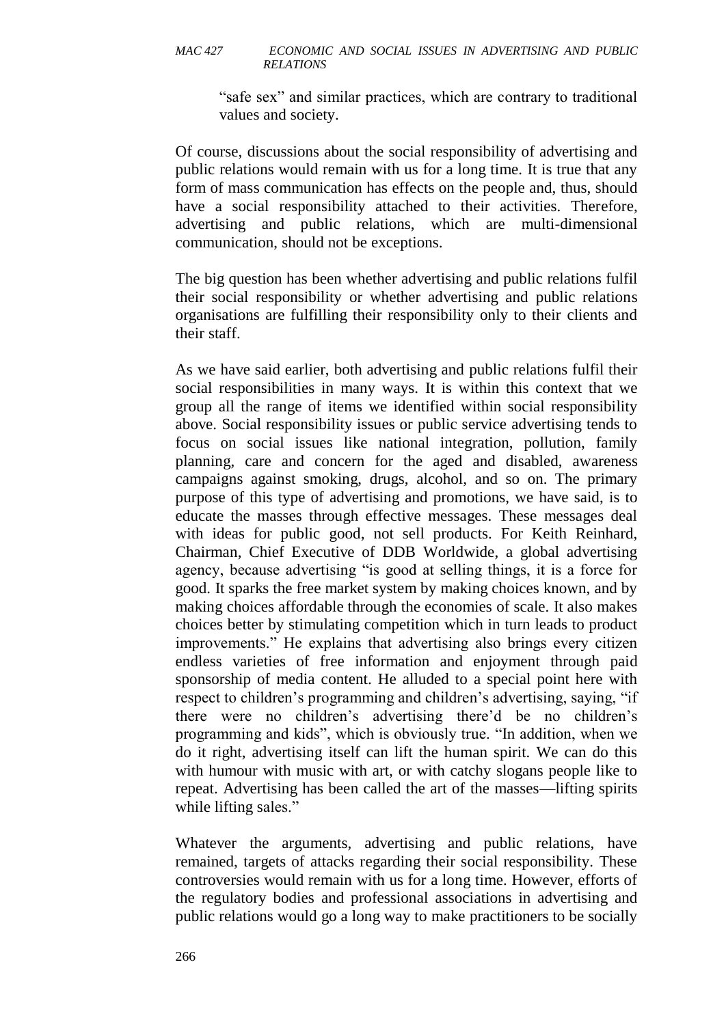"safe sex" and similar practices, which are contrary to traditional values and society.

Of course, discussions about the social responsibility of advertising and public relations would remain with us for a long time. It is true that any form of mass communication has effects on the people and, thus, should have a social responsibility attached to their activities. Therefore, advertising and public relations, which are multi-dimensional communication, should not be exceptions.

The big question has been whether advertising and public relations fulfil their social responsibility or whether advertising and public relations organisations are fulfilling their responsibility only to their clients and their staff.

As we have said earlier, both advertising and public relations fulfil their social responsibilities in many ways. It is within this context that we group all the range of items we identified within social responsibility above. Social responsibility issues or public service advertising tends to focus on social issues like national integration, pollution, family planning, care and concern for the aged and disabled, awareness campaigns against smoking, drugs, alcohol, and so on. The primary purpose of this type of advertising and promotions, we have said, is to educate the masses through effective messages. These messages deal with ideas for public good, not sell products. For Keith Reinhard, Chairman, Chief Executive of DDB Worldwide, a global advertising agency, because advertising "is good at selling things, it is a force for good. It sparks the free market system by making choices known, and by making choices affordable through the economies of scale. It also makes choices better by stimulating competition which in turn leads to product improvements." He explains that advertising also brings every citizen endless varieties of free information and enjoyment through paid sponsorship of media content. He alluded to a special point here with respect to children's programming and children's advertising, saying, "if there were no children's advertising there'd be no children's programming and kids", which is obviously true. "In addition, when we do it right, advertising itself can lift the human spirit. We can do this with humour with music with art, or with catchy slogans people like to repeat. Advertising has been called the art of the masses—lifting spirits while lifting sales."

Whatever the arguments, advertising and public relations, have remained, targets of attacks regarding their social responsibility. These controversies would remain with us for a long time. However, efforts of the regulatory bodies and professional associations in advertising and public relations would go a long way to make practitioners to be socially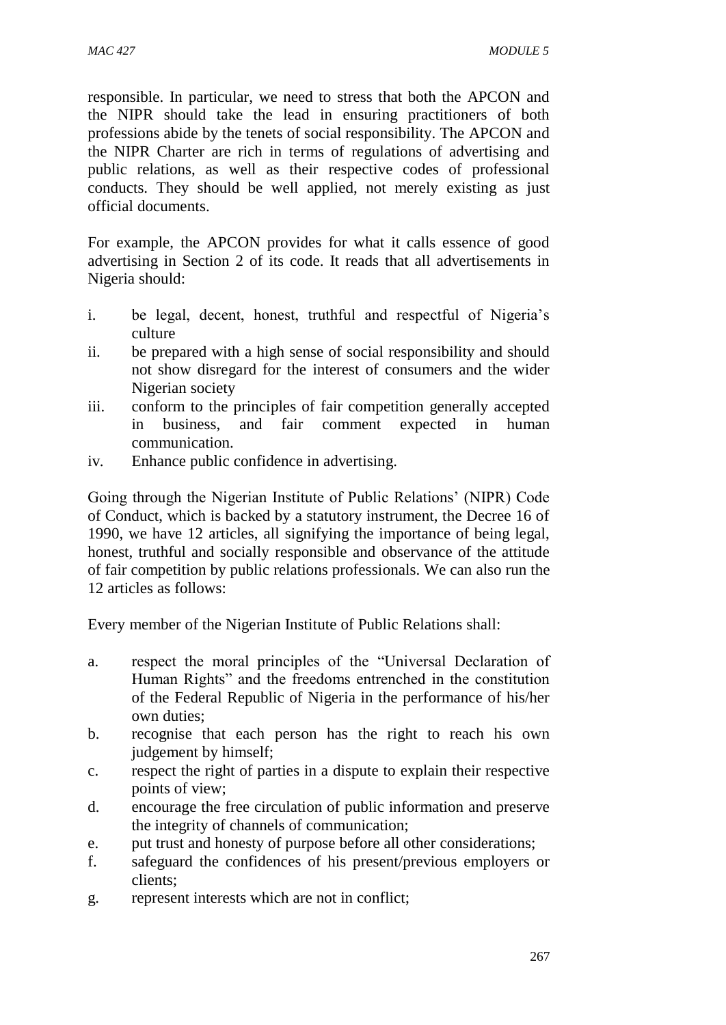responsible. In particular, we need to stress that both the APCON and the NIPR should take the lead in ensuring practitioners of both professions abide by the tenets of social responsibility. The APCON and the NIPR Charter are rich in terms of regulations of advertising and public relations, as well as their respective codes of professional conducts. They should be well applied, not merely existing as just official documents.

For example, the APCON provides for what it calls essence of good advertising in Section 2 of its code. It reads that all advertisements in Nigeria should:

- i. be legal, decent, honest, truthful and respectful of Nigeria's culture
- ii. be prepared with a high sense of social responsibility and should not show disregard for the interest of consumers and the wider Nigerian society
- iii. conform to the principles of fair competition generally accepted in business, and fair comment expected in human communication.
- iv. Enhance public confidence in advertising.

Going through the Nigerian Institute of Public Relations' (NIPR) Code of Conduct, which is backed by a statutory instrument, the Decree 16 of 1990, we have 12 articles, all signifying the importance of being legal, honest, truthful and socially responsible and observance of the attitude of fair competition by public relations professionals. We can also run the 12 articles as follows:

Every member of the Nigerian Institute of Public Relations shall:

- a. respect the moral principles of the "Universal Declaration of Human Rights" and the freedoms entrenched in the constitution of the Federal Republic of Nigeria in the performance of his/her own duties;
- b. recognise that each person has the right to reach his own judgement by himself;
- c. respect the right of parties in a dispute to explain their respective points of view;
- d. encourage the free circulation of public information and preserve the integrity of channels of communication;
- e. put trust and honesty of purpose before all other considerations;
- f. safeguard the confidences of his present/previous employers or clients;
- g. represent interests which are not in conflict;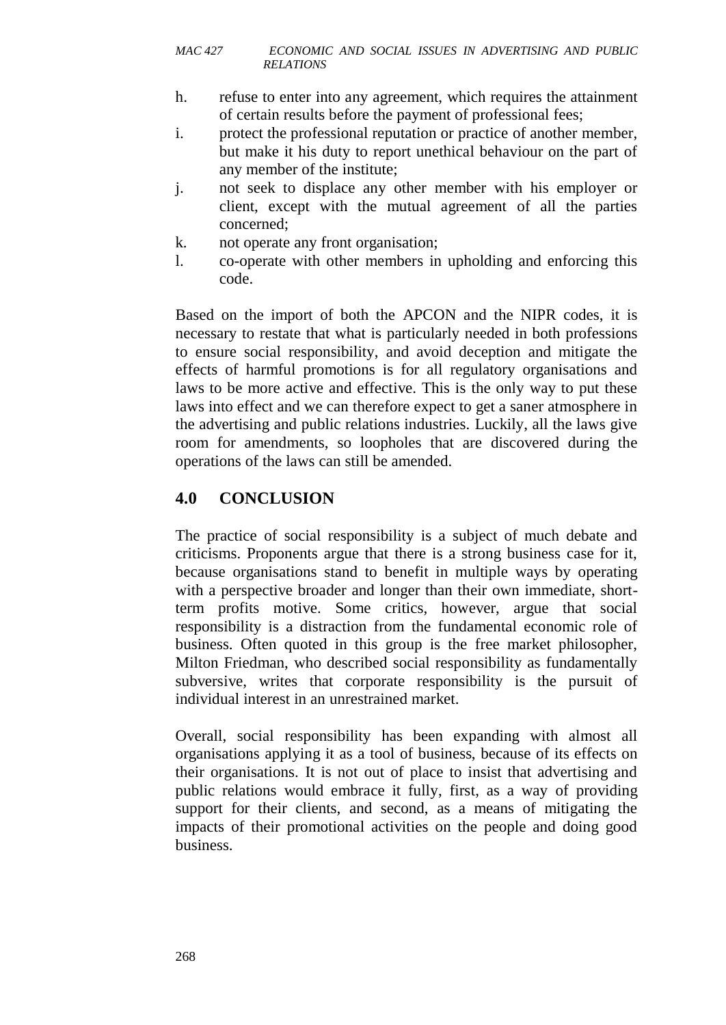- h. refuse to enter into any agreement, which requires the attainment of certain results before the payment of professional fees;
- i. protect the professional reputation or practice of another member, but make it his duty to report unethical behaviour on the part of any member of the institute;
- j. not seek to displace any other member with his employer or client, except with the mutual agreement of all the parties concerned;
- k. not operate any front organisation;
- l. co-operate with other members in upholding and enforcing this code.

Based on the import of both the APCON and the NIPR codes, it is necessary to restate that what is particularly needed in both professions to ensure social responsibility, and avoid deception and mitigate the effects of harmful promotions is for all regulatory organisations and laws to be more active and effective. This is the only way to put these laws into effect and we can therefore expect to get a saner atmosphere in the advertising and public relations industries. Luckily, all the laws give room for amendments, so loopholes that are discovered during the operations of the laws can still be amended.

# **4.0 CONCLUSION**

The practice of social responsibility is a subject of much debate and criticisms. Proponents argue that there is a strong business case for it, because organisations stand to benefit in multiple ways by operating with a perspective broader and longer than their own immediate, shortterm profits motive. Some critics, however, argue that social responsibility is a distraction from the fundamental economic role of business. Often quoted in this group is the free market philosopher, Milton Friedman, who described social responsibility as fundamentally subversive, writes that corporate responsibility is the pursuit of individual interest in an unrestrained market.

Overall, social responsibility has been expanding with almost all organisations applying it as a tool of business, because of its effects on their organisations. It is not out of place to insist that advertising and public relations would embrace it fully, first, as a way of providing support for their clients, and second, as a means of mitigating the impacts of their promotional activities on the people and doing good business.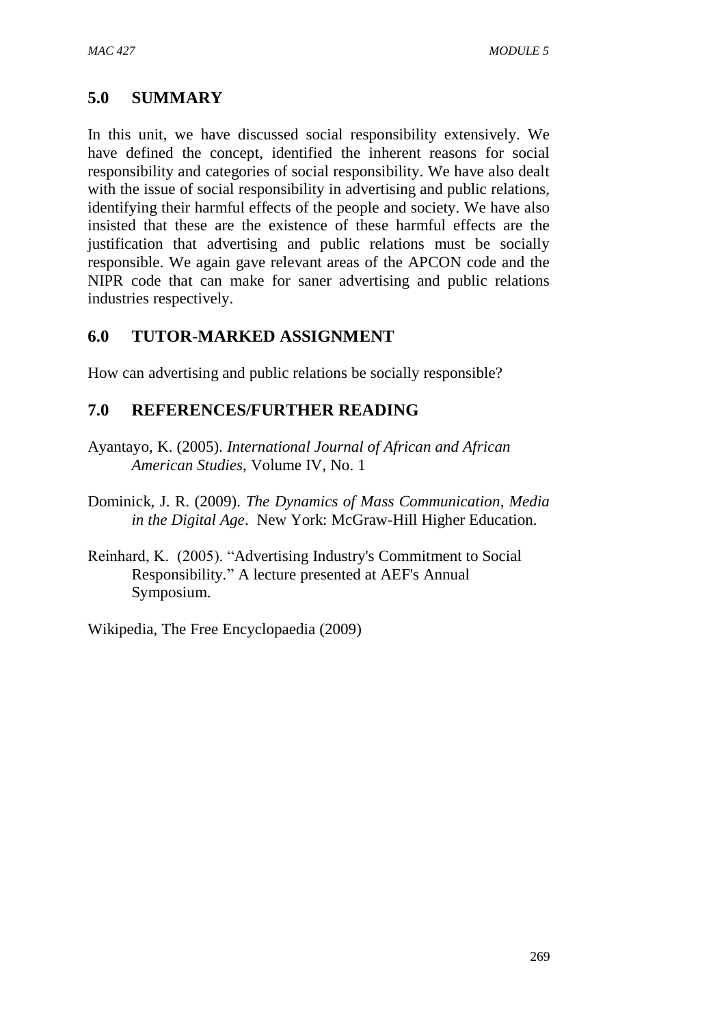### **5.0 SUMMARY**

In this unit, we have discussed social responsibility extensively. We have defined the concept, identified the inherent reasons for social responsibility and categories of social responsibility. We have also dealt with the issue of social responsibility in advertising and public relations, identifying their harmful effects of the people and society. We have also insisted that these are the existence of these harmful effects are the justification that advertising and public relations must be socially responsible. We again gave relevant areas of the APCON code and the NIPR code that can make for saner advertising and public relations industries respectively.

### **6.0 TUTOR-MARKED ASSIGNMENT**

How can advertising and public relations be socially responsible?

### **7.0 REFERENCES/FURTHER READING**

- Ayantayo, K. (2005). *International Journal of African and African American Studies*, Volume IV, No. 1
- Dominick, J. R. (2009). *The Dynamics of Mass Communication, Media in the Digital Age*. New York: McGraw-Hill Higher Education.
- Reinhard, K. (2005). "Advertising Industry's Commitment to Social Responsibility*.*" A lecture presented at AEF's Annual Symposium.

Wikipedia, The Free Encyclopaedia (2009)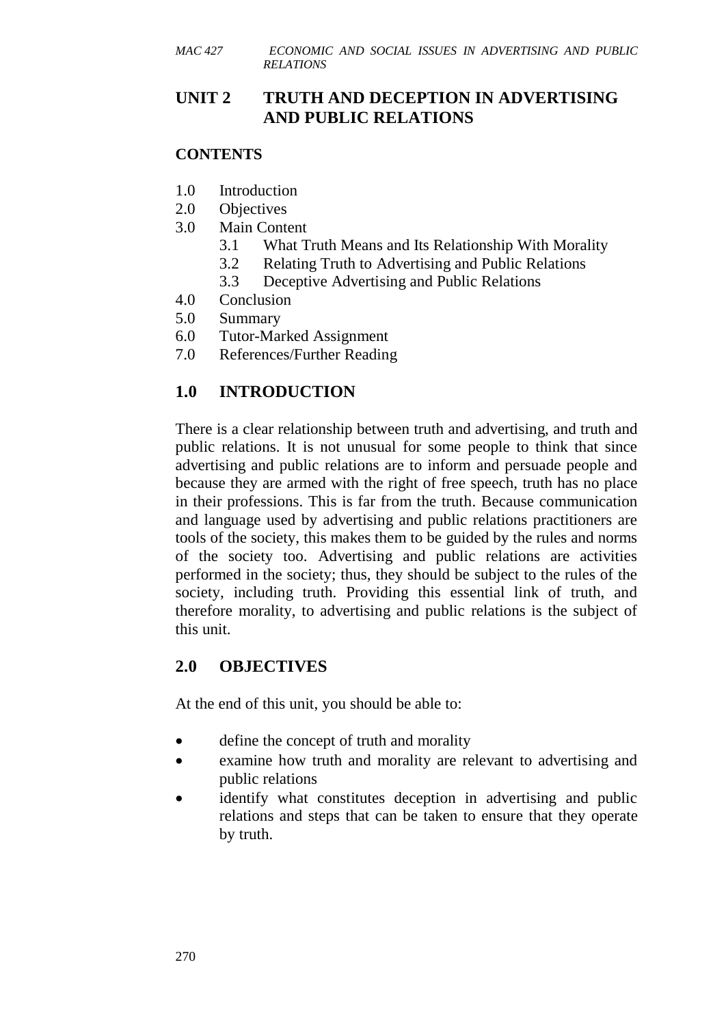# **UNIT 2 TRUTH AND DECEPTION IN ADVERTISING AND PUBLIC RELATIONS**

### **CONTENTS**

- 1.0 Introduction
- 2.0 Objectives
- 3.0 Main Content
	- 3.1 What Truth Means and Its Relationship With Morality
	- 3.2 Relating Truth to Advertising and Public Relations
	- 3.3 Deceptive Advertising and Public Relations
- 4.0 Conclusion
- 5.0 Summary
- 6.0 Tutor-Marked Assignment
- 7.0 References/Further Reading

# **1.0 INTRODUCTION**

There is a clear relationship between truth and advertising, and truth and public relations. It is not unusual for some people to think that since advertising and public relations are to inform and persuade people and because they are armed with the right of free speech, truth has no place in their professions. This is far from the truth. Because communication and language used by advertising and public relations practitioners are tools of the society, this makes them to be guided by the rules and norms of the society too. Advertising and public relations are activities performed in the society; thus, they should be subject to the rules of the society, including truth. Providing this essential link of truth, and therefore morality, to advertising and public relations is the subject of this unit.

# **2.0 OBJECTIVES**

At the end of this unit, you should be able to:

- define the concept of truth and morality
- examine how truth and morality are relevant to advertising and public relations
- identify what constitutes deception in advertising and public relations and steps that can be taken to ensure that they operate by truth.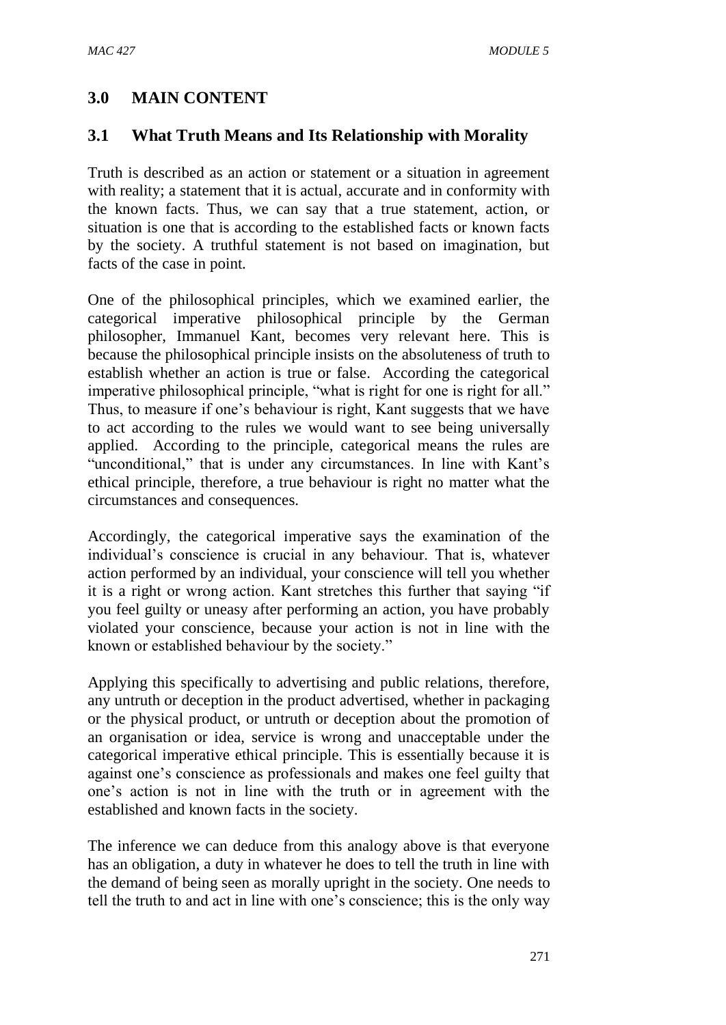# **3.0 MAIN CONTENT**

# **3.1 What Truth Means and Its Relationship with Morality**

Truth is described as an action or statement or a situation in agreement with reality; a statement that it is actual, accurate and in conformity with the known facts. Thus, we can say that a true statement, action, or situation is one that is according to the established facts or known facts by the society. A truthful statement is not based on imagination, but facts of the case in point.

One of the philosophical principles, which we examined earlier, the categorical imperative philosophical principle by the German philosopher, Immanuel Kant, becomes very relevant here. This is because the philosophical principle insists on the absoluteness of truth to establish whether an action is true or false. According the categorical imperative philosophical principle, "what is right for one is right for all." Thus, to measure if one's behaviour is right, Kant suggests that we have to act according to the rules we would want to see being universally applied. According to the principle, categorical means the rules are "unconditional," that is under any circumstances. In line with Kant's ethical principle, therefore, a true behaviour is right no matter what the circumstances and consequences.

Accordingly, the categorical imperative says the examination of the individual's conscience is crucial in any behaviour. That is, whatever action performed by an individual, your conscience will tell you whether it is a right or wrong action. Kant stretches this further that saying "if you feel guilty or uneasy after performing an action, you have probably violated your conscience, because your action is not in line with the known or established behaviour by the society."

Applying this specifically to advertising and public relations, therefore, any untruth or deception in the product advertised, whether in packaging or the physical product, or untruth or deception about the promotion of an organisation or idea, service is wrong and unacceptable under the categorical imperative ethical principle. This is essentially because it is against one's conscience as professionals and makes one feel guilty that one's action is not in line with the truth or in agreement with the established and known facts in the society.

The inference we can deduce from this analogy above is that everyone has an obligation, a duty in whatever he does to tell the truth in line with the demand of being seen as morally upright in the society. One needs to tell the truth to and act in line with one's conscience; this is the only way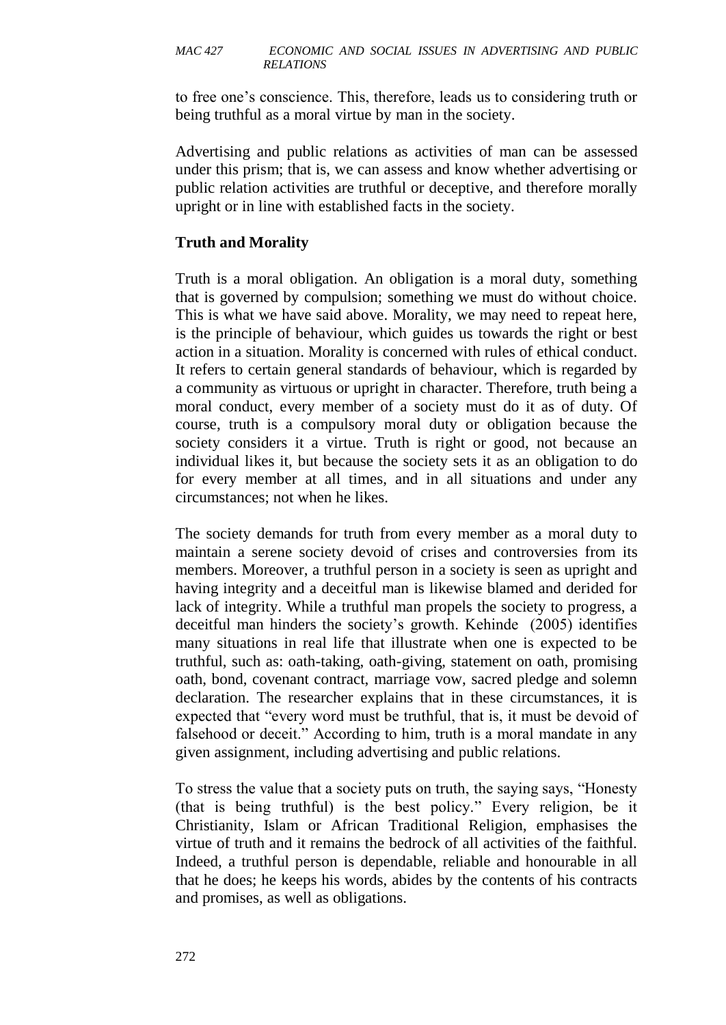to free one's conscience. This, therefore, leads us to considering truth or being truthful as a moral virtue by man in the society.

Advertising and public relations as activities of man can be assessed under this prism; that is, we can assess and know whether advertising or public relation activities are truthful or deceptive, and therefore morally upright or in line with established facts in the society.

### **Truth and Morality**

Truth is a moral obligation. An obligation is a moral duty, something that is governed by compulsion; something we must do without choice. This is what we have said above. Morality, we may need to repeat here, is the principle of behaviour, which guides us towards the right or best action in a situation. Morality is concerned with rules of ethical conduct. It refers to certain general standards of behaviour, which is regarded by a community as virtuous or upright in character. Therefore, truth being a moral conduct, every member of a society must do it as of duty. Of course, truth is a compulsory moral duty or obligation because the society considers it a virtue. Truth is right or good, not because an individual likes it, but because the society sets it as an obligation to do for every member at all times, and in all situations and under any circumstances; not when he likes.

The society demands for truth from every member as a moral duty to maintain a serene society devoid of crises and controversies from its members. Moreover, a truthful person in a society is seen as upright and having integrity and a deceitful man is likewise blamed and derided for lack of integrity. While a truthful man propels the society to progress, a deceitful man hinders the society's growth. Kehinde (2005) identifies many situations in real life that illustrate when one is expected to be truthful, such as: oath-taking, oath-giving, statement on oath, promising oath, bond, covenant contract, marriage vow, sacred pledge and solemn declaration. The researcher explains that in these circumstances, it is expected that "every word must be truthful, that is, it must be devoid of falsehood or deceit." According to him, truth is a moral mandate in any given assignment, including advertising and public relations.

To stress the value that a society puts on truth, the saying says, "Honesty (that is being truthful) is the best policy." Every religion, be it Christianity, Islam or African Traditional Religion, emphasises the virtue of truth and it remains the bedrock of all activities of the faithful. Indeed, a truthful person is dependable, reliable and honourable in all that he does; he keeps his words, abides by the contents of his contracts and promises, as well as obligations.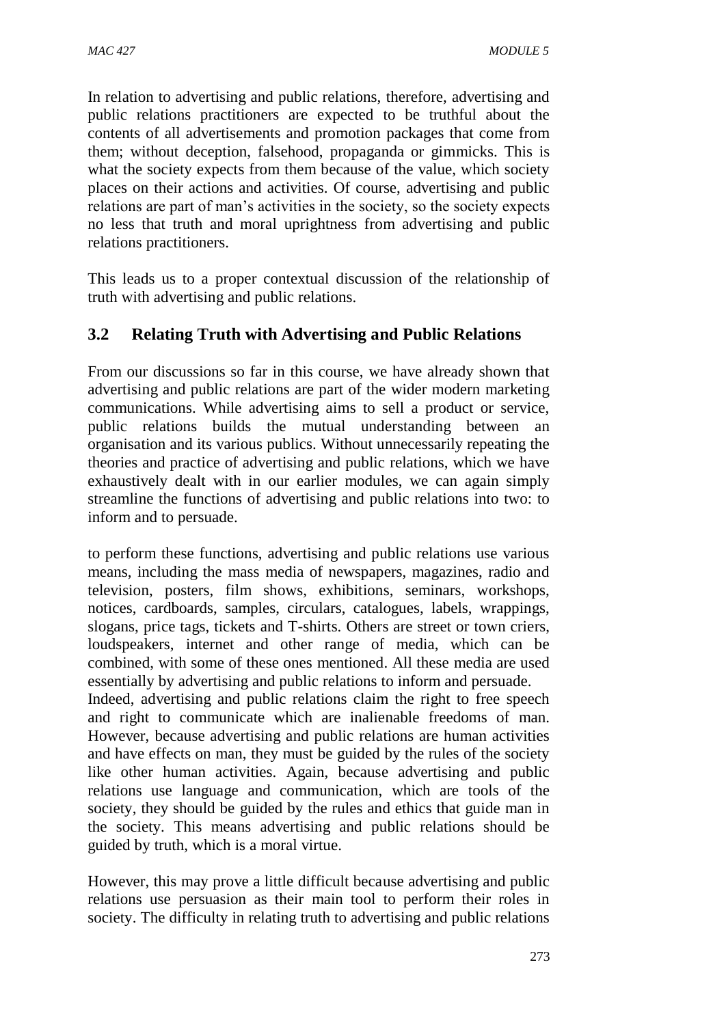In relation to advertising and public relations, therefore, advertising and public relations practitioners are expected to be truthful about the contents of all advertisements and promotion packages that come from them; without deception, falsehood, propaganda or gimmicks. This is what the society expects from them because of the value, which society places on their actions and activities. Of course, advertising and public relations are part of man's activities in the society, so the society expects no less that truth and moral uprightness from advertising and public relations practitioners.

This leads us to a proper contextual discussion of the relationship of truth with advertising and public relations.

# **3.2 Relating Truth with Advertising and Public Relations**

From our discussions so far in this course, we have already shown that advertising and public relations are part of the wider modern marketing communications. While advertising aims to sell a product or service, public relations builds the mutual understanding between an organisation and its various publics. Without unnecessarily repeating the theories and practice of advertising and public relations, which we have exhaustively dealt with in our earlier modules, we can again simply streamline the functions of advertising and public relations into two: to inform and to persuade.

to perform these functions, advertising and public relations use various means, including the mass media of newspapers, magazines, radio and television, posters, film shows, exhibitions, seminars, workshops, notices, cardboards, samples, circulars, catalogues, labels, wrappings, slogans, price tags, tickets and T-shirts. Others are street or town criers, loudspeakers, internet and other range of media, which can be combined, with some of these ones mentioned. All these media are used essentially by advertising and public relations to inform and persuade.

Indeed, advertising and public relations claim the right to free speech and right to communicate which are inalienable freedoms of man. However, because advertising and public relations are human activities and have effects on man, they must be guided by the rules of the society like other human activities. Again, because advertising and public relations use language and communication, which are tools of the society, they should be guided by the rules and ethics that guide man in the society. This means advertising and public relations should be guided by truth, which is a moral virtue.

However, this may prove a little difficult because advertising and public relations use persuasion as their main tool to perform their roles in society. The difficulty in relating truth to advertising and public relations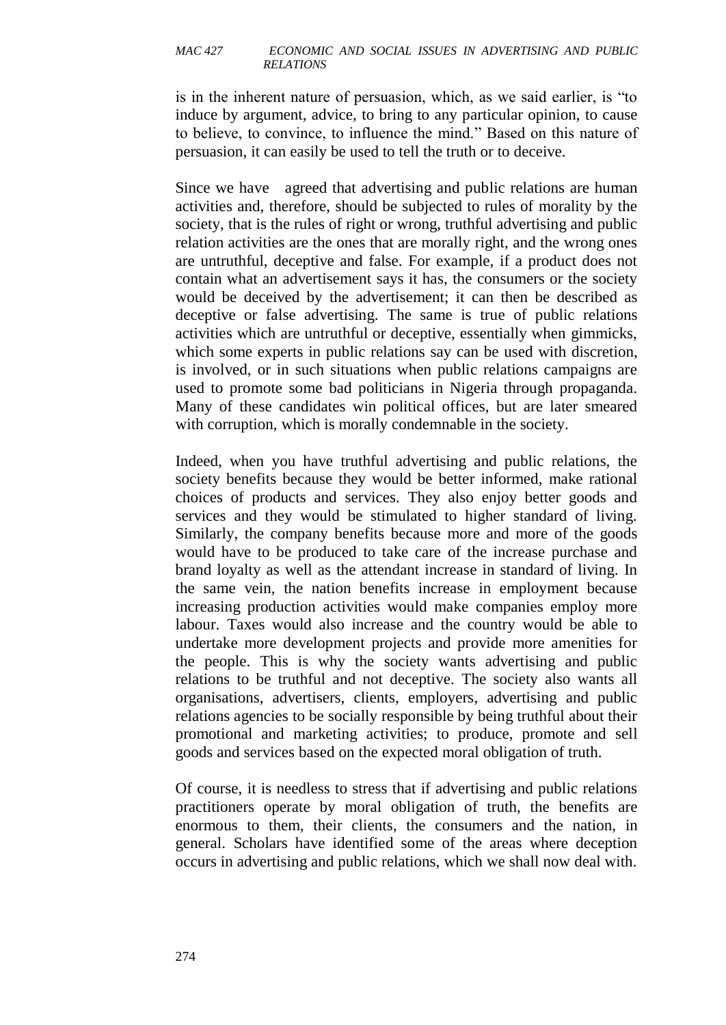is in the inherent nature of persuasion, which, as we said earlier, is "to induce by argument, advice, to bring to any particular opinion, to cause to believe, to convince, to influence the mind." Based on this nature of persuasion, it can easily be used to tell the truth or to deceive.

Since we have agreed that advertising and public relations are human activities and, therefore, should be subjected to rules of morality by the society, that is the rules of right or wrong, truthful advertising and public relation activities are the ones that are morally right, and the wrong ones are untruthful, deceptive and false. For example, if a product does not contain what an advertisement says it has, the consumers or the society would be deceived by the advertisement; it can then be described as deceptive or false advertising. The same is true of public relations activities which are untruthful or deceptive, essentially when gimmicks, which some experts in public relations say can be used with discretion, is involved, or in such situations when public relations campaigns are used to promote some bad politicians in Nigeria through propaganda. Many of these candidates win political offices, but are later smeared with corruption, which is morally condemnable in the society.

Indeed, when you have truthful advertising and public relations, the society benefits because they would be better informed, make rational choices of products and services. They also enjoy better goods and services and they would be stimulated to higher standard of living. Similarly, the company benefits because more and more of the goods would have to be produced to take care of the increase purchase and brand loyalty as well as the attendant increase in standard of living. In the same vein, the nation benefits increase in employment because increasing production activities would make companies employ more labour. Taxes would also increase and the country would be able to undertake more development projects and provide more amenities for the people. This is why the society wants advertising and public relations to be truthful and not deceptive. The society also wants all organisations, advertisers, clients, employers, advertising and public relations agencies to be socially responsible by being truthful about their promotional and marketing activities; to produce, promote and sell goods and services based on the expected moral obligation of truth.

Of course, it is needless to stress that if advertising and public relations practitioners operate by moral obligation of truth, the benefits are enormous to them, their clients, the consumers and the nation, in general. Scholars have identified some of the areas where deception occurs in advertising and public relations, which we shall now deal with.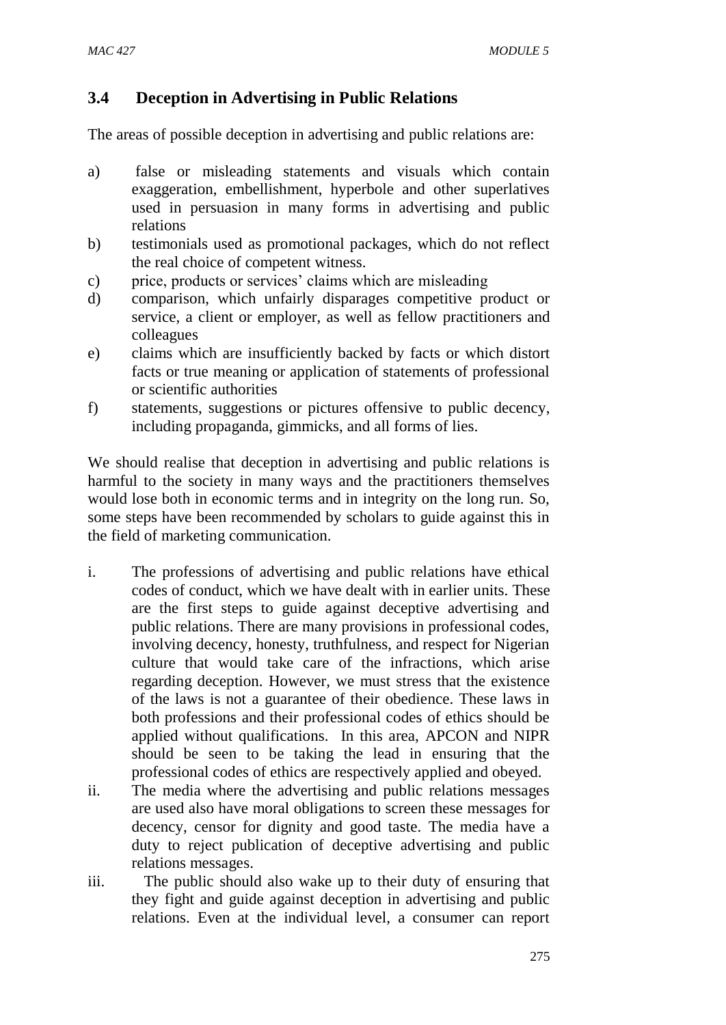# **3.4 Deception in Advertising in Public Relations**

The areas of possible deception in advertising and public relations are:

- a) false or misleading statements and visuals which contain exaggeration, embellishment, hyperbole and other superlatives used in persuasion in many forms in advertising and public relations
- b) testimonials used as promotional packages, which do not reflect the real choice of competent witness.
- c) price, products or services' claims which are misleading
- d) comparison, which unfairly disparages competitive product or service, a client or employer, as well as fellow practitioners and colleagues
- e) claims which are insufficiently backed by facts or which distort facts or true meaning or application of statements of professional or scientific authorities
- f) statements, suggestions or pictures offensive to public decency, including propaganda, gimmicks, and all forms of lies.

We should realise that deception in advertising and public relations is harmful to the society in many ways and the practitioners themselves would lose both in economic terms and in integrity on the long run. So, some steps have been recommended by scholars to guide against this in the field of marketing communication.

- i. The professions of advertising and public relations have ethical codes of conduct, which we have dealt with in earlier units. These are the first steps to guide against deceptive advertising and public relations. There are many provisions in professional codes, involving decency, honesty, truthfulness, and respect for Nigerian culture that would take care of the infractions, which arise regarding deception. However, we must stress that the existence of the laws is not a guarantee of their obedience. These laws in both professions and their professional codes of ethics should be applied without qualifications. In this area, APCON and NIPR should be seen to be taking the lead in ensuring that the professional codes of ethics are respectively applied and obeyed.
- ii. The media where the advertising and public relations messages are used also have moral obligations to screen these messages for decency, censor for dignity and good taste. The media have a duty to reject publication of deceptive advertising and public relations messages.
- iii. The public should also wake up to their duty of ensuring that they fight and guide against deception in advertising and public relations. Even at the individual level, a consumer can report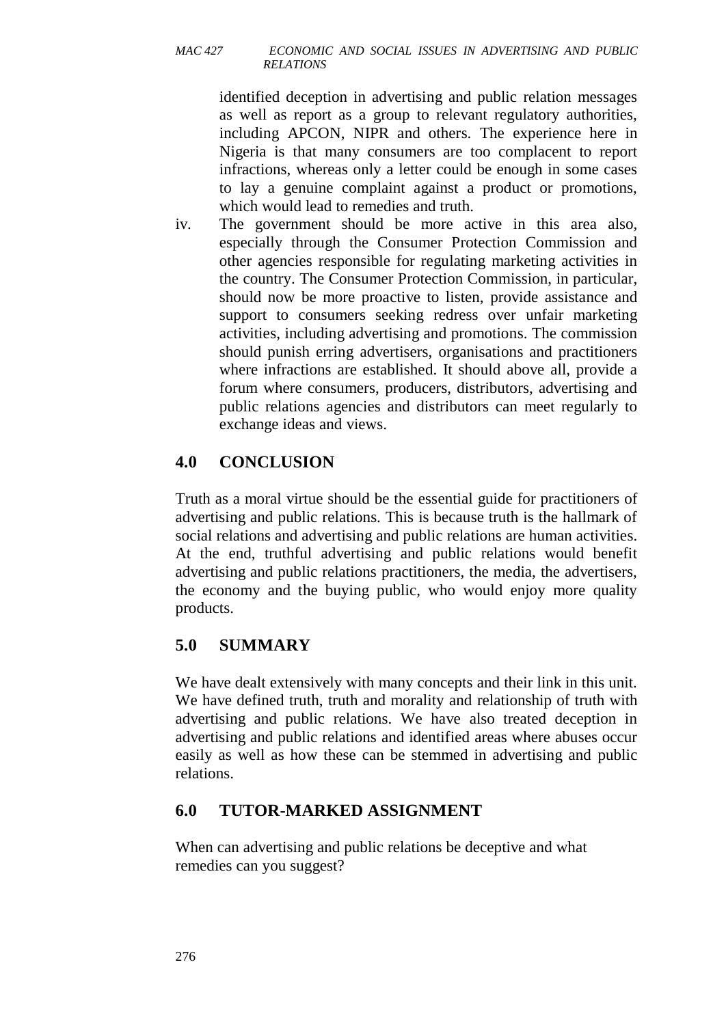identified deception in advertising and public relation messages as well as report as a group to relevant regulatory authorities, including APCON, NIPR and others. The experience here in Nigeria is that many consumers are too complacent to report infractions, whereas only a letter could be enough in some cases to lay a genuine complaint against a product or promotions, which would lead to remedies and truth.

iv. The government should be more active in this area also, especially through the Consumer Protection Commission and other agencies responsible for regulating marketing activities in the country. The Consumer Protection Commission, in particular, should now be more proactive to listen, provide assistance and support to consumers seeking redress over unfair marketing activities, including advertising and promotions. The commission should punish erring advertisers, organisations and practitioners where infractions are established. It should above all, provide a forum where consumers, producers, distributors, advertising and public relations agencies and distributors can meet regularly to exchange ideas and views.

# **4.0 CONCLUSION**

Truth as a moral virtue should be the essential guide for practitioners of advertising and public relations. This is because truth is the hallmark of social relations and advertising and public relations are human activities. At the end, truthful advertising and public relations would benefit advertising and public relations practitioners, the media, the advertisers, the economy and the buying public, who would enjoy more quality products.

# **5.0 SUMMARY**

We have dealt extensively with many concepts and their link in this unit. We have defined truth, truth and morality and relationship of truth with advertising and public relations. We have also treated deception in advertising and public relations and identified areas where abuses occur easily as well as how these can be stemmed in advertising and public relations.

# **6.0 TUTOR-MARKED ASSIGNMENT**

When can advertising and public relations be deceptive and what remedies can you suggest?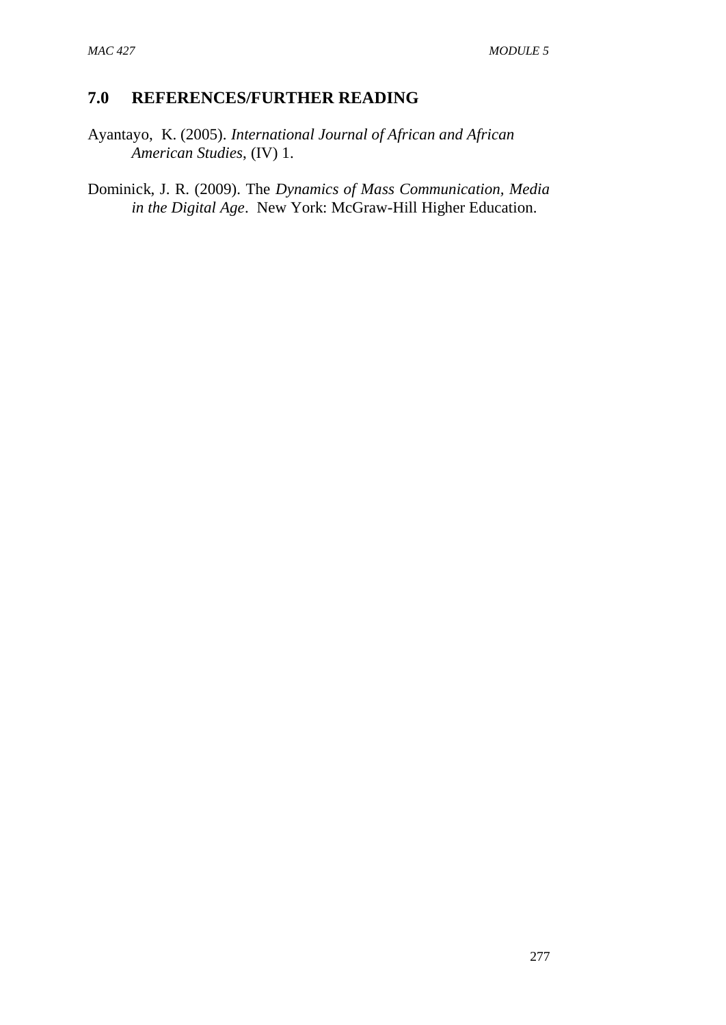### **7.0 REFERENCES/FURTHER READING**

Ayantayo, K. (2005). *International Journal of African and African American Studies*, (IV) 1.

Dominick, J. R. (2009). The *Dynamics of Mass Communication, Media in the Digital Age*. New York: McGraw-Hill Higher Education.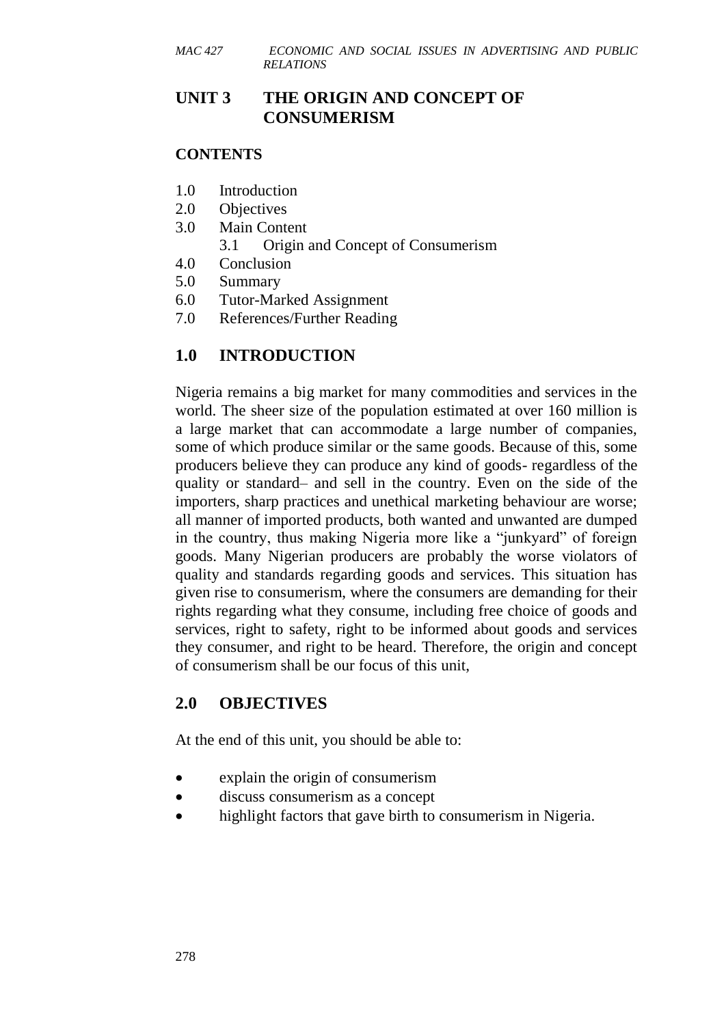# **UNIT 3 THE ORIGIN AND CONCEPT OF CONSUMERISM**

#### **CONTENTS**

- 1.0 Introduction
- 2.0 Objectives
- 3.0 Main Content 3.1 Origin and Concept of Consumerism
- 4.0 Conclusion
- 5.0 Summary
- 6.0 Tutor-Marked Assignment
- 7.0 References/Further Reading

# **1.0 INTRODUCTION**

Nigeria remains a big market for many commodities and services in the world. The sheer size of the population estimated at over 160 million is a large market that can accommodate a large number of companies, some of which produce similar or the same goods. Because of this, some producers believe they can produce any kind of goods- regardless of the quality or standard– and sell in the country. Even on the side of the importers, sharp practices and unethical marketing behaviour are worse; all manner of imported products, both wanted and unwanted are dumped in the country, thus making Nigeria more like a "junkyard" of foreign goods. Many Nigerian producers are probably the worse violators of quality and standards regarding goods and services. This situation has given rise to consumerism, where the consumers are demanding for their rights regarding what they consume, including free choice of goods and services, right to safety, right to be informed about goods and services they consumer, and right to be heard. Therefore, the origin and concept of consumerism shall be our focus of this unit,

# **2.0 OBJECTIVES**

At the end of this unit, you should be able to:

- explain the origin of consumerism
- discuss consumerism as a concept
- highlight factors that gave birth to consumerism in Nigeria.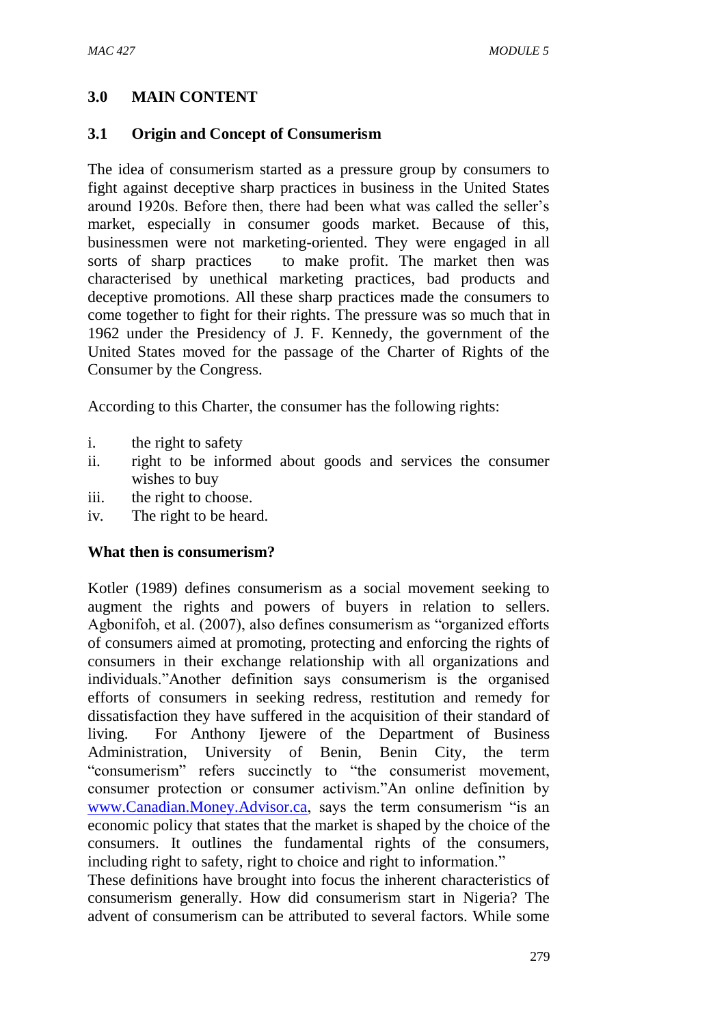### **3.0 MAIN CONTENT**

#### **3.1 Origin and Concept of Consumerism**

The idea of consumerism started as a pressure group by consumers to fight against deceptive sharp practices in business in the United States around 1920s. Before then, there had been what was called the seller's market, especially in consumer goods market. Because of this, businessmen were not marketing-oriented. They were engaged in all sorts of sharp practices to make profit. The market then was characterised by unethical marketing practices, bad products and deceptive promotions. All these sharp practices made the consumers to come together to fight for their rights. The pressure was so much that in 1962 under the Presidency of J. F. Kennedy, the government of the United States moved for the passage of the Charter of Rights of the Consumer by the Congress.

According to this Charter, the consumer has the following rights:

- i. the right to safety
- ii. right to be informed about goods and services the consumer wishes to buy
- iii. the right to choose.
- iv. The right to be heard.

#### **What then is consumerism?**

Kotler (1989) defines consumerism as a social movement seeking to augment the rights and powers of buyers in relation to sellers. Agbonifoh, et al. (2007), also defines consumerism as "organized efforts of consumers aimed at promoting, protecting and enforcing the rights of consumers in their exchange relationship with all organizations and individuals."Another definition says consumerism is the organised efforts of consumers in seeking redress, restitution and remedy for dissatisfaction they have suffered in the acquisition of their standard of living. For Anthony Ijewere of the Department of Business Administration, University of Benin, Benin City, the term "consumerism" refers succinctly to "the consumerist movement, consumer protection or consumer activism."An online definition by [www.Canadian.Money.Advisor.ca,](http://www.canadian.money.advisor.ca/) says the term consumerism "is an economic policy that states that the market is shaped by the choice of the consumers. It outlines the fundamental rights of the consumers, including right to safety, right to choice and right to information."

These definitions have brought into focus the inherent characteristics of consumerism generally. How did consumerism start in Nigeria? The advent of consumerism can be attributed to several factors. While some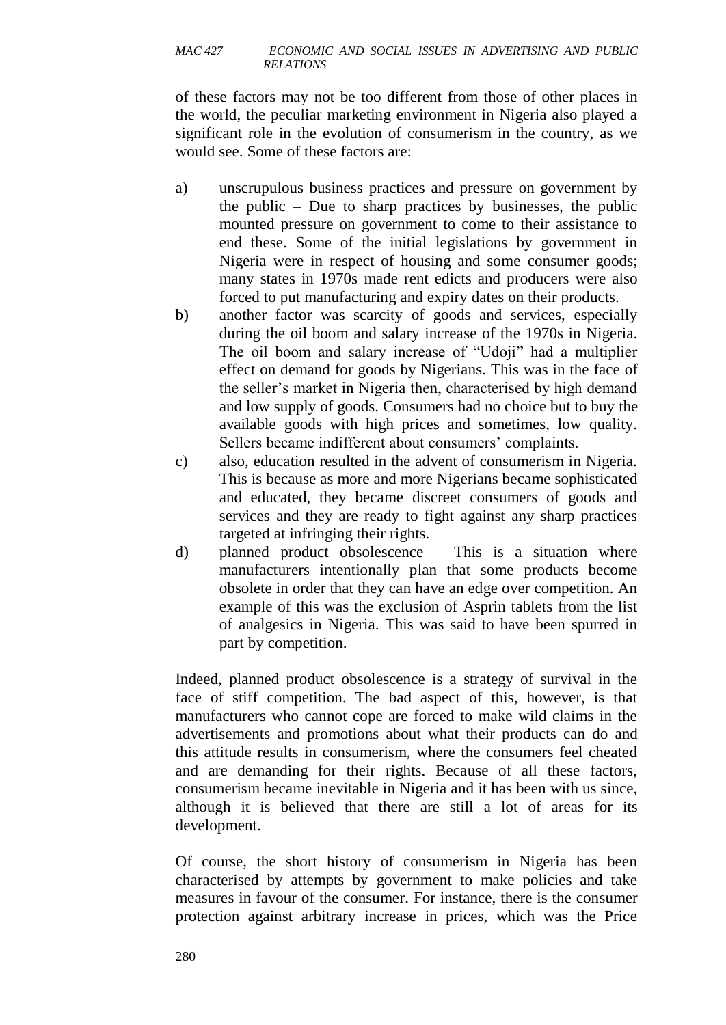of these factors may not be too different from those of other places in the world, the peculiar marketing environment in Nigeria also played a significant role in the evolution of consumerism in the country, as we would see. Some of these factors are:

- a) unscrupulous business practices and pressure on government by the public – Due to sharp practices by businesses, the public mounted pressure on government to come to their assistance to end these. Some of the initial legislations by government in Nigeria were in respect of housing and some consumer goods; many states in 1970s made rent edicts and producers were also forced to put manufacturing and expiry dates on their products.
- b) another factor was scarcity of goods and services, especially during the oil boom and salary increase of the 1970s in Nigeria. The oil boom and salary increase of "Udoji" had a multiplier effect on demand for goods by Nigerians. This was in the face of the seller's market in Nigeria then, characterised by high demand and low supply of goods. Consumers had no choice but to buy the available goods with high prices and sometimes, low quality. Sellers became indifferent about consumers' complaints.
- c) also, education resulted in the advent of consumerism in Nigeria. This is because as more and more Nigerians became sophisticated and educated, they became discreet consumers of goods and services and they are ready to fight against any sharp practices targeted at infringing their rights.
- d) planned product obsolescence This is a situation where manufacturers intentionally plan that some products become obsolete in order that they can have an edge over competition. An example of this was the exclusion of Asprin tablets from the list of analgesics in Nigeria. This was said to have been spurred in part by competition.

Indeed, planned product obsolescence is a strategy of survival in the face of stiff competition. The bad aspect of this, however, is that manufacturers who cannot cope are forced to make wild claims in the advertisements and promotions about what their products can do and this attitude results in consumerism, where the consumers feel cheated and are demanding for their rights. Because of all these factors, consumerism became inevitable in Nigeria and it has been with us since, although it is believed that there are still a lot of areas for its development.

Of course, the short history of consumerism in Nigeria has been characterised by attempts by government to make policies and take measures in favour of the consumer. For instance, there is the consumer protection against arbitrary increase in prices, which was the Price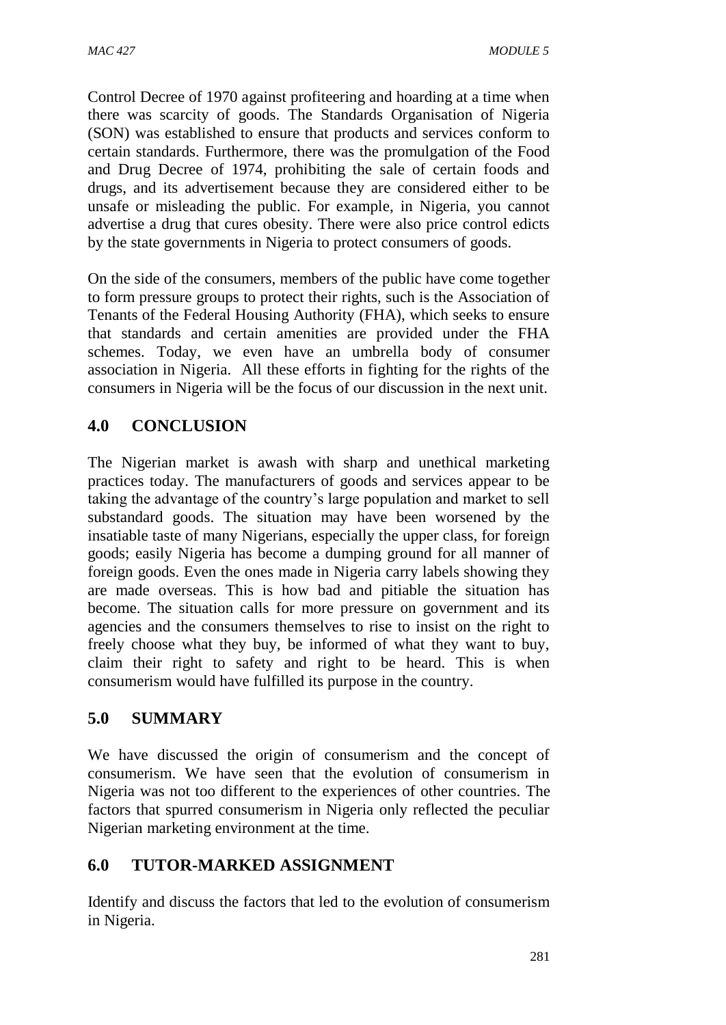Control Decree of 1970 against profiteering and hoarding at a time when there was scarcity of goods. The Standards Organisation of Nigeria (SON) was established to ensure that products and services conform to certain standards. Furthermore, there was the promulgation of the Food and Drug Decree of 1974, prohibiting the sale of certain foods and drugs, and its advertisement because they are considered either to be unsafe or misleading the public. For example, in Nigeria, you cannot advertise a drug that cures obesity. There were also price control edicts by the state governments in Nigeria to protect consumers of goods.

On the side of the consumers, members of the public have come together to form pressure groups to protect their rights, such is the Association of Tenants of the Federal Housing Authority (FHA), which seeks to ensure that standards and certain amenities are provided under the FHA schemes. Today, we even have an umbrella body of consumer association in Nigeria. All these efforts in fighting for the rights of the consumers in Nigeria will be the focus of our discussion in the next unit.

# **4.0 CONCLUSION**

The Nigerian market is awash with sharp and unethical marketing practices today. The manufacturers of goods and services appear to be taking the advantage of the country's large population and market to sell substandard goods. The situation may have been worsened by the insatiable taste of many Nigerians, especially the upper class, for foreign goods; easily Nigeria has become a dumping ground for all manner of foreign goods. Even the ones made in Nigeria carry labels showing they are made overseas. This is how bad and pitiable the situation has become. The situation calls for more pressure on government and its agencies and the consumers themselves to rise to insist on the right to freely choose what they buy, be informed of what they want to buy, claim their right to safety and right to be heard. This is when consumerism would have fulfilled its purpose in the country.

# **5.0 SUMMARY**

We have discussed the origin of consumerism and the concept of consumerism. We have seen that the evolution of consumerism in Nigeria was not too different to the experiences of other countries. The factors that spurred consumerism in Nigeria only reflected the peculiar Nigerian marketing environment at the time.

# **6.0 TUTOR-MARKED ASSIGNMENT**

Identify and discuss the factors that led to the evolution of consumerism in Nigeria.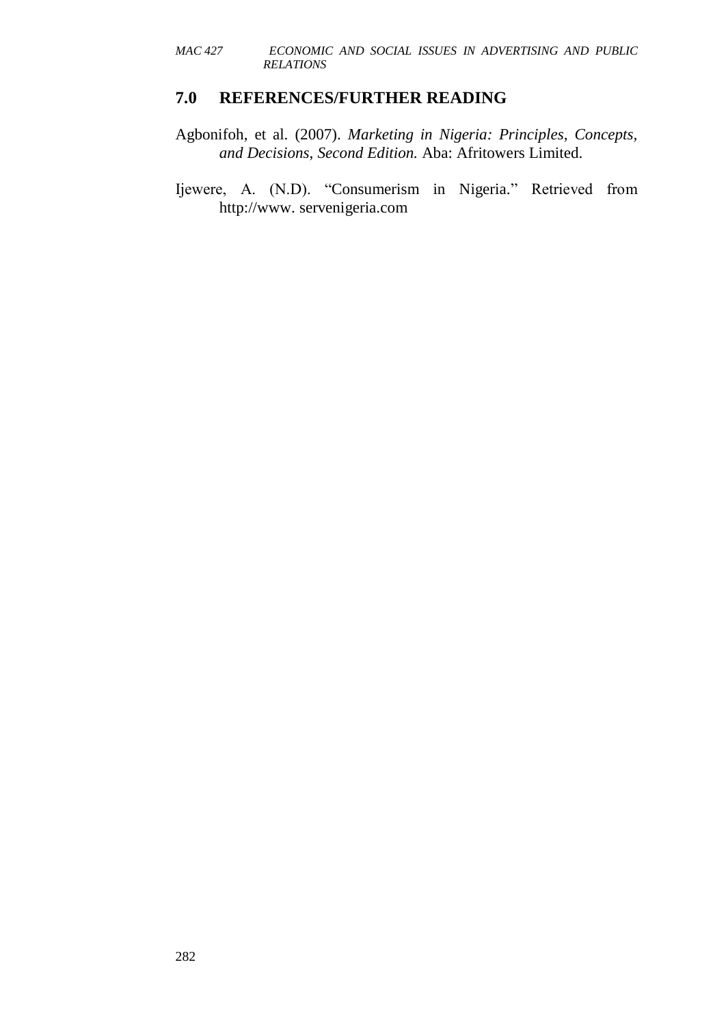### **7.0 REFERENCES/FURTHER READING**

- Agbonifoh, et al. (2007). *Marketing in Nigeria: Principles, Concepts, and Decisions*, *Second Edition.* Aba: Afritowers Limited.
- Ijewere, A. (N.D). "Consumerism in Nigeria." Retrieved from http://www. servenigeria.com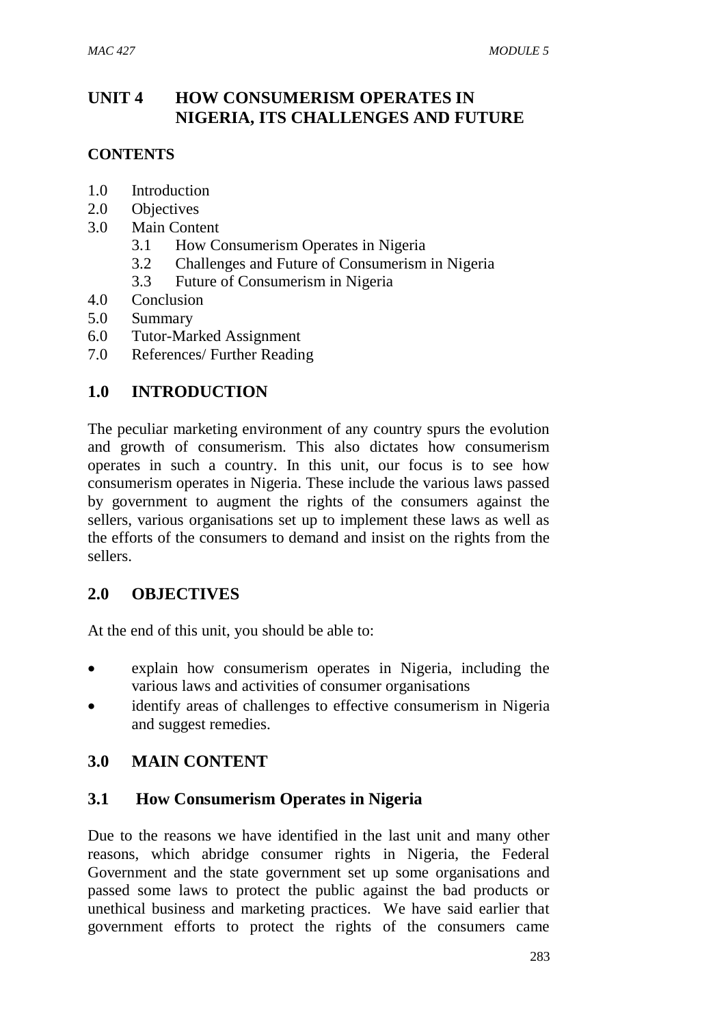# **UNIT 4 HOW CONSUMERISM OPERATES IN NIGERIA, ITS CHALLENGES AND FUTURE**

### **CONTENTS**

- 1.0 Introduction
- 2.0 Objectives
- 3.0 Main Content
	- 3.1 How Consumerism Operates in Nigeria
	- 3.2 Challenges and Future of Consumerism in Nigeria
	- 3.3 Future of Consumerism in Nigeria
- 4.0 Conclusion
- 5.0 Summary
- 6.0 Tutor-Marked Assignment
- 7.0 References/ Further Reading

# **1.0 INTRODUCTION**

The peculiar marketing environment of any country spurs the evolution and growth of consumerism. This also dictates how consumerism operates in such a country. In this unit, our focus is to see how consumerism operates in Nigeria. These include the various laws passed by government to augment the rights of the consumers against the sellers, various organisations set up to implement these laws as well as the efforts of the consumers to demand and insist on the rights from the sellers.

# **2.0 OBJECTIVES**

At the end of this unit, you should be able to:

- explain how consumerism operates in Nigeria, including the various laws and activities of consumer organisations
- identify areas of challenges to effective consumerism in Nigeria and suggest remedies.

# **3.0 MAIN CONTENT**

# **3.1 How Consumerism Operates in Nigeria**

Due to the reasons we have identified in the last unit and many other reasons, which abridge consumer rights in Nigeria, the Federal Government and the state government set up some organisations and passed some laws to protect the public against the bad products or unethical business and marketing practices. We have said earlier that government efforts to protect the rights of the consumers came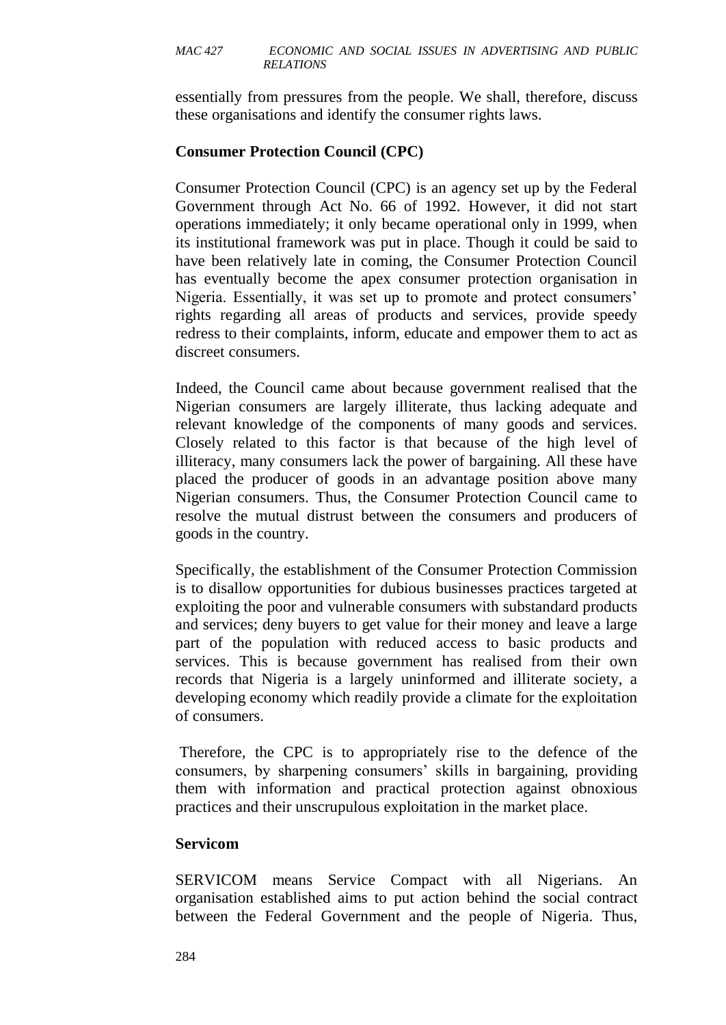essentially from pressures from the people. We shall, therefore, discuss these organisations and identify the consumer rights laws.

# **Consumer Protection Council (CPC)**

Consumer Protection Council (CPC) is an agency set up by the Federal Government through Act No. 66 of 1992. However, it did not start operations immediately; it only became operational only in 1999, when its institutional framework was put in place. Though it could be said to have been relatively late in coming, the Consumer Protection Council has eventually become the apex consumer protection organisation in Nigeria. Essentially, it was set up to promote and protect consumers' rights regarding all areas of products and services, provide speedy redress to their complaints, inform, educate and empower them to act as discreet consumers.

Indeed, the Council came about because government realised that the Nigerian consumers are largely illiterate, thus lacking adequate and relevant knowledge of the components of many goods and services. Closely related to this factor is that because of the high level of illiteracy, many consumers lack the power of bargaining. All these have placed the producer of goods in an advantage position above many Nigerian consumers. Thus, the Consumer Protection Council came to resolve the mutual distrust between the consumers and producers of goods in the country.

Specifically, the establishment of the Consumer Protection Commission is to disallow opportunities for dubious businesses practices targeted at exploiting the poor and vulnerable consumers with substandard products and services; deny buyers to get value for their money and leave a large part of the population with reduced access to basic products and services. This is because government has realised from their own records that Nigeria is a largely uninformed and illiterate society, a developing economy which readily provide a climate for the exploitation of consumers.

Therefore, the CPC is to appropriately rise to the defence of the consumers, by sharpening consumers' skills in bargaining, providing them with information and practical protection against obnoxious practices and their unscrupulous exploitation in the market place.

### **Servicom**

SERVICOM means Service Compact with all Nigerians. An organisation established aims to put action behind the social contract between the Federal Government and the people of Nigeria. Thus,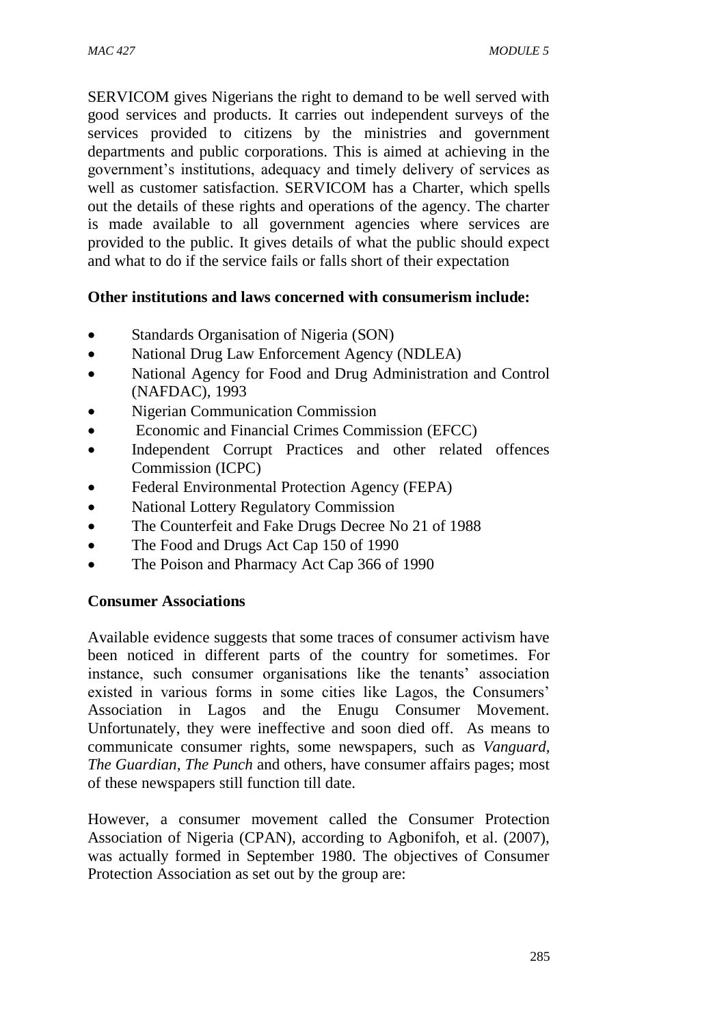SERVICOM gives Nigerians the right to demand to be well served with good services and products. It carries out independent surveys of the services provided to citizens by the ministries and government departments and public corporations. This is aimed at achieving in the government's institutions, adequacy and timely delivery of services as well as customer satisfaction. SERVICOM has a Charter, which spells out the details of these rights and operations of the agency. The charter is made available to all government agencies where services are provided to the public. It gives details of what the public should expect and what to do if the service fails or falls short of their expectation

### **Other institutions and laws concerned with consumerism include:**

- Standards Organisation of Nigeria (SON)
- National Drug Law Enforcement Agency (NDLEA)
- National Agency for Food and Drug Administration and Control (NAFDAC), 1993
- Nigerian Communication Commission
- Economic and Financial Crimes Commission (EFCC)
- Independent Corrupt Practices and other related offences Commission (ICPC)
- Federal Environmental Protection Agency (FEPA)
- National Lottery Regulatory Commission
- The Counterfeit and Fake Drugs Decree No 21 of 1988
- The Food and Drugs Act Cap 150 of 1990
- The Poison and Pharmacy Act Cap 366 of 1990

### **Consumer Associations**

Available evidence suggests that some traces of consumer activism have been noticed in different parts of the country for sometimes. For instance, such consumer organisations like the tenants' association existed in various forms in some cities like Lagos, the Consumers' Association in Lagos and the Enugu Consumer Movement. Unfortunately, they were ineffective and soon died off. As means to communicate consumer rights, some newspapers, such as *Vanguard, The Guardian, The Punch* and others, have consumer affairs pages; most of these newspapers still function till date.

However, a consumer movement called the Consumer Protection Association of Nigeria (CPAN), according to Agbonifoh, et al. (2007), was actually formed in September 1980. The objectives of Consumer Protection Association as set out by the group are: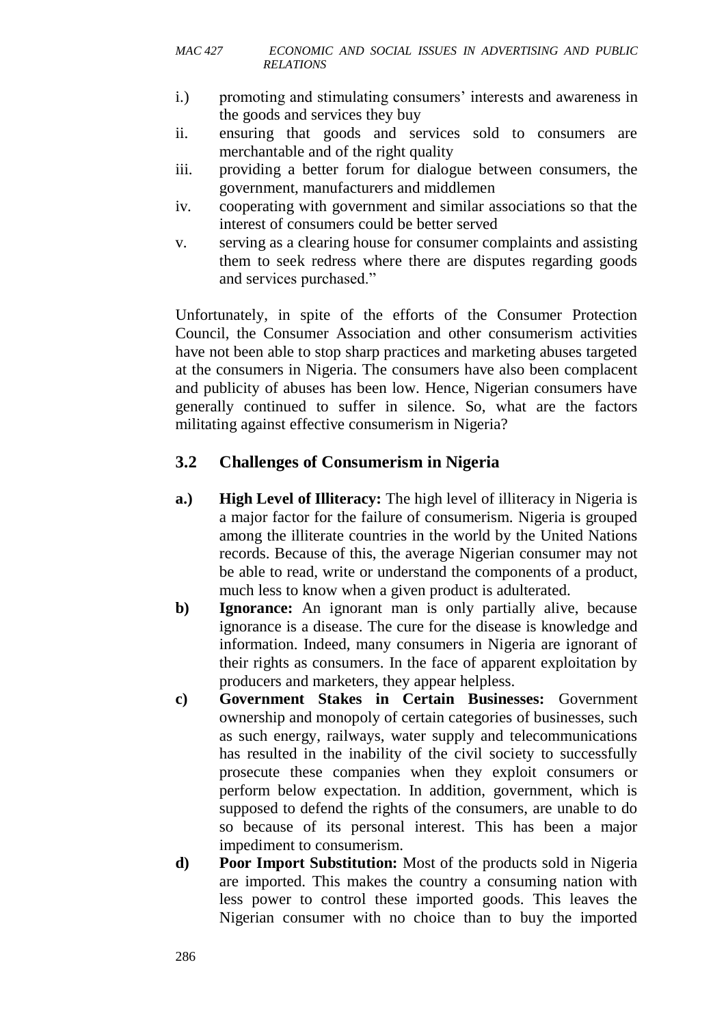- i.) promoting and stimulating consumers' interests and awareness in the goods and services they buy
- ii. ensuring that goods and services sold to consumers are merchantable and of the right quality
- iii. providing a better forum for dialogue between consumers, the government, manufacturers and middlemen
- iv. cooperating with government and similar associations so that the interest of consumers could be better served
- v. serving as a clearing house for consumer complaints and assisting them to seek redress where there are disputes regarding goods and services purchased."

Unfortunately, in spite of the efforts of the Consumer Protection Council, the Consumer Association and other consumerism activities have not been able to stop sharp practices and marketing abuses targeted at the consumers in Nigeria. The consumers have also been complacent and publicity of abuses has been low. Hence, Nigerian consumers have generally continued to suffer in silence. So, what are the factors militating against effective consumerism in Nigeria?

# **3.2 Challenges of Consumerism in Nigeria**

- **a.) High Level of Illiteracy:** The high level of illiteracy in Nigeria is a major factor for the failure of consumerism. Nigeria is grouped among the illiterate countries in the world by the United Nations records. Because of this, the average Nigerian consumer may not be able to read, write or understand the components of a product, much less to know when a given product is adulterated.
- **b) Ignorance:** An ignorant man is only partially alive, because ignorance is a disease. The cure for the disease is knowledge and information. Indeed, many consumers in Nigeria are ignorant of their rights as consumers. In the face of apparent exploitation by producers and marketers, they appear helpless.
- **c) Government Stakes in Certain Businesses:** Government ownership and monopoly of certain categories of businesses, such as such energy, railways, water supply and telecommunications has resulted in the inability of the civil society to successfully prosecute these companies when they exploit consumers or perform below expectation. In addition, government, which is supposed to defend the rights of the consumers, are unable to do so because of its personal interest. This has been a major impediment to consumerism.
- **d) Poor Import Substitution:** Most of the products sold in Nigeria are imported. This makes the country a consuming nation with less power to control these imported goods. This leaves the Nigerian consumer with no choice than to buy the imported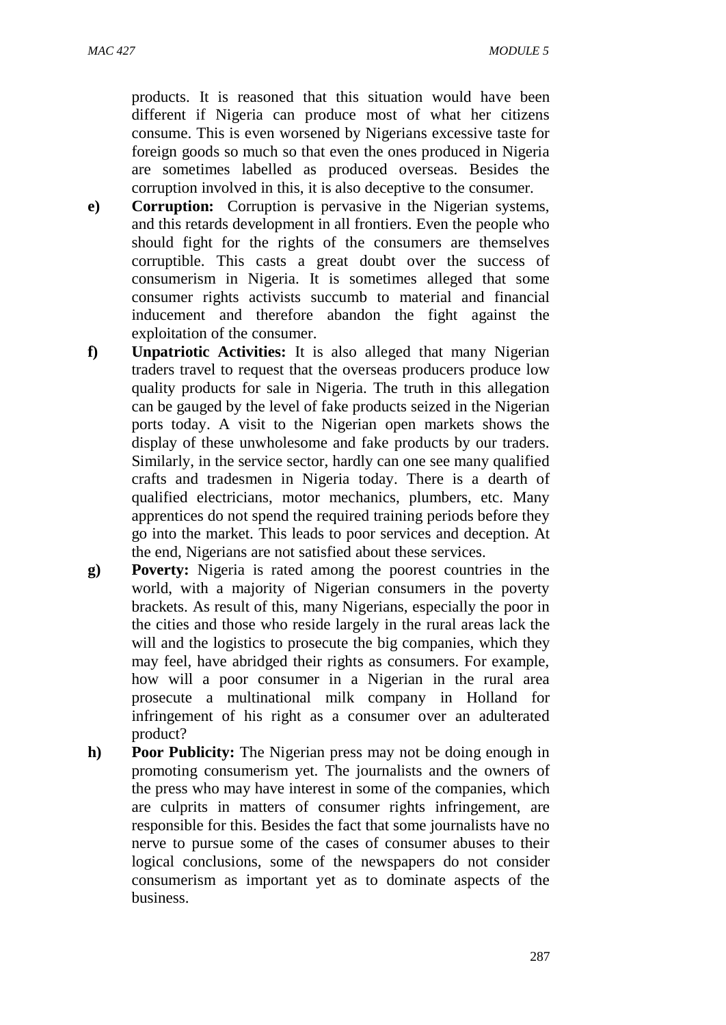products. It is reasoned that this situation would have been different if Nigeria can produce most of what her citizens consume. This is even worsened by Nigerians excessive taste for foreign goods so much so that even the ones produced in Nigeria are sometimes labelled as produced overseas. Besides the corruption involved in this, it is also deceptive to the consumer.

- **e) Corruption:** Corruption is pervasive in the Nigerian systems, and this retards development in all frontiers. Even the people who should fight for the rights of the consumers are themselves corruptible. This casts a great doubt over the success of consumerism in Nigeria. It is sometimes alleged that some consumer rights activists succumb to material and financial inducement and therefore abandon the fight against the exploitation of the consumer.
- **f) Unpatriotic Activities:** It is also alleged that many Nigerian traders travel to request that the overseas producers produce low quality products for sale in Nigeria. The truth in this allegation can be gauged by the level of fake products seized in the Nigerian ports today. A visit to the Nigerian open markets shows the display of these unwholesome and fake products by our traders. Similarly, in the service sector, hardly can one see many qualified crafts and tradesmen in Nigeria today. There is a dearth of qualified electricians, motor mechanics, plumbers, etc. Many apprentices do not spend the required training periods before they go into the market. This leads to poor services and deception. At the end, Nigerians are not satisfied about these services.
- **g) Poverty:** Nigeria is rated among the poorest countries in the world, with a majority of Nigerian consumers in the poverty brackets. As result of this, many Nigerians, especially the poor in the cities and those who reside largely in the rural areas lack the will and the logistics to prosecute the big companies, which they may feel, have abridged their rights as consumers. For example, how will a poor consumer in a Nigerian in the rural area prosecute a multinational milk company in Holland for infringement of his right as a consumer over an adulterated product?
- **h)** Poor Publicity: The Nigerian press may not be doing enough in promoting consumerism yet. The journalists and the owners of the press who may have interest in some of the companies, which are culprits in matters of consumer rights infringement, are responsible for this. Besides the fact that some journalists have no nerve to pursue some of the cases of consumer abuses to their logical conclusions, some of the newspapers do not consider consumerism as important yet as to dominate aspects of the business.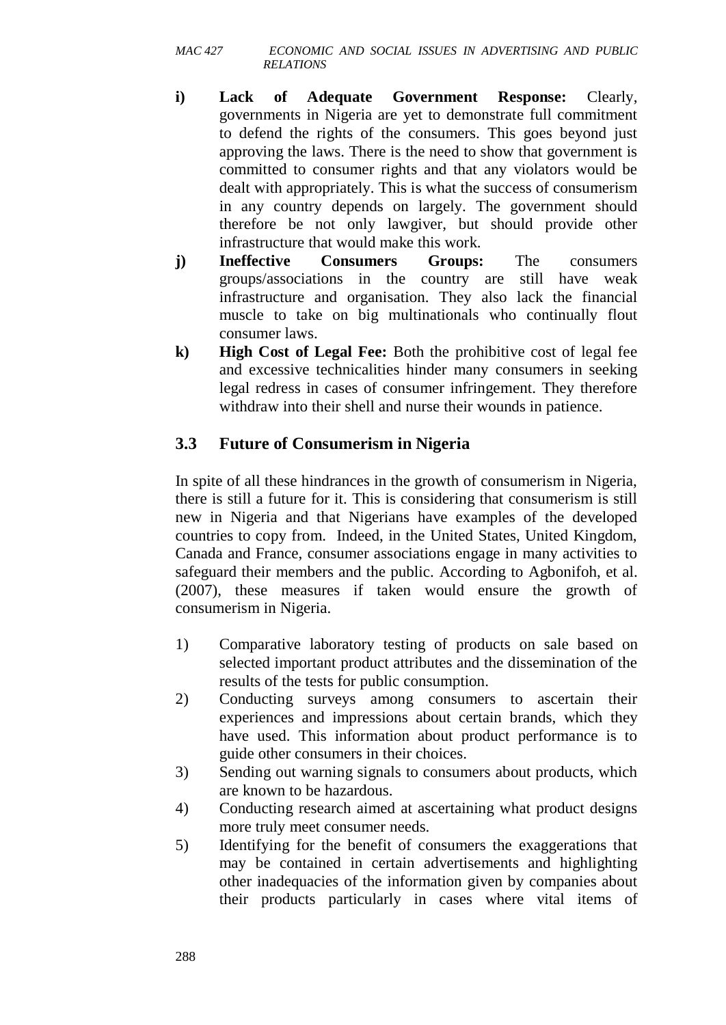- **i) Lack of Adequate Government Response:** Clearly, governments in Nigeria are yet to demonstrate full commitment to defend the rights of the consumers. This goes beyond just approving the laws. There is the need to show that government is committed to consumer rights and that any violators would be dealt with appropriately. This is what the success of consumerism in any country depends on largely. The government should therefore be not only lawgiver, but should provide other infrastructure that would make this work.
- **j) Ineffective Consumers Groups:** The consumers groups/associations in the country are still have weak infrastructure and organisation. They also lack the financial muscle to take on big multinationals who continually flout consumer laws.
- **k) High Cost of Legal Fee:** Both the prohibitive cost of legal fee and excessive technicalities hinder many consumers in seeking legal redress in cases of consumer infringement. They therefore withdraw into their shell and nurse their wounds in patience.

# **3.3 Future of Consumerism in Nigeria**

In spite of all these hindrances in the growth of consumerism in Nigeria, there is still a future for it. This is considering that consumerism is still new in Nigeria and that Nigerians have examples of the developed countries to copy from. Indeed, in the United States, United Kingdom, Canada and France, consumer associations engage in many activities to safeguard their members and the public. According to Agbonifoh, et al. (2007), these measures if taken would ensure the growth of consumerism in Nigeria.

- 1) Comparative laboratory testing of products on sale based on selected important product attributes and the dissemination of the results of the tests for public consumption.
- 2) Conducting surveys among consumers to ascertain their experiences and impressions about certain brands, which they have used. This information about product performance is to guide other consumers in their choices.
- 3) Sending out warning signals to consumers about products, which are known to be hazardous.
- 4) Conducting research aimed at ascertaining what product designs more truly meet consumer needs.
- 5) Identifying for the benefit of consumers the exaggerations that may be contained in certain advertisements and highlighting other inadequacies of the information given by companies about their products particularly in cases where vital items of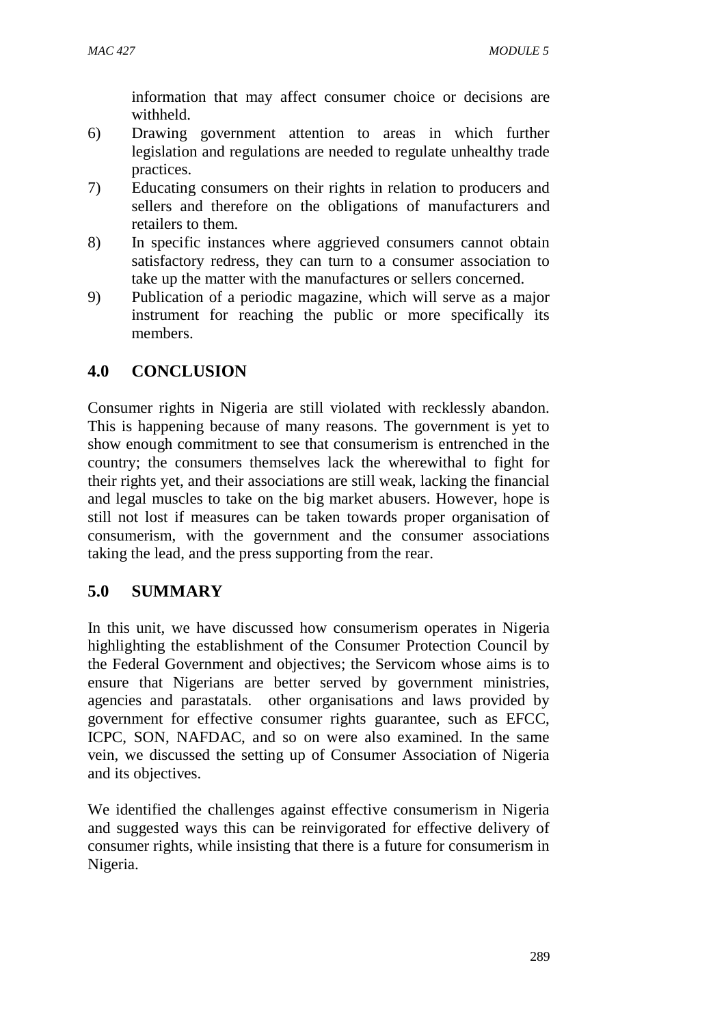information that may affect consumer choice or decisions are withheld.

- 6) Drawing government attention to areas in which further legislation and regulations are needed to regulate unhealthy trade practices.
- 7) Educating consumers on their rights in relation to producers and sellers and therefore on the obligations of manufacturers and retailers to them.
- 8) In specific instances where aggrieved consumers cannot obtain satisfactory redress, they can turn to a consumer association to take up the matter with the manufactures or sellers concerned.
- 9) Publication of a periodic magazine, which will serve as a major instrument for reaching the public or more specifically its members.

# **4.0 CONCLUSION**

Consumer rights in Nigeria are still violated with recklessly abandon. This is happening because of many reasons. The government is yet to show enough commitment to see that consumerism is entrenched in the country; the consumers themselves lack the wherewithal to fight for their rights yet, and their associations are still weak, lacking the financial and legal muscles to take on the big market abusers. However, hope is still not lost if measures can be taken towards proper organisation of consumerism, with the government and the consumer associations taking the lead, and the press supporting from the rear.

# **5.0 SUMMARY**

In this unit, we have discussed how consumerism operates in Nigeria highlighting the establishment of the Consumer Protection Council by the Federal Government and objectives; the Servicom whose aims is to ensure that Nigerians are better served by government ministries, agencies and parastatals. other organisations and laws provided by government for effective consumer rights guarantee, such as EFCC, ICPC, SON, NAFDAC, and so on were also examined. In the same vein, we discussed the setting up of Consumer Association of Nigeria and its objectives.

We identified the challenges against effective consumerism in Nigeria and suggested ways this can be reinvigorated for effective delivery of consumer rights, while insisting that there is a future for consumerism in Nigeria.